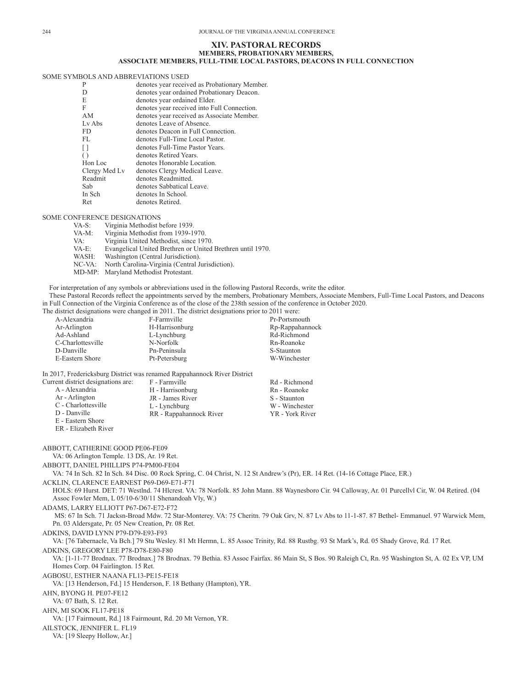## **XIV. PASTORAL RECORDS MEMBERS, PROBATIONARY MEMBERS, ASSOCIATE MEMBERS, FULL-TIME LOCAL PASTORS, DEACONS IN FULL CONNECTION**

## SOME SYMBOLS AND ABBREVIATIONS USED

| P                | denotes year received as Probationary Member. |
|------------------|-----------------------------------------------|
| D                | denotes year ordained Probationary Deacon.    |
| E                | denotes year ordained Elder.                  |
| F                | denotes year received into Full Connection.   |
| AM               | denotes year received as Associate Member.    |
| Ly Abs           | denotes Leave of Absence.                     |
| FD.              | denotes Deacon in Full Connection.            |
| FL.              | denotes Full-Time Local Pastor.               |
| n                | denotes Full-Time Pastor Years.               |
| $\left( \right)$ | denotes Retired Years.                        |
| Hon Loc          | denotes Honorable Location.                   |
| Clergy Med Lv    | denotes Clergy Medical Leave.                 |
| Readmit          | denotes Readmitted.                           |
| Sab              | denotes Sabbatical Leave.                     |
| In Sch           | denotes In School.                            |
| Ret              | denotes Retired.                              |
|                  |                                               |

## SOME CONFERENCE DESIGNATIONS

| $VA-S:$   | Virginia Methodist before 1939.                            |
|-----------|------------------------------------------------------------|
| VA-M:     | Virginia Methodist from 1939-1970.                         |
| VA:       | Virginia United Methodist, since 1970.                     |
| VA-E:     | Evangelical United Brethren or United Brethren until 1970. |
| WASH:     | Washington (Central Jurisdiction).                         |
| $NC-VA$ : | North Carolina-Virginia (Central Jurisdiction).            |
| MD-MP:    | Maryland Methodist Protestant.                             |

For interpretation of any symbols or abbreviations used in the following Pastoral Records, write the editor. These Pastoral Records reflect the appointments served by the members, Probationary Members, Associate Members, Full-Time Local Pastors, and Deacons in Full Connection of the Virginia Conference as of the close of the 238th session of the conference in October 2020.

The district designations were changed in 2011. The district designations prior to 2011 were:

|                   | approve assignations were enoughly in mother and the approximations prior to mother were: |                 |
|-------------------|-------------------------------------------------------------------------------------------|-----------------|
| A-Alexandria      | F-Farmville                                                                               | Pr-Portsmouth   |
| Ar-Arlington      | H-Harrisonburg                                                                            | Rp-Rappahannock |
| Ad-Ashland        | L-Lynchburg                                                                               | Rd-Richmond     |
| C-Charlottesville | N-Norfolk                                                                                 | Rn-Roanoke      |
| D-Danville        | Pn-Peninsula                                                                              | S-Staunton      |
| E-Eastern Shore   | Pt-Petersburg                                                                             | W-Winchester    |
|                   |                                                                                           |                 |

In 2017, Fredericksburg District was renamed Rappahannock River District

| Current district designations are: | F - Farmville           | Rd - Richmond   |
|------------------------------------|-------------------------|-----------------|
| A - Alexandria                     | H - Harrisonburg        | Rn - Roanoke    |
| Ar - Arlington                     | JR - James River        | S - Staunton    |
| C - Charlottesville                | L - Lynchburg           | W - Winchester  |
| D - Danville                       | RR - Rappahannock River | YR - York River |
| E - Eastern Shore                  |                         |                 |
|                                    |                         |                 |

ER - Elizabeth River

ABBOTT, CATHERINE GOOD PE06-FE09 VA: 06 Arlington Temple. 13 DS, Ar. 19 Ret. ABBOTT, DANIEL PHILLIPS P74-PM00-FE04 VA: 74 In Sch. 82 In Sch. 84 Disc. 00 Rock Spring, C. 04 Christ, N. 12 St Andrew's (Pr), ER. 14 Ret. (14-16 Cottage Place, ER.) ACKLIN, CLARENCE EARNEST P69-D69-E71-F71 HOLS: 69 Hurst. DET: 71 Westlnd. 74 Hlcrest. VA: 78 Norfolk. 85 John Mann. 88 Waynesboro Cir. 94 Calloway, Ar. 01 Purcellvl Cir, W. 04 Retired. (04 Assoc Fowler Mem, L 05/10-6/30/11 Shenandoah Vly, W.) ADAMS, LARRY ELLIOTT P67-D67-E72-F72 MS: 67 In Sch. 71 Jacksn-Broad Mdw. 72 Star-Monterey. VA: 75 Cheritn. 79 Oak Grv, N. 87 Lv Abs to 11-1-87. 87 Bethel- Emmanuel. 97 Warwick Mem, Pn. 03 Aldersgate, Pr. 05 New Creation, Pr. 08 Ret. ADKINS, DAVID LYNN P79-D79-E93-F93 VA: [76 Tabernacle, Va Bch.] 79 Stu Wesley. 81 Mt Hermn, L. 85 Assoc Trinity, Rd. 88 Rustbg. 93 St Mark's, Rd. 05 Shady Grove, Rd. 17 Ret. ADKINS, GREGORY LEE P78-D78-E80-F80 VA: [1-11-77 Brodnax. 77 Brodnax.] 78 Brodnax. 79 Bethia. 83 Assoc Fairfax. 86 Main St, S Bos. 90 Raleigh Ct, Rn. 95 Washington St, A. 02 Ex VP, UM Homes Corp. 04 Fairlington. 15 Ret. AGBOSU, ESTHER NAANA FL13-PE15-FE18 VA: [13 Henderson, Fd.] 15 Henderson, F. 18 Bethany (Hampton), YR. AHN, BYONG H. PE07-FE12 VA: 07 Bath, S. 12 Ret. AHN, MI SOOK FL17-PE18 VA: [17 Fairmount, Rd.] 18 Fairmount, Rd. 20 Mt Vernon, YR. AILSTOCK, JENNIFER L. FL19 VA: [19 Sleepy Hollow, Ar.]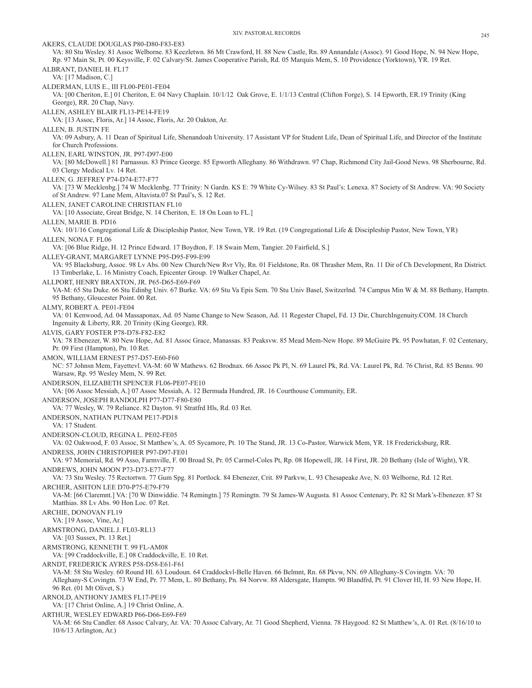XIV. PASTORAL RECORDS 245 AKERS, CLAUDE DOUGLAS P80-D80-F83-E83 VA: 80 Stu Wesley. 81 Assoc Welborne. 83 Keezletwn. 86 Mt Crawford, H. 88 New Castle, Rn. 89 Annandale (Assoc). 91 Good Hope, N. 94 New Hope, Rp. 97 Main St, Pt. 00 Keysville, F. 02 Calvary/St. James Cooperative Parish, Rd. 05 Marquis Mem, S. 10 Providence (Yorktown), YR. 19 Ret. ALBRANT, DANIEL H. FL17 VA: [17 Madison, C.] ALDERMAN, LUIS E., III FL00-PE01-FE04 VA: [00 Cheriton, E.] 01 Cheriton, E. 04 Navy Chaplain. 10/1/12 Oak Grove, E. 1/1/13 Central (Clifton Forge), S. 14 Epworth, ER.19 Trinity (King George), RR. 20 Chap, Navy. ALLEN, ASHLEY BLAIR FL13-PE14-FE19 VA: [13 Assoc, Floris, Ar.] 14 Assoc, Floris, Ar. 20 Oakton, Ar. ALLEN, B. JUSTIN FE VA: 09 Asbury, A. 11 Dean of Spiritual Life, Shenandoah University. 17 Assistant VP for Student Life, Dean of Spiritual Life, and Director of the Institute for Church Professions. ALLEN, EARL WINSTON, JR. P97-D97-E00 VA: [80 McDowell.] 81 Parnassus. 83 Prince George. 85 Epworth Alleghany. 86 Withdrawn. 97 Chap, Richmond City Jail-Good News. 98 Sherbourne, Rd. 03 Clergy Medical Lv. 14 Ret. ALLEN, G. JEFFREY P74-D74-E77-F77 VA: [73 W Mecklenbg.] 74 W Mecklenbg. 77 Trinity: N Gardn. KS E: 79 White Cy-Wilsey. 83 St Paul's: Lenexa. 87 Society of St Andrew. VA: 90 Society of St Andrew. 97 Lane Mem, Altavista.07 St Paul's, S. 12 Ret. ALLEN, JANET CAROLINE CHRISTIAN FL10 VA: [10 Associate, Great Bridge, N. 14 Cheriton, E. 18 On Loan to FL.] ALLEN, MARIE B. PD16 VA: 10/1/16 Congregational Life & Discipleship Pastor, New Town, YR. 19 Ret. (19 Congregational Life & Discipleship Pastor, New Town, YR) ALLEN, NONA F. FL06 VA: [06 Blue Ridge, H. 12 Prince Edward. 17 Boydton, F. 18 Swain Mem, Tangier. 20 Fairfield, S.] ALLEY-GRANT, MARGARET LYNNE P95-D95-F99-E99 VA: 95 Blacksburg, Assoc. 98 Lv Abs. 00 New Church/New Rvr Vly, Rn. 01 Fieldstone, Rn. 08 Thrasher Mem, Rn. 11 Dir of Ch Development, Rn District. 13 Timberlake, L. 16 Ministry Coach, Epicenter Group. 19 Walker Chapel, Ar. ALLPORT, HENRY BRAXTON, JR. P65-D65-E69-F69 VA-M: 65 Stu Duke. 66 Stu Edinbg Univ. 67 Burke. VA: 69 Stu Va Epis Sem. 70 Stu Univ Basel, Switzerlnd. 74 Campus Min W & M. 88 Bethany, Hamptn. 95 Bethany, Gloucester Point. 00 Ret. ALMY, ROBERT A. PE01-FE04 VA: 01 Kenwood, Ad. 04 Massaponax, Ad. 05 Name Change to New Season, Ad. 11 Regester Chapel, Fd. 13 Dir, ChurchIngenuity.COM. 18 Church Ingenuity & Liberty, RR. 20 Trinity (King George), RR. ALVIS, GARY FOSTER P78-D78-F82-E82 VA: 78 Ebenezer, W. 80 New Hope, Ad. 81 Assoc Grace, Manassas. 83 Peaksvw. 85 Mead Mem-New Hope. 89 McGuire Pk. 95 Powhatan, F. 02 Centenary, Pr. 09 First (Hampton), Pn. 10 Ret. AMON, WILLIAM ERNEST P57-D57-E60-F60 NC: 57 Johnsn Mem, Fayettevl. VA-M: 60 W Mathews. 62 Brodnax. 66 Assoc Pk Pl, N. 69 Laurel Pk, Rd. VA: Laurel Pk, Rd. 76 Christ, Rd. 85 Benns. 90 Warsaw, Rp. 95 Wesley Mem, N. 99 Ret. ANDERSON, ELIZABETH SPENCER FL06-PE07-FE10 VA: [06 Assoc Messiah, A.] 07 Assoc Messiah, A. 12 Bermuda Hundred, JR. 16 Courthouse Community, ER. ANDERSON, JOSEPH RANDOLPH P77-D77-F80-E80 VA: 77 Wesley, W. 79 Reliance. 82 Dayton. 91 Stratfrd Hls, Rd. 03 Ret. ANDERSON, NATHAN PUTNAM PE17-PD18 VA: 17 Student. ANDERSON-CLOUD, REGINA L. PE02-FE05 VA: 02 Oakwood, F. 03 Assoc, St Matthew's, A. 05 Sycamore, Pt. 10 The Stand, JR. 13 Co-Pastor, Warwick Mem, YR. 18 Fredericksburg, RR. ANDRESS, JOHN CHRISTOPHER P97-D97-FE01 VA: 97 Memorial, Rd. 99 Asso, Farmville, F. 00 Broad St, Pr. 05 Carmel-Coles Pt, Rp. 08 Hopewell, JR. 14 First, JR. 20 Bethany (Isle of Wight), YR. ANDREWS, JOHN MOON P73-D73-E77-F77 VA: 73 Stu Wesley. 75 Rectortwn. 77 Gum Spg. 81 Portlock. 84 Ebenezer, Crit. 89 Parkvw, L. 93 Chesapeake Ave, N. 03 Welborne, Rd. 12 Ret. ARCHER, ASHTON LEE D70-P75-E79-F79 VA-M: [66 Claremnt.] VA: [70 W Dinwiddie. 74 Remingtn.] 75 Remingtn. 79 St James-W Augusta. 81 Assoc Centenary, Pr. 82 St Mark's-Ebenezer. 87 St Matthias. 88 Lv Abs. 90 Hon Loc. 07 Ret. ARCHIE, DONOVAN FL19 VA: [19 Assoc, Vine, Ar.] ARMSTRONG, DANIEL J. FL03-RL13 VA: [03 Sussex, Pt. 13 Ret.] ARMSTRONG, KENNETH T. 99 FL-AM08 VA: [99 Craddockville, E.] 08 Craddockville, E. 10 Ret. ARNDT, FREDERICK AYRES P58-D58-E61-F61 VA-M: 58 Stu Wesley. 60 Round Hl. 63 Loudoun. 64 Craddockvl-Belle Haven. 66 Belmnt, Rn. 68 Pkvw, NN. 69 Alleghany-S Covingtn. VA: 70 Alleghany-S Covingtn. 73 W End, Pr. 77 Mem, L. 80 Bethany, Pn. 84 Norvw. 88 Aldersgate, Hamptn. 90 Blandfrd, Pt. 91 Clover Hl, H. 93 New Hope, H. 96 Ret. (01 Mt Olivet, S.) ARNOLD, ANTHONY JAMES FL17-PE19 VA: [17 Christ Online, A.] 19 Christ Online, A. ARTHUR, WESLEY EDWARD P66-D66-E69-F69 VA-M: 66 Stu Candler. 68 Assoc Calvary, Ar. VA: 70 Assoc Calvary, Ar. 71 Good Shepherd, Vienna. 78 Haygood. 82 St Matthew's, A. 01 Ret. (8/16/10 to 10/6/13 Arlington, Ar.)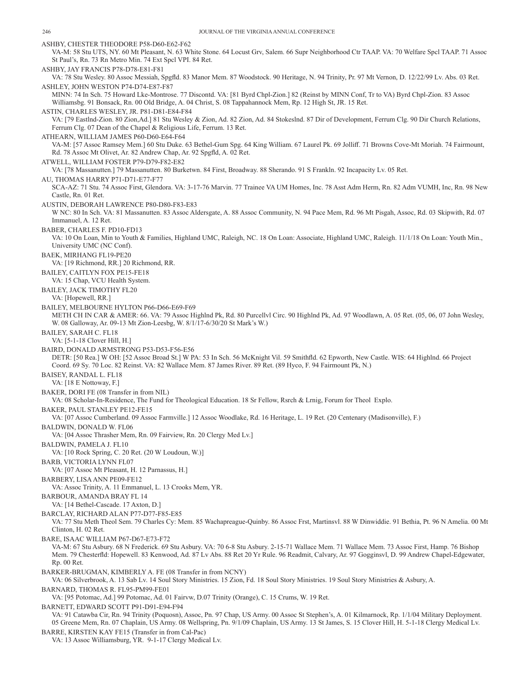ASHBY, CHESTER THEODORE P58-D60-E62-F62 VA-M: 58 Stu UTS, NY. 60 Mt Pleasant, N. 63 White Stone. 64 Locust Grv, Salem. 66 Supr Neighborhood Ctr TAAP. VA: 70 Welfare Spcl TAAP. 71 Assoc St Paul's, Rn. 73 Rn Metro Min. 74 Ext Spcl VPI. 84 Ret. ASHBY, JAY FRANCIS P78-D78-E81-F81 VA: 78 Stu Wesley. 80 Assoc Messiah, Spgfld. 83 Manor Mem. 87 Woodstock. 90 Heritage, N. 94 Trinity, Pr. 97 Mt Vernon, D. 12/22/99 Lv. Abs. 03 Ret. ASHLEY, JOHN WESTON P74-D74-E87-F87 MINN: 74 In Sch. 75 Howard Lke-Montrose. 77 Discontd. VA: [81 Byrd Chpl-Zion.] 82 (Reinst by MINN Conf, Tr to VA) Byrd Chpl-Zion. 83 Assoc Williamsbg. 91 Bonsack, Rn. 00 Old Bridge, A. 04 Christ, S. 08 Tappahannock Mem, Rp. 12 High St, JR. 15 Ret. ASTIN, CHARLES WESLEY, JR. P81-D81-E84-F84 VA: [79 Eastlnd-Zion. 80 Zion,Ad.] 81 Stu Wesley & Zion, Ad. 82 Zion, Ad. 84 Stokeslnd. 87 Dir of Development, Ferrum Clg. 90 Dir Church Relations, Ferrum Clg. 07 Dean of the Chapel & Religious Life, Ferrum. 13 Ret. ATHEARN, WILLIAM JAMES P60-D60-E64-F64 VA-M: [57 Assoc Ramsey Mem.] 60 Stu Duke. 63 Bethel-Gum Spg. 64 King William. 67 Laurel Pk. 69 Jolliff. 71 Browns Cove-Mt Moriah. 74 Fairmount, Rd. 78 Assoc Mt Olivet, Ar. 82 Andrew Chap, Ar. 92 Spgfld, A. 02 Ret. ATWELL, WILLIAM FOSTER P79-D79-F82-E82 VA: [78 Massanutten.] 79 Massanutten. 80 Burketwn. 84 First, Broadway. 88 Sherando. 91 S Frankln. 92 Incapacity Lv. 05 Ret. AU, THOMAS HARRY P71-D71-E77-F77 SCA-AZ: 71 Stu. 74 Assoc First, Glendora. VA: 3-17-76 Marvin. 77 Trainee VA UM Homes, Inc. 78 Asst Adm Herm, Rn. 82 Adm VUMH, Inc, Rn. 98 New Castle, Rn. 01 Ret. AUSTIN, DEBORAH LAWRENCE P80-D80-F83-E83 W NC: 80 In Sch. VA: 81 Massanutten. 83 Assoc Aldersgate, A. 88 Assoc Community, N. 94 Pace Mem, Rd. 96 Mt Pisgah, Assoc, Rd. 03 Skipwith, Rd. 07 Immanuel, A. 12 Ret. BABER, CHARLES F. PD10-FD13 VA: 10 On Loan, Min to Youth & Families, Highland UMC, Raleigh, NC. 18 On Loan: Associate, Highland UMC, Raleigh. 11/1/18 On Loan: Youth Min., University UMC (NC Conf). BAEK, MIRHANG FL19-PE20 VA: [19 Richmond, RR.] 20 Richmond, RR. BAILEY, CAITLYN FOX PE15-FE18 VA: 15 Chap, VCU Health System. BAILEY, JACK TIMOTHY FL20 VA: [Hopewell, RR.] BAILEY, MELBOURNE HYLTON P66-D66-E69-F69 METH CH IN CAR & AMER: 66. VA: 79 Assoc Highlnd Pk, Rd. 80 Purcellvl Circ. 90 Highlnd Pk, Ad. 97 Woodlawn, A. 05 Ret. (05, 06, 07 John Wesley, W. 08 Galloway, Ar. 09-13 Mt Zion-Leesbg, W. 8/1/17-6/30/20 St Mark's W.) BAILEY, SARAH C. FL18 VA: [5-1-18 Clover Hill, H.] BAIRD, DONALD ARMSTRONG P53-D53-F56-E56 DETR: [50 Rea.] W OH: [52 Assoc Broad St.] W PA: 53 In Sch. 56 McKnight Vil. 59 Smithfld. 62 Epworth, New Castle. WIS: 64 Highlnd. 66 Project Coord. 69 Sy. 70 Loc. 82 Reinst. VA: 82 Wallace Mem. 87 James River. 89 Ret. (89 Hyco, F. 94 Fairmount Pk, N.) BAISEY, RANDAL L. FL18 VA: [18 E Nottoway, F.] BAKER, DORI FE (08 Transfer in from NIL) VA: 08 Scholar-In-Residence, The Fund for Theological Education. 18 Sr Fellow, Rsrch & Lrnig, Forum for Theol Explo. BAKER, PAUL STANLEY PE12-FE15 VA: [07 Assoc Cumberland. 09 Assoc Farmville.] 12 Assoc Woodlake, Rd. 16 Heritage, L. 19 Ret. (20 Centenary (Madisonville), F.) BALDWIN, DONALD W. FL06 VA: [04 Assoc Thrasher Mem, Rn. 09 Fairview, Rn. 20 Clergy Med Lv.] BALDWIN, PAMELA J. FL10 VA: [10 Rock Spring, C. 20 Ret. (20 W Loudoun, W.)] BARB, VICTORIA LYNN FL07 VA: [07 Assoc Mt Pleasant, H. 12 Parnassus, H.] BARBERY, LISA ANN PE09-FE12 VA: Assoc Trinity, A. 11 Emmanuel, L. 13 Crooks Mem, YR. BARBOUR, AMANDA BRAY FL 14 VA: [14 Bethel-Cascade. 17 Axton, D.] BARCLAY, RICHARD ALAN P77-D77-F85-E85 VA: 77 Stu Meth Theol Sem. 79 Charles Cy: Mem. 85 Wachapreague-Quinby. 86 Assoc Frst, Martinsvl. 88 W Dinwiddie. 91 Bethia, Pt. 96 N Amelia. 00 Mt Clinton, H. 02 Ret. BARE, ISAAC WILLIAM P67-D67-E73-F72 VA-M: 67 Stu Asbury. 68 N Frederick. 69 Stu Asbury. VA: 70 6-8 Stu Asbury. 2-15-71 Wallace Mem. 71 Wallace Mem. 73 Assoc First, Hamp. 76 Bishop Mem. 79 Chesterfld: Hopewell. 83 Kenwood, Ad. 87 Lv Abs. 88 Ret 20 Yr Rule. 96 Readmit, Calvary, Ar. 97 Gogginsvl, D. 99 Andrew Chapel-Edgewater, Rp. 00 Ret. BARKER-BRUGMAN, KIMBERLY A. FE (08 Transfer in from NCNY) VA: 06 Silverbrook, A. 13 Sab Lv. 14 Soul Story Ministries. 15 Zion, Fd. 18 Soul Story Ministries. 19 Soul Story Ministries & Asbury, A. BARNARD, THOMAS R. FL95-PM99-FE01 VA: [95 Potomac, Ad.] 99 Potomac, Ad. 01 Fairvw, D.07 Trinity (Orange), C. 15 Crums, W. 19 Ret. BARNETT, EDWARD SCOTT P91-D91-E94-F94 VA: 91 Catawba Cir, Rn. 94 Trinity (Poquosn), Assoc, Pn. 97 Chap, US Army. 00 Assoc St Stephen's, A. 01 Kilmarnock, Rp. 1/1/04 Military Deployment. 05 Greene Mem, Rn. 07 Chaplain, US Army. 08 Wellspring, Pn. 9/1/09 Chaplain, US Army. 13 St James, S. 15 Clover Hill, H. 5-1-18 Clergy Medical Lv.

BARRE, KIRSTEN KAY FE15 (Transfer in from Cal-Pac)

VA: 13 Assoc Williamsburg, YR. 9-1-17 Clergy Medical Lv.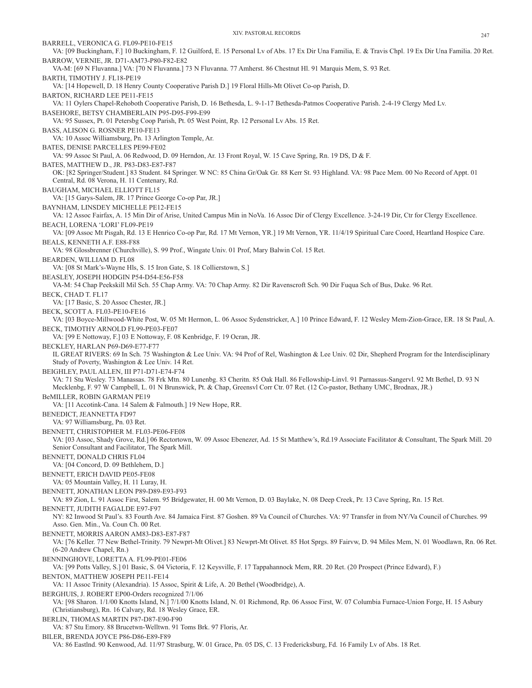BARRELL, VERONICA G. FL09-PE10-FE15 VA: [09 Buckingham, F.] 10 Buckingham, F. 12 Guilford, E. 15 Personal Lv of Abs. 17 Ex Dir Una Familia, E. & Travis Chpl. 19 Ex Dir Una Familia. 20 Ret. BARROW, VERNIE, JR. D71-AM73-P80-F82-E82 VA-M: [69 N Fluvanna.] VA: [70 N Fluvanna.] 73 N Fluvanna. 77 Amherst. 86 Chestnut Hl. 91 Marquis Mem, S. 93 Ret. BARTH, TIMOTHY J. FL18-PE19 VA: [14 Hopewell, D. 18 Henry County Cooperative Parish D.] 19 Floral Hills-Mt Olivet Co-op Parish, D. BARTON, RICHARD LEE PE11-FE15 VA: 11 Oylers Chapel-Rehoboth Cooperative Parish, D. 16 Bethesda, L. 9-1-17 Bethesda-Patmos Cooperative Parish. 2-4-19 Clergy Med Lv. BASEHORE, BETSY CHAMBERLAIN P95-D95-F99-E99 VA: 95 Sussex, Pt. 01 Petersbg Coop Parish, Pt. 05 West Point, Rp. 12 Personal Lv Abs. 15 Ret. BASS, ALISON G. ROSNER PE10-FE13 VA: 10 Assoc Williamsburg, Pn. 13 Arlington Temple, Ar. BATES, DENISE PARCELLES PE99-FE02 VA: 99 Assoc St Paul, A. 06 Redwood, D. 09 Herndon, Ar. 13 Front Royal, W. 15 Cave Spring, Rn. 19 DS, D & F. BATES, MATTHEW D., JR. P83-D83-E87-F87 OK: [82 Springer/Student.] 83 Student. 84 Springer. W NC: 85 China Gr/Oak Gr. 88 Kerr St. 93 Highland. VA: 98 Pace Mem. 00 No Record of Appt. 01 Central, Rd. 08 Verona, H. 11 Centenary, Rd. BAUGHAM, MICHAEL ELLIOTT FL15 VA: [15 Garys-Salem, JR. 17 Prince George Co-op Par, JR.] BAYNHAM, LINSDEY MICHELLE PE12-FE15 VA: 12 Assoc Fairfax, A. 15 Min Dir of Arise, United Campus Min in NoVa. 16 Assoc Dir of Clergy Excellence. 3-24-19 Dir, Ctr for Clergy Excellence. BEACH, LORENA 'LORI' FL09-PE19 VA: [09 Assoc Mt Pisgah, Rd. 13 E Henrico Co-op Par, Rd. 17 Mt Vernon, YR.] 19 Mt Vernon, YR. 11/4/19 Spiritual Care Coord, Heartland Hospice Care. BEALS, KENNETH A.F. E88-F88 VA: 98 Glossbrenner (Churchville), S. 99 Prof., Wingate Univ. 01 Prof, Mary Balwin Col. 15 Ret. BEARDEN, WILLIAM D. FL08 VA: [08 St Mark's-Wayne Hls, S. 15 Iron Gate, S. 18 Collierstown, S.] BEASLEY, JOSEPH HODGIN P54-D54-E56-F58 VA-M: 54 Chap Peekskill Mil Sch. 55 Chap Army. VA: 70 Chap Army. 82 Dir Ravenscroft Sch. 90 Dir Fuqua Sch of Bus, Duke. 96 Ret. BECK, CHAD T. FL17 VA: [17 Basic, S. 20 Assoc Chester, JR.] BECK, SCOTT A. FL03-PE10-FE16 VA: [03 Boyce-Millwood-White Post, W. 05 Mt Hermon, L. 06 Assoc Sydenstricker, A.] 10 Prince Edward, F. 12 Wesley Mem-Zion-Grace, ER. 18 St Paul, A. BECK, TIMOTHY ARNOLD FL99-PE03-FE07 VA: [99 E Nottoway, F.] 03 E Nottoway, F. 08 Kenbridge, F. 19 Ocran, JR. BECKLEY, HARLAN P69-D69-E77-F77 IL GREAT RIVERS: 69 In Sch. 75 Washington & Lee Univ. VA: 94 Prof of Rel, Washington & Lee Univ. 02 Dir, Shepherd Program for the Interdisciplinary Study of Poverty, Washington & Lee Univ. 14 Ret. BEIGHLEY, PAUL ALLEN, III P71-D71-E74-F74 VA: 71 Stu Wesley. 73 Manassas. 78 Frk Mtn. 80 Lunenbg. 83 Cheritn. 85 Oak Hall. 86 Fellowship-Linvl. 91 Parnassus-Sangervl. 92 Mt Bethel, D. 93 N Mecklenbg, F. 97 W Campbell, L. 01 N Brunswick, Pt. & Chap, Greensvl Corr Ctr. 07 Ret. (12 Co-pastor, Bethany UMC, Brodnax, JR.) BeMILLER, ROBIN GARMAN PE19 VA: [11 Accotink-Cana. 14 Salem & Falmouth.] 19 New Hope, RR. BENEDICT, JEANNETTA FD97 VA: 97 Williamsburg, Pn. 03 Ret. BENNETT, CHRISTOPHER M. FL03-PE06-FE08 VA: [03 Assoc, Shady Grove, Rd.] 06 Rectortown, W. 09 Assoc Ebenezer, Ad. 15 St Matthew's, Rd.19 Associate Facilitator & Consultant, The Spark Mill. 20 Senior Consultant and Facilitator, The Spark Mill. BENNETT, DONALD CHRIS FL04 VA: [04 Concord, D. 09 Bethlehem, D.] BENNETT, ERICH DAVID PE05-FE08 VA: 05 Mountain Valley, H. 11 Luray, H. BENNETT, JONATHAN LEON P89-D89-E93-F93 VA: 89 Zion, L. 91 Assoc First, Salem. 95 Bridgewater, H. 00 Mt Vernon, D. 03 Baylake, N. 08 Deep Creek, Pr. 13 Cave Spring, Rn. 15 Ret. BENNETT, JUDITH FAGALDE E97-F97 NY: 82 Inwood St Paul's. 83 Fourth Ave. 84 Jamaica First. 87 Goshen. 89 Va Council of Churches. VA: 97 Transfer in from NY/Va Council of Churches. 99 Asso. Gen. Min., Va. Coun Ch. 00 Ret. BENNETT, MORRIS AARON AM83-D83-E87-F87 VA: [76 Keller. 77 New Bethel-Trinity. 79 Newprt-Mt Olivet.] 83 Newprt-Mt Olivet. 85 Hot Sprgs. 89 Fairvw, D. 94 Miles Mem, N. 01 Woodlawn, Rn. 06 Ret. (6-20 Andrew Chapel, Rn.) BENNINGHOVE, LORETTA A. FL99-PE01-FE06 VA: [99 Potts Valley, S.] 01 Basic, S. 04 Victoria, F. 12 Keysville, F. 17 Tappahannock Mem, RR. 20 Ret. (20 Prospect (Prince Edward), F.) BENTON, MATTHEW JOSEPH PE11-FE14 VA: 11 Assoc Trinity (Alexandria). 15 Assoc, Spirit & Life, A. 20 Bethel (Woodbridge), A. BERGHUIS, J. ROBERT EP00-Orders recognized 7/1/06 VA: [98 Sharon. 1/1/00 Knotts Island, N.] 7/1/00 Knotts Island, N. 01 Richmond, Rp. 06 Assoc First, W. 07 Columbia Furnace-Union Forge, H. 15 Asbury (Christiansburg), Rn. 16 Calvary, Rd. 18 Wesley Grace, ER. BERLIN, THOMAS MARTIN P87-D87-E90-F90 VA: 87 Stu Emory. 88 Brucetwn-Welltwn. 91 Toms Brk. 97 Floris, Ar. BILER, BRENDA JOYCE P86-D86-E89-F89 VA: 86 Eastlnd. 90 Kenwood, Ad. 11/97 Strasburg, W. 01 Grace, Pn. 05 DS, C. 13 Fredericksburg, Fd. 16 Family Lv of Abs. 18 Ret.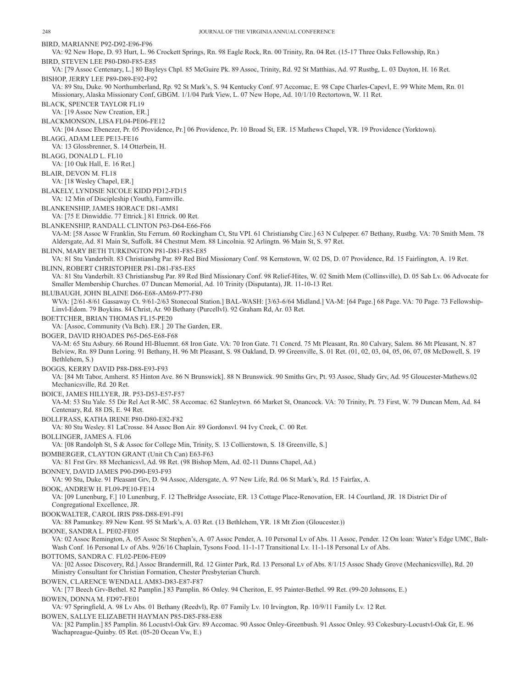BIRD, MARIANNE P92-D92-E96-F96 VA: 92 New Hope, D. 93 Hurt, L. 96 Crockett Springs, Rn. 98 Eagle Rock, Rn. 00 Trinity, Rn. 04 Ret. (15-17 Three Oaks Fellowship, Rn.) BIRD, STEVEN LEE P80-D80-F85-E85 VA: [79 Assoc Centenary, L.] 80 Bayleys Chpl. 85 McGuire Pk. 89 Assoc, Trinity, Rd. 92 St Matthias, Ad. 97 Rustbg, L. 03 Dayton, H. 16 Ret. BISHOP, JERRY LEE P89-D89-E92-F92 VA: 89 Stu, Duke. 90 Northumberland, Rp. 92 St Mark's, S. 94 Kentucky Conf. 97 Accomac, E. 98 Cape Charles-Capevl, E. 99 White Mem, Rn. 01 Missionary, Alaska Missionary Conf, GBGM. 1/1/04 Park View, L. 07 New Hope, Ad. 10/1/10 Rectortown, W. 11 Ret. BLACK, SPENCER TAYLOR FL19 VA: [19 Assoc New Creation, ER.] BLACKMONSON, LISA FL04-PE06-FE12 VA: [04 Assoc Ebenezer, Pr. 05 Providence, Pr.] 06 Providence, Pr. 10 Broad St, ER. 15 Mathews Chapel, YR. 19 Providence (Yorktown). BLAGG, ADAM LEE PE13-FE16 VA: 13 Glossbrenner, S. 14 Otterbein, H. BLAGG, DONALD L. FL10 VA: [10 Oak Hall, E. 16 Ret.] BLAIR, DEVON M. FL18 VA: [18 Wesley Chapel, ER.] BLAKELY, LYNDSIE NICOLE KIDD PD12-FD15 VA: 12 Min of Discipleship (Youth), Farmville. BLANKENSHIP, JAMES HORACE D81-AM81 VA: [75 E Dinwiddie. 77 Ettrick.] 81 Ettrick. 00 Ret. BLANKENSHIP, RANDALL CLINTON P63-D64-E66-F66 VA-M: [58 Assoc W Franklin, Stu Ferrum. 60 Rockingham Ct, Stu VPI. 61 Christiansbg Circ.] 63 N Culpeper. 67 Bethany, Rustbg. VA: 70 Smith Mem. 78 Aldersgate, Ad. 81 Main St, Suffolk. 84 Chestnut Mem. 88 Lincolnia. 92 Arlingtn. 96 Main St, S. 97 Ret. BLINN, MARY BETH TURKINGTON P81-D81-F85-E85 VA: 81 Stu Vanderbilt. 83 Christiansbg Par. 89 Red Bird Missionary Conf. 98 Kernstown, W. 02 DS, D. 07 Providence, Rd. 15 Fairlington, A. 19 Ret. BLINN, ROBERT CHRISTOPHER P81-D81-F85-E85 VA: 81 Stu Vanderbilt. 83 Christiansbug Par. 89 Red Bird Missionary Conf. 98 Relief-Hites, W. 02 Smith Mem (Collinsville), D. 05 Sab Lv. 06 Advocate for Smaller Membership Churches. 07 Duncan Memorial, Ad. 10 Trinity (Disputanta), JR. 11-10-13 Ret. BLUBAUGH, JOHN BLAINE D66-E68-AM69-P77-F80 WVA: [2/61-8/61 Gassaway Ct. 9/61-2/63 Stonecoal Station.] BAL-WASH: [3/63-6/64 Midland.] VA-M: [64 Page.] 68 Page. VA: 70 Page. 73 Fellowship-Linvl-Edom. 79 Boykins. 84 Christ, Ar. 90 Bethany (Purcellvl). 92 Graham Rd, Ar. 03 Ret. BOETTCHER, BRIAN THOMAS FL15-PE20 VA: [Assoc, Community (Va Bch). ER.] 20 The Garden, ER. BOGER, DAVID RHOADES P65-D65-E68-F68 VA-M: 65 Stu Asbury. 66 Round Hl-Bluemnt. 68 Iron Gate. VA: 70 Iron Gate. 71 Concrd. 75 Mt Pleasant, Rn. 80 Calvary, Salem. 86 Mt Pleasant, N. 87 Belview, Rn. 89 Dunn Loring. 91 Bethany, H. 96 Mt Pleasant, S. 98 Oakland, D. 99 Greenville, S. 01 Ret. (01, 02, 03, 04, 05, 06, 07, 08 McDowell, S. 19 Bethlehem, S.) BOGGS, KERRY DAVID P88-D88-E93-F93 VA: [84 Mt Tabor, Amherst. 85 Hinton Ave. 86 N Brunswick]. 88 N Brunswick. 90 Smiths Grv, Pt. 93 Assoc, Shady Grv, Ad. 95 Gloucester-Mathews.02 Mechanicsville, Rd. 20 Ret. BOICE, JAMES HILLYER, JR. P53-D53-E57-F57 VA-M: 53 Stu Yale. 55 Dir Rel Act R-MC. 58 Accomac. 62 Stanleytwn. 66 Market St, Onancock. VA: 70 Trinity, Pt. 73 First, W. 79 Duncan Mem, Ad. 84 Centenary, Rd. 88 DS, E. 94 Ret. BOLLFRASS, KATHA IRENE P80-D80-E82-F82 VA: 80 Stu Wesley. 81 LaCrosse. 84 Assoc Bon Air. 89 Gordonsvl. 94 Ivy Creek, C. 00 Ret. BOLLINGER, JAMES A. FL06 VA: [08 Randolph St, S & Assoc for College Min, Trinity, S. 13 Collierstown, S. 18 Greenville, S.] BOMBERGER, CLAYTON GRANT (Unit Ch Can) E63-F63 VA: 81 Frst Grv. 88 Mechanicsvl, Ad. 98 Ret. (98 Bishop Mem, Ad. 02-11 Dunns Chapel, Ad.) BONNEY, DAVID JAMES P90-D90-E93-F93 VA: 90 Stu, Duke. 91 Pleasant Grv, D. 94 Assoc, Aldersgate, A. 97 New Life, Rd. 06 St Mark's, Rd. 15 Fairfax, A. BOOK, ANDREW H. FL09-PE10-FE14 VA: [09 Lunenburg, F.] 10 Lunenburg, F. 12 TheBridge Associate, ER. 13 Cottage Place-Renovation, ER. 14 Courtland, JR. 18 District Dir of Congregational Excellence, JR. BOOKWALTER, CAROL IRIS P88-D88-E91-F91 VA: 88 Pamunkey. 89 New Kent. 95 St Mark's, A. 03 Ret. (13 Bethlehem, YR. 18 Mt Zion (Gloucester.)) BOONE, SANDRA L. PE02-FE05 VA: 02 Assoc Remington, A. 05 Assoc St Stephen's, A. 07 Assoc Pender, A. 10 Personal Lv of Abs. 11 Assoc, Pender. 12 On loan: Water's Edge UMC, Balt-Wash Conf. 16 Personal Lv of Abs. 9/26/16 Chaplain, Tysons Food. 11-1-17 Transitional Lv. 11-1-18 Personal Lv of Abs. BOTTOMS, SANDRA C. FL02-PE06-FE09 VA: [02 Assoc Discovery, Rd.] Assoc Brandermill, Rd. 12 Ginter Park, Rd. 13 Personal Lv of Abs. 8/1/15 Assoc Shady Grove (Mechanicsville), Rd. 20 Ministry Consultant for Christian Formation, Chester Presbyterian Church. BOWEN, CLARENCE WENDALL AM83-D83-E87-F87 VA: [77 Beech Grv-Bethel. 82 Pamplin.] 83 Pamplin. 86 Onley. 94 Cheriton, E. 95 Painter-Bethel. 99 Ret. (99-20 Johnsons, E.) BOWEN, DONNA M. FD97-FE01 VA: 97 Springfield, A. 98 Lv Abs. 01 Bethany (Reedvl), Rp. 07 Family Lv. 10 Irvington, Rp. 10/9/11 Family Lv. 12 Ret. BOWEN, SALLYE ELIZABETH HAYMAN P85-D85-F88-E88 VA: [82 Pamplin.] 85 Pamplin. 86 Locustvl-Oak Grv. 89 Accomac. 90 Assoc Onley-Greenbush. 91 Assoc Onley. 93 Cokesbury-Locustvl-Oak Gr, E. 96 Wachapreague-Quinby. 05 Ret. (05-20 Ocean Vw, E.)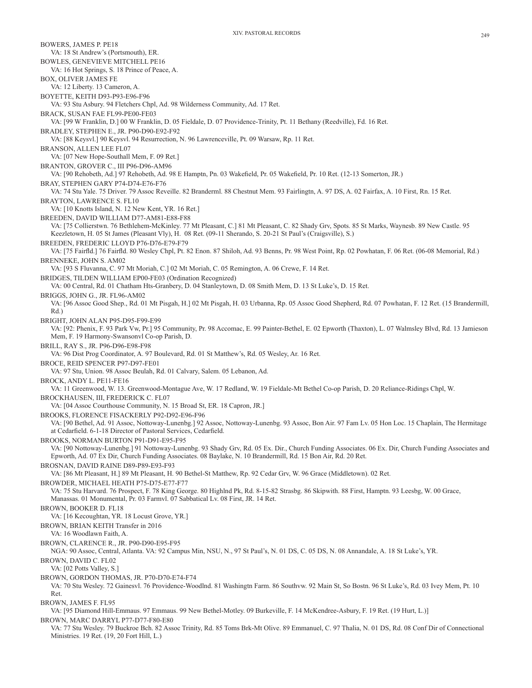BOWERS, JAMES P. PE18 VA: 18 St Andrew's (Portsmouth), ER. BOWLES, GENEVIEVE MITCHELL PE16 VA: 16 Hot Springs, S. 18 Prince of Peace, A. BOX, OLIVER JAMES FE VA: 12 Liberty. 13 Cameron, A. BOYETTE, KEITH D93-P93-E96-F96 VA: 93 Stu Asbury. 94 Fletchers Chpl, Ad. 98 Wilderness Community, Ad. 17 Ret. BRACK, SUSAN FAE FL99-PE00-FE03 VA: [99 W Franklin, D.] 00 W Franklin, D. 05 Fieldale, D. 07 Providence-Trinity, Pt. 11 Bethany (Reedville), Fd. 16 Ret. BRADLEY, STEPHEN E., JR. P90-D90-E92-F92 VA: [88 Keysvl.] 90 Keysvl. 94 Resurrection, N. 96 Lawrenceville, Pt. 09 Warsaw, Rp. 11 Ret. BRANSON, ALLEN LEE FL07 VA: [07 New Hope-Southall Mem, F. 09 Ret.] BRANTON, GROVER C., III P96-D96-AM96 VA: [90 Rehobeth, Ad.] 97 Rehobeth, Ad. 98 E Hamptn, Pn. 03 Wakefield, Pr. 05 Wakefield, Pr. 10 Ret. (12-13 Somerton, JR.) BRAY, STEPHEN GARY P74-D74-E76-F76 VA: 74 Stu Yale. 75 Driver. 79 Assoc Reveille. 82 Branderml. 88 Chestnut Mem. 93 Fairlingtn, A. 97 DS, A. 02 Fairfax, A. 10 First, Rn. 15 Ret. BRAYTON, LAWRENCE S. FL10 VA: [10 Knotts Island, N. 12 New Kent, YR. 16 Ret.] BREEDEN, DAVID WILLIAM D77-AM81-E88-F88 VA: [75 Collierstwn. 76 Bethlehem-McKinley. 77 Mt Pleasant, C.] 81 Mt Pleasant, C. 82 Shady Grv, Spots. 85 St Marks, Waynesb. 89 New Castle. 95 Keezletown, H. 05 St James (Pleasant Vly), H. 08 Ret. (09-11 Sherando, S. 20-21 St Paul's (Craigsville), S.) BREEDEN, FREDERIC LLOYD P76-D76-E79-F79 VA: [75 Fairfld.] 76 Fairfld. 80 Wesley Chpl, Pt. 82 Enon. 87 Shiloh, Ad. 93 Benns, Pr. 98 West Point, Rp. 02 Powhatan, F. 06 Ret. (06-08 Memorial, Rd.) BRENNEKE, JOHN S. AM02 VA: [93 S Fluvanna, C. 97 Mt Moriah, C.] 02 Mt Moriah, C. 05 Remington, A. 06 Crewe, F. 14 Ret. BRIDGES, TILDEN WILLIAM EP00-FE03 (Ordination Recognized) VA: 00 Central, Rd. 01 Chatham Hts-Granbery, D. 04 Stanleytown, D. 08 Smith Mem, D. 13 St Luke's, D. 15 Ret. BRIGGS, JOHN G., JR. FL96-AM02 VA: [96 Assoc Good Shep., Rd. 01 Mt Pisgah, H.] 02 Mt Pisgah, H. 03 Urbanna, Rp. 05 Assoc Good Shepherd, Rd. 07 Powhatan, F. 12 Ret. (15 Brandermill, Rd.) BRIGHT, JOHN ALAN P95-D95-F99-E99 VA: [92: Phenix, F. 93 Park Vw, Pr.] 95 Community, Pr. 98 Accomac, E. 99 Painter-Bethel, E. 02 Epworth (Thaxton), L. 07 Walmsley Blvd, Rd. 13 Jamieson Mem, F. 19 Harmony-Swansonvl Co-op Parish, D. BRILL, RAY S., JR. P96-D96-E98-F98 VA: 96 Dist Prog Coordinator, A. 97 Boulevard, Rd. 01 St Matthew's, Rd. 05 Wesley, Ar. 16 Ret. BROCE, REID SPENCER P97-D97-FE01 VA: 97 Stu, Union. 98 Assoc Beulah, Rd. 01 Calvary, Salem. 05 Lebanon, Ad. BROCK, ANDY L. PE11-FE16 VA: 11 Greenwood, W. 13. Greenwood-Montague Ave, W. 17 Redland, W. 19 Fieldale-Mt Bethel Co-op Parish, D. 20 Reliance-Ridings Chpl, W. BROCKHAUSEN, III, FREDERICK C. FL07 VA: [04 Assoc Courthouse Community, N. 15 Broad St, ER. 18 Capron, JR.] BROOKS, FLORENCE FISACKERLY P92-D92-E96-F96 VA: [90 Bethel, Ad. 91 Assoc, Nottoway-Lunenbg.] 92 Assoc, Nottoway-Lunenbg. 93 Assoc, Bon Air. 97 Fam Lv. 05 Hon Loc. 15 Chaplain, The Hermitage at Cedarfield. 6-1-18 Director of Pastoral Services, Cedarfield. BROOKS, NORMAN BURTON P91-D91-E95-F95 VA: [90 Nottoway-Lunenbg.] 91 Nottoway-Lunenbg. 93 Shady Grv, Rd. 05 Ex. Dir., Church Funding Associates. 06 Ex. Dir, Church Funding Associates and Epworth, Ad. 07 Ex Dir, Church Funding Associates. 08 Baylake, N. 10 Brandermill, Rd. 15 Bon Air, Rd. 20 Ret. BROSNAN, DAVID RAINE D89-P89-E93-F93 VA: [86 Mt Pleasant, H.] 89 Mt Pleasant, H. 90 Bethel-St Matthew, Rp. 92 Cedar Grv, W. 96 Grace (Middletown). 02 Ret. BROWDER, MICHAEL HEATH P75-D75-E77-F77 VA: 75 Stu Harvard. 76 Prospect, F. 78 King George. 80 Highlnd Pk, Rd. 8-15-82 Strasbg. 86 Skipwith. 88 First, Hamptn. 93 Leesbg, W. 00 Grace, Manassas. 01 Monumental, Pr. 03 Farmvl. 07 Sabbatical Lv. 08 First, JR. 14 Ret. BROWN, BOOKER D. FL18 VA: [16 Kecoughtan, YR. 18 Locust Grove, YR.] BROWN, BRIAN KEITH Transfer in 2016 VA: 16 Woodlawn Faith, A. BROWN, CLARENCE R., JR. P90-D90-E95-F95 NGA: 90 Assoc, Central, Atlanta. VA: 92 Campus Min, NSU, N., 97 St Paul's, N. 01 DS, C. 05 DS, N. 08 Annandale, A. 18 St Luke's, YR. BROWN, DAVID C. FL02 VA: [02 Potts Valley, S.] BROWN, GORDON THOMAS, JR. P70-D70-E74-F74 VA: 70 Stu Wesley. 72 Gainesvl. 76 Providence-Woodlnd. 81 Washingtn Farm. 86 Southvw. 92 Main St, So Bostn. 96 St Luke's, Rd. 03 Ivey Mem, Pt. 10 Ret. BROWN, JAMES F. FL95 VA: [95 Diamond Hill-Emmaus. 97 Emmaus. 99 New Bethel-Motley. 09 Burkeville, F. 14 McKendree-Asbury, F. 19 Ret. (19 Hurt, L.)] BROWN, MARC DARRYL P77-D77-F80-E80 VA: 77 Stu Wesley. 79 Buckroe Bch. 82 Assoc Trinity, Rd. 85 Toms Brk-Mt Olive. 89 Emmanuel, C. 97 Thalia, N. 01 DS, Rd. 08 Conf Dir of Connectional Ministries. 19 Ret. (19, 20 Fort Hill, L.)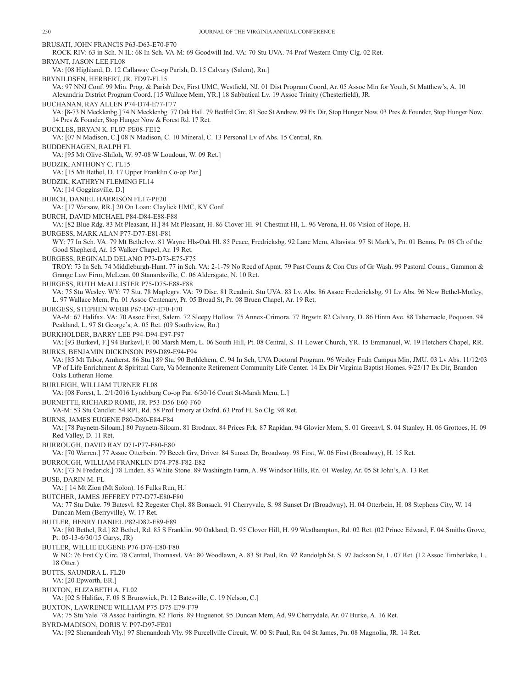BRUSATI, JOHN FRANCIS P63-D63-E70-F70 ROCK RIV: 63 in Sch. N IL: 68 In Sch. VA-M: 69 Goodwill Ind. VA: 70 Stu UVA. 74 Prof Western Cmty Clg. 02 Ret. BRYANT, JASON LEE FL08 VA: [08 Highland, D. 12 Callaway Co-op Parish, D. 15 Calvary (Salem), Rn.] BRYNILDSEN, HERBERT, JR. FD97-FL15 VA: 97 NNJ Conf. 99 Min. Prog. & Parish Dev, First UMC, Westfield, NJ. 01 Dist Program Coord, Ar. 05 Assoc Min for Youth, St Matthew's, A. 10 Alexandria District Program Coord. [15 Wallace Mem, YR.] 18 Sabbatical Lv. 19 Assoc Trinity (Chesterfield), JR. BUCHANAN, RAY ALLEN P74-D74-E77-F77 VA: [8-73 N Mecklenbg.] 74 N Mecklenbg. 77 Oak Hall. 79 Bedfrd Circ. 81 Soc St Andrew. 99 Ex Dir, Stop Hunger Now. 03 Pres & Founder, Stop Hunger Now. 14 Pres & Founder, Stop Hunger Now & Forest Rd. 17 Ret. BUCKLES, BRYAN K. FL07-PE08-FE12 VA: [07 N Madison, C.] 08 N Madison, C. 10 Mineral, C. 13 Personal Lv of Abs. 15 Central, Rn. BUDDENHAGEN, RALPH FL VA: [95 Mt Olive-Shiloh, W. 97-08 W Loudoun, W. 09 Ret.] BUDZIK, ANTHONY C. FL15 VA: [15 Mt Bethel, D. 17 Upper Franklin Co-op Par.] BUDZIK, KATHRYN FLEMING FL14 VA: [14 Gogginsville, D.] BURCH, DANIEL HARRISON FL17-PE20 VA: [17 Warsaw, RR.] 20 On Loan: Claylick UMC, KY Conf. BURCH, DAVID MICHAEL P84-D84-E88-F88 VA: [82 Blue Rdg. 83 Mt Pleasant, H.] 84 Mt Pleasant, H. 86 Clover Hl. 91 Chestnut Hl, L. 96 Verona, H. 06 Vision of Hope, H. BURGESS, MARK ALAN P77-D77-E81-F81 WY: 77 In Sch. VA: 79 Mt Bethelvw. 81 Wayne Hls-Oak Hl. 85 Peace, Fredricksbg. 92 Lane Mem, Altavista. 97 St Mark's, Pn. 01 Benns, Pr. 08 Ch of the Good Shepherd, Ar. 15 Walker Chapel, Ar. 19 Ret. BURGESS, REGINALD DELANO P73-D73-E75-F75 TROY: 73 In Sch. 74 Middleburgh-Hunt. 77 in Sch. VA: 2-1-79 No Recd of Apmt. 79 Past Couns & Con Ctrs of Gr Wash. 99 Pastoral Couns., Gammon & Grange Law Firm, McLean. 00 Stanardsville, C. 06 Aldersgate, N. 10 Ret. BURGESS, RUTH McALLISTER P75-D75-E88-F88 VA: 75 Stu Wesley. WY: 77 Stu. 78 Maplegrv. VA: 79 Disc. 81 Readmit. Stu UVA. 83 Lv. Abs. 86 Assoc Fredericksbg. 91 Lv Abs. 96 New Bethel-Motley, L. 97 Wallace Mem, Pn. 01 Assoc Centenary, Pr. 05 Broad St, Pr. 08 Bruen Chapel, Ar. 19 Ret. BURGESS, STEPHEN WEBB P67-D67-E70-F70 VA-M: 67 Halifax. VA: 70 Assoc First, Salem. 72 Sleepy Hollow. 75 Annex-Crimora. 77 Brgwtr. 82 Calvary, D. 86 Hintn Ave. 88 Tabernacle, Poquosn. 94 Peakland, L. 97 St George's, A. 05 Ret. (09 Southview, Rn.) BURKHOLDER, BARRY LEE P94-D94-E97-F97 VA: [93 Burkevl, F.] 94 Burkevl, F. 00 Marsh Mem, L. 06 South Hill, Pt. 08 Central, S. 11 Lower Church, YR. 15 Emmanuel, W. 19 Fletchers Chapel, RR. BURKS, BENJAMIN DICKINSON P89-D89-E94-F94 VA: [85 Mt Tabor, Amherst. 86 Stu.] 89 Stu. 90 Bethlehem, C. 94 In Sch, UVA Doctoral Program. 96 Wesley Fndn Campus Min, JMU. 03 Lv Abs. 11/12/03 VP of Life Enrichment & Spiritual Care, Va Mennonite Retirement Community Life Center. 14 Ex Dir Virginia Baptist Homes. 9/25/17 Ex Dir, Brandon Oaks Lutheran Home. BURLEIGH, WILLIAM TURNER FL08 VA: [08 Forest, L. 2/1/2016 Lynchburg Co-op Par. 6/30/16 Court St-Marsh Mem, L.] BURNETTE, RICHARD ROME, JR. P53-D56-E60-F60 VA-M: 53 Stu Candler. 54 RPI, Rd. 58 Prof Emory at Oxfrd. 63 Prof FL So Clg. 98 Ret. BURNS, JAMES EUGENE P80-D80-E84-F84 VA: [78 Paynetn-Siloam.] 80 Paynetn-Siloam. 81 Brodnax. 84 Prices Frk. 87 Rapidan. 94 Glovier Mem, S. 01 Greenvl, S. 04 Stanley, H. 06 Grottoes, H. 09 Red Valley, D. 11 Ret. BURROUGH, DAVID RAY D71-P77-F80-E80 VA: [70 Warren.] 77 Assoc Otterbein. 79 Beech Grv, Driver. 84 Sunset Dr, Broadway. 98 First, W. 06 First (Broadway), H. 15 Ret. BURROUGH, WILLIAM FRANKLIN D74-P78-F82-E82 VA: [73 N Frederick.] 78 Linden. 83 White Stone. 89 Washingtn Farm, A. 98 Windsor Hills, Rn. 01 Wesley, Ar. 05 St John's, A. 13 Ret. BUSE, DARIN M. FL VA: [ 14 Mt Zion (Mt Solon). 16 Fulks Run, H.] BUTCHER, JAMES JEFFREY P77-D77-E80-F80 VA: 77 Stu Duke. 79 Batesvl. 82 Regester Chpl. 88 Bonsack. 91 Cherryvale, S. 98 Sunset Dr (Broadway), H. 04 Otterbein, H. 08 Stephens City, W. 14 Duncan Mem (Berryville), W. 17 Ret. BUTLER, HENRY DANIEL P82-D82-E89-F89 VA: [80 Bethel, Rd.] 82 Bethel, Rd. 85 S Franklin. 90 Oakland, D. 95 Clover Hill, H. 99 Westhampton, Rd. 02 Ret. (02 Prince Edward, F. 04 Smiths Grove, Pt. 05-13-6/30/15 Garys, JR) BUTLER, WILLIE EUGENE P76-D76-E80-F80 W NC: 76 Frst Cy Circ. 78 Central, Thomasvl. VA: 80 Woodlawn, A. 83 St Paul, Rn. 92 Randolph St, S. 97 Jackson St, L. 07 Ret. (12 Assoc Timberlake, L. 18 Otter.) BUTTS, SAUNDRA L. FL20 VA: [20 Epworth, ER.] BUXTON, ELIZABETH A. FL02 VA: [02 S Halifax, F. 08 S Brunswick, Pt. 12 Batesville, C. 19 Nelson, C.] BUXTON, LAWRENCE WILLIAM P75-D75-E79-F79 VA: 75 Stu Yale. 78 Assoc Fairlingtn. 82 Floris. 89 Huguenot. 95 Duncan Mem, Ad. 99 Cherrydale, Ar. 07 Burke, A. 16 Ret. BYRD-MADISON, DORIS V. P97-D97-FE01 VA: [92 Shenandoah Vly.] 97 Shenandoah Vly. 98 Purcellville Circuit, W. 00 St Paul, Rn. 04 St James, Pn. 08 Magnolia, JR. 14 Ret.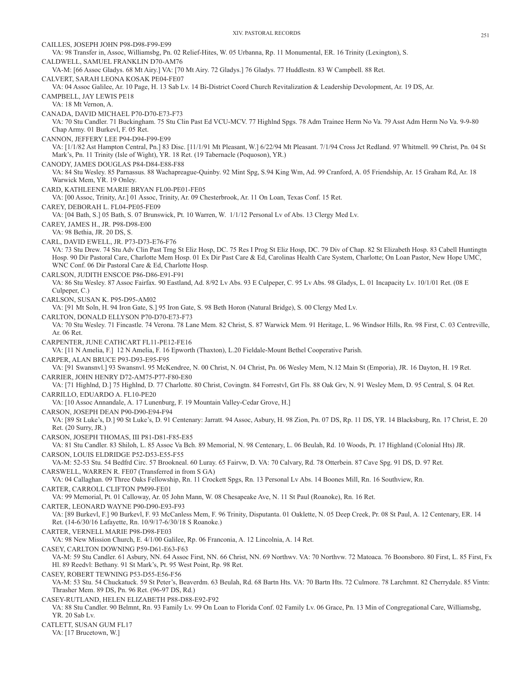CAILLES, JOSEPH JOHN P98-D98-F99-E99 VA: 98 Transfer in, Assoc, Williamsbg, Pn. 02 Relief-Hites, W. 05 Urbanna, Rp. 11 Monumental, ER. 16 Trinity (Lexington), S. CALDWELL, SAMUEL FRANKLIN D70-AM76 VA-M: [66 Assoc Gladys. 68 Mt Airy.] VA: [70 Mt Airy. 72 Gladys.] 76 Gladys. 77 Huddlestn. 83 W Campbell. 88 Ret. CALVERT, SARAH LEONA KOSAK PE04-FE07 VA: 04 Assoc Galilee, Ar. 10 Page, H. 13 Sab Lv. 14 Bi-District Coord Church Revitalization & Leadership Devolopment, Ar. 19 DS, Ar. CAMPBELL, JAY LEWIS PE18 VA: 18 Mt Vernon, A. CANADA, DAVID MICHAEL P70-D70-E73-F73 VA: 70 Stu Candler. 71 Buckingham. 75 Stu Clin Past Ed VCU-MCV. 77 Highlnd Spgs. 78 Adm Trainee Herm No Va. 79 Asst Adm Herm No Va. 9-9-80 Chap Army. 01 Burkevl, F. 05 Ret. CANNON, JEFFERY LEE P94-D94-F99-E99 VA: [1/1/82 Ast Hampton Central, Pn.] 83 Disc. [11/1/91 Mt Pleasant, W.] 6/22/94 Mt Pleasant. 7/1/94 Cross Jct Redland. 97 Whitmell. 99 Christ, Pn. 04 St Mark's, Pn. 11 Trinity (Isle of Wight), YR. 18 Ret. (19 Tabernacle (Poquoson), YR.) CANODY, JAMES DOUGLAS P84-D84-E88-F88 VA: 84 Stu Wesley. 85 Parnassus. 88 Wachapreague-Quinby. 92 Mint Spg, S.94 King Wm, Ad. 99 Cranford, A. 05 Friendship, Ar. 15 Graham Rd, Ar. 18 Warwick Mem, YR. 19 Onley. CARD, KATHLEENE MARIE BRYAN FL00-PE01-FE05 VA: [00 Assoc, Trinity, Ar.] 01 Assoc, Trinity, Ar. 09 Chesterbrook, Ar. 11 On Loan, Texas Conf. 15 Ret. CAREY, DEBORAH L. FL04-PE05-FE09 VA: [04 Bath, S.] 05 Bath, S. 07 Brunswick, Pt. 10 Warren, W. 1/1/12 Personal Lv of Abs. 13 Clergy Med Lv. CAREY, JAMES H., JR. P98-D98-E00 VA: 98 Bethia, JR. 20 DS, S. CARL, DAVID EWELL, JR. P73-D73-E76-F76 VA: 73 Stu Drew. 74 Stu Adv Clin Past Trng St Eliz Hosp, DC. 75 Res I Prog St Eliz Hosp, DC. 79 Div of Chap. 82 St Elizabeth Hosp. 83 Cabell Huntingtn Hosp. 90 Dir Pastoral Care, Charlotte Mem Hosp. 01 Ex Dir Past Care & Ed, Carolinas Health Care System, Charlotte; On Loan Pastor, New Hope UMC, WNC Conf. 06 Dir Pastoral Care & Ed, Charlotte Hosp. CARLSON, JUDITH ENSCOE P86-D86-E91-F91 VA: 86 Stu Wesley. 87 Assoc Fairfax. 90 Eastland, Ad. 8/92 Lv Abs. 93 E Culpeper, C. 95 Lv Abs. 98 Gladys, L. 01 Incapacity Lv. 10/1/01 Ret. (08 E Culpeper, C.) CARLSON, SUSAN K. P95-D95-AM02 VA: [91 Mt Soln, H. 94 Iron Gate, S.] 95 Iron Gate, S. 98 Beth Horon (Natural Bridge), S. 00 Clergy Med Lv. CARLTON, DONALD ELLYSON P70-D70-E73-F73 VA: 70 Stu Wesley. 71 Fincastle. 74 Verona. 78 Lane Mem. 82 Christ, S. 87 Warwick Mem. 91 Heritage, L. 96 Windsor Hills, Rn. 98 First, C. 03 Centreville, Ar. 06 Ret. CARPENTER, JUNE CATHCART FL11-PE12-FE16 VA: [11 N Amelia, F.] 12 N Amelia, F. 16 Epworth (Thaxton), L.20 Fieldale-Mount Bethel Cooperative Parish. CARPER, ALAN BRUCE P93-D93-E95-F95 VA: [91 Swansnvl.] 93 Swansnvl. 95 McKendree, N. 00 Christ, N. 04 Christ, Pn. 06 Wesley Mem, N.12 Main St (Emporia), JR. 16 Dayton, H. 19 Ret. CARRIER, JOHN HENRY D72-AM75-P77-F80-E80 VA: [71 Highlnd, D.] 75 Highlnd, D. 77 Charlotte. 80 Christ, Covingtn. 84 Forrestvl, Grt Fls. 88 Oak Grv, N. 91 Wesley Mem, D. 95 Central, S. 04 Ret. CARRILLO, EDUARDO A. FL10-PE20 VA: [10 Assoc Annandale, A. 17 Lunenburg, F. 19 Mountain Valley-Cedar Grove, H.] CARSON, JOSEPH DEAN P90-D90-E94-F94 VA: [89 St Luke's, D.] 90 St Luke's, D. 91 Centenary: Jarratt. 94 Assoc, Asbury, H. 98 Zion, Pn. 07 DS, Rp. 11 DS, YR. 14 Blacksburg, Rn. 17 Christ, E. 20 Ret. (20 Surry, JR.) CARSON, JOSEPH THOMAS, III P81-D81-F85-E85 VA: 81 Stu Candler. 83 Shiloh, L. 85 Assoc Va Bch. 89 Memorial, N. 98 Centenary, L. 06 Beulah, Rd. 10 Woods, Pt. 17 Highland (Colonial Hts) JR. CARSON, LOUIS ELDRIDGE P52-D53-E55-F55 VA-M: 52-53 Stu. 54 Bedfrd Circ. 57 Brookneal. 60 Luray. 65 Fairvw, D. VA: 70 Calvary, Rd. 78 Otterbein. 87 Cave Spg. 91 DS, D. 97 Ret. CARSWELL, WARREN R. FE07 (Transferred in from S GA) VA: 04 Callaghan. 09 Three Oaks Fellowship, Rn. 11 Crockett Spgs, Rn. 13 Personal Lv Abs. 14 Boones Mill, Rn. 16 Southview, Rn. CARTER, CARROLL CLIFTON PM99-FE01 VA: 99 Memorial, Pt. 01 Calloway, Ar. 05 John Mann, W. 08 Chesapeake Ave, N. 11 St Paul (Roanoke), Rn. 16 Ret. CARTER, LEONARD WAYNE P90-D90-E93-F93 VA: [89 Burkevl, F.] 90 Burkevl, F. 93 McCanless Mem, F. 96 Trinity, Disputanta. 01 Oaklette, N. 05 Deep Creek, Pr. 08 St Paul, A. 12 Centenary, ER. 14 Ret. (14-6/30/16 Lafayette, Rn. 10/9/17-6/30/18 S Roanoke.) CARTER, VERNELL MARIE P98-D98-FE03 VA: 98 New Mission Church, E. 4/1/00 Galilee, Rp. 06 Franconia, A. 12 Lincolnia, A. 14 Ret. CASEY, CARLTON DOWNING P59-D61-E63-F63 VA-M: 59 Stu Candler. 61 Asbury, NN. 64 Assoc First, NN. 66 Christ, NN. 69 Northwv. VA: 70 Northvw. 72 Matoaca. 76 Boonsboro. 80 First, L. 85 First, Fx Hl. 89 Reedvl: Bethany. 91 St Mark's, Pt. 95 West Point, Rp. 98 Ret. CASEY, ROBERT TEWNING P53-D55-E56-F56 VA-M: 53 Stu. 54 Chuckatuck. 59 St Peter's, Beaverdm. 63 Beulah, Rd. 68 Bartn Hts. VA: 70 Bartn Hts. 72 Culmore. 78 Larchmnt. 82 Cherrydale. 85 Vintn: Thrasher Mem. 89 DS, Pn. 96 Ret. (96-97 DS, Rd.) CASEY-RUTLAND, HELEN ELIZABETH P88-D88-E92-F92 VA: 88 Stu Candler. 90 Belmnt, Rn. 93 Family Lv. 99 On Loan to Florida Conf. 02 Family Lv. 06 Grace, Pn. 13 Min of Congregational Care, Williamsbg, YR. 20 Sab Lv. CATLETT, SUSAN GUM FL17 VA: [17 Brucetown, W.]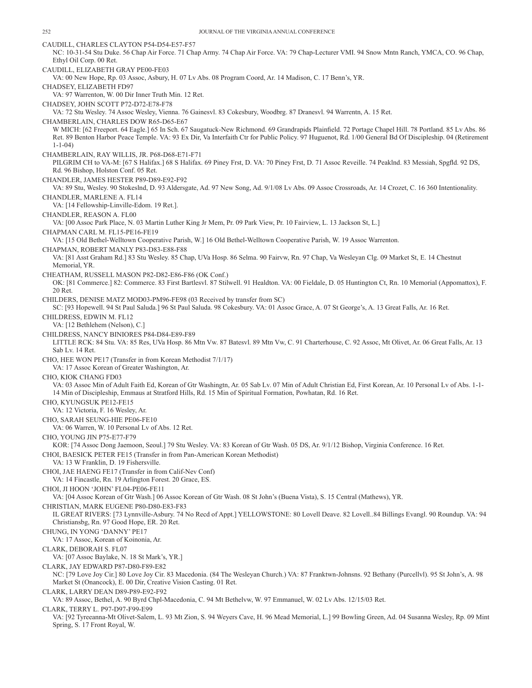CAUDILL, CHARLES CLAYTON P54-D54-E57-F57 NC: 10-31-54 Stu Duke. 56 Chap Air Force. 71 Chap Army. 74 Chap Air Force. VA: 79 Chap-Lecturer VMI. 94 Snow Mntn Ranch, YMCA, CO. 96 Chap, Ethyl Oil Corp. 00 Ret. CAUDILL, ELIZABETH GRAY PE00-FE03 VA: 00 New Hope, Rp. 03 Assoc, Asbury, H. 07 Lv Abs. 08 Program Coord, Ar. 14 Madison, C. 17 Benn's, YR. CHADSEY, ELIZABETH FD97 VA: 97 Warrenton, W. 00 Dir Inner Truth Min. 12 Ret. CHADSEY, JOHN SCOTT P72-D72-E78-F78 VA: 72 Stu Wesley. 74 Assoc Wesley, Vienna. 76 Gainesvl. 83 Cokesbury, Woodbrg. 87 Dranesvl. 94 Warrentn, A. 15 Ret. CHAMBERLAIN, CHARLES DOW R65-D65-E67 W MICH: [62 Freeport. 64 Eagle.] 65 In Sch. 67 Saugatuck-New Richmond. 69 Grandrapids Plainfield. 72 Portage Chapel Hill. 78 Portland. 85 Lv Abs. 86 Ret. 89 Benton Harbor Peace Temple. VA: 93 Ex Dir, Va Interfaith Ctr for Public Policy. 97 Huguenot, Rd. 1/00 General Bd Of Discipleship. 04 (Retirement 1-1-04) CHAMBERLAIN, RAY WILLIS, JR. P68-D68-E71-F71 PILGRIM CH to VA-M: [67 S Halifax.] 68 S Halifax. 69 Piney Frst, D. VA: 70 Piney Frst, D. 71 Assoc Reveille. 74 Peaklnd. 83 Messiah, Spgfld. 92 DS, Rd. 96 Bishop, Holston Conf. 05 Ret. CHANDLER, JAMES HESTER P89-D89-E92-F92 VA: 89 Stu, Wesley. 90 Stokeslnd, D. 93 Aldersgate, Ad. 97 New Song, Ad. 9/1/08 Lv Abs. 09 Assoc Crossroads, Ar. 14 Crozet, C. 16 360 Intentionality. CHANDLER, MARLENE A. FL14 VA: [14 Fellowship-Linville-Edom. 19 Ret.]. CHANDLER, REASON A. FL00 VA: [00 Assoc Park Place, N. 03 Martin Luther King Jr Mem, Pr. 09 Park View, Pr. 10 Fairview, L. 13 Jackson St, L.] CHAPMAN CARL M. FL15-PE16-FE19 VA: [15 Old Bethel-Welltown Cooperative Parish, W.] 16 Old Bethel-Welltown Cooperative Parish, W. 19 Assoc Warrenton. CHAPMAN, ROBERT MANLY P83-D83-E88-F88 VA: [81 Asst Graham Rd.] 83 Stu Wesley. 85 Chap, UVa Hosp. 86 Selma. 90 Fairvw, Rn. 97 Chap, Va Wesleyan Clg. 09 Market St, E. 14 Chestnut Memorial, YR. CHEATHAM, RUSSELL MASON P82-D82-E86-F86 (OK Conf.) OK: [81 Commerce.] 82: Commerce. 83 First Bartlesvl. 87 Stilwell. 91 Healdton. VA: 00 Fieldale, D. 05 Huntington Ct, Rn. 10 Memorial (Appomattox), F. 20 Ret. CHILDERS, DENISE MATZ MOD03-PM96-FE98 (03 Received by transfer from SC) SC: [93 Hopewell. 94 St Paul Saluda.] 96 St Paul Saluda. 98 Cokesbury. VA: 01 Assoc Grace, A. 07 St George's, A. 13 Great Falls, Ar. 16 Ret. CHILDRESS, EDWIN M. FL12 VA: [12 Bethlehem (Nelson), C.] CHILDRESS, NANCY BINIORES P84-D84-E89-F89 LITTLE RCK: 84 Stu. VA: 85 Res, UVa Hosp. 86 Mtn Vw. 87 Batesvl. 89 Mtn Vw, C. 91 Charterhouse, C. 92 Assoc, Mt Olivet, Ar. 06 Great Falls, Ar. 13 Sab Lv. 14 Ret. CHO, HEE WON PE17 (Transfer in from Korean Methodist 7/1/17) VA: 17 Assoc Korean of Greater Washington, Ar. CHO, KIOK CHANG FD03 VA: 03 Assoc Min of Adult Faith Ed, Korean of Gtr Washingtn, Ar. 05 Sab Lv. 07 Min of Adult Christian Ed, First Korean, Ar. 10 Personal Lv of Abs. 1-1- 14 Min of Discipleship, Emmaus at Stratford Hills, Rd. 15 Min of Spiritual Formation, Powhatan, Rd. 16 Ret. CHO, KYUNGSUK PE12-FE15 VA: 12 Victoria, F. 16 Wesley, Ar. CHO, SARAH SEUNG-HIE PE06-FE10 VA: 06 Warren, W. 10 Personal Lv of Abs. 12 Ret. CHO, YOUNG JIN P75-E77-F79 KOR: [74 Assoc Dong Jaemoon, Seoul.] 79 Stu Wesley. VA: 83 Korean of Gtr Wash. 05 DS, Ar. 9/1/12 Bishop, Virginia Conference. 16 Ret. CHOI, BAESICK PETER FE15 (Transfer in from Pan-American Korean Methodist) VA: 13 W Franklin, D. 19 Fishersville. CHOI, JAE HAENG FE17 (Transfer in from Calif-Nev Conf) VA: 14 Fincastle, Rn. 19 Arlington Forest. 20 Grace, ES. CHOI, JI HOON 'JOHN' FL04-PE06-FE11 VA: [04 Assoc Korean of Gtr Wash.] 06 Assoc Korean of Gtr Wash. 08 St John's (Buena Vista), S. 15 Central (Mathews), YR. CHRISTIAN, MARK EUGENE P80-D80-E83-F83 IL GREAT RIVERS: [73 Lynnville-Asbury. 74 No Recd of Appt.] YELLOWSTONE: 80 Lovell Deave. 82 Lovell..84 Billings Evangl. 90 Roundup. VA: 94 Christiansbg, Rn. 97 Good Hope, ER. 20 Ret. CHUNG, IN YONG 'DANNY' PE17 VA: 17 Assoc, Korean of Koinonia, Ar. CLARK, DEBORAH S. FL07 VA: [07 Assoc Baylake, N. 18 St Mark's, YR.] CLARK, JAY EDWARD P87-D80-F89-E82 NC: [79 Love Joy Cir.] 80 Love Joy Cir. 83 Macedonia. (84 The Wesleyan Church.) VA: 87 Franktwn-Johnsns. 92 Bethany (Purcellvl). 95 St John's, A. 98 Market St (Onancock), E. 00 Dir, Creative Vision Casting. 01 Ret. CLARK, LARRY DEAN D89-P89-E92-F92 VA: 89 Assoc, Bethel, A. 90 Byrd Chpl-Macedonia, C. 94 Mt Bethelvw, W. 97 Emmanuel, W. 02 Lv Abs. 12/15/03 Ret. CLARK, TERRY L. P97-D97-F99-E99 VA: [92 Tyreeanna-Mt Olivet-Salem, L. 93 Mt Zion, S. 94 Weyers Cave, H. 96 Mead Memorial, L.] 99 Bowling Green, Ad. 04 Susanna Wesley, Rp. 09 Mint Spring, S. 17 Front Royal, W.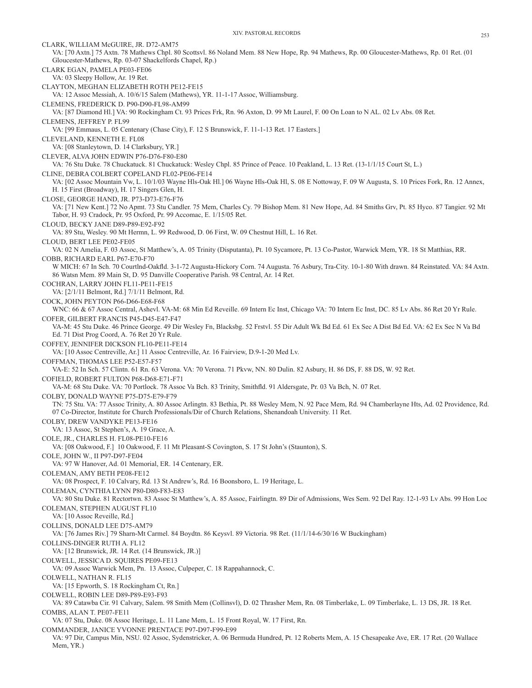CLARK, WILLIAM McGUIRE, JR. D72-AM75 VA: [70 Axtn.] 75 Axtn. 78 Mathews Chpl. 80 Scottsvl. 86 Noland Mem. 88 New Hope, Rp. 94 Mathews, Rp. 00 Gloucester-Mathews, Rp. 01 Ret. (01 Gloucester-Mathews, Rp. 03-07 Shackelfords Chapel, Rp.) CLARK EGAN, PAMELA PE03-FE06 VA: 03 Sleepy Hollow, Ar. 19 Ret. CLAYTON, MEGHAN ELIZABETH ROTH PE12-FE15 VA: 12 Assoc Messiah, A. 10/6/15 Salem (Mathews), YR. 11-1-17 Assoc, Williamsburg. CLEMENS, FREDERICK D. P90-D90-FL98-AM99 VA: [87 Diamond Hl.] VA: 90 Rockingham Ct. 93 Prices Frk, Rn. 96 Axton, D. 99 Mt Laurel, F. 00 On Loan to N AL. 02 Lv Abs. 08 Ret. CLEMENS, JEFFREY P. FL99 VA: [99 Emmaus, L. 05 Centenary (Chase City), F. 12 S Brunswick, F. 11-1-13 Ret. 17 Easters.] CLEVELAND, KENNETH E. FL08 VA: [08 Stanleytown, D. 14 Clarksbury, YR.] CLEVER, ALVA JOHN EDWIN P76-D76-F80-E80 VA: 76 Stu Duke. 78 Chuckatuck. 81 Chuckatuck: Wesley Chpl. 85 Prince of Peace. 10 Peakland, L. 13 Ret. (13-1/1/15 Court St, L.) CLINE, DEBRA COLBERT COPELAND FL02-PE06-FE14 VA: [02 Assoc Mountain Vw, L. 10/1/03 Wayne Hls-Oak Hl.] 06 Wayne Hls-Oak Hl, S. 08 E Nottoway, F. 09 W Augusta, S. 10 Prices Fork, Rn. 12 Annex, H. 15 First (Broadway), H. 17 Singers Glen, H. CLOSE, GEORGE HAND, JR. P73-D73-E76-F76 VA: [71 New Kent.] 72 No Apmt. 73 Stu Candler. 75 Mem, Charles Cy. 79 Bishop Mem. 81 New Hope, Ad. 84 Smiths Grv, Pt. 85 Hyco. 87 Tangier. 92 Mt Tabor, H. 93 Cradock, Pr. 95 Oxford, Pr. 99 Accomac, E. 1/15/05 Ret. CLOUD, BECKY JANE D89-P89-E92-F92 VA: 89 Stu, Wesley. 90 Mt Hermn, L. 99 Redwood, D. 06 First, W. 09 Chestnut Hill, L. 16 Ret. CLOUD, BERT LEE PE02-FE05 VA: 02 N Amelia, F. 03 Assoc, St Matthew's, A. 05 Trinity (Disputanta), Pt. 10 Sycamore, Pt. 13 Co-Pastor, Warwick Mem, YR. 18 St Matthias, RR. COBB, RICHARD EARL P67-E70-F70 W MICH: 67 In Sch. 70 Courtlnd-Oakfld. 3-1-72 Augusta-Hickory Corn. 74 Augusta. 76 Asbury, Tra-City. 10-1-80 With drawn. 84 Reinstated. VA: 84 Axtn. 86 Watsn Mem. 89 Main St, D. 95 Danville Cooperative Parish. 98 Central, Ar. 14 Ret. COCHRAN, LARRY JOHN FL11-PE11-FE15 VA: [2/1/11 Belmont, Rd.] 7/1/11 Belmont, Rd. COCK, JOHN PEYTON P66-D66-E68-F68 WNC: 66 & 67 Assoc Central, Ashevl. VA-M: 68 Min Ed Reveille. 69 Intern Ec Inst, Chicago VA: 70 Intern Ec Inst, DC. 85 Lv Abs. 86 Ret 20 Yr Rule. COFER, GILBERT FRANCIS P45-D45-E47-F47 VA-M: 45 Stu Duke. 46 Prince George. 49 Dir Wesley Fn, Blacksbg. 52 Frstvl. 55 Dir Adult Wk Bd Ed. 61 Ex Sec A Dist Bd Ed. VA: 62 Ex Sec N Va Bd Ed. 71 Dist Prog Coord, A. 76 Ret 20 Yr Rule. COFFEY, JENNIFER DICKSON FL10-PE11-FE14 VA: [10 Assoc Centreville, Ar.] 11 Assoc Centreville, Ar. 16 Fairview, D.9-1-20 Med Lv. COFFMAN, THOMAS LEE P52-E57-F57 VA-E: 52 In Sch. 57 Clintn. 61 Rn. 63 Verona. VA: 70 Verona. 71 Pkvw, NN. 80 Dulin. 82 Asbury, H. 86 DS, F. 88 DS, W. 92 Ret. COFIELD, ROBERT FULTON P68-D68-E71-F71 VA-M: 68 Stu Duke. VA: 70 Portlock. 78 Assoc Va Bch. 83 Trinity, Smithfld. 91 Aldersgate, Pr. 03 Va Bch, N. 07 Ret. COLBY, DONALD WAYNE P75-D75-E79-F79 TN: 75 Stu. VA: 77 Assoc Trinity, A. 80 Assoc Arlingtn. 83 Bethia, Pt. 88 Wesley Mem, N. 92 Pace Mem, Rd. 94 Chamberlayne Hts, Ad. 02 Providence, Rd. 07 Co-Director, Institute for Church Professionals/Dir of Church Relations, Shenandoah University. 11 Ret. COLBY, DREW VANDYKE PE13-FE16 VA: 13 Assoc, St Stephen's, A. 19 Grace, A. COLE, JR., CHARLES H. FL08-PE10-FE16 VA: [08 Oakwood, F.] 10 Oakwood, F. 11 Mt Pleasant-S Covington, S. 17 St John's (Staunton), S. COLE, JOHN W., II P97-D97-FE04 VA: 97 W Hanover, Ad. 01 Memorial, ER. 14 Centenary, ER. COLEMAN, AMY BETH PE08-FE12 VA: 08 Prospect, F. 10 Calvary, Rd. 13 St Andrew's, Rd. 16 Boonsboro, L. 19 Heritage, L. COLEMAN, CYNTHIA LYNN P80-D80-F83-E83 VA: 80 Stu Duke. 81 Rectortwn. 83 Assoc St Matthew's, A. 85 Assoc, Fairlingtn. 89 Dir of Admissions, Wes Sem. 92 Del Ray. 12-1-93 Lv Abs. 99 Hon Loc COLEMAN, STEPHEN AUGUST FL10 VA: [10 Assoc Reveille, Rd.] COLLINS, DONALD LEE D75-AM79 VA: [76 James Riv.] 79 Sharn-Mt Carmel. 84 Boydtn. 86 Keysvl. 89 Victoria. 98 Ret. (11/1/14-6/30/16 W Buckingham) COLLINS-DINGER RUTH A. FL12 VA: [12 Brunswick, JR. 14 Ret. (14 Brunswick, JR.)] COLWELL, JESSICA D. SQUIRES PE09-FE13 VA: 09 Assoc Warwick Mem, Pn. 13 Assoc, Culpeper, C. 18 Rappahannock, C. COLWELL, NATHAN R. FL15 VA: [15 Epworth, S. 18 Rockingham Ct, Rn.] COLWELL, ROBIN LEE D89-P89-E93-F93 VA: 89 Catawba Cir. 91 Calvary, Salem. 98 Smith Mem (Collinsvl), D. 02 Thrasher Mem, Rn. 08 Timberlake, L. 09 Timberlake, L. 13 DS, JR. 18 Ret. COMBS, ALAN T. PE07-FE11 VA: 07 Stu, Duke. 08 Assoc Heritage, L. 11 Lane Mem, L. 15 Front Royal, W. 17 First, Rn. COMMANDER, JANICE YVONNE PRENTACE P97-D97-F99-E99 VA: 97 Dir, Campus Min, NSU. 02 Assoc, Sydenstricker, A. 06 Bermuda Hundred, Pt. 12 Roberts Mem, A. 15 Chesapeake Ave, ER. 17 Ret. (20 Wallace Mem, YR.)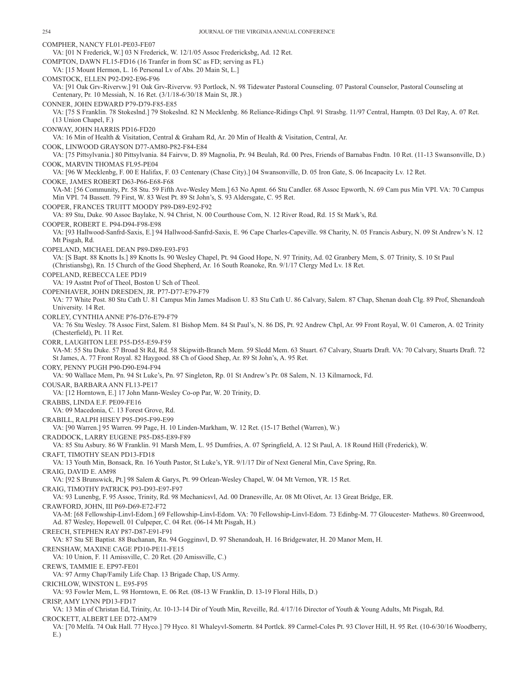COMPHER, NANCY FL01-PE03-FE07 VA: [01 N Frederick, W.] 03 N Frederick, W. 12/1/05 Assoc Fredericksbg, Ad. 12 Ret. COMPTON, DAWN FL15-FD16 (16 Tranfer in from SC as FD; serving as FL) VA: [15 Mount Hermon, L. 16 Personal Lv of Abs. 20 Main St, L.] COMSTOCK, ELLEN P92-D92-E96-F96 VA: [91 Oak Grv-Rivervw.] 91 Oak Grv-Rivervw. 93 Portlock, N. 98 Tidewater Pastoral Counseling. 07 Pastoral Counselor, Pastoral Counseling at Centenary, Pr. 10 Messiah, N. 16 Ret. (3/1/18-6/30/18 Main St, JR.) CONNER, JOHN EDWARD P79-D79-F85-E85 VA: [75 S Franklin. 78 Stokeslnd.] 79 Stokeslnd. 82 N Mecklenbg. 86 Reliance-Ridings Chpl. 91 Strasbg. 11/97 Central, Hamptn. 03 Del Ray, A. 07 Ret. (13 Union Chapel, F.) CONWAY, JOHN HARRIS PD16-FD20 VA: 16 Min of Health & Visitation, Central & Graham Rd, Ar. 20 Min of Health & Visitation, Central, Ar. COOK, LINWOOD GRAYSON D77-AM80-P82-F84-E84 VA: [75 Pittsylvania.] 80 Pittsylvania. 84 Fairvw, D. 89 Magnolia, Pr. 94 Beulah, Rd. 00 Pres, Friends of Barnabas Fndtn. 10 Ret. (11-13 Swansonville, D.) COOK, MARVIN THOMAS FL95-PE04 VA: [96 W Mecklenbg, F. 00 E Halifax, F. 03 Centenary (Chase City).] 04 Swansonville, D. 05 Iron Gate, S. 06 Incapacity Lv. 12 Ret. COOKE, JAMES ROBERT D63-P66-E68-F68 VA-M: [56 Community, Pr. 58 Stu. 59 Fifth Ave-Wesley Mem.] 63 No Apmt. 66 Stu Candler. 68 Assoc Epworth, N. 69 Cam pus Min VPI. VA: 70 Campus Min VPI. 74 Bassett. 79 First, W. 83 West Pt. 89 St John's, S. 93 Aldersgate, C. 95 Ret. COOPER, FRANCES TRUITT MOODY P89-D89-E92-F92 VA: 89 Stu, Duke. 90 Assoc Baylake, N. 94 Christ, N. 00 Courthouse Com, N. 12 River Road, Rd. 15 St Mark's, Rd. COOPER, ROBERT E. P94-D94-F98-E98 VA: [93 Hallwood-Sanfrd-Saxis, E.] 94 Hallwood-Sanfrd-Saxis, E. 96 Cape Charles-Capeville. 98 Charity, N. 05 Francis Asbury, N. 09 St Andrew's N. 12 Mt Pisgah, Rd. COPELAND, MICHAEL DEAN P89-D89-E93-F93 VA: [S Bapt. 88 Knotts Is.] 89 Knotts Is. 90 Wesley Chapel, Pt. 94 Good Hope, N. 97 Trinity, Ad. 02 Granbery Mem, S. 07 Trinity, S. 10 St Paul (Christiansbg), Rn. 15 Church of the Good Shepherd, Ar. 16 South Roanoke, Rn. 9/1/17 Clergy Med Lv. 18 Ret. COPELAND, REBECCA LEE PD19 VA: 19 Asstnt Prof of Theol, Boston U Sch of Theol. COPENHAVER, JOHN DRESDEN, JR. P77-D77-E79-F79 VA: 77 White Post. 80 Stu Cath U. 81 Campus Min James Madison U. 83 Stu Cath U. 86 Calvary, Salem. 87 Chap, Shenan doah Clg. 89 Prof, Shenandoah University. 14 Ret. CORLEY, CYNTHIA ANNE P76-D76-E79-F79 VA: 76 Stu Wesley. 78 Assoc First, Salem. 81 Bishop Mem. 84 St Paul's, N. 86 DS, Pt. 92 Andrew Chpl, Ar. 99 Front Royal, W. 01 Cameron, A. 02 Trinity (Chesterfield), Pt. 11 Ret. CORR, LAUGHTON LEE P55-D55-E59-F59 VA-M: 55 Stu Duke. 57 Broad St Rd, Rd. 58 Skipwith-Branch Mem. 59 Sledd Mem. 63 Stuart. 67 Calvary, Stuarts Draft. VA: 70 Calvary, Stuarts Draft. 72 St James, A. 77 Front Royal. 82 Haygood. 88 Ch of Good Shep, Ar. 89 St John's, A. 95 Ret. CORY, PENNY PUGH P90-D90-E94-F94 VA: 90 Wallace Mem, Pn. 94 St Luke's, Pn. 97 Singleton, Rp. 01 St Andrew's Pr. 08 Salem, N. 13 Kilmarnock, Fd. COUSAR, BARBARA ANN FL13-PE17 VA: [12 Horntown, E.] 17 John Mann-Wesley Co-op Par, W. 20 Trinity, D. CRABBS, LINDA E.F. PE09-FE16 VA: 09 Macedonia, C. 13 Forest Grove, Rd. CRABILL, RALPH HISEY P95-D95-F99-E99 VA: [90 Warren.] 95 Warren. 99 Page, H. 10 Linden-Markham, W. 12 Ret. (15-17 Bethel (Warren), W.) CRADDOCK, LARRY EUGENE P85-D85-E89-F89 VA: 85 Stu Asbury. 86 W Franklin. 91 Marsh Mem, L. 95 Dumfries, A. 07 Springfield, A. 12 St Paul, A. 18 Round Hill (Frederick), W. CRAFT, TIMOTHY SEAN PD13-FD18 VA: 13 Youth Min, Bonsack, Rn. 16 Youth Pastor, St Luke's, YR. 9/1/17 Dir of Next General Min, Cave Spring, Rn. CRAIG, DAVID E. AM98 VA: [92 S Brunswick, Pt.] 98 Salem & Garys, Pt. 99 Orlean-Wesley Chapel, W. 04 Mt Vernon, YR. 15 Ret. CRAIG, TIMOTHY PATRICK P93-D93-E97-F97 VA: 93 Lunenbg, F. 95 Assoc, Trinity, Rd. 98 Mechanicsvl, Ad. 00 Dranesville, Ar. 08 Mt Olivet, Ar. 13 Great Bridge, ER. CRAWFORD, JOHN, III P69-D69-E72-F72 VA-M: [68 Fellowship-Linvl-Edom.] 69 Fellowship-Linvl-Edom. VA: 70 Fellowship-Linvl-Edom. 73 Edinbg-M. 77 Gloucester- Mathews. 80 Greenwood, Ad. 87 Wesley, Hopewell. 01 Culpeper, C. 04 Ret. (06-14 Mt Pisgah, H.) CREECH, STEPHEN RAY P87-D87-E91-F91 VA: 87 Stu SE Baptist. 88 Buchanan, Rn. 94 Gogginsvl, D. 97 Shenandoah, H. 16 Bridgewater, H. 20 Manor Mem, H. CRENSHAW, MAXINE CAGE PD10-PE11-FE15 VA: 10 Union, F. 11 Amissville, C. 20 Ret. (20 Amissville, C.) CREWS, TAMMIE E. EP97-FE01 VA: 97 Army Chap/Family Life Chap. 13 Brigade Chap, US Army. CRICHLOW, WINSTON L. E95-F95 VA: 93 Fowler Mem, L. 98 Horntown, E. 06 Ret. (08-13 W Franklin, D. 13-19 Floral Hills, D.) CRISP, AMY LYNN PD13-FD17 VA: 13 Min of Christan Ed, Trinity, Ar. 10-13-14 Dir of Youth Min, Reveille, Rd. 4/17/16 Director of Youth & Young Adults, Mt Pisgah, Rd. CROCKETT, ALBERT LEE D72-AM79 VA: [70 Melfa. 74 Oak Hall. 77 Hyco.] 79 Hyco. 81 Whaleyvl-Somertn. 84 Portlck. 89 Carmel-Coles Pt. 93 Clover Hill, H. 95 Ret. (10-6/30/16 Woodberry,

E.)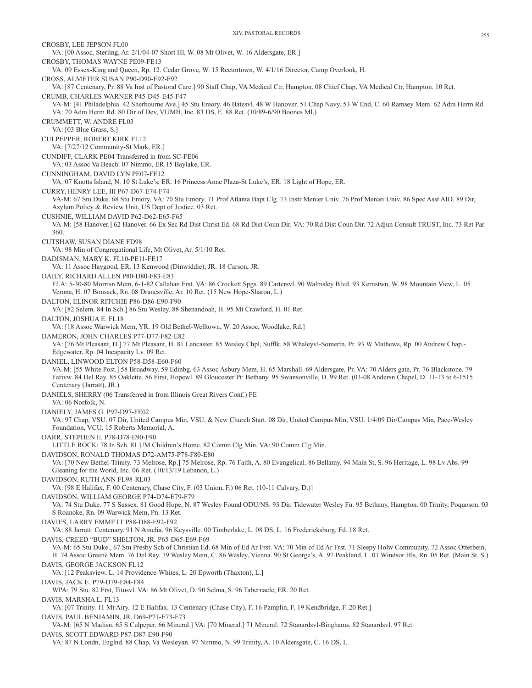CROSBY, LEE JEPSON FL00 VA: [00 Assoc, Sterling, Ar. 2/1/04-07 Short Hl, W. 08 Mt Olivet, W. 16 Aldersgate, ER.] CROSBY, THOMAS WAYNE PE09-FE13 VA: 09 Essex-King and Queen, Rp. 12. Cedar Grove, W. 15 Rectortown, W. 4/1/16 Director, Camp Overlook, H. CROSS, ALMETER SUSAN P90-D90-E92-F92 VA: [87 Centenary, Pr. 88 Va Inst of Pastoral Care.] 90 Staff Chap, VA Medical Ctr, Hampton. 08 Chief Chap, VA Medical Ctr, Hampton. 10 Ret. CRUMB, CHARLES WARNER P45-D45-E45-F47 VA-M: [41 Philadelphia. 42 Sherbourne Ave.] 45 Stu Emory. 46 Batesvl. 48 W Hanover. 51 Chap Navy. 53 W End, C. 60 Ramsey Mem. 62 Adm Herm Rd. VA: 70 Adm Herm Rd. 80 Dir of Dev, VUMH, Inc. 83 DS, E. 88 Ret. (10/89-6/90 Boones Ml.) CRUMMETT, W. ANDRE FL03 VA: [03 Blue Grass, S.] CULPEPPER, ROBERT KIRK FL12 VA: [7/27/12 Community-St Mark, ER.] CUNDIFF, CLARK PE04 Transferred in from SC-FE06 VA: 03 Assoc Va Beach. 07 Nimmo, ER 15 Baylake, ER. CUNNINGHAM, DAVID LYN PE07-FE12 VA: 07 Knotts Island, N. 10 St Luke's, ER. 16 Princess Anne Plaza-St Luke's, ER. 18 Light of Hope, ER. CURRY, HENRY LEE, III P67-D67-E74-F74 VA-M: 67 Stu Duke. 68 Stu Emory. VA: 70 Stu Emory. 71 Prof Atlanta Bapt Clg. 73 Instr Mercer Univ. 76 Prof Mercer Univ. 86 Spec Asst AID. 89 Dir, Asylum Policy & Review Unit, US Dept of Justice. 03 Ret. CUSHNIE, WILLIAM DAVID P62-D62-E65-F65 VA-M: [58 Hanover.] 62 Hanover. 66 Ex Sec Rd Dist Christ Ed. 68 Rd Dist Coun Dir. VA: 70 Rd Dist Coun Dir. 72 Adjun Consult TRUST, Inc. 73 Ret Par 360. CUTSHAW, SUSAN DIANE FD98 VA: 98 Min of Congregational Life, Mt Olivet, Ar. 5/1/10 Ret. DADISMAN, MARY K. FL10-PE11-FE17 VA: 11 Assoc Haygood, ER. 13 Kenwood (Dinwiddie), JR. 18 Carson, JR. DAILY, RICHARD ALLEN P80-D80-F83-E83 FLA: 5-30-80 Morrisn Mem, 6-1-82 Callahan Frst. VA: 86 Crockett Spgs. 89 Cartersvl. 90 Walmsley Blvd. 93 Kernstwn, W. 98 Mountain View, L. 05 Verona, H. 07 Bonsack, Rn. 08 Dranesville, Ar. 10 Ret. (15 New Hope-Sharon, L.) DALTON, ELINOR RITCHIE P86-D86-E90-F90 VA: [82 Salem. 84 In Sch.] 86 Stu Wesley. 88 Shenandoah, H. 95 Mt Crawford, H. 01 Ret. DALTON, JOSHUA E. FL18 VA: [18 Assoc Warwick Mem, YR. 19 Old Bethel-Welltown, W. 20 Assoc, Woodlake, Rd.] DAMERON, JOHN CHARLES P77-D77-F82-E82 VA: [76 Mt Pleasant, H.] 77 Mt Pleasant, H. 81 Lancaster. 85 Wesley Chpl, Sufflk. 88 Whaleyvl-Somertn, Pr. 93 W Mathews, Rp. 00 Andrew Chap.- Edgewater, Rp. 04 Incapacity Lv. 09 Ret. DANIEL, LINWOOD ELTON P58-D58-E60-F60 VA-M: [55 White Post.] 58 Broadway. 59 Edinbg. 63 Assoc Asbury Mem, H. 65 Marshall. 69 Aldersgate, Pr. VA: 70 Alders gate, Pr. 76 Blackstone. 79 Farivw. 84 Del Ray. 85 Oaklette. 86 First, Hopewl. 89 Gloucester Pt: Bethany. 95 Swansonville, D. 99 Ret. (03-08 Andersn Chapel, D. 11-13 to 6-1515 Centenary (Jarratt), JR.) DANIELS, SHERRY (06 Transferred in from Illinois Great Rivers Conf.) FE VA: 06 Norfolk, N. DANIELY, JAMES G. P97-D97-FE02 VA: 97 Chap, VSU. 07 Dir, United Campus Min, VSU, & New Church Start. 08 Dir, United Campus Min, VSU. 1/4/09 Dir/Campus Min, Pace-Wesley Foundation, VCU. 15 Roberts Memorial, A. DARR, STEPHEN E. P78-D78-E90-F90 LITTLE ROCK: 78 In Sch. 81 UM Children's Home. 82 Comm Clg Min. VA: 90 Comm Clg Min. DAVIDSON, RONALD THOMAS D72-AM75-P78-F80-E80 VA: [70 New Bethel-Trinity. 73 Melrose, Rp.] 75 Melrose, Rp. 76 Faith, A. 80 Evangelical. 86 Bellamy. 94 Main St, S. 96 Heritage, L. 98 Lv Abs. 99 Gleaning for the World, Inc. 06 Ret. (10/13/19 Lebanon, L.) DAVIDSON, RUTH ANN FL98-RL03 VA: [98 E Halifax, F. 00 Centenary, Chase City, F. (03 Union, F.) 06 Ret. (10-11 Calvary, D.)] DAVIDSON, WILLIAM GEORGE P74-D74-E79-F79 VA: 74 Stu Duke. 77 S Sussex. 81 Good Hope, N. 87 Wesley Found ODU/NS. 93 Dir, Tidewater Wesley Fn. 95 Bethany, Hampton. 00 Trinity, Poquoson. 03 S Roanoke, Rn. 09 Warwick Mem, Pn. 13 Ret. DAVIES, LARRY EMMETT P88-D88-E92-F92 VA: 88 Jarratt: Centenary. 91 N Amelia. 96 Keysville. 00 Timberlake, L. 08 DS, L. 16 Fredericksburg, Fd. 18 Ret. DAVIS, CREED "BUD" SHELTON, JR. P65-D65-E69-F69 VA-M: 65 Stu Duke., 67 Stu Presby Sch of Christian Ed. 68 Min of Ed Ar Frst. VA: 70 Min of Ed Ar Frst. 71 Sleepy Holw Community. 72 Assoc Otterbein, H. 74 Assoc Greene Mem. 76 Del Ray. 79 Wesley Mem, C. 86 Wesley, Vienna. 90 St George's, A. 97 Peakland, L. 01 Windsor Hls, Rn. 05 Ret. (Main St, S.) DAVIS, GEORGE JACKSON FL12 VA: [12 Peaksview, L. 14 Providence-Whites, L. 20 Epworth (Thaxton), L.] DAVIS, JACK E. P79-D79-E84-F84 WPA: 79 Stu. 82 Frst, Titusvl. VA: 86 Mt Olivet, D. 90 Selma, S. 96 Tabernacle, ER. 20 Ret. DAVIS, MARSHA L. FL13 VA: [07 Trinity. 11 Mt Airy. 12 E Halifax. 13 Centenary (Chase City), F. 16 Pamplin, F. 19 Kendbridge, F. 20 Ret.] DAVIS, PAUL BENJAMIN, JR. D69-P71-E73-F73 VA-M: [65 N Madisn. 65 S Culpeper. 66 Mineral.] VA: [70 Mineral.] 71 Mineral. 72 Stanardsvl-Binghams. 82 Stanardsvl. 97 Ret. DAVIS, SCOTT EDWARD P87-D87-E90-F90 VA: 87 N Londn, Englnd. 88 Chap, Va Wesleyan. 97 Nimmo, N. 99 Trinity, A. 10 Aldersgate, C. 16 DS, L.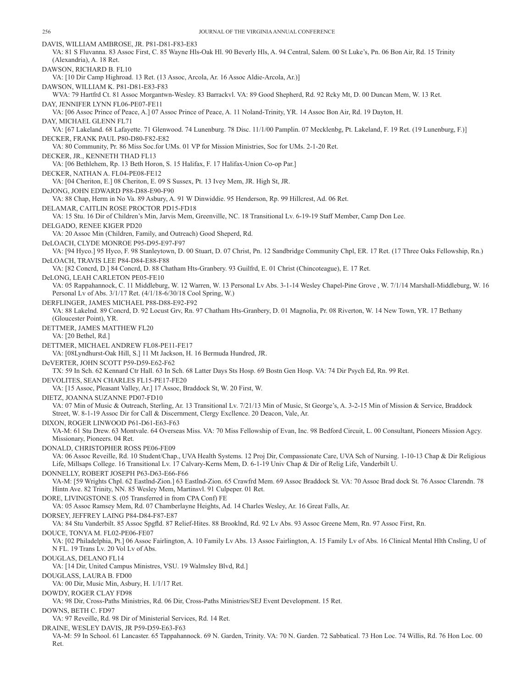DAVIS, WILLIAM AMBROSE, JR. P81-D81-F83-E83 VA: 81 S Fluvanna. 83 Assoc First, C. 85 Wayne Hls-Oak Hl. 90 Beverly Hls, A. 94 Central, Salem. 00 St Luke's, Pn. 06 Bon Air, Rd. 15 Trinity (Alexandria), A. 18 Ret. DAWSON, RICHARD B. FL10 VA: [10 Dir Camp Highroad. 13 Ret. (13 Assoc, Arcola, Ar. 16 Assoc Aldie-Arcola, Ar.)] DAWSON, WILLIAM K. P81-D81-E83-F83 WVA: 79 Hartfrd Ct. 81 Assoc Morgantwn-Wesley. 83 Barrackvl. VA: 89 Good Shepherd, Rd. 92 Rcky Mt, D. 00 Duncan Mem, W. 13 Ret. DAY, JENNIFER LYNN FL06-PE07-FE11 VA: [06 Assoc Prince of Peace, A.] 07 Assoc Prince of Peace, A. 11 Noland-Trinity, YR. 14 Assoc Bon Air, Rd. 19 Dayton, H. DAY, MICHAEL GLENN FL71 VA: [67 Lakeland. 68 Lafayette. 71 Glenwood. 74 Lunenburg. 78 Disc. 11/1/00 Pamplin. 07 Mecklenbg, Pt. Lakeland, F. 19 Ret. (19 Lunenburg, F.)] DECKER, FRANK PAUL P80-D80-F82-E82 VA: 80 Community, Pr. 86 Miss Soc.for UMs. 01 VP for Mission Ministries, Soc for UMs. 2-1-20 Ret. DECKER, JR., KENNETH THAD FL13 VA: [06 Bethlehem, Rp. 13 Beth Horon, S. 15 Halifax, F. 17 Halifax-Union Co-op Par.] DECKER, NATHAN A. FL04-PE08-FE12 VA: [04 Cheriton, E.] 08 Cheriton, E. 09 S Sussex, Pt. 13 Ivey Mem, JR. High St, JR. DeJONG, JOHN EDWARD P88-D88-E90-F90 VA: 88 Chap, Herm in No Va. 89 Asbury, A. 91 W Dinwiddie. 95 Henderson, Rp. 99 Hillcrest, Ad. 06 Ret. DELAMAR, CAITLIN ROSE PROCTOR PD15-FD18 VA: 15 Stu. 16 Dir of Children's Min, Jarvis Mem, Greenville, NC. 18 Transitional Lv. 6-19-19 Staff Member, Camp Don Lee. DELGADO, RENEE KIGER PD20 VA: 20 Assoc Min (Children, Family, and Outreach) Good Sheperd, Rd. DeLOACH, CLYDE MONROE P95-D95-E97-F97 VA: [94 Hyco.] 95 Hyco, F. 98 Stanleytown, D. 00 Stuart, D. 07 Christ, Pn. 12 Sandbridge Community Chpl, ER. 17 Ret. (17 Three Oaks Fellowship, Rn.) DeLOACH, TRAVIS LEE P84-D84-E88-F88 VA: [82 Concrd, D.] 84 Concrd, D. 88 Chatham Hts-Granbery. 93 Guilfrd, E. 01 Christ (Chincoteague), E. 17 Ret. DeLONG, LEAH CARLETON PE05-FE10 VA: 05 Rappahannock, C. 11 Middleburg, W. 12 Warren, W. 13 Personal Lv Abs. 3-1-14 Wesley Chapel-Pine Grove , W. 7/1/14 Marshall-Middleburg, W. 16 Personal Lv of Abs. 3/1/17 Ret. (4/1/18-6/30/18 Cool Spring, W.) DERFLINGER, JAMES MICHAEL P88-D88-E92-F92 VA: 88 Lakelnd. 89 Concrd, D. 92 Locust Grv, Rn. 97 Chatham Hts-Granbery, D. 01 Magnolia, Pr. 08 Riverton, W. 14 New Town, YR. 17 Bethany (Gloucester Point), YR. DETTMER, JAMES MATTHEW FL20 VA: [20 Bethel, Rd.] DETTMER, MICHAEL ANDREW FL08-PE11-FE17 VA: [08Lyndhurst-Oak Hill, S.] 11 Mt Jackson, H. 16 Bermuda Hundred, JR. DeVERTER, JOHN SCOTT P59-D59-E62-F62 TX: 59 In Sch. 62 Kennard Ctr Hall. 63 In Sch. 68 Latter Days Sts Hosp. 69 Bostn Gen Hosp. VA: 74 Dir Psych Ed, Rn. 99 Ret. DEVOLITES, SEAN CHARLES FL15-PE17-FE20 VA: [15 Assoc, Pleasant Valley, Ar.] 17 Assoc, Braddock St, W. 20 First, W. DIETZ, JOANNA SUZANNE PD07-FD10 VA: 07 Min of Music & Outreach, Sterling, Ar. 13 Transitional Lv. 7/21/13 Min of Music, St George's, A. 3-2-15 Min of Mission & Service, Braddock Street, W. 8-1-19 Assoc Dir for Call & Discernment, Clergy Excllence. 20 Deacon, Vale, Ar. DIXON, ROGER LINWOOD P61-D61-E63-F63 VA-M: 61 Stu Drew. 63 Montvale. 64 Overseas Miss. VA: 70 Miss Fellowship of Evan, Inc. 98 Bedford Circuit, L. 00 Consultant, Pioneers Mission Agcy. Missionary, Pioneers. 04 Ret. DONALD, CHRISTOPHER ROSS PE06-FE09 VA: 06 Assoc Reveille, Rd. 10 Student/Chap., UVA Health Systems. 12 Proj Dir, Compassionate Care, UVA Sch of Nursing. 1-10-13 Chap & Dir Religious Life, Millsaps College. 16 Transitional Lv. 17 Calvary-Kerns Mem, D. 6-1-19 Univ Chap & Dir of Relig Life, Vanderbilt U. DONNELLY, ROBERT JOSEPH P63-D63-E66-F66 VA-M: [59 Wrights Chpl. 62 Eastlnd-Zion.] 63 Eastlnd-Zion. 65 Crawfrd Mem. 69 Assoc Braddock St. VA: 70 Assoc Brad dock St. 76 Assoc Clarendn. 78 Hintn Ave. 82 Trinity, NN. 85 Wesley Mem, Martinsvl. 91 Culpeper. 01 Ret. DORE, LIVINGSTONE S. (05 Transferred in from CPA Conf) FE VA: 05 Assoc Ramsey Mem, Rd. 07 Chamberlayne Heights, Ad. 14 Charles Wesley, Ar. 16 Great Falls, Ar. DORSEY, JEFFREY LAING P84-D84-F87-E87 VA: 84 Stu Vanderbilt. 85 Assoc Spgfld. 87 Relief-Hites. 88 Brooklnd, Rd. 92 Lv Abs. 93 Assoc Greene Mem, Rn. 97 Assoc First, Rn. DOUCE, TONYA M. FL02-PE06-FE07 VA: [02 Philadelphia, Pt.] 06 Assoc Fairlington, A. 10 Family Lv Abs. 13 Assoc Fairlington, A. 15 Family Lv of Abs. 16 Clinical Mental Hlth Cnsling, U of N FL. 19 Trans Lv. 20 Vol Lv of Abs. DOUGLAS, DELANO FL14 VA: [14 Dir, United Campus Ministres, VSU. 19 Walmsley Blvd, Rd.] DOUGLASS, LAURA B. FD00 VA: 00 Dir, Music Min, Asbury, H. 1/1/17 Ret. DOWDY, ROGER CLAY FD98 VA: 98 Dir, Cross-Paths Ministries, Rd. 06 Dir, Cross-Paths Ministries/SEJ Event Development. 15 Ret. DOWNS, BETH C. FD97 VA: 97 Reveille, Rd. 98 Dir of Ministerial Services, Rd. 14 Ret. DRAINE, WESLEY DAVIS, JR P59-D59-E63-F63 VA-M: 59 In School. 61 Lancaster. 65 Tappahannock. 69 N. Garden, Trinity. VA: 70 N. Garden. 72 Sabbatical. 73 Hon Loc. 74 Willis, Rd. 76 Hon Loc. 00 Ret.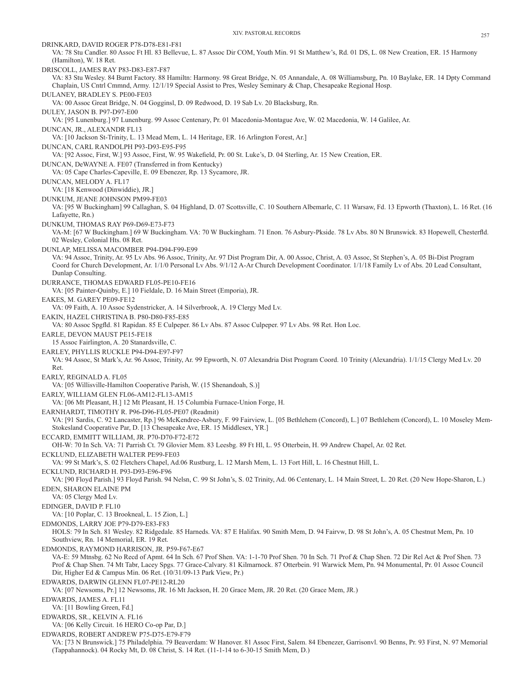DRINKARD, DAVID ROGER P78-D78-E81-F81 VA: 78 Stu Candler. 80 Assoc Ft Hl. 83 Bellevue, L. 87 Assoc Dir COM, Youth Min. 91 St Matthew's, Rd. 01 DS, L. 08 New Creation, ER. 15 Harmony (Hamilton), W. 18 Ret. DRISCOLL, JAMES RAY P83-D83-E87-F87 VA: 83 Stu Wesley. 84 Burnt Factory. 88 Hamiltn: Harmony. 98 Great Bridge, N. 05 Annandale, A. 08 Williamsburg, Pn. 10 Baylake, ER. 14 Dpty Command Chaplain, US Cntrl Cmmnd, Army. 12/1/19 Special Assist to Pres, Wesley Seminary & Chap, Chesapeake Regional Hosp. DULANEY, BRADLEY S. PE00-FE03 VA: 00 Assoc Great Bridge, N. 04 Gogginsl, D. 09 Redwood, D. 19 Sab Lv. 20 Blacksburg, Rn. DULEY, JASON B. P97-D97-E00 VA: [95 Lunenburg.] 97 Lunenburg. 99 Assoc Centenary, Pr. 01 Macedonia-Montague Ave, W. 02 Macedonia, W. 14 Galilee, Ar. DUNCAN, JR., ALEXANDR FL13 VA: [10 Jackson St-Trinity, L. 13 Mead Mem, L. 14 Heritage, ER. 16 Arlington Forest, Ar.] DUNCAN, CARL RANDOLPH P93-D93-E95-F95 VA: [92 Assoc, First, W.] 93 Assoc, First, W. 95 Wakefield, Pr. 00 St. Luke's, D. 04 Sterling, Ar. 15 New Creation, ER. DUNCAN, DeWAYNE A. FE07 (Transferred in from Kentucky) VA: 05 Cape Charles-Capeville, E. 09 Ebenezer, Rp. 13 Sycamore, JR. DUNCAN, MELODY A. FL17 VA: [18 Kenwood (Dinwiddie), JR.] DUNKUM, JEANE JOHNSON PM99-FE03 VA: [95 W Buckingham] 99 Callaghan, S. 04 Highland, D. 07 Scottsville, C. 10 Southern Albemarle, C. 11 Warsaw, Fd. 13 Epworth (Thaxton), L. 16 Ret. (16 Lafayette, Rn.) DUNKUM, THOMAS RAY P69-D69-E73-F73 VA-M: [67 W Buckingham.] 69 W Buckingham. VA: 70 W Buckingham. 71 Enon. 76 Asbury-Pkside. 78 Lv Abs. 80 N Brunswick. 83 Hopewell, Chesterfld. 02 Wesley, Colonial Hts. 08 Ret. DUNLAP, MELISSA MACOMBER P94-D94-F99-E99 VA: 94 Assoc, Trinity, Ar. 95 Lv Abs. 96 Assoc, Trinity, Ar. 97 Dist Program Dir, A. 00 Assoc, Christ, A. 03 Assoc, St Stephen's, A. 05 Bi-Dist Program Coord for Church Development, Ar. 1/1/0 Personal Lv Abs. 9/1/12 A-Ar Church Development Coordinator. 1/1/18 Family Lv of Abs. 20 Lead Consultant, Dunlap Consulting. DURRANCE, THOMAS EDWARD FL05-PE10-FE16 VA: [05 Painter-Quinby, E.] 10 Fieldale, D. 16 Main Street (Emporia), JR. EAKES, M. GAREY PE09-FE12 VA: 09 Faith, A. 10 Assoc Sydenstricker, A. 14 Silverbrook, A. 19 Clergy Med Lv. EAKIN, HAZEL CHRISTINA B. P80-D80-F85-E85 VA: 80 Assoc Spgfld. 81 Rapidan. 85 E Culpeper. 86 Lv Abs. 87 Assoc Culpeper. 97 Lv Abs. 98 Ret. Hon Loc. EARLE, DEVON MAUST PE15-FE18 15 Assoc Fairlington, A. 20 Stanardsville, C. EARLEY, PHYLLIS RUCKLE P94-D94-E97-F97 VA: 94 Assoc, St Mark's, Ar. 96 Assoc, Trinity, Ar. 99 Epworth, N. 07 Alexandria Dist Program Coord. 10 Trinity (Alexandria). 1/1/15 Clergy Med Lv. 20 Ret. EARLY, REGINALD A. FL05 VA: [05 Willisville-Hamilton Cooperative Parish, W. (15 Shenandoah, S.)] EARLY, WILLIAM GLEN FL06-AM12-FL13-AM15 VA: [06 Mt Pleasant, H.] 12 Mt Pleasant, H. 15 Columbia Furnace-Union Forge, H. EARNHARDT, TIMOTHY R. P96-D96-FL05-PE07 (Readmit) VA: [91 Sardis, C. 92 Lancaster, Rp.] 96 McKendree-Asbury, F. 99 Fairview, L. [05 Bethlehem (Concord), L.] 07 Bethlehem (Concord), L. 10 Moseley Mem-Stokesland Cooperative Par, D. [13 Chesapeake Ave, ER. 15 Middlesex, YR.] ECCARD, EMMITT WILLIAM, JR. P70-D70-F72-E72 OH-W: 70 In Sch. VA: 71 Parrish Ct. 79 Glovier Mem. 83 Leesbg. 89 Ft Hl, L. 95 Otterbein, H. 99 Andrew Chapel, Ar. 02 Ret. ECKLUND, ELIZABETH WALTER PE99-FE03 VA: 99 St Mark's, S. 02 Fletchers Chapel, Ad.06 Rustburg, L. 12 Marsh Mem, L. 13 Fort Hill, L. 16 Chestnut Hill, L. ECKLUND, RICHARD H. P93-D93-E96-F96 VA: [90 Floyd Parish.] 93 Floyd Parish. 94 Nelsn, C. 99 St John's, S. 02 Trinity, Ad. 06 Centenary, L. 14 Main Street, L. 20 Ret. (20 New Hope-Sharon, L.) EDEN, SHARON ELAINE PM VA: 05 Clergy Med Lv. EDINGER, DAVID P. FL10 VA: [10 Poplar, C. 13 Brookneal, L. 15 Zion, L.] EDMONDS, LARRY JOE P79-D79-E83-F83 HOLS: 79 In Sch. 81 Wesley. 82 Ridgedale. 85 Harneds. VA: 87 E Halifax. 90 Smith Mem, D. 94 Fairvw, D. 98 St John's, A. 05 Chestnut Mem, Pn. 10 Southview, Rn. 14 Memorial, ER. 19 Ret. EDMONDS, RAYMOND HARRISON, JR. P59-F67-E67 VA-E: 59 Mtnsbg. 62 No Recd of Apmt. 64 In Sch. 67 Prof Shen. VA: 1-1-70 Prof Shen. 70 In Sch. 71 Prof & Chap Shen. 72 Dir Rel Act & Prof Shen. 73 Prof & Chap Shen. 74 Mt Tabr, Lacey Spgs. 77 Grace-Calvary. 81 Kilmarnock. 87 Otterbein. 91 Warwick Mem, Pn. 94 Monumental, Pr. 01 Assoc Council Dir, Higher Ed & Campus Min. 06 Ret. (10/31/09-13 Park View, Pr.) EDWARDS, DARWIN GLENN FL07-PE12-RL20 VA: [07 Newsoms, Pr.] 12 Newsoms, JR. 16 Mt Jackson, H. 20 Grace Mem, JR. 20 Ret. (20 Grace Mem, JR.) EDWARDS, JAMES A. FL11 VA: [11 Bowling Green, Fd.] EDWARDS, SR., KELVIN A. FL16 VA: [06 Kelly Circuit. 16 HERO Co-op Par, D.] EDWARDS, ROBERT ANDREW P75-D75-E79-F79 VA: [73 N Brunswick.] 75 Philadelphia. 79 Beaverdam: W Hanover. 81 Assoc First, Salem. 84 Ebenezer, Garrisonvl. 90 Benns, Pr. 93 First, N. 97 Memorial (Tappahannock). 04 Rocky Mt, D. 08 Christ, S. 14 Ret. (11-1-14 to 6-30-15 Smith Mem, D.)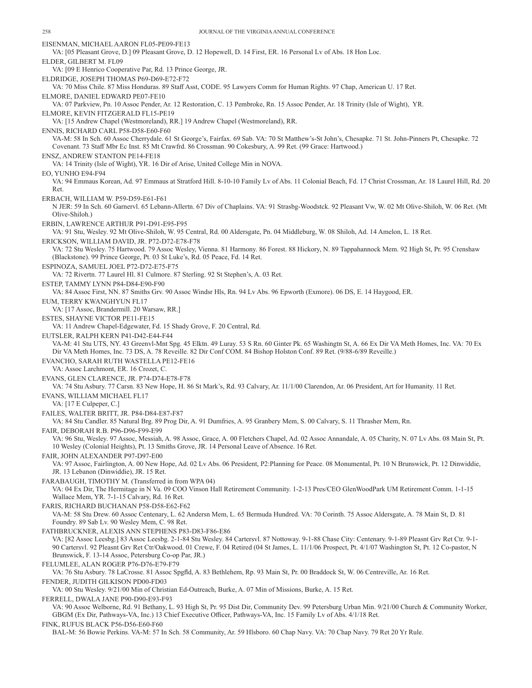EISENMAN, MICHAEL AARON FL05-PE09-FE13 VA: [05 Pleasant Grove, D.] 09 Pleasant Grove, D. 12 Hopewell, D. 14 First, ER. 16 Personal Lv of Abs. 18 Hon Loc. ELDER, GILBERT M. FL09 VA: [09 E Henrico Cooperative Par, Rd. 13 Prince George, JR. ELDRIDGE, JOSEPH THOMAS P69-D69-E72-F72 VA: 70 Miss Chile. 87 Miss Honduras. 89 Staff Asst, CODE. 95 Lawyers Comm for Human Rights. 97 Chap, American U. 17 Ret. ELMORE, DANIEL EDWARD PE07-FE10 VA: 07 Parkview, Pn. 10 Assoc Pender, Ar. 12 Restoration, C. 13 Pembroke, Rn. 15 Assoc Pender, Ar. 18 Trinity (Isle of Wight), YR. ELMORE, KEVIN FITZGERALD FL15-PE19 VA: [15 Andrew Chapel (Westmoreland), RR.] 19 Andrew Chapel (Westmoreland), RR. ENNIS, RICHARD CARL P58-D58-E60-F60 VA-M: 58 In Sch. 60 Assoc Cherrydale. 61 St George's, Fairfax. 69 Sab. VA: 70 St Matthew's-St John's, Chesapke. 71 St. John-Pinners Pt, Chesapke. 72 Covenant. 73 Staff Mbr Ec Inst. 85 Mt Crawfrd. 86 Crossman. 90 Cokesbury, A. 99 Ret. (99 Grace: Hartwood.) ENSZ, ANDREW STANTON PE14-FE18 VA: 14 Trinity (Isle of Wight), YR. 16 Dir of Arise, United College Min in NOVA. EO, YUNHO E94-F94 VA: 94 Emmaus Korean, Ad. 97 Emmaus at Stratford Hill. 8-10-10 Family Lv of Abs. 11 Colonial Beach, Fd. 17 Christ Crossman, Ar. 18 Laurel Hill, Rd. 20 Ret. ERBACH, WILLIAM W. P59-D59-E61-F61 N JER: 59 In Sch. 60 Garnervl. 65 Lebann-Allertn. 67 Div of Chaplains. VA: 91 Strasbg-Woodstck. 92 Pleasant Vw, W. 02 Mt Olive-Shiloh, W. 06 Ret. (Mt Olive-Shiloh.) ERBIN, LAWRENCE ARTHUR P91-D91-E95-F95 VA: 91 Stu, Wesley. 92 Mt Olive-Shiloh, W. 95 Central, Rd. 00 Aldersgate, Pn. 04 Middleburg, W. 08 Shiloh, Ad. 14 Amelon, L. 18 Ret. ERICKSON, WILLIAM DAVID, JR. P72-D72-E78-F78 VA: 72 Stu Wesley. 75 Hartwood. 79 Assoc Wesley, Vienna. 81 Harmony. 86 Forest. 88 Hickory, N. 89 Tappahannock Mem. 92 High St, Pr. 95 Crenshaw (Blackstone). 99 Prince George, Pt. 03 St Luke's, Rd. 05 Peace, Fd. 14 Ret. ESPINOZA, SAMUEL JOEL P72-D72-E75-F75 VA: 72 Rivertn. 77 Laurel Hl. 81 Culmore. 87 Sterling. 92 St Stephen's, A. 03 Ret. ESTEP, TAMMY LYNN P84-D84-E90-F90 VA: 84 Assoc First, NN. 87 Smiths Grv. 90 Assoc Windsr Hls, Rn. 94 Lv Abs. 96 Epworth (Exmore). 06 DS, E. 14 Haygood, ER. EUM, TERRY KWANGHYUN FL17 VA: [17 Assoc, Brandermill. 20 Warsaw, RR.] ESTES, SHAYNE VICTOR PE11-FE15 VA: 11 Andrew Chapel-Edgewater, Fd. 15 Shady Grove, F. 20 Central, Rd. EUTSLER, RALPH KERN P41-D42-E44-F44 VA-M: 41 Stu UTS, NY. 43 Greenvl-Mnt Spg. 45 Elktn. 49 Luray. 53 S Rn. 60 Ginter Pk. 65 Washingtn St, A. 66 Ex Dir VA Meth Homes, Inc. VA: 70 Ex Dir VA Meth Homes, Inc. 73 DS, A. 78 Reveille. 82 Dir Conf COM. 84 Bishop Holston Conf. 89 Ret. (9/88-6/89 Reveille.) EVANCHO, SARAH RUTH WASTELLA PE12-FE16 VA: Assoc Larchmont, ER. 16 Crozet, C. EVANS, GLEN CLARENCE, JR. P74-D74-E78-F78 VA: 74 Stu Asbury. 77 Carsn. 83 New Hope, H. 86 St Mark's, Rd. 93 Calvary, Ar. 11/1/00 Clarendon, Ar. 06 President, Art for Humanity. 11 Ret. EVANS, WILLIAM MICHAEL FL17 VA: [17 E Culpeper, C.] FAILES, WALTER BRITT, JR. P84-D84-E87-F87 VA: 84 Stu Candler. 85 Natural Brg. 89 Prog Dir, A. 91 Dumfries, A. 95 Granbery Mem, S. 00 Calvary, S. 11 Thrasher Mem, Rn. FAIR, DEBORAH R.B. P96-D96-F99-E99 VA: 96 Stu, Wesley. 97 Assoc, Messiah, A. 98 Assoc, Grace, A. 00 Fletchers Chapel, Ad. 02 Assoc Annandale, A. 05 Charity, N. 07 Lv Abs. 08 Main St, Pt. 10 Wesley (Colonial Heights), Pt. 13 Smiths Grove, JR. 14 Personal Leave of Absence. 16 Ret. FAIR, JOHN ALEXANDER P97-D97-E00 VA: 97 Assoc, Fairlington, A. 00 New Hope, Ad. 02 Lv Abs. 06 President, P2:Planning for Peace. 08 Monumental, Pt. 10 N Brunswick, Pt. 12 Dinwiddie, JR. 13 Lebanon (Dinwiddie), JR. 15 Ret. FARABAUGH, TIMOTHY M. (Transferred in from WPA 04) VA: 04 Ex Dir, The Hermitage in N Va. 09 COO Vinson Hall Retirement Community. 1-2-13 Pres/CEO GlenWoodPark UM Retirement Comm. 1-1-15 Wallace Mem, YR. 7-1-15 Calvary, Rd. 16 Ret. FARIS, RICHARD BUCHANAN P58-D58-E62-F62 VA-M: 58 Stu Drew. 60 Assoc Centenary, L. 62 Andersn Mem, L. 65 Bermuda Hundred. VA: 70 Corinth. 75 Assoc Aldersgate, A. 78 Main St, D. 81 Foundry. 89 Sab Lv. 90 Wesley Mem, C. 98 Ret. FATHBRUCKNER, ALEXIS ANN STEPHENS P83-D83-F86-E86 VA: [82 Assoc Leesbg.] 83 Assoc Leesbg. 2-1-84 Stu Wesley. 84 Cartersvl. 87 Nottoway. 9-1-88 Chase City: Centenary. 9-1-89 Pleasnt Grv Ret Ctr. 9-1- 90 Cartersvl. 92 Pleasnt Grv Ret Ctr/Oakwood. 01 Crewe, F. 04 Retired (04 St James, L. 11/1/06 Prospect, Pt. 4/1/07 Washington St, Pt. 12 Co-pastor, N Brunswick, F. 13-14 Assoc, Petersburg Co-op Par, JR.) FELUMLEE, ALAN ROGER P76-D76-E79-F79 VA: 76 Stu Asbury. 78 LaCrosse. 81 Assoc Spgfld, A. 83 Bethlehem, Rp. 93 Main St, Pr. 00 Braddock St, W. 06 Centreville, Ar. 16 Ret. FENDER, JUDITH GILKISON PD00-FD03 VA: 00 Stu Wesley. 9/21/00 Min of Christian Ed-Outreach, Burke, A. 07 Min of Missions, Burke, A. 15 Ret. FERRELL, DWALA JANE P90-D90-E93-F93 VA: 90 Assoc Welborne, Rd. 91 Bethany, L. 93 High St, Pr. 95 Dist Dir, Community Dev. 99 Petersburg Urban Min. 9/21/00 Church & Community Worker, GBGM (Ex Dir, Pathways-VA, Inc.) 13 Chief Executive Officer, Pathways-VA, Inc. 15 Family Lv of Abs. 4/1/18 Ret. FINK, RUFUS BLACK P56-D56-E60-F60

BAL-M: 56 Bowie Perkins. VA-M: 57 In Sch. 58 Community, Ar. 59 Hlsboro. 60 Chap Navy. VA: 70 Chap Navy. 79 Ret 20 Yr Rule.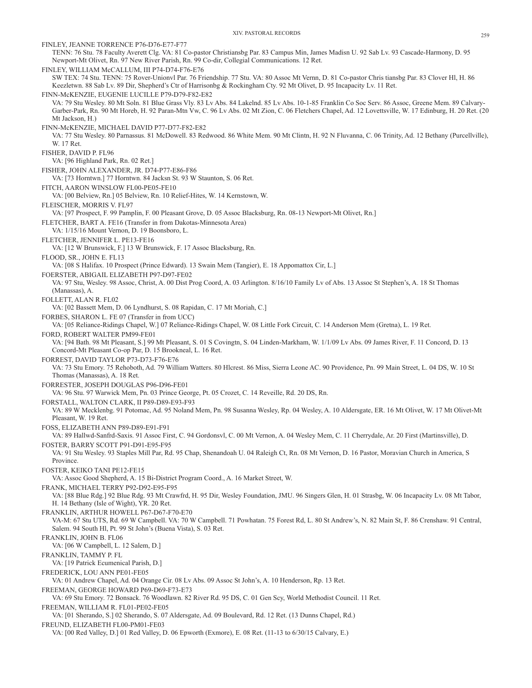FINLEY, JEANNE TORRENCE P76-D76-E77-F77 TENN: 76 Stu. 78 Faculty Averett Clg. VA: 81 Co-pastor Christiansbg Par. 83 Campus Min, James Madisn U. 92 Sab Lv. 93 Cascade-Harmony, D. 95 Newport-Mt Olivet, Rn. 97 New River Parish, Rn. 99 Co-dir, Collegial Communications. 12 Ret. FINLEY, WILLIAM McCALLUM, III P74-D74-F76-E76 SW TEX: 74 Stu. TENN: 75 Rover-Unionvl Par. 76 Friendship. 77 Stu. VA: 80 Assoc Mt Vernn, D. 81 Co-pastor Chris tiansbg Par. 83 Clover Hl, H. 86 Keezletwn. 88 Sab Lv. 89 Dir, Shepherd's Ctr of Harrisonbg & Rockingham Cty. 92 Mt Olivet, D. 95 Incapacity Lv. 11 Ret. FINN-McKENZIE, EUGENIE LUCILLE P79-D79-F82-E82 VA: 79 Stu Wesley. 80 Mt Soln. 81 Blue Grass Vly. 83 Lv Abs. 84 Lakelnd. 85 Lv Abs. 10-1-85 Franklin Co Soc Serv. 86 Assoc, Greene Mem. 89 Calvary-Garber-Park, Rn. 90 Mt Horeb, H. 92 Paran-Mtn Vw, C. 96 Lv Abs. 02 Mt Zion, C. 06 Fletchers Chapel, Ad. 12 Lovettsville, W. 17 Edinburg, H. 20 Ret. (20 Mt Jackson, H.) FINN-McKENZIE, MICHAEL DAVID P77-D77-F82-E82 VA: 77 Stu Wesley. 80 Parnassus. 81 McDowell. 83 Redwood. 86 White Mem. 90 Mt Clintn, H. 92 N Fluvanna, C. 06 Trinity, Ad. 12 Bethany (Purcellville), W. 17 Ret. FISHER, DAVID P. FL96 VA: [96 Highland Park, Rn. 02 Ret.] FISHER, JOHN ALEXANDER, JR. D74-P77-E86-F86 VA: [73 Horntwn.] 77 Horntwn. 84 Jacksn St. 93 W Staunton, S. 06 Ret. FITCH, AARON WINSLOW FL00-PE05-FE10 VA: [00 Belview, Rn.] 05 Belview, Rn. 10 Relief-Hites, W. 14 Kernstown, W. FLEISCHER, MORRIS V. FL97 VA: [97 Prospect, F. 99 Pamplin, F. 00 Pleasant Grove, D. 05 Assoc Blacksburg, Rn. 08-13 Newport-Mt Olivet, Rn.] FLETCHER, BART A. FE16 (Transfer in from Dakotas-Minnesota Area) VA: 1/15/16 Mount Vernon, D. 19 Boonsboro, L. FLETCHER, JENNIFER L. PE13-FE16 VA: [12 W Brunswick, F.] 13 W Brunswick, F. 17 Assoc Blacksburg, Rn. FLOOD, SR., JOHN E. FL13 VA: [08 S Halifax. 10 Prospect (Prince Edward). 13 Swain Mem (Tangier), E. 18 Appomattox Cir, L.] FOERSTER, ABIGAIL ELIZABETH P97-D97-FE02 VA: 97 Stu, Wesley. 98 Assoc, Christ, A. 00 Dist Prog Coord, A. 03 Arlington. 8/16/10 Family Lv of Abs. 13 Assoc St Stephen's, A. 18 St Thomas (Manassas), A. FOLLETT, ALAN R. FL02 VA: [02 Bassett Mem, D. 06 Lyndhurst, S. 08 Rapidan, C. 17 Mt Moriah, C.] FORBES, SHARON L. FE 07 (Transfer in from UCC) VA: [05 Reliance-Ridings Chapel, W.] 07 Reliance-Ridings Chapel, W. 08 Little Fork Circuit, C. 14 Anderson Mem (Gretna), L. 19 Ret. FORD, ROBERT WALTER PM99-FE01 VA: [94 Bath. 98 Mt Pleasant, S.] 99 Mt Pleasant, S. 01 S Covingtn, S. 04 Linden-Markham, W. 1/1/09 Lv Abs. 09 James River, F. 11 Concord, D. 13 Concord-Mt Pleasant Co-op Par, D. 15 Brookneal, L. 16 Ret. FORREST, DAVID TAYLOR P73-D73-F76-E76 VA: 73 Stu Emory. 75 Rehoboth, Ad. 79 William Watters. 80 Hlcrest. 86 Miss, Sierra Leone AC. 90 Providence, Pn. 99 Main Street, L. 04 DS, W. 10 St Thomas (Manassas), A. 18 Ret. FORRESTER, JOSEPH DOUGLAS P96-D96-FE01 VA: 96 Stu. 97 Warwick Mem, Pn. 03 Prince George, Pt. 05 Crozet, C. 14 Reveille, Rd. 20 DS, Rn. FORSTALL, WALTON CLARK, II P89-D89-E93-F93 VA: 89 W Mecklenbg. 91 Potomac, Ad. 95 Noland Mem, Pn. 98 Susanna Wesley, Rp. 04 Wesley, A. 10 Aldersgate, ER. 16 Mt Olivet, W. 17 Mt Olivet-Mt Pleasant, W. 19 Ret. FOSS, ELIZABETH ANN P89-D89-E91-F91 VA: 89 Hallwd-Sanfrd-Saxis. 91 Assoc First, C. 94 Gordonsvl, C. 00 Mt Vernon, A. 04 Wesley Mem, C. 11 Cherrydale, Ar. 20 First (Martinsville), D. FOSTER, BARRY SCOTT P91-D91-E95-F95 VA: 91 Stu Wesley. 93 Staples Mill Par, Rd. 95 Chap, Shenandoah U. 04 Raleigh Ct, Rn. 08 Mt Vernon, D. 16 Pastor, Moravian Church in America, S Province. FOSTER, KEIKO TANI PE12-FE15 VA: Assoc Good Shepherd, A. 15 Bi-District Program Coord., A. 16 Market Street, W. FRANK, MICHAEL TERRY P92-D92-E95-F95 VA: [88 Blue Rdg.] 92 Blue Rdg. 93 Mt Crawfrd, H. 95 Dir, Wesley Foundation, JMU. 96 Singers Glen, H. 01 Strasbg, W. 06 Incapacity Lv. 08 Mt Tabor, H. 14 Bethany (Isle of Wight), YR. 20 Ret. FRANKLIN, ARTHUR HOWELL P67-D67-F70-E70 VA-M: 67 Stu UTS, Rd. 69 W Campbell. VA: 70 W Campbell. 71 Powhatan. 75 Forest Rd, L. 80 St Andrew's, N. 82 Main St, F. 86 Crenshaw. 91 Central, Salem. 94 South Hl, Pt. 99 St John's (Buena Vista), S. 03 Ret. FRANKLIN, JOHN B. FL06 VA: [06 W Campbell, L. 12 Salem, D.] FRANKLIN, TAMMY P. FL VA: [19 Patrick Ecumenical Parish, D.] FREDERICK, LOU ANN PE01-FE05 VA: 01 Andrew Chapel, Ad. 04 Orange Cir. 08 Lv Abs. 09 Assoc St John's, A. 10 Henderson, Rp. 13 Ret. FREEMAN, GEORGE HOWARD P69-D69-F73-E73 VA: 69 Stu Emory. 72 Bonsack. 76 Woodlawn. 82 River Rd. 95 DS, C. 01 Gen Scy, World Methodist Council. 11 Ret. FREEMAN, WILLIAM R. FL01-PE02-FE05 VA: [01 Sherando, S.] 02 Sherando, S. 07 Aldersgate, Ad. 09 Boulevard, Rd. 12 Ret. (13 Dunns Chapel, Rd.) FREUND, ELIZABETH FL00-PM01-FE03 VA: [00 Red Valley, D.] 01 Red Valley, D. 06 Epworth (Exmore), E. 08 Ret. (11-13 to 6/30/15 Calvary, E.)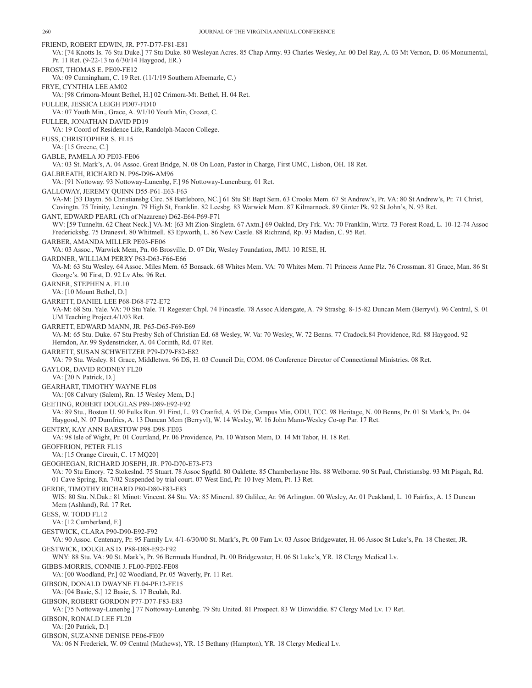FRIEND, ROBERT EDWIN, JR. P77-D77-F81-E81 VA: [74 Knotts Is. 76 Stu Duke.] 77 Stu Duke. 80 Wesleyan Acres. 85 Chap Army. 93 Charles Wesley, Ar. 00 Del Ray, A. 03 Mt Vernon, D. 06 Monumental, Pr. 11 Ret. (9-22-13 to 6/30/14 Haygood, ER.) FROST, THOMAS E. PE09-FE12 VA: 09 Cunningham, C. 19 Ret. (11/1/19 Southern Albemarle, C.) FRYE, CYNTHIA LEE AM02 VA: [98 Crimora-Mount Bethel, H.] 02 Crimora-Mt. Bethel, H. 04 Ret. FULLER, JESSICA LEIGH PD07-FD10 VA: 07 Youth Min., Grace, A. 9/1/10 Youth Min, Crozet, C. FULLER, JONATHAN DAVID PD19 VA: 19 Coord of Residence Life, Randolph-Macon College. FUSS, CHRISTOPHER S. FL15 VA: [15 Greene, C.] GABLE, PAMELA JO PE03-FE06 VA: 03 St. Mark's, A. 04 Assoc. Great Bridge, N. 08 On Loan, Pastor in Charge, First UMC, Lisbon, OH. 18 Ret. GALBREATH, RICHARD N. P96-D96-AM96 VA: [91 Nottoway. 93 Nottoway-Lunenbg, F.] 96 Nottoway-Lunenburg. 01 Ret. GALLOWAY, JEREMY QUINN D55-P61-E63-F63 VA-M: [53 Daytn. 56 Christiansbg Circ. 58 Battleboro, NC.] 61 Stu SE Bapt Sem. 63 Crooks Mem. 67 St Andrew's, Pr. VA: 80 St Andrew's, Pr. 71 Christ, Covingtn. 75 Trinity, Lexingtn. 79 High St, Franklin. 82 Leesbg. 83 Warwick Mem. 87 Kilmarnock. 89 Ginter Pk. 92 St John's, N. 93 Ret. GANT, EDWARD PEARL (Ch of Nazarene) D62-E64-P69-F71 WV: [59 Tunneltn. 62 Cheat Neck.] VA-M: [63 Mt Zion-Singletn. 67 Axtn.] 69 Oaklnd, Dry Frk. VA: 70 Franklin, Wirtz. 73 Forest Road, L. 10-12-74 Assoc Fredericksbg. 75 Dranesvl. 80 Whitmell. 83 Epworth, L. 86 New Castle. 88 Richmnd, Rp. 93 Madisn, C. 95 Ret. GARBER, AMANDA MILLER PE03-FE06 VA: 03 Assoc., Warwick Mem, Pn. 06 Brosville, D. 07 Dir, Wesley Foundation, JMU. 10 RISE, H. GARDNER, WILLIAM PERRY P63-D63-F66-E66 VA-M: 63 Stu Wesley. 64 Assoc. Miles Mem. 65 Bonsack. 68 Whites Mem. VA: 70 Whites Mem. 71 Princess Anne Plz. 76 Crossman. 81 Grace, Man. 86 St George's. 90 First, D. 92 Lv Abs. 96 Ret. GARNER, STEPHEN A. FL10 VA: [10 Mount Bethel, D.] GARRETT, DANIEL LEE P68-D68-F72-E72 VA-M: 68 Stu. Yale. VA: 70 Stu Yale. 71 Regester Chpl. 74 Fincastle. 78 Assoc Aldersgate, A. 79 Strasbg. 8-15-82 Duncan Mem (Berryvl). 96 Central, S. 01 UM Teaching Project.4/1/03 Ret. GARRETT, EDWARD MANN, JR. P65-D65-F69-E69 VA-M: 65 Stu. Duke. 67 Stu Presby Sch of Christian Ed. 68 Wesley, W. Va: 70 Wesley, W. 72 Benns. 77 Cradock.84 Providence, Rd. 88 Haygood. 92 Herndon, Ar. 99 Sydenstricker, A. 04 Corinth, Rd. 07 Ret. GARRETT, SUSAN SCHWEITZER P79-D79-F82-E82 VA: 79 Stu. Wesley. 81 Grace, Middletwn. 96 DS, H. 03 Council Dir, COM. 06 Conference Director of Connectional Ministries. 08 Ret. GAYLOR, DAVID RODNEY FL20 VA: [20 N Patrick, D.] GEARHART, TIMOTHY WAYNE FL08 VA: [08 Calvary (Salem), Rn. 15 Wesley Mem, D.] GEETING, ROBERT DOUGLAS P89-D89-E92-F92 VA: 89 Stu., Boston U. 90 Fulks Run. 91 First, L. 93 Cranfrd, A. 95 Dir, Campus Min, ODU, TCC. 98 Heritage, N. 00 Benns, Pr. 01 St Mark's, Pn. 04 Haygood, N. 07 Dumfries, A. 13 Duncan Mem (Berryvl), W. 14 Wesley, W. 16 John Mann-Wesley Co-op Par. 17 Ret. GENTRY, KAY ANN BARSTOW P98-D98-FE03 VA: 98 Isle of Wight, Pr. 01 Courtland, Pr. 06 Providence, Pn. 10 Watson Mem, D. 14 Mt Tabor, H. 18 Ret. GEOFFRION, PETER FL15 VA: [15 Orange Circuit, C. 17 MQ20] GEOGHEGAN, RICHARD JOSEPH, JR. P70-D70-E73-F73 VA: 70 Stu Emory. 72 Stokeslnd. 75 Stuart. 78 Assoc Spgfld. 80 Oaklette. 85 Chamberlayne Hts. 88 Welborne. 90 St Paul, Christiansbg. 93 Mt Pisgah, Rd. 01 Cave Spring, Rn. 7/02 Suspended by trial court. 07 West End, Pr. 10 Ivey Mem, Pt. 13 Ret. GERDE, TIMOTHY RICHARD P80-D80-F83-E83 WIS: 80 Stu. N.Dak.: 81 Minot: Vincent. 84 Stu. VA: 85 Mineral. 89 Galilee, Ar. 96 Arlington. 00 Wesley, Ar. 01 Peakland, L. 10 Fairfax, A. 15 Duncan Mem (Ashland), Rd. 17 Ret. GESS, W. TODD FL12 VA: [12 Cumberland, F.] GESTWICK, CLARA P90-D90-E92-F92 VA: 90 Assoc. Centenary, Pr. 95 Family Lv. 4/1-6/30/00 St. Mark's, Pt. 00 Fam Lv. 03 Assoc Bridgewater, H. 06 Assoc St Luke's, Pn. 18 Chester, JR. GESTWICK, DOUGLAS D. P88-D88-E92-F92 WNY: 88 Stu. VA: 90 St. Mark's, Pr. 96 Bermuda Hundred, Pt. 00 Bridgewater, H. 06 St Luke's, YR. 18 Clergy Medical Lv. GIBBS-MORRIS, CONNIE J. FL00-PE02-FE08 VA: [00 Woodland, Pr.] 02 Woodland, Pr. 05 Waverly, Pr. 11 Ret. GIBSON, DONALD DWAYNE FL04-PE12-FE15 VA: [04 Basic, S.] 12 Basic, S. 17 Beulah, Rd. GIBSON, ROBERT GORDON P77-D77-F83-E83 VA: [75 Nottoway-Lunenbg.] 77 Nottoway-Lunenbg. 79 Stu United. 81 Prospect. 83 W Dinwiddie. 87 Clergy Med Lv. 17 Ret. GIBSON, RONALD LEE FL20 VA: [20 Patrick, D.] GIBSON, SUZANNE DENISE PE06-FE09 VA: 06 N Frederick, W. 09 Central (Mathews), YR. 15 Bethany (Hampton), YR. 18 Clergy Medical Lv.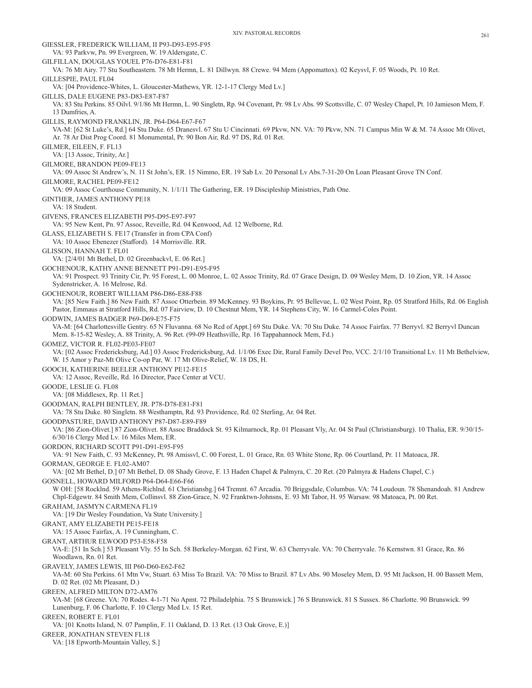GIESSLER, FREDERICK WILLIAM, II P93-D93-E95-F95 VA: 93 Parkvw, Pn. 99 Evergreen, W. 19 Aldersgate, C. GILFILLAN, DOUGLAS YOUEL P76-D76-E81-F81 VA: 76 Mt Airy. 77 Stu Southeastern. 78 Mt Hermn, L. 81 Dillwyn. 88 Crewe. 94 Mem (Appomattox). 02 Keysvl, F. 05 Woods, Pt. 10 Ret. GILLESPIE, PAUL FL04 VA: [04 Providence-Whites, L. Gloucester-Mathews, YR. 12-1-17 Clergy Med Lv.] GILLIS, DALE EUGENE P83-D83-E87-F87 VA: 83 Stu Perkins. 85 Oilvl. 9/1/86 Mt Hermn, L. 90 Singletn, Rp. 94 Covenant, Pr. 98 Lv Abs. 99 Scottsville, C. 07 Wesley Chapel, Pt. 10 Jamieson Mem, F. 13 Dumfries, A. GILLIS, RAYMOND FRANKLIN, JR. P64-D64-E67-F67 VA-M: [62 St Luke's, Rd.] 64 Stu Duke. 65 Dranesvl. 67 Stu U Cincinnati. 69 Pkvw, NN. VA: 70 Pkvw, NN. 71 Campus Min W & M. 74 Assoc Mt Olivet, Ar. 78 Ar Dist Prog Coord. 81 Monumental, Pr. 90 Bon Air, Rd. 97 DS, Rd. 01 Ret. GILMER, EILEEN, F. FL13 VA: [13 Assoc, Trinity, Ar.] GILMORE, BRANDON PE09-FE13 VA: 09 Assoc St Andrew's, N. 11 St John's, ER. 15 Nimmo, ER. 19 Sab Lv. 20 Personal Lv Abs.7-31-20 On Loan Pleasant Grove TN Conf. GILMORE, RACHEL PE09-FE12 VA: 09 Assoc Courthouse Community, N. 1/1/11 The Gathering, ER. 19 Discipleship Ministries, Path One. GINTHER, JAMES ANTHONY PE18 VA: 18 Student. GIVENS, FRANCES ELIZABETH P95-D95-E97-F97 VA: 95 New Kent, Pn. 97 Assoc, Reveille, Rd. 04 Kenwood, Ad. 12 Welborne, Rd. GLASS, ELIZABETH S. FE17 (Transfer in from CPA Conf) VA: 10 Assoc Ebenezer (Stafford). 14 Morrisville. RR. GLISSON, HANNAH T. FL01 VA: [2/4/01 Mt Bethel, D. 02 Greenbackvl, E. 06 Ret.] GOCHENOUR, KATHY ANNE BENNETT P91-D91-E95-F95 VA: 91 Prospect. 93 Trinity Cir, Pr. 95 Forest, L. 00 Monroe, L. 02 Assoc Trinity, Rd. 07 Grace Design, D. 09 Wesley Mem, D. 10 Zion, YR. 14 Assoc Sydenstricker, A. 16 Melrose, Rd. GOCHENOUR, ROBERT WILLIAM P86-D86-E88-F88 VA: [85 New Faith.] 86 New Faith. 87 Assoc Otterbein. 89 McKenney. 93 Boykins, Pr. 95 Bellevue, L. 02 West Point, Rp. 05 Stratford Hills, Rd. 06 English Pastor, Emmaus at Stratford Hills, Rd. 07 Fairview, D. 10 Chestnut Mem, YR. 14 Stephens City, W. 16 Carmel-Coles Point. GODWIN, JAMES BADGER P69-D69-E75-F75 VA-M: [64 Charlottesville Gentry. 65 N Fluvanna. 68 No Rcd of Appt.] 69 Stu Duke. VA: 70 Stu Duke. 74 Assoc Fairfax. 77 Berryvl. 82 Berryvl Duncan Mem. 8-15-82 Wesley, A. 88 Trinity, A. 96 Ret. (99-09 Heathsville, Rp. 16 Tappahannock Mem, Fd.) GOMEZ, VICTOR R. FL02-PE03-FE07 VA: [02 Assoc Fredericksburg, Ad.] 03 Assoc Fredericksburg, Ad. 1/1/06 Exec Dir, Rural Family Devel Pro, VCC. 2/1/10 Transitional Lv. 11 Mt Bethelview, W. 15 Amor y Paz-Mt Olive Co-op Par, W. 17 Mt Olive-Relief, W. 18 DS, H. GOOCH, KATHERINE BEELER ANTHONY PE12-FE15 VA: 12 Assoc, Reveille, Rd. 16 Director, Pace Center at VCU. GOODE, LESLIE G. FL08 VA: [08 Middlesex, Rp. 11 Ret.] GOODMAN, RALPH BENTLEY, JR. P78-D78-E81-F81 VA: 78 Stu Duke. 80 Singletn. 88 Westhamptn, Rd. 93 Providence, Rd. 02 Sterling, Ar. 04 Ret. GOODPASTURE, DAVID ANTHONY P87-D87-E89-F89 VA: [86 Zion-Olivet.] 87 Zion-Olivet. 88 Assoc Braddock St. 93 Kilmarnock, Rp. 01 Pleasant Vly, Ar. 04 St Paul (Christiansburg). 10 Thalia, ER. 9/30/15- 6/30/16 Clergy Med Lv. 16 Miles Mem, ER. GORDON, RICHARD SCOTT P91-D91-E95-F95 VA: 91 New Faith, C. 93 McKenney, Pt. 98 Amissvl, C. 00 Forest, L. 01 Grace, Rn. 03 White Stone, Rp. 06 Courtland, Pr. 11 Matoaca, JR. GORMAN, GEORGE E. FL02-AM07 VA: [02 Mt Bethel, D.] 07 Mt Bethel, D. 08 Shady Grove, F. 13 Haden Chapel & Palmyra, C. 20 Ret. (20 Palmyra & Hadens Chapel, C.) GOSNELL, HOWARD MILFORD P64-D64-E66-F66 W OH: [58 Rocklnd. 59 Athens-Richlnd. 61 Christiansbg.] 64 Tremnt. 67 Arcadia. 70 Briggsdale, Columbus. VA: 74 Loudoun. 78 Shenandoah. 81 Andrew Chpl-Edgewtr. 84 Smith Mem, Collinsvl. 88 Zion-Grace, N. 92 Franktwn-Johnsns, E. 93 Mt Tabor, H. 95 Warsaw. 98 Matoaca, Pt. 00 Ret. GRAHAM, JASMYN CARMENA FL19 VA: [19 Dir Wesley Foundation, Va State University.] GRANT, AMY ELIZABETH PE15-FE18 VA: 15 Assoc Fairfax, A. 19 Cunningham, C. GRANT, ARTHUR ELWOOD P53-E58-F58 VA-E: [51 In Sch.] 53 Pleasant Vly. 55 In Sch. 58 Berkeley-Morgan. 62 First, W. 63 Cherryvale. VA: 70 Cherryvale. 76 Kernstwn. 81 Grace, Rn. 86 Woodlawn, Rn. 01 Ret. GRAVELY, JAMES LEWIS, III P60-D60-E62-F62 VA-M: 60 Stu Perkins. 61 Mtn Vw, Stuart. 63 Miss To Brazil. VA: 70 Miss to Brazil. 87 Lv Abs. 90 Moseley Mem, D. 95 Mt Jackson, H. 00 Bassett Mem, D. 02 Ret. (02 Mt Pleasant, D.) GREEN, ALFRED MILTON D72-AM76 VA-M: [68 Greene. VA: 70 Rodes. 4-1-71 No Apmt. 72 Philadelphia. 75 S Brunswick.] 76 S Brunswick. 81 S Sussex. 86 Charlotte. 90 Brunswick. 99 Lunenburg, F. 06 Charlotte, F. 10 Clergy Med Lv. 15 Ret. GREEN, ROBERT E. FL01 VA: [01 Knotts Island, N. 07 Pamplin, F. 11 Oakland, D. 13 Ret. (13 Oak Grove, E.)] GREER, JONATHAN STEVEN FL18 VA: [18 Epworth-Mountain Valley, S.]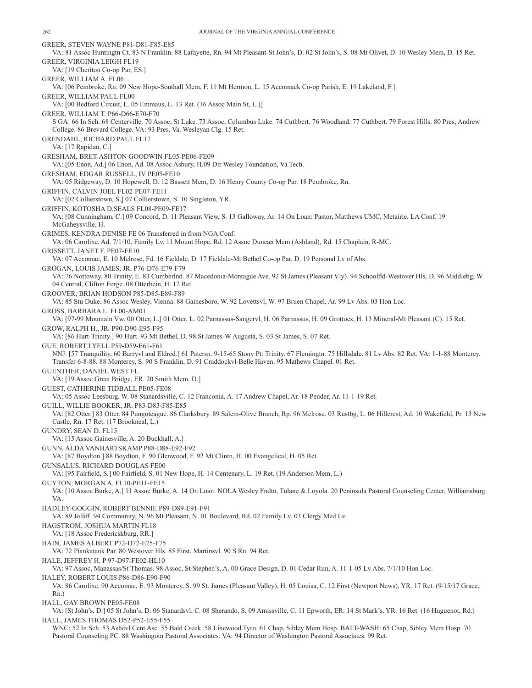GREER, STEVEN WAYNE P81-D81-F85-E85 VA: 81 Assoc Huntingtn Ct. 83 N Franklin. 88 Lafayette, Rn. 94 Mt Pleasant-St John's, D. 02 St John's, S. 08 Mt Olivet, D. 10 Wesley Mem, D. 15 Ret. GREER, VIRGINIA LEIGH FL19 VA: [19 Cheriton Co-op Par, ES.] GREER, WILLIAM A. FL06 VA: [06 Pembroke, Rn. 09 New Hope-Southall Mem, F. 11 Mt Hermon, L. 15 Accomack Co-op Parish, E. 19 Lakeland, F.] GREER, WILLIAM PAUL FL00 VA: [00 Bedford Circuit, L. 05 Emmaus, L. 13 Ret. (16 Assoc Main St, L.)] GREER, WILLIAM T. P66-D66-E70-F70 S GA: 66 In Sch. 68 Centerville. 70 Assoc, St Luke. 73 Assoc, Columbus Luke. 74 Cuthbert. 76 Woodland. 77 Cuthbert. 79 Forest Hills. 80 Pres, Andrew College. 86 Brevard College. VA: 93 Pres, Va. Wesleyan Clg. 15 Ret. GRENDAHL, RICHARD PAUL FL17 VA: [17 Rapidan, C.] GRESHAM, BRET-ASHTON GOODWIN FL05-PE06-FE09 VA: [05 Enon, Ad.] 06 Enon, Ad. 08 Assoc Asbury, H.09 Dir Wesley Foundation, Va Tech. GRESHAM, EDGAR RUSSELL, IV PE05-FE10 VA: 05 Ridgeway, D. 10 Hopewell, D. 12 Bassett Mem, D. 16 Henry County Co-op Par. 18 Pembroke, Rn. GRIFFIN, CALVIN JOEL FL02-PE07-FE11 VA: [02 Collierstown, S.] 07 Collierstown, S. 10 Singleton, YR. GRIFFIN, KOTOSHA D.SEALS FL08-PE09-FE17 VA: [08 Cunningham, C.] 09 Concord, D. 11 Pleasant View, S. 13 Galloway, Ar. 14 On Loan: Pastor, Matthews UMC, Metairie, LA Conf. 19 McGaheysville, H. GRIMES, KENDRA DENISE FE 06 Transferred in from NGA Conf. VA: 06 Caroline, Ad. 7/1/10, Family Lv. 11 Mount Hope, Rd. 12 Assoc Duncan Mem (Ashland), Rd. 15 Chaplain, R-MC. GRISSETT, JANET F. PE07-FE10 VA: 07 Accomac, E. 10 Melrose, Fd. 16 Fieldale, D. 17 Fieldale-Mt Bethel Co-op Par, D. 19 Personal Lv of Abs. GROGAN, LOUIS JAMES, JR. P76-D76-E79-F79 VA: 76 Nottoway. 80 Trinity, E. 83 Cumberlnd. 87 Macedonia-Montague Ave. 92 St James (Pleasant Vly). 94 Schoolfld-Westover Hls, D. 96 Middlebg, W. 04 Central, Clifton Forge. 08 Otterbein, H. 12 Ret. GROOVER, BRIAN HODSON P85-D85-E89-F89 VA: 85 Stu Duke. 86 Assoc Wesley, Vienna. 88 Gainesboro, W. 92 Lovettsvl, W. 97 Bruen Chapel, Ar. 99 Lv Abs. 03 Hon Loc. GROSS, BARBARA L. FL00-AM01 VA: [97-99 Mountain Vw. 00 Otter, L.] 01 Otter, L. 02 Parnassus-Sangervl, H. 06 Parnassus, H. 09 Grottoes, H. 13 Mineral-Mt Pleasant (C). 15 Ret. GROW, RALPH H., JR. P90-D90-E95-F95 VA: [86 Hurt-Trinity.] 90 Hurt. 93 Mt Bethel, D. 98 St James-W Augusta, S. 03 St James, S. 07 Ret. GUE, ROBERT LYELL P59-D59-E61-F61 NNJ: [57 Tranquility. 60 Barryvl and Eldred.] 61 Patersn. 9-15-65 Stony Pt: Trinity. 67 Flemingtn. 75 Hillsdale. 81 Lv Abs. 82 Ret. VA: 1-1-88 Monterey. Transfer 6-8-88. 88 Monterey, S. 90 S Franklin, D. 91 Craddockvl-Belle Haven. 95 Mathews Chapel. 01 Ret. GUENTHER, DANIEL WEST FL VA: [19 Assoc Great Bridge, ER. 20 Smith Mem, D.] GUEST, CATHERINE TIDBALL PE05-FE08 VA: 05 Assoc Leesburg, W. 08 Stanardsville, C. 12 Franconia, A. 17 Andrew Chapel, Ar. 18 Pender, Ar. 11-1-19 Ret. GUILL, WILLIE BOOKER, JR. P83-D83-F85-E85 VA: [82 Otter.] 83 Otter. 84 Pungoteague. 86 Clarksbury. 89 Salem-Olive Branch, Rp. 96 Melrose. 03 Rustbg, L. 06 Hillcrest, Ad. 10 Wakefield, Pr. 13 New Castle, Rn. 17 Ret. (17 Brookneal, L.) GUNDRY, SEAN D. FL15 VA: [15 Assoc Gainesville, A. 20 Buckhall, A.] GUNN, ALDA VANHARTSKAMP P88-D88-E92-F92 VA: [87 Boydton.] 88 Boydton, F. 90 Glenwood, F. 92 Mt Clintn, H. 00 Evangelical, H. 05 Ret. GUNSALUS, RICHARD DOUGLAS FE00 VA: [95 Fairfield, S.] 00 Fairfield, S. 01 New Hope, H. 14 Centenary, L. 19 Ret. (19 Anderson Mem, L.) GUYTON, MORGAN A. FL10-PE11-FE15 VA: [10 Assoc Burke, A.] 11 Assoc Burke, A. 14 On Loan: NOLA Wesley Fndtn, Tulane & Loyola. 20 Peninsula Pastoral Counseling Center, Williamsburg VA. HADLEY-GOGGIN, ROBERT BENNIE P89-D89-E91-F91 VA: 89 Jolliff. 94 Community, N. 96 Mt Pleasant, N. 01 Boulevard, Rd. 02 Family Lv. 03 Clergy Med Lv. HAGSTROM, JOSHUA MARTIN FL18 VA: [18 Assoc Fredericskburg, RR.] HAIN, JAMES ALBERT P72-D72-E75-F75 VA: 72 Piankatank Par. 80 Westover Hls. 85 First, Martinsvl. 90 S Rn. 94 Ret. HALE, JEFFREY H. P 97-D97-FE02-HL10 VA: 97 Assoc, Manassas/St Thomas. 98 Assoc, St Stephen's, A. 00 Grace Design, D. 01 Cedar Run, A. 11-1-05 Lv Abs. 7/1/10 Hon Loc. HALEY, ROBERT LOUIS P86-D86-E90-F90 VA: 86 Caroline. 90 Accomac, E. 93 Monterey, S. 99 St. James (Pleasant Valley), H. 05 Louisa, C. 12 First (Newport News), YR. 17 Ret. (9/15/17 Grace, Rn.) HALL, GAY BROWN PE05-FE08 VA: [St John's, D.] 05 St John's, D. 06 Stanardsvl, C. 08 Sherando, S. 09 Amissville, C. 11 Epworth, ER. 14 St Mark's, YR. 16 Ret. (16 Huguenot, Rd.) HALL, JAMES THOMAS D52-P52-E55-F55 WNC: 52 In Sch. 53 Ashevl Cent Asc. 55 Bald Creek. 58 Linewood Tyro. 61 Chap, Sibley Mem Hosp. BALT-WASH: 65 Chap, Sibley Mem Hosp. 70

Pastoral Counseling PC. 88 Washingotn Pastoral Associates. VA: 94 Director of Washington Pastoral Associates. 99 Ret.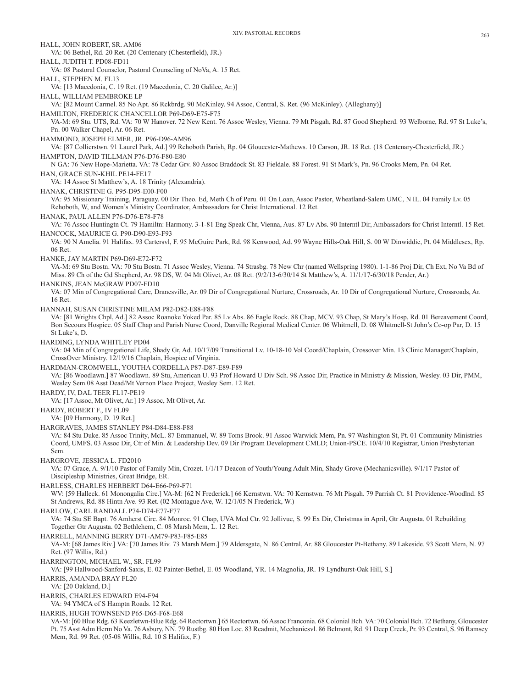HALL, JOHN ROBERT, SR. AM06 VA: 06 Bethel, Rd. 20 Ret. (20 Centenary (Chesterfield), JR.) HALL, JUDITH T. PD08-FD11 VA: 08 Pastoral Counselor, Pastoral Counseling of NoVa, A. 15 Ret. HALL, STEPHEN M. FL13 VA: [13 Macedonia, C. 19 Ret. (19 Macedonia, C. 20 Galilee, Ar.)] HALL, WILLIAM PEMBROKE LP VA: [82 Mount Carmel. 85 No Apt. 86 Rckbrdg. 90 McKinley. 94 Assoc, Central, S. Ret. (96 McKinley). (Alleghany)] HAMILTON, FREDERICK CHANCELLOR P69-D69-E75-F75 VA-M: 69 Stu. UTS, Rd. VA: 70 W Hanover. 72 New Kent. 76 Assoc Wesley, Vienna. 79 Mt Pisgah, Rd. 87 Good Shepherd. 93 Welborne, Rd. 97 St Luke's, Pn. 00 Walker Chapel, Ar. 06 Ret. HAMMOND, JOSEPH ELMER, JR. P96-D96-AM96 VA: [87 Collierstwn. 91 Laurel Park, Ad.] 99 Rehoboth Parish, Rp. 04 Gloucester-Mathews. 10 Carson, JR. 18 Ret. (18 Centenary-Chesterfield, JR.) HAMPTON, DAVID TILLMAN P76-D76-F80-E80 N GA: 76 New Hope-Marietta. VA: 78 Cedar Grv. 80 Assoc Braddock St. 83 Fieldale. 88 Forest. 91 St Mark's, Pn. 96 Crooks Mem, Pn. 04 Ret. HAN, GRACE SUN-KHIL PE14-FE17 VA: 14 Assoc St Matthew's, A. 18 Trinity (Alexandria). HANAK, CHRISTINE G. P95-D95-E00-F00 VA: 95 Missionary Training, Paraguay. 00 Dir Theo. Ed, Meth Ch of Peru. 01 On Loan, Assoc Pastor, Wheatland-Salem UMC, N IL. 04 Family Lv. 05 Rehoboth, W, and Women's Ministry Coordinator, Ambassadors for Christ International. 12 Ret. HANAK, PAUL ALLEN P76-D76-E78-F78 VA: 76 Assoc Huntingtn Ct. 79 Hamiltn: Harmony. 3-1-81 Eng Speak Chr, Vienna, Aus. 87 Lv Abs. 90 Interntl Dir, Ambassadors for Christ Interntl. 15 Ret. HANCOCK, MAURICE G. P90-D90-E93-F93 VA: 90 N Amelia. 91 Halifax. 93 Cartersvl, F. 95 McGuire Park, Rd. 98 Kenwood, Ad. 99 Wayne Hills-Oak Hill, S. 00 W Dinwiddie, Pt. 04 Middlesex, Rp. 06 Ret. HANKE, JAY MARTIN P69-D69-E72-F72 VA-M: 69 Stu Bostn. VA: 70 Stu Bostn. 71 Assoc Wesley, Vienna. 74 Strasbg. 78 New Chr (named Wellspring 1980). 1-1-86 Proj Dir, Ch Ext, No Va Bd of Miss. 89 Ch of the Gd Shepherd, Ar. 98 DS, W. 04 Mt Olivet, Ar. 08 Ret. (9/2/13-6/30/14 St Matthew's, A. 11/1/17-6/30/18 Pender, Ar.) HANKINS, JEAN McGRAW PD07-FD10 VA: 07 Min of Congregational Care, Dranesville, Ar. 09 Dir of Congregational Nurture, Crossroads, Ar. 10 Dir of Congregational Nurture, Crossroads, Ar. 16 Ret. HANNAH, SUSAN CHRISTINE MILAM P82-D82-E88-F88 VA: [81 Wrights Chpl, Ad.] 82 Assoc Roanoke Yoked Par. 85 Lv Abs. 86 Eagle Rock. 88 Chap, MCV. 93 Chap, St Mary's Hosp, Rd. 01 Bereavement Coord, Bon Secours Hospice. 05 Staff Chap and Parish Nurse Coord, Danville Regional Medical Center. 06 Whitmell, D. 08 Whitmell-St John's Co-op Par, D. 15 St Luke's, D. HARDING, LYNDA WHITLEY PD04 VA: 04 Min of Congregational Life, Shady Gr, Ad. 10/17/09 Transitional Lv. 10-18-10 Vol Coord/Chaplain, Crossover Min. 13 Clinic Manager/Chaplain, CrossOver Ministry. 12/19/16 Chaplain, Hospice of Virginia. HARDMAN-CROMWELL, YOUTHA CORDELLA P87-D87-E89-F89 VA: [86 Woodlawn.] 87 Woodlawn. 89 Stu, American U. 93 Prof Howard U Div Sch. 98 Assoc Dir, Practice in Ministry & Mission, Wesley. 03 Dir, PMM, Wesley Sem.08 Asst Dead/Mt Vernon Place Project, Wesley Sem. 12 Ret. HARDY, IV, DAL TEER FL17-PE19 VA: [17 Assoc, Mt Olivet, Ar.] 19 Assoc, Mt Olivet, Ar. HARDY, ROBERT F., IV FL09 VA: [09 Harmony, D. 19 Ret.] HARGRAVES, JAMES STANLEY P84-D84-E88-F88 VA: 84 Stu Duke. 85 Assoc Trinity, McL. 87 Emmanuel, W. 89 Toms Brook. 91 Assoc Warwick Mem, Pn. 97 Washington St, Pt. 01 Community Ministries Coord, UMFS. 03 Assoc Dir, Ctr of Min. & Leadership Dev. 09 Dir Program Development CMLD; Union-PSCE. 10/4/10 Registrar, Union Presbyterian Sem. HARGROVE, JESSICA L. FD2010 VA: 07 Grace, A. 9/1/10 Pastor of Family Min, Crozet. 1/1/17 Deacon of Youth/Young Adult Min, Shady Grove (Mechanicsville). 9/1/17 Pastor of Discipleship Ministries, Great Bridge, ER. HARLESS, CHARLES HERBERT D64-E66-P69-F71 WV: [59 Halleck. 61 Monongalia Circ.] VA-M: [62 N Frederick.] 66 Kernstwn. VA: 70 Kernstwn. 76 Mt Pisgah. 79 Parrish Ct. 81 Providence-Woodlnd. 85 St Andrews, Rd. 88 Hintn Ave. 93 Ret. (02 Montague Ave, W. 12/1/05 N Frederick, W.) HARLOW, CARL RANDALL P74-D74-E77-F77 VA: 74 Stu SE Bapt. 76 Amherst Circ. 84 Monroe. 91 Chap, UVA Med Ctr. 92 Jollivue, S. 99 Ex Dir, Christmas in April, Gtr Augusta. 01 Rebuilding Together Gtr Augusta. 02 Bethlehem, C. 08 Marsh Mem, L. 12 Ret. HARRELL, MANNING BERRY D71-AM79-P83-F85-E85 VA-M: [68 James Riv.] VA: [70 James Riv. 73 Marsh Mem.] 79 Aldersgate, N. 86 Central, Ar. 88 Gloucester Pt-Bethany. 89 Lakeside. 93 Scott Mem, N. 97 Ret. (97 Willis, Rd.) HARRINGTON, MICHAEL W., SR. FL99 VA: [99 Hallwood-Sanford-Saxis, E. 02 Painter-Bethel, E. 05 Woodland, YR. 14 Magnolia, JR. 19 Lyndhurst-Oak Hill, S.] HARRIS, AMANDA BRAY FL20 VA: [20 Oakland, D.] HARRIS, CHARLES EDWARD E94-F94 VA: 94 YMCA of S Hamptn Roads. 12 Ret. HARRIS, HUGH TOWNSEND P65-D65-F68-E68 VA-M: [60 Blue Rdg. 63 Keezletwn-Blue Rdg. 64 Rectortwn.] 65 Rectortwn. 66 Assoc Franconia. 68 Colonial Bch. VA: 70 Colonial Bch. 72 Bethany, Gloucester Pt. 75 Asst Adm Herm No Va. 76 Asbury, NN. 79 Rustbg. 80 Hon Loc. 83 Readmit, Mechanicsvl. 86 Belmont, Rd. 91 Deep Creek, Pr. 93 Central, S. 96 Ramsey Mem, Rd. 99 Ret. (05-08 Willis, Rd. 10 S Halifax, F.)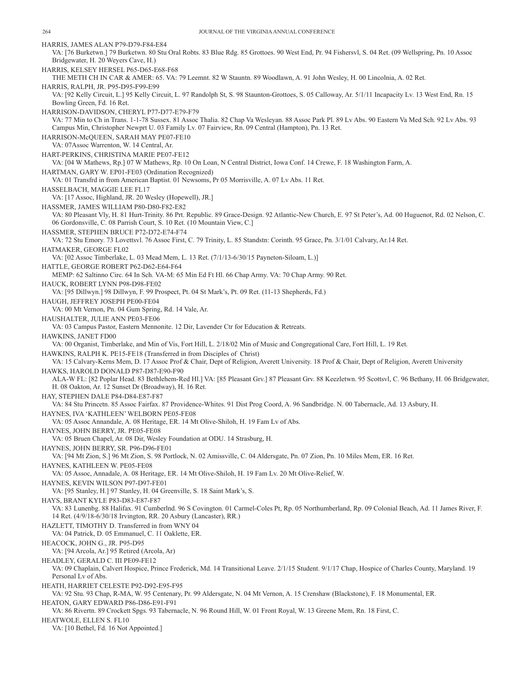HARRIS, JAMES ALAN P79-D79-F84-E84 VA: [76 Burketwn.] 79 Burketwn. 80 Stu Oral Robts. 83 Blue Rdg. 85 Grottoes. 90 West End, Pr. 94 Fishersvl, S. 04 Ret. (09 Wellspring, Pn. 10 Assoc Bridgewater, H. 20 Weyers Cave, H.) HARRIS, KELSEY HERSEL P65-D65-E68-F68 THE METH CH IN CAR & AMER: 65. VA: 79 Leemnt. 82 W Stauntn. 89 Woodlawn, A. 91 John Wesley, H. 00 Lincolnia, A. 02 Ret. HARRIS, RALPH, JR. P95-D95-F99-E99 VA: [92 Kelly Circuit, L.] 95 Kelly Circuit, L. 97 Randolph St, S. 98 Staunton-Grottoes, S. 05 Calloway, Ar. 5/1/11 Incapacity Lv. 13 West End, Rn. 15 Bowling Green, Fd. 16 Ret. HARRISON-DAVIDSON, CHERYL P77-D77-E79-F79 VA: 77 Min to Ch in Trans. 1-1-78 Sussex. 81 Assoc Thalia. 82 Chap Va Wesleyan. 88 Assoc Park Pl. 89 Lv Abs. 90 Eastern Va Med Sch. 92 Lv Abs. 93 Campus Min, Christopher Newprt U. 03 Family Lv. 07 Fairview, Rn. 09 Central (Hampton), Pn. 13 Ret. HARRISON-McQUEEN, SARAH MAY PE07-FE10 VA: 07Assoc Warrenton, W. 14 Central, Ar. HART-PERKINS, CHRISTINA MARIE PE07-FE12 VA: [04 W Mathews, Rp.] 07 W Mathews, Rp. 10 On Loan, N Central District, Iowa Conf. 14 Crewe, F. 18 Washington Farm, A. HARTMAN, GARY W. EP01-FE03 (Ordination Recognized) VA: 01 Transfrd in from American Baptist. 01 Newsoms, Pr 05 Morrisville, A. 07 Lv Abs. 11 Ret. HASSELBACH, MAGGIE LEE FL17 VA: [17 Assoc, Highland, JR. 20 Wesley (Hopewell), JR.] HASSMER, JAMES WILLIAM P80-D80-F82-E82 VA: 80 Pleasant Vly, H. 81 Hurt-Trinity. 86 Prt. Republic. 89 Grace-Design. 92 Atlantic-New Church, E. 97 St Peter's, Ad. 00 Huguenot, Rd. 02 Nelson, C. 06 Gordonsville, C. 08 Parrish Court, S. 10 Ret. (10 Mountain View, C.] HASSMER, STEPHEN BRUCE P72-D72-E74-F74 VA: 72 Stu Emory. 73 Lovettsvl. 76 Assoc First, C. 79 Trinity, L. 85 Standstn: Corinth. 95 Grace, Pn. 3/1/01 Calvary, Ar.14 Ret. HATMAKER, GEORGE FL02 VA: [02 Assoc Timberlake, L. 03 Mead Mem, L. 13 Ret. (7/1/13-6/30/15 Payneton-Siloam, L.)] HATTLE, GEORGE ROBERT P62-D62-E64-F64 MEMP: 62 Saltinno Circ. 64 In Sch. VA-M: 65 Min Ed Ft Hl. 66 Chap Army. VA: 70 Chap Army. 90 Ret. HAUCK, ROBERT LYNN P98-D98-FE02 VA: [95 Dillwyn.] 98 Dillwyn, F. 99 Prospect, Pt. 04 St Mark's, Pt. 09 Ret. (11-13 Shepherds, Fd.) HAUGH, JEFFREY JOSEPH PE00-FE04 VA: 00 Mt Vernon, Pn. 04 Gum Spring, Rd. 14 Vale, Ar. HAUSHALTER, JULIE ANN PE03-FE06 VA: 03 Campus Pastor, Eastern Mennonite. 12 Dir, Lavender Ctr for Education & Retreats. HAWKINS, JANET FD00 VA: 00 Organist, Timberlake, and Min of Vis, Fort Hill, L. 2/18/02 Min of Music and Congregational Care, Fort Hill, L. 19 Ret. HAWKINS, RALPH K. PE15-FE18 (Transferred in from Disciples of Christ) VA: 15 Calvary-Kerns Mem, D. 17 Assoc Prof & Chair, Dept of Religion, Averett University. 18 Prof & Chair, Dept of Religion, Averett University HAWKS, HAROLD DONALD P87-D87-E90-F90 ALA-W FL: [82 Poplar Head. 83 Bethlehem-Red Hl.] VA: [85 Pleasant Grv.] 87 Pleasant Grv. 88 Keezletwn. 95 Scottsvl, C. 96 Bethany, H. 06 Bridgewater, H. 08 Oakton, Ar. 12 Sunset Dr (Broadway), H. 16 Ret. HAY, STEPHEN DALE P84-D84-E87-F87 VA: 84 Stu Princetn. 85 Assoc Fairfax. 87 Providence-Whites. 91 Dist Prog Coord, A. 96 Sandbridge. N. 00 Tabernacle, Ad. 13 Asbury, H. HAYNES, IVA 'KATHLEEN' WELBORN PE05-FE08 VA: 05 Assoc Annandale, A. 08 Heritage, ER. 14 Mt Olive-Shiloh, H. 19 Fam Lv of Abs. HAYNES, JOHN BERRY, JR. PE05-FE08 VA: 05 Bruen Chapel, Ar. 08 Dir, Wesley Foundation at ODU. 14 Strasburg, H. HAYNES, JOHN BERRY, SR. P96-D96-FE01 VA: [94 Mt Zion, S.] 96 Mt Zion, S. 98 Portlock, N. 02 Amissville, C. 04 Aldersgate, Pn. 07 Zion, Pn. 10 Miles Mem, ER. 16 Ret. HAYNES, KATHLEEN W. PE05-FE08 VA: 05 Assoc, Annadale, A. 08 Heritage, ER. 14 Mt Olive-Shiloh, H. 19 Fam Lv. 20 Mt Olive-Relief, W. HAYNES, KEVIN WILSON P97-D97-FE01 VA: [95 Stanley, H.] 97 Stanley, H. 04 Greenville, S. 18 Saint Mark's, S. HAYS, BRANT KYLE P83-D83-E87-F87 VA: 83 Lunenbg. 88 Halifax. 91 Cumberlnd. 96 S Covington. 01 Carmel-Coles Pt, Rp. 05 Northumberland, Rp. 09 Colonial Beach, Ad. 11 James River, F. 14 Ret. (4/9/18-6/30/18 Irvington, RR. 20 Asbury (Lancaster), RR.) HAZLETT, TIMOTHY D. Transferred in from WNY 04 VA: 04 Patrick, D. 05 Emmanuel, C. 11 Oaklette, ER. HEACOCK, JOHN G., JR. P95-D95 VA: [94 Arcola, Ar.] 95 Retired (Arcola, Ar) HEADLEY, GERALD C. III PE09-FE12 VA: 09 Chaplain, Calvert Hospice, Prince Frederick, Md. 14 Transitional Leave. 2/1/15 Student. 9/1/17 Chap, Hospice of Charles County, Maryland. 19 Personal Lv of Abs. HEATH, HARRIET CELESTE P92-D92-E95-F95 VA: 92 Stu. 93 Chap, R-MA, W. 95 Centenary, Pr. 99 Aldersgate, N. 04 Mt Vernon, A. 15 Crenshaw (Blackstone), F. 18 Monumental, ER. HEATON, GARY EDWARD P86-D86-E91-F91 VA: 86 Rivertn. 89 Crockett Spgs. 93 Tabernacle, N. 96 Round Hill, W. 01 Front Royal, W. 13 Greene Mem, Rn. 18 First, C. HEATWOLE, ELLEN S. FL10 VA: [10 Bethel, Fd. 16 Not Appointed.]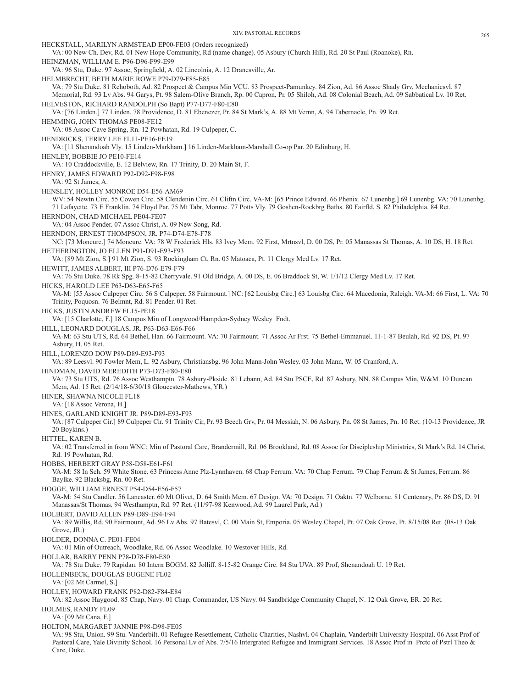HECKSTALL, MARILYN ARMSTEAD EP00-FE03 (Orders recognized) VA: 00 New Ch. Dev, Rd. 01 New Hope Community, Rd (name change). 05 Asbury (Church Hill), Rd. 20 St Paul (Roanoke), Rn. HEINZMAN, WILLIAM E. P96-D96-F99-E99 VA: 96 Stu, Duke. 97 Assoc, Springfield, A. 02 Lincolnia, A. 12 Dranesville, Ar. HELMBRECHT, BETH MARIE ROWE P79-D79-F85-E85 VA: 79 Stu Duke. 81 Rehoboth, Ad. 82 Prospect & Campus Min VCU. 83 Prospect-Pamunkey. 84 Zion, Ad. 86 Assoc Shady Grv, Mechanicsvl. 87 Memorial, Rd. 93 Lv Abs. 94 Garys, Pt. 98 Salem-Olive Branch, Rp. 00 Capron, Pr. 05 Shiloh, Ad. 08 Colonial Beach, Ad. 09 Sabbatical Lv. 10 Ret. HELVESTON, RICHARD RANDOLPH (So Bapt) P77-D77-F80-E80 VA: [76 Linden.] 77 Linden. 78 Providence, D. 81 Ebenezer, Pr. 84 St Mark's, A. 88 Mt Vernn, A. 94 Tabernacle, Pn. 99 Ret. HEMMING, JOHN THOMAS PE08-FE12 VA: 08 Assoc Cave Spring, Rn. 12 Powhatan, Rd. 19 Culpeper, C. HENDRICKS, TERRY LEE FL11-PE16-FE19 VA: [11 Shenandoah Vly. 15 Linden-Markham.] 16 Linden-Markham-Marshall Co-op Par. 20 Edinburg, H. HENLEY, BOBBIE JO PE10-FE14 VA: 10 Craddockville, E. 12 Belview, Rn. 17 Trinity, D. 20 Main St, F. HENRY, JAMES EDWARD P92-D92-F98-E98 VA: 92 St James, A. HENSLEY, HOLLEY MONROE D54-E56-AM69 WV: 54 Newtn Circ. 55 Cowen Circ. 58 Clendenin Circ. 61 Cliftn Circ. VA-M: [65 Prince Edward. 66 Phenix. 67 Lunenbg.] 69 Lunenbg. VA: 70 Lunenbg. 71 Lafayette. 73 E Franklin. 74 Floyd Par. 75 Mt Tabr, Monroe. 77 Potts Vly. 79 Goshen-Rockbrg Baths. 80 Fairfld, S. 82 Philadelphia. 84 Ret. HERNDON, CHAD MICHAEL PE04-FE07 VA: 04 Assoc Pender. 07 Assoc Christ, A. 09 New Song, Rd. HERNDON, ERNEST THOMPSON, JR. P74-D74-E78-F78 NC: [73 Moncure.] 74 Moncure. VA: 78 W Frederick Hls. 83 Ivey Mem. 92 First, Mrtnsvl, D. 00 DS, Pr. 05 Manassas St Thomas, A. 10 DS, H. 18 Ret. HETHERINGTON, JO ELLEN P91-D91-E93-F93 VA: [89 Mt Zion, S.] 91 Mt Zion, S. 93 Rockingham Ct, Rn. 05 Matoaca, Pt. 11 Clergy Med Lv. 17 Ret. HEWITT, JAMES ALBERT, III P76-D76-E79-F79 VA: 76 Stu Duke. 78 Rk Spg. 8-15-82 Cherryvale. 91 Old Bridge, A. 00 DS, E. 06 Braddock St, W. 1/1/12 Clergy Med Lv. 17 Ret. HICKS, HAROLD LEE P63-D63-E65-F65 VA-M: [55 Assoc Culpeper Circ. 56 S Culpeper. 58 Fairmount.] NC: [62 Louisbg Circ.] 63 Louisbg Circ. 64 Macedonia, Raleigh. VA-M: 66 First, L. VA: 70 Trinity, Poquosn. 76 Belmnt, Rd. 81 Pender. 01 Ret. HICKS, JUSTIN ANDREW FL15-PE18 VA: [15 Charlotte, F.] 18 Campus Min of Longwood/Hampden-Sydney Wesley Fndt. HILL, LEONARD DOUGLAS, JR. P63-D63-E66-F66 VA-M: 63 Stu UTS, Rd. 64 Bethel, Han. 66 Fairmount. VA: 70 Fairmount. 71 Assoc Ar Frst. 75 Bethel-Emmanuel. 11-1-87 Beulah, Rd. 92 DS, Pt. 97 Asbury, H. 05 Ret. HILL, LORENZO DOW P89-D89-E93-F93 VA: 89 Leesvl. 90 Fowler Mem, L. 92 Asbury, Christiansbg. 96 John Mann-John Wesley. 03 John Mann, W. 05 Cranford, A. HINDMAN, DAVID MEREDITH P73-D73-F80-E80 VA: 73 Stu UTS, Rd. 76 Assoc Westhamptn. 78 Asbury-Pkside. 81 Lebann, Ad. 84 Stu PSCE, Rd. 87 Asbury, NN. 88 Campus Min, W&M. 10 Duncan Mem, Ad. 15 Ret. (2/14/18-6/30/18 Gloucester-Mathews, YR.) HINER, SHAWNA NICOLE FL18 VA: [18 Assoc Verona, H.] HINES, GARLAND KNIGHT JR. P89-D89-E93-F93 VA: [87 Culpeper Cir.] 89 Culpeper Cir. 91 Trinity Cir, Pr. 93 Beech Grv, Pr. 04 Messiah, N. 06 Asbury, Pn. 08 St James, Pn. 10 Ret. (10-13 Providence, JR 20 Boykins.) HITTEL, KAREN B. VA: 02 Transferred in from WNC; Min of Pastoral Care, Brandermill, Rd. 06 Brookland, Rd. 08 Assoc for Discipleship Ministries, St Mark's Rd. 14 Christ, Rd. 19 Powhatan, Rd. HOBBS, HERBERT GRAY P58-D58-E61-F61 VA-M: 58 In Sch. 59 White Stone. 63 Princess Anne Plz-Lynnhaven. 68 Chap Ferrum. VA: 70 Chap Ferrum. 79 Chap Ferrum & St James, Ferrum. 86 Baylke. 92 Blacksbg, Rn. 00 Ret. HOGGE, WILLIAM ERNEST P54-D54-E56-F57 VA-M: 54 Stu Candler. 56 Lancaster. 60 Mt Olivet, D. 64 Smith Mem. 67 Design. VA: 70 Design. 71 Oaktn. 77 Welborne. 81 Centenary, Pr. 86 DS, D. 91 Manassas/St Thomas. 94 Westhamptn, Rd. 97 Ret. (11/97-98 Kenwood, Ad. 99 Laurel Park, Ad.) HOLBERT, DAVID ALLEN P89-D89-E94-F94 VA: 89 Willis, Rd. 90 Fairmount, Ad. 96 Lv Abs. 97 Batesvl, C. 00 Main St, Emporia. 05 Wesley Chapel, Pt. 07 Oak Grove, Pt. 8/15/08 Ret. (08-13 Oak Grove, JR.) HOLDER, DONNA C. PE01-FE04 VA: 01 Min of Outreach, Woodlake, Rd. 06 Assoc Woodlake. 10 Westover Hills, Rd. HOLLAR, BARRY PENN P78-D78-F80-E80 VA: 78 Stu Duke. 79 Rapidan. 80 Intern BOGM. 82 Jolliff. 8-15-82 Orange Circ. 84 Stu UVA. 89 Prof, Shenandoah U. 19 Ret. HOLLENBECK, DOUGLAS EUGENE FL02 VA: [02 Mt Carmel, S.] HOLLEY, HOWARD FRANK P82-D82-F84-E84 VA: 82 Assoc Haygood. 85 Chap, Navy. 01 Chap, Commander, US Navy. 04 Sandbridge Community Chapel, N. 12 Oak Grove, ER. 20 Ret. HOLMES, RANDY FL09 VA: [09 Mt Cana, F.] HOLTON, MARGARET JANNIE P98-D98-FE05 VA: 98 Stu, Union. 99 Stu. Vanderbilt. 01 Refugee Resettlement, Catholic Charities, Nashvl. 04 Chaplain, Vanderbilt University Hospital. 06 Asst Prof of Pastoral Care, Yale Divinity School. 16 Personal Lv of Abs. 7/5/16 Intergrated Refugee and Immigrant Services. 18 Assoc Prof in Prctc of Pstrl Theo &

Care, Duke.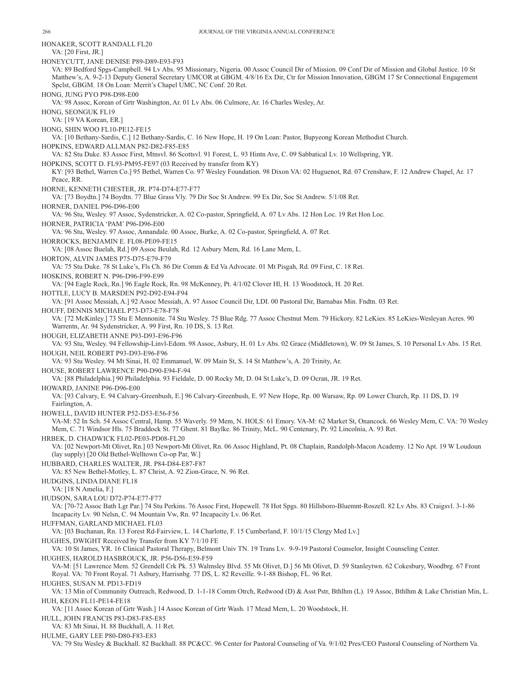HONAKER, SCOTT RANDALL FL20 VA: [20 First, JR.] HONEYCUTT, JANE DENISE P89-D89-E93-F93 VA: 89 Bedford Spgs-Campbell. 94 Lv Abs. 95 Missionary, Nigeria. 00 Assoc Council Dir of Mission. 09 Conf Dir of Mission and Global Justice. 10 St Matthew's, A. 9-2-13 Deputy General Secretary UMCOR at GBGM. 4/8/16 Ex Dir, Ctr for Mission Innovation, GBGM 17 Sr Connectional Engagement Spclst, GBGM. 18 On Loan: Merrit's Chapel UMC, NC Conf. 20 Ret. HONG, JUNG PYO P98-D98-E00 VA: 98 Assoc, Korean of Grtr Washington, Ar. 01 Lv Abs. 06 Culmore, Ar. 16 Charles Wesley, Ar. HONG, SEONGUK FL19 VA: [19 VA Korean, ER.] HONG, SHIN WOO FL10-PE12-FE15 VA: [10 Bethany-Sardis, C.] 12 Bethany-Sardis, C. 16 New Hope, H. 19 On Loan: Pastor, Bupyeong Korean Methodist Church. HOPKINS, EDWARD ALLMAN P82-D82-F85-E85 VA: 82 Stu Duke. 83 Assoc First, Mtnsvl. 86 Scottsvl. 91 Forest, L. 93 Hintn Ave, C. 09 Sabbatical Lv. 10 Wellspring, YR. HOPKINS, SCOTT D. FL93-PM95-FE97 (03 Received by transfer from KY) KY: [93 Bethel, Warren Co.] 95 Bethel, Warren Co. 97 Wesley Foundation. 98 Dixon VA: 02 Huguenot, Rd. 07 Crenshaw, F. 12 Andrew Chapel, Ar. 17 Peace, RR. HORNE, KENNETH CHESTER, JR. P74-D74-E77-F77 VA: [73 Boydtn.] 74 Boydtn. 77 Blue Grass Vly. 79 Dir Soc St Andrew. 99 Ex Dir, Soc St Andrew. 5/1/08 Ret. HORNER, DANIEL P96-D96-E00 VA: 96 Stu, Wesley. 97 Assoc, Sydenstricker, A. 02 Co-pastor, Springfield, A. 07 Lv Abs. 12 Hon Loc. 19 Ret Hon Loc. HORNER, PATRICIA 'PAM' P96-D96-E00 VA: 96 Stu, Wesley. 97 Assoc, Annandale. 00 Assoc, Burke, A. 02 Co-pastor, Springfield, A. 07 Ret. HORROCKS, BENJAMIN E. FL08-PE09-FE15 VA: [08 Assoc Buelah, Rd.] 09 Assoc Beulah, Rd. 12 Asbury Mem, Rd. 16 Lane Mem, L. HORTON, ALVIN JAMES P75-D75-E79-F79 VA: 75 Stu Duke. 78 St Luke's, Fls Ch. 86 Dir Comm & Ed Va Advocate. 01 Mt Pisgah, Rd. 09 First, C. 18 Ret. HOSKINS, ROBERT N. P96-D96-F99-E99 VA: [94 Eagle Rock, Rn.] 96 Eagle Rock, Rn. 98 McKenney, Pt. 4/1/02 Clover Hl, H. 13 Woodstock, H. 20 Ret. HOTTLE, LUCY B. MARSDEN P92-D92-E94-F94 VA: [91 Assoc Messiah, A.] 92 Assoc Messiah, A. 97 Assoc Council Dir, LDI. 00 Pastoral Dir, Barnabas Min. Fndtn. 03 Ret. HOUFF, DENNIS MICHAEL P73-D73-E78-F78 VA: [72 McKinley.] 73 Stu E Mennonite. 74 Stu Wesley. 75 Blue Rdg. 77 Assoc Chestnut Mem. 79 Hickory. 82 LeKies. 85 LeKies-Wesleyan Acres. 90 Warrentn, Ar. 94 Sydenstricker, A. 99 First, Rn. 10 DS, S. 13 Ret. HOUGH, ELIZABETH ANNE P93-D93-E96-F96 VA: 93 Stu, Wesley. 94 Fellowship-Linvl-Edom. 98 Assoc, Asbury, H. 01 Lv Abs. 02 Grace (Middletown), W. 09 St James, S. 10 Personal Lv Abs. 15 Ret. HOUGH, NEIL ROBERT P93-D93-E96-F96 VA: 93 Stu Wesley. 94 Mt Sinai, H. 02 Emmanuel, W. 09 Main St, S. 14 St Matthew's, A. 20 Trinity, Ar. HOUSE, ROBERT LAWRENCE P90-D90-E94-F-94 VA: [88 Philadelphia.] 90 Philadelphia. 93 Fieldale, D. 00 Rocky Mt, D. 04 St Luke's, D. 09 Ocran, JR. 19 Ret. HOWARD, JANINE P96-D96-E00 VA: [93 Calvary, E. 94 Calvary-Greenbush, E.] 96 Calvary-Greenbush, E. 97 New Hope, Rp. 00 Warsaw, Rp. 09 Lower Church, Rp. 11 DS, D. 19 Fairlington, A. HOWELL, DAVID HUNTER P52-D53-E56-F56 VA-M: 52 In Sch. 54 Assoc Central, Hamp. 55 Waverly. 59 Mem, N. HOLS: 61 Emory. VA-M: 62 Market St, Onancock. 66 Wesley Mem, C. VA: 70 Wesley Mem, C. 71 Windsor Hls. 75 Braddock St. 77 Ghent. 81 Baylke. 86 Trinity, McL. 90 Centenary, Pr. 92 Lincolnia, A. 93 Ret. HRBEK, D. CHADWICK FL02-PE03-PD08-FL20 VA: [02 Newport-Mt Olivet, Rn.] 03 Newport-Mt Olivet, Rn. 06 Assoc Highland, Pt. 08 Chaplain, Randolph-Macon Academy. 12 No Apt. 19 W Loudoun (lay supply) [20 Old Bethel-Welltown Co-op Par, W.] HUBBARD, CHARLES WALTER, JR. P84-D84-E87-F87 VA: 85 New Bethel-Motley, L. 87 Christ, A. 92 Zion-Grace, N. 96 Ret. HUDGINS, LINDA DIANE FL18 VA: [18 N Amelia, F.] HUDSON, SARA LOU D72-P74-E77-F77 VA: [70-72 Assoc Bath Lgr Par.] 74 Stu Perkins. 76 Assoc First, Hopewell. 78 Hot Spgs. 80 Hillsboro-Bluemnt-Roszell. 82 Lv Abs. 83 Craigsvl. 3-1-86 Incapacity Lv. 90 Nelsn, C. 94 Mountain Vw, Rn. 97 Incapacity Lv. 06 Ret. HUFFMAN, GARLAND MICHAEL FL03 VA: [03 Buchanan, Rn. 13 Forest Rd-Fairview, L. 14 Charlotte, F. 15 Cumberland, F. 10/1/15 Clergy Med Lv.] HUGHES, DWIGHT Received by Transfer from KY 7/1/10 FE VA: 10 St James, YR. 16 Clinical Pastoral Therapy, Belmont Univ TN. 19 Trans Lv. 9-9-19 Pastoral Counselor, Insight Counseling Center. HUGHES, HAROLD HASBROUCK, JR. P56-D56-E59-F59 VA-M: [51 Lawrence Mem. 52 Grendell Crk Pk. 53 Walmsley Blvd. 55 Mt Olivet, D.] 56 Mt Olivet, D. 59 Stanleytwn. 62 Cokesbury, Woodbrg. 67 Front Royal. VA: 70 Front Royal. 71 Asbury, Harrisnbg. 77 DS, L. 82 Reveille. 9-1-88 Bishop, FL. 96 Ret. HUGHES, SUSAN M. PD13-FD19 VA: 13 Min of Community Outreach, Redwood, D. 1-1-18 Comm Otrch, Redwood (D) & Asst Pstr, Bthlhm (L). 19 Assoc, Bthlhm & Lake Christian Min, L. HUH, KEON FL11-PE14-FE18 VA: [11 Assoc Korean of Grtr Wash.] 14 Assoc Korean of Grtr Wash. 17 Mead Mem, L. 20 Woodstock, H. HULL, JOHN FRANCIS P83-D83-F85-E85 VA: 83 Mt Sinai, H. 88 Buckhall, A. 11 Ret.

HULME, GARY LEE P80-D80-F83-E83

VA: 79 Stu Wesley & Buckhall. 82 Buckhall. 88 PC&CC. 96 Center for Pastoral Counseling of Va. 9/1/02 Pres/CEO Pastoral Counseling of Northern Va.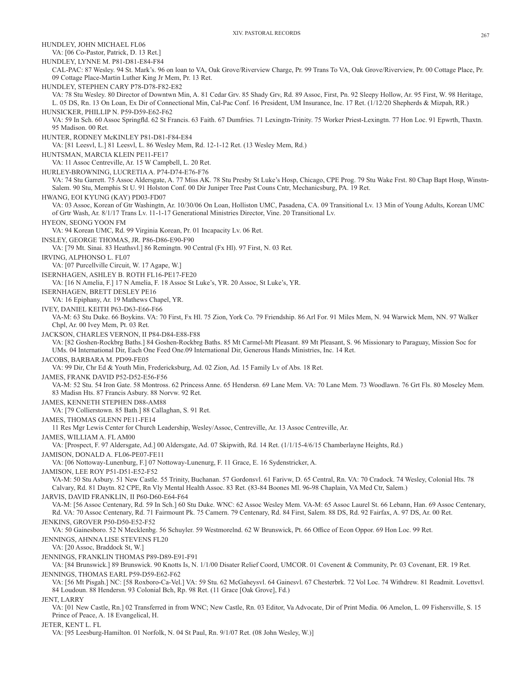HUNDLEY, JOHN MICHAEL FL06 VA: [06 Co-Pastor, Patrick, D. 13 Ret.] HUNDLEY, LYNNE M. P81-D81-E84-F84 CAL-PAC: 87 Wesley. 94 St. Mark's. 96 on loan to VA, Oak Grove/Riverview Charge, Pr. 99 Trans To VA, Oak Grove/Riverview, Pr. 00 Cottage Place, Pr. 09 Cottage Place-Martin Luther King Jr Mem, Pr. 13 Ret. HUNDLEY, STEPHEN CARY P78-D78-F82-E82 VA: 78 Stu Wesley. 80 Director of Downtwn Min, A. 81 Cedar Grv. 85 Shady Grv, Rd. 89 Assoc, First, Pn. 92 Sleepy Hollow, Ar. 95 First, W. 98 Heritage, L. 05 DS, Rn. 13 On Loan, Ex Dir of Connectional Min, Cal-Pac Conf. 16 President, UM Insurance, Inc. 17 Ret. (1/12/20 Shepherds & Mizpah, RR.) HUNSICKER, PHILLIP N. P59-D59-E62-F62 VA: 59 In Sch. 60 Assoc Springfld. 62 St Francis. 63 Faith. 67 Dumfries. 71 Lexingtn-Trinity. 75 Worker Priest-Lexingtn. 77 Hon Loc. 91 Epwrth, Thaxtn. 95 Madison. 00 Ret. HUNTER, RODNEY McKINLEY P81-D81-F84-E84 VA: [81 Leesvl, L.] 81 Leesvl, L. 86 Wesley Mem, Rd. 12-1-12 Ret. (13 Wesley Mem, Rd.) HUNTSMAN, MARCIA KLEIN PE11-FE17 VA: 11 Assoc Centreville, Ar. 15 W Campbell, L. 20 Ret. HURLEY-BROWNING, LUCRETIA A. P74-D74-E76-F76 VA: 74 Stu Garrett. 75 Assoc Aldersgate, A. 77 Miss AK. 78 Stu Presby St Luke's Hosp, Chicago, CPE Prog. 79 Stu Wake Frst. 80 Chap Bapt Hosp, Winstn-Salem. 90 Stu, Memphis St U. 91 Holston Conf. 00 Dir Juniper Tree Past Couns Cntr, Mechanicsburg, PA. 19 Ret. HWANG, EOI KYUNG (KAY) PD03-FD07 VA: 03 Assoc, Korean of Gtr Washingtn, Ar. 10/30/06 On Loan, Holliston UMC, Pasadena, CA. 09 Transitional Lv. 13 Min of Young Adults, Korean UMC of Grtr Wash, Ar. 8/1/17 Trans Lv. 11-1-17 Generational Ministries Director, Vine. 20 Transitional Lv. HYEON, SEONG YOON FM VA: 94 Korean UMC, Rd. 99 Virginia Korean, Pr. 01 Incapacity Lv. 06 Ret. INSLEY, GEORGE THOMAS, JR. P86-D86-E90-F90 VA: [79 Mt. Sinai. 83 Heathsvl.] 86 Remingtn. 90 Central (Fx Hl). 97 First, N. 03 Ret. IRVING, ALPHONSO L. FL07 VA: [07 Purcellville Circuit, W. 17 Agape, W.] ISERNHAGEN, ASHLEY B. ROTH FL16-PE17-FE20 VA: [16 N Amelia, F.] 17 N Amelia, F. 18 Assoc St Luke's, YR. 20 Assoc, St Luke's, YR. ISERNHAGEN, BRETT DESLEY PE16 VA: 16 Epiphany, Ar. 19 Mathews Chapel, YR. IVEY, DANIEL KEITH P63-D63-E66-F66 VA-M: 63 Stu Duke. 66 Boykins. VA: 70 First, Fx Hl. 75 Zion, York Co. 79 Friendship. 86 Arl For. 91 Miles Mem, N. 94 Warwick Mem, NN. 97 Walker Chpl, Ar. 00 Ivey Mem, Pt. 03 Ret. JACKSON, CHARLES VERNON, II P84-D84-E88-F88 VA: [82 Goshen-Rockbrg Baths.] 84 Goshen-Rockbrg Baths. 85 Mt Carmel-Mt Pleasant. 89 Mt Pleasant, S. 96 Missionary to Paraguay, Mission Soc for UMs. 04 International Dir, Each One Feed One.09 International Dir, Generous Hands Ministries, Inc. 14 Ret. JACOBS, BARBARA M. PD99-FE05 VA: 99 Dir, Chr Ed & Youth Min, Fredericksburg, Ad. 02 Zion, Ad. 15 Family Lv of Abs. 18 Ret. JAMES, FRANK DAVID P52-D52-E56-F56 VA-M: 52 Stu. 54 Iron Gate. 58 Montross. 62 Princess Anne. 65 Hendersn. 69 Lane Mem. VA: 70 Lane Mem. 73 Woodlawn. 76 Grt Fls. 80 Moseley Mem. 83 Madisn Hts. 87 Francis Asbury. 88 Norvw. 92 Ret. JAMES, KENNETH STEPHEN D88-AM88 VA: [79 Collierstown. 85 Bath.] 88 Callaghan, S. 91 Ret. JAMES, THOMAS GLENN PE11-FE14 11 Res Mgr Lewis Center for Church Leadership, Wesley/Assoc, Centreville, Ar. 13 Assoc Centreville, Ar. JAMES, WILLIAM A. FL AM00 VA: [Prospect, F. 97 Aldersgate, Ad.] 00 Aldersgate, Ad. 07 Skipwith, Rd. 14 Ret. (1/1/15-4/6/15 Chamberlayne Heights, Rd.) JAMISON, DONALD A. FL06-PE07-FE11 VA: [06 Nottoway-Lunenburg, F.] 07 Nottoway-Lunenurg, F. 11 Grace, E. 16 Sydenstricker, A. JAMISON, LEE ROY P51-D51-E52-F52 VA-M: 50 Stu Asbury. 51 New Castle. 55 Trinity, Buchanan. 57 Gordonsvl. 61 Farivw, D. 65 Central, Rn. VA: 70 Cradock. 74 Wesley, Colonial Hts. 78 Calvary, Rd. 81 Daytn. 82 CPE, Rn Vly Mental Health Assoc. 83 Ret. (83-84 Boones Ml. 96-98 Chaplain, VA Med Ctr, Salem.) JARVIS, DAVID FRANKLIN, II P60-D60-E64-F64 VA-M: [56 Assoc Centenary, Rd. 59 In Sch.] 60 Stu Duke. WNC: 62 Assoc Wesley Mem. VA-M: 65 Assoc Laurel St. 66 Lebann, Han. 69 Assoc Centenary, Rd. VA: 70 Assoc Centenary, Rd. 71 Fairmount Pk. 75 Camern. 79 Centenary, Rd. 84 First, Salem. 88 DS, Rd. 92 Fairfax, A. 97 DS, Ar. 00 Ret. JENKINS, GROVER P50-D50-E52-F52 VA: 50 Gainesboro. 52 N Mecklenbg. 56 Schuyler. 59 Westmorelnd. 62 W Brunswick, Pt. 66 Office of Econ Oppor. 69 Hon Loc. 99 Ret. JENNINGS, AHNNA LISE STEVENS FL20 VA: [20 Assoc, Braddock St, W.] JENNINGS, FRANKLIN THOMAS P89-D89-E91-F91 VA: [84 Brunswick.] 89 Brunswick. 90 Knotts Is, N. 1/1/00 Disater Relief Coord, UMCOR. 01 Covenent & Community, Pr. 03 Covenant, ER. 19 Ret. JENNINGS, THOMAS EARL P59-D59-E62-F62 VA: [56 Mt Pisgah.] NC: [58 Roxboro-Ca-Vel.] VA: 59 Stu. 62 McGaheysvl. 64 Gainesvl. 67 Chesterbrk. 72 Vol Loc. 74 Withdrew. 81 Readmit. Lovettsvl. 84 Loudoun. 88 Hendersn. 93 Colonial Bch, Rp. 98 Ret. (11 Grace [Oak Grove], Fd.) JENT, LARRY VA: [01 New Castle, Rn.] 02 Transferred in from WNC; New Castle, Rn. 03 Editor, Va Advocate, Dir of Print Media. 06 Amelon, L. 09 Fishersville, S. 15 Prince of Peace, A. 18 Evangelical, H. JETER, KENT L. FL VA: [95 Leesburg-Hamilton. 01 Norfolk, N. 04 St Paul, Rn. 9/1/07 Ret. (08 John Wesley, W.)]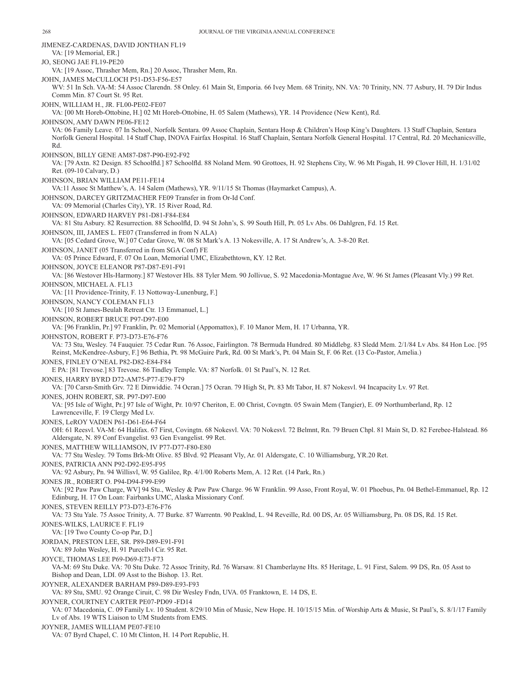JIMENEZ-CARDENAS, DAVID JONTHAN FL19 VA: [19 Memorial, ER.] JO, SEONG JAE FL19-PE20 VA: [19 Assoc, Thrasher Mem, Rn.] 20 Assoc, Thrasher Mem, Rn. JOHN, JAMES McCULLOCH P51-D53-F56-E57 WV: 51 In Sch. VA-M: 54 Assoc Clarendn. 58 Onley. 61 Main St, Emporia. 66 Ivey Mem. 68 Trinity, NN. VA: 70 Trinity, NN. 77 Asbury, H. 79 Dir Indus Comm Min. 87 Court St. 95 Ret. JOHN, WILLIAM H., JR. FL00-PE02-FE07 VA: [00 Mt Horeb-Ottobine, H.] 02 Mt Horeb-Ottobine, H. 05 Salem (Mathews), YR. 14 Providence (New Kent), Rd. JOHNSON, AMY DAWN PE06-FE12 VA: 06 Family Leave. 07 In School, Norfolk Sentara. 09 Assoc Chaplain, Sentara Hosp & Children's Hosp King's Daughters. 13 Staff Chaplain, Sentara Norfolk General Hospital. 14 Staff Chap, INOVA Fairfax Hospital. 16 Staff Chaplain, Sentara Norfolk General Hospital. 17 Central, Rd. 20 Mechanicsville, Rd. JOHNSON, BILLY GENE AM87-D87-P90-E92-F92 VA: [79 Axtn. 82 Design. 85 Schoolfld.] 87 Schoolfld. 88 Noland Mem. 90 Grottoes, H. 92 Stephens City, W. 96 Mt Pisgah, H. 99 Clover Hill, H. 1/31/02 Ret. (09-10 Calvary, D.) JOHNSON, BRIAN WILLIAM PE11-FE14 VA:11 Assoc St Matthew's, A. 14 Salem (Mathews), YR. 9/11/15 St Thomas (Haymarket Campus), A. JOHNSON, DARCEY GRITZMACHER FE09 Transfer in from Or-Id Conf. VA: 09 Memorial (Charles City), YR. 15 River Road, Rd. JOHNSON, EDWARD HARVEY P81-D81-F84-E84 VA: 81 Stu Asbury. 82 Resurrection. 88 Schoolfld, D. 94 St John's, S. 99 South Hill, Pt. 05 Lv Abs. 06 Dahlgren, Fd. 15 Ret. JOHNSON, III, JAMES L. FE07 (Transferred in from N ALA) VA: [05 Cedard Grove, W.] 07 Cedar Grove, W. 08 St Mark's A. 13 Nokesville, A. 17 St Andrew's, A. 3-8-20 Ret. JOHNSON, JANET (05 Transferred in from SGA Conf) FE VA: 05 Prince Edward, F. 07 On Loan, Memorial UMC, Elizabethtown, KY. 12 Ret. JOHNSON, JOYCE ELEANOR P87-D87-E91-F91 VA: [86 Westover Hls-Harmony.] 87 Westover Hls. 88 Tyler Mem. 90 Jollivue, S. 92 Macedonia-Montague Ave, W. 96 St James (Pleasant Vly.) 99 Ret. JOHNSON, MICHAEL A. FL13 VA: [11 Providence-Trinity, F. 13 Nottoway-Lunenburg, F.] JOHNSON, NANCY COLEMAN FL13 VA: [10 St James-Beulah Retreat Ctr. 13 Emmanuel, L.] JOHNSON, ROBERT BRUCE P97-D97-E00 VA: [96 Franklin, Pr.] 97 Franklin, Pr. 02 Memorial (Appomattox), F. 10 Manor Mem, H. 17 Urbanna, YR. JOHNSTON, ROBERT F. P73-D73-E76-F76 VA: 73 Stu, Wesley. 74 Fauquier. 75 Cedar Run. 76 Assoc, Fairlington. 78 Bermuda Hundred. 80 Middlebg. 83 Sledd Mem. 2/1/84 Lv Abs. 84 Hon Loc. [95 Reinst, McKendree-Asbury, F.] 96 Bethia, Pt. 98 McGuire Park, Rd. 00 St Mark's, Pt. 04 Main St, F. 06 Ret. (13 Co-Pastor, Amelia.) JONES, FINLEY O'NEAL P82-D82-E84-F84 E PA: [81 Trevose.] 83 Trevose. 86 Tindley Temple. VA: 87 Norfolk. 01 St Paul's, N. 12 Ret. JONES, HARRY BYRD D72-AM75-P77-E79-F79 VA: [70 Carsn-Smith Grv. 72 E Dinwiddie. 74 Ocran.] 75 Ocran. 79 High St, Pt. 83 Mt Tabor, H. 87 Nokesvl. 94 Incapacity Lv. 97 Ret. JONES, JOHN ROBERT, SR. P97-D97-E00 VA: [95 Isle of Wight, Pr.] 97 Isle of Wight, Pr. 10/97 Cheriton, E. 00 Christ, Covngtn. 05 Swain Mem (Tangier), E. 09 Northumberland, Rp. 12 Lawrenceville, F. 19 Clergy Med Lv. JONES, LeROY VADEN P61-D61-E64-F64 OH: 61 Reesvl. VA-M: 64 Halifax. 67 First, Covingtn. 68 Nokesvl. VA: 70 Nokesvl. 72 Belmnt, Rn. 79 Bruen Chpl. 81 Main St, D. 82 Ferebee-Halstead. 86 Aldersgate, N. 89 Conf Evangelist. 93 Gen Evangelist. 99 Ret. JONES, MATTHEW WILLIAMSON, IV P77-D77-F80-E80 VA: 77 Stu Wesley. 79 Toms Brk-Mt Olive. 85 Blvd. 92 Pleasant Vly, Ar. 01 Aldersgate, C. 10 Williamsburg, YR.20 Ret. JONES, PATRICIA ANN P92-D92-E95-F95 VA: 92 Asbury, Pn. 94 Willisvl, W. 95 Galilee, Rp. 4/1/00 Roberts Mem, A. 12 Ret. (14 Park, Rn.) JONES JR., ROBERT O. P94-D94-F99-E99 VA: [92 Paw Paw Charge, WV] 94 Stu., Wesley & Paw Paw Charge. 96 W Franklin. 99 Asso, Front Royal, W. 01 Phoebus, Pn. 04 Bethel-Emmanuel, Rp. 12 Edinburg, H. 17 On Loan: Fairbanks UMC, Alaska Missionary Conf. JONES, STEVEN REILLY P73-D73-E76-F76 VA: 73 Stu Yale. 75 Assoc Trinity, A. 77 Burke. 87 Warrentn. 90 Peaklnd, L. 94 Reveille, Rd. 00 DS, Ar. 05 Williamsburg, Pn. 08 DS, Rd. 15 Ret. JONES-WILKS, LAURICE F. FL19 VA: [19 Two County Co-op Par, D.] JORDAN, PRESTON LEE, SR. P89-D89-E91-F91 VA: 89 John Wesley, H. 91 Purcellvl Cir. 95 Ret. JOYCE, THOMAS LEE P69-D69-E73-F73 VA-M: 69 Stu Duke. VA: 70 Stu Duke. 72 Assoc Trinity, Rd. 76 Warsaw. 81 Chamberlayne Hts. 85 Heritage, L. 91 First, Salem. 99 DS, Rn. 05 Asst to Bishop and Dean, LDI. 09 Asst to the Bishop. 13. Ret. JOYNER, ALEXANDER BARHAM P89-D89-E93-F93 VA: 89 Stu, SMU. 92 Orange Ciruit, C. 98 Dir Wesley Fndn, UVA. 05 Franktown, E. 14 DS, E. JOYNER, COURTNEY CARTER PE07-PD09 -FD14 VA: 07 Macedonia, C. 09 Family Lv. 10 Student. 8/29/10 Min of Music, New Hope. H. 10/15/15 Min. of Worship Arts & Music, St Paul's, S. 8/1/17 Family Lv of Abs. 19 WTS Liaison to UM Students from EMS. JOYNER, JAMES WILLIAM PE07-FE10 VA: 07 Byrd Chapel, C. 10 Mt Clinton, H. 14 Port Republic, H.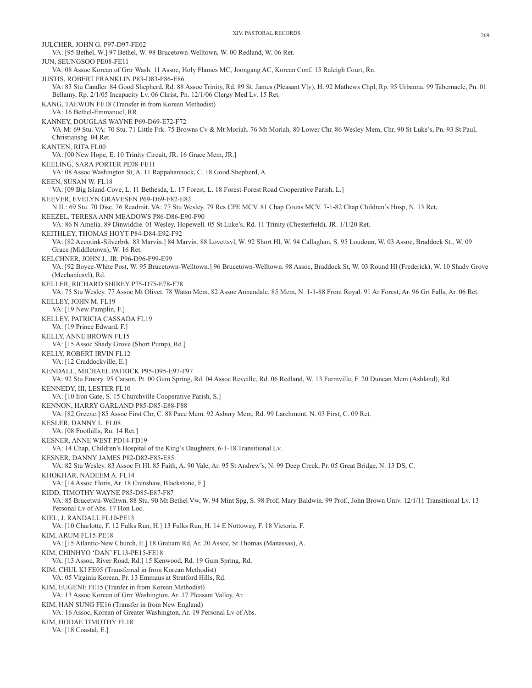JULCHER, JOHN G. P97-D97-FE02 VA: [95 Bethel, W.] 97 Bethel, W. 98 Brucetown-Welltown, W. 00 Redland, W. 06 Ret. JUN, SEUNGSOO PE08-FE11 VA: 08 Assoc Korean of Grtr Wash. 11 Assoc, Holy Flames MC, Joongang AC, Korean Conf. 15 Raleigh Court, Rn. JUSTIS, ROBERT FRANKLIN P83-D83-F86-E86 VA: 83 Stu Candler. 84 Good Shepherd, Rd. 88 Assoc Trinity, Rd. 89 St. James (Pleasant Vly), H. 92 Mathews Chpl, Rp. 95 Urbanna. 99 Tabernacle, Pn. 01 Bellamy, Rp. 2/1/05 Incapacity Lv. 06 Christ, Pn. 12/1/06 Clergy Med Lv. 15 Ret. KANG, TAEWON FE18 (Transfer in from Korean Methodist) VA: 16 Bethel-Emmanuel, RR. KANNEY, DOUGLAS WAYNE P69-D69-E72-F72 VA-M: 69 Stu. VA: 70 Stu. 71 Little Frk. 75 Browns Cv & Mt Moriah. 76 Mt Moriah. 80 Lower Chr. 86 Wesley Mem, Chr. 90 St Luke's, Pn. 93 St Paul, Christiansbg. 04 Ret. KANTEN, RITA FL00 VA: [00 New Hope, E. 10 Trinity Circuit, JR. 16 Grace Mem, JR.] KEELING, SARA PORTER PE08-FE11 VA: 08 Assoc Washington St, A. 11 Rappahannock, C. 18 Good Shepherd, A. KEEN, SUSAN W. FL18 VA: [09 Big Island-Cove, L. 11 Bethesda, L. 17 Forest, L. 18 Forest-Forest Road Cooperative Parish, L.] KEEVER, EVELYN GRAVESEN P69-D69-F82-E82 N IL: 69 Stu. 70 Disc. 76 Readmit. VA: 77 Stu Wesley. 79 Res CPE MCV. 81 Chap Couns MCV. 7-1-82 Chap Children's Hosp, N. 13 Ret, KEEZEL, TERESA ANN MEADOWS P86-D86-E90-F90 VA: 86 N Amelia. 89 Dinwiddie. 01 Wesley, Hopewell. 05 St Luke's, Rd. 11 Trinity (Chesterfield), JR. 1/1/20 Ret. KEITHLEY, THOMAS HOYT P84-D84-E92-F92 VA: [82 Accotink-Silverbrk. 83 Marvin.] 84 Marvin. 88 Lovettsvl, W. 92 Short Hl, W. 94 Callaghan, S. 95 Loudoun, W. 03 Assoc, Braddock St., W. 09 Grace (Middletown), W. 16 Ret. KELCHNER, JOHN J., JR. P96-D96-F99-E99 VA: [92 Boyce-White Post, W. 95 Brucetown-Welltown.] 96 Brucetown-Welltown. 98 Assoc, Braddock St, W. 03 Round Hl (Frederick), W. 10 Shady Grove (Mechanicsvl), Rd. KELLER, RICHARD SHIREY P75-D75-E78-F78 VA: 75 Stu Wesley. 77 Assoc Mt Olivet. 78 Watsn Mem. 82 Assoc Annandale. 85 Mem, N. 1-1-88 Front Royal. 91 Ar Forest, Ar. 96 Grt Falls, Ar. 06 Ret. KELLEY, JOHN M. FL19 VA: [19 New Pamplin, F.] KELLEY, PATRICIA CASSADA FL19 VA: [19 Prince Edward, F.] KELLY, ANNE BROWN FL15 VA: [15 Assoc Shady Grove (Short Pump), Rd.] KELLY, ROBERT IRVIN FL12 VA: [12 Craddockville, E.] KENDALL, MICHAEL PATRICK P95-D95-E97-F97 VA: 92 Stu Emory. 95 Carson, Pt. 00 Gum Spring, Rd. 04 Assoc Reveille, Rd. 06 Redland, W. 13 Farmville, F. 20 Duncan Mem (Ashland), Rd. KENNEDY, III, LESTER FL10 VA: [10 Iron Gate, S. 15 Churchville Cooperative Parish, S.] KENNON, HARRY GARLAND P85-D85-E88-F88 VA: [82 Greene.] 85 Assoc First Chr, C. 88 Pace Mem. 92 Asbury Mem, Rd. 99 Larchmont, N. 03 First, C. 09 Ret. KESLER, DANNY L. FL08 VA: [08 Foothills, Rn. 14 Ret.] KESNER, ANNE WEST PD14-FD19 VA: 14 Chap, Children's Hospital of the King's Daughters. 6-1-18 Transitional Lv. KESNER, DANNY JAMES P82-D82-F85-E85 VA: 82 Stu Wesley. 83 Assoc Ft Hl. 85 Faith, A. 90 Vale, Ar. 95 St Andrew's, N. 99 Deep Creek, Pr. 05 Great Bridge, N. 13 DS, C. KHOKHAR, NADEEM A. FL14 VA: [14 Assoc Floris, Ar. 18 Crenshaw, Blackstone, F.] KIDD, TIMOTHY WAYNE P85-D85-E87-F87 VA: 85 Brucetwn-Welltwn. 88 Stu. 90 Mt Bethel Vw, W. 94 Mint Spg, S. 98 Prof, Mary Baldwin. 99 Prof., John Brown Univ. 12/1/11 Transitional Lv. 13 Personal Lv of Abs. 17 Hon Loc. KIEL, J. RANDALL FL10-PE13 VA: [10 Charlotte, F. 12 Fulks Run, H.] 13 Fulks Run, H. 14 E Nottoway, F. 18 Victoria, F. KIM, ARUM FL15-PE18 VA: [15 Atlantic-New Church, E.] 18 Graham Rd, Ar. 20 Assoc, St Thomas (Manassas), A. KIM, CHINHYO 'DAN' FL13-PE15-FE18 VA: [13 Assoc, River Road, Rd.] 15 Kenwood, Rd. 19 Gum Spring, Rd. KIM, CHUL KI FE05 (Transferred in from Korean Methodist) VA: 05 Virginia Korean, Pr. 13 Emmaus at Stratford Hills, Rd. KIM, EUGENE FE15 (Tranfer in from Korean Methodist) VA: 13 Assoc Korean of Grtr Washington, Ar. 17 Pleasant Valley, Ar. KIM, HAN SUNG FE16 (Transfer in from New England) VA: 16 Assoc, Korean of Greater Washington, Ar. 19 Personal Lv of Abs. KIM, HODAE TIMOTHY FL18 VA: [18 Coastal, E.]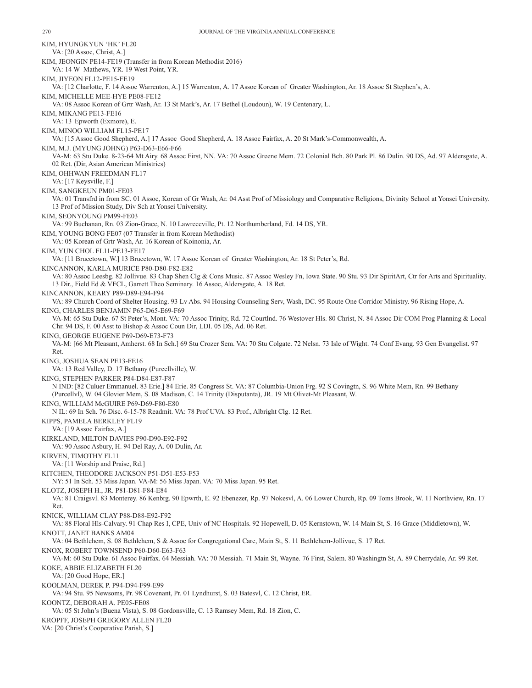KIM, HYUNGKYUN 'HK' FL20 VA: [20 Assoc, Christ, A.] KIM, JEONGIN PE14-FE19 (Transfer in from Korean Methodist 2016) VA: 14 W Mathews, YR. 19 West Point, YR. KIM, JIYEON FL12-PE15-FE19 VA: [12 Charlotte, F. 14 Assoc Warrenton, A.] 15 Warrenton, A. 17 Assoc Korean of Greater Washington, Ar. 18 Assoc St Stephen's, A. KIM, MICHELLE MEE-HYE PE08-FE12 VA: 08 Assoc Korean of Grtr Wash, Ar. 13 St Mark's, Ar. 17 Bethel (Loudoun), W. 19 Centenary, L. KIM, MIKANG PE13-FE16 VA: 13 Epworth (Exmore), E. KIM, MINOO WILLIAM FL15-PE17 VA: [15 Assoc Good Shepherd, A.] 17 Assoc Good Shepherd, A. 18 Assoc Fairfax, A. 20 St Mark's-Commonwealth, A. KIM, M.J. (MYUNG JOHNG) P63-D63-E66-F66 VA-M: 63 Stu Duke. 8-23-64 Mt Airy. 68 Assoc First, NN. VA: 70 Assoc Greene Mem. 72 Colonial Bch. 80 Park Pl. 86 Dulin. 90 DS, Ad. 97 Aldersgate, A. 02 Ret. (Dir, Asian American Ministries) KIM, OHHWAN FREEDMAN FL17 VA: [17 Keysville, F.] KIM, SANGKEUN PM01-FE03 VA: 01 Transfrd in from SC. 01 Assoc, Korean of Gr Wash, Ar. 04 Asst Prof of Missiology and Comparative Religions, Divinity School at Yonsei University. 13 Prof of Mission Study, Div Sch at Yonsei University. KIM, SEONYOUNG PM99-FE03 VA: 99 Buchanan, Rn. 03 Zion-Grace, N. 10 Lawreceville, Pt. 12 Northumberland, Fd. 14 DS, YR. KIM, YOUNG BONG FE07 (07 Transfer in from Korean Methodist) VA: 05 Korean of Grtr Wash, Ar. 16 Korean of Koinonia, Ar. KIM, YUN CHOL FL11-PE13-FE17 VA: [11 Brucetown, W.] 13 Brucetown, W. 17 Assoc Korean of Greater Washington, Ar. 18 St Peter's, Rd. KINCANNON, KARLA MURICE P80-D80-F82-E82 VA: 80 Assoc Leesbg. 82 Jollivue. 83 Chap Shen Clg & Cons Music. 87 Assoc Wesley Fn, Iowa State. 90 Stu. 93 Dir SpiritArt, Ctr for Arts and Spirituality. 13 Dir., Field Ed & VFCL, Garrett Theo Seminary. 16 Assoc, Aldersgate, A. 18 Ret. KINCANNON, KEARY P89-D89-E94-F94 VA: 89 Church Coord of Shelter Housing. 93 Lv Abs. 94 Housing Counseling Serv, Wash, DC. 95 Route One Corridor Ministry. 96 Rising Hope, A. KING, CHARLES BENJAMIN P65-D65-E69-F69 VA-M: 65 Stu Duke. 67 St Peter's, Mont. VA: 70 Assoc Trinity, Rd. 72 Courtlnd. 76 Westover Hls. 80 Christ, N. 84 Assoc Dir COM Prog Planning & Local Chr. 94 DS, F. 00 Asst to Bishop & Assoc Coun Dir, LDI. 05 DS, Ad. 06 Ret. KING, GEORGE EUGENE P69-D69-E73-F73 VA-M: [66 Mt Pleasant, Amherst. 68 In Sch.] 69 Stu Crozer Sem. VA: 70 Stu Colgate. 72 Nelsn. 73 Isle of Wight. 74 Conf Evang. 93 Gen Evangelist. 97 Ret. KING, JOSHUA SEAN PE13-FE16 VA: 13 Red Valley, D. 17 Bethany (Purcellville), W. KING, STEPHEN PARKER P84-D84-E87-F87 N IND: [82 Culuer Emmanuel. 83 Erie.] 84 Erie. 85 Congress St. VA: 87 Columbia-Union Frg. 92 S Covingtn, S. 96 White Mem, Rn. 99 Bethany (Purcellvl), W. 04 Glovier Mem, S. 08 Madison, C. 14 Trinity (Disputanta), JR. 19 Mt Olivet-Mt Pleasant, W. KING, WILLIAM McGUIRE P69-D69-F80-E80 N IL: 69 In Sch. 76 Disc. 6-15-78 Readmit. VA: 78 Prof UVA. 83 Prof., Albright Clg. 12 Ret. KIPPS, PAMELA BERKLEY FL19 VA: [19 Assoc Fairfax, A.] KIRKLAND, MILTON DAVIES P90-D90-E92-F92 VA: 90 Assoc Asbury, H. 94 Del Ray, A. 00 Dulin, Ar. KIRVEN, TIMOTHY FL11 VA: [11 Worship and Praise, Rd.] KITCHEN, THEODORE JACKSON P51-D51-E53-F53 NY: 51 In Sch. 53 Miss Japan. VA-M: 56 Miss Japan. VA: 70 Miss Japan. 95 Ret. KLOTZ, JOSEPH H., JR. P81-D81-F84-E84 VA: 81 Craigsvl. 83 Monterey. 86 Kenbrg. 90 Epwrth, E. 92 Ebenezer, Rp. 97 Nokesvl, A. 06 Lower Church, Rp. 09 Toms Brook, W. 11 Northview, Rn. 17 Ret. KNICK, WILLIAM CLAY P88-D88-E92-F92 VA: 88 Floral Hls-Calvary. 91 Chap Res I, CPE, Univ of NC Hospitals. 92 Hopewell, D. 05 Kernstown, W. 14 Main St, S. 16 Grace (Middletown), W. KNOTT, JANET BANKS AM04 VA: 04 Bethlehem, S. 08 Bethlehem, S & Assoc for Congregational Care, Main St, S. 11 Bethlehem-Jollivue, S. 17 Ret. KNOX, ROBERT TOWNSEND P60-D60-E63-F63 VA-M: 60 Stu Duke. 61 Assoc Fairfax. 64 Messiah. VA: 70 Messiah. 71 Main St, Wayne. 76 First, Salem. 80 Washingtn St, A. 89 Cherrydale, Ar. 99 Ret. KOKE, ABBIE ELIZABETH FL20 VA: [20 Good Hope, ER.] KOOLMAN, DEREK P. P94-D94-F99-E99 VA: 94 Stu. 95 Newsoms, Pr. 98 Covenant, Pr. 01 Lyndhurst, S. 03 Batesvl, C. 12 Christ, ER. KOONTZ, DEBORAH A. PE05-FE08 VA: 05 St John's (Buena Vista), S. 08 Gordonsville, C. 13 Ramsey Mem, Rd. 18 Zion, C. KROPFF, JOSEPH GREGORY ALLEN FL20 VA: [20 Christ's Cooperative Parish, S.]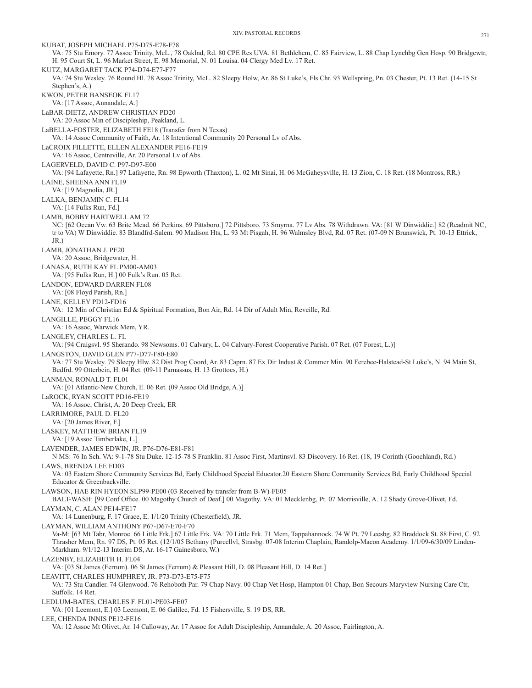KUBAT, JOSEPH MICHAEL P75-D75-E78-F78 VA: 75 Stu Emory. 77 Assoc Trinity, McL., 78 Oaklnd, Rd. 80 CPE Res UVA. 81 Bethlehem, C. 85 Fairview, L. 88 Chap Lynchbg Gen Hosp. 90 Bridgewtr, H. 95 Court St, L. 96 Market Street, E. 98 Memorial, N. 01 Louisa. 04 Clergy Med Lv. 17 Ret. KUTZ, MARGARET TACK P74-D74-E77-F77 VA: 74 Stu Wesley. 76 Round Hl. 78 Assoc Trinity, McL. 82 Sleepy Holw, Ar. 86 St Luke's, Fls Chr. 93 Wellspring, Pn. 03 Chester, Pt. 13 Ret. (14-15 St Stephen's, A.) KWON, PETER BANSEOK FL17 VA: [17 Assoc, Annandale, A.] LaBAR-DIETZ, ANDREW CHRISTIAN PD20 VA: 20 Assoc Min of Discipleship, Peakland, L. LaBELLA-FOSTER, ELIZABETH FE18 (Transfer from N Texas) VA: 14 Assoc Community of Faith, Ar. 18 Intentional Community 20 Personal Lv of Abs. LaCROIX FILLETTE, ELLEN ALEXANDER PE16-FE19 VA: 16 Assoc, Centreville, Ar. 20 Personal Lv of Abs. LAGERVELD, DAVID C. P97-D97-E00 VA: [94 Lafayette, Rn.] 97 Lafayette, Rn. 98 Epworth (Thaxton), L. 02 Mt Sinai, H. 06 McGaheysville, H. 13 Zion, C. 18 Ret. (18 Montross, RR.) LAINE, SHEENA ANN FL19 VA: [19 Magnolia, JR.] LALKA, BENJAMIN C. FL14 VA: [14 Fulks Run, Fd.] LAMB, BOBBY HARTWELL AM 72 NC: [62 Ocean Vw. 63 Brite Mead. 66 Perkins. 69 Pittsboro.] 72 Pittsboro. 73 Smyrna. 77 Lv Abs. 78 Withdrawn. VA: [81 W Dinwiddie.] 82 (Readmit NC, tr to VA) W Dinwiddie. 83 Blandfrd-Salem. 90 Madison Hts, L. 93 Mt Pisgah, H. 96 Walmsley Blvd, Rd. 07 Ret. (07-09 N Brunswick, Pt. 10-13 Ettrick, JR.) LAMB, JONATHAN J. PE20 VA: 20 Assoc, Bridgewater, H. LANASA, RUTH KAY FL PM00-AM03 VA: [95 Fulks Run, H.] 00 Fulk's Run. 05 Ret. LANDON, EDWARD DARREN FL08 VA: [08 Floyd Parish, Rn.] LANE, KELLEY PD12-FD16 VA: 12 Min of Christian Ed & Spiritual Formation, Bon Air, Rd. 14 Dir of Adult Min, Reveille, Rd. LANGILLE, PEGGY FL16 VA: 16 Assoc, Warwick Mem, YR. LANGLEY, CHARLES L. FL VA: [94 Craigsvl. 95 Sherando. 98 Newsoms. 01 Calvary, L. 04 Calvary-Forest Cooperative Parish. 07 Ret. (07 Forest, L.)] LANGSTON, DAVID GLEN P77-D77-F80-E80 VA: 77 Stu Wesley. 79 Sleepy Hlw. 82 Dist Prog Coord, Ar. 83 Caprn. 87 Ex Dir Indust & Commer Min. 90 Ferebee-Halstead-St Luke's, N. 94 Main St, Bedfrd. 99 Otterbein, H. 04 Ret. (09-11 Parnassus, H. 13 Grottoes, H.) LANMAN, RONALD T. FL01 VA: [01 Atlantic-New Church, E. 06 Ret. (09 Assoc Old Bridge, A.)] LaROCK, RYAN SCOTT PD16-FE19 VA: 16 Assoc, Christ, A. 20 Deep Creek, ER LARRIMORE, PAUL D. FL20 VA: [20 James River, F.] LASKEY, MATTHEW BRIAN FL19 VA: [19 Assoc Timberlake, L.] LAVENDER, JAMES EDWIN, JR. P76-D76-E81-F81 N MS: 76 In Sch. VA: 9-1-78 Stu Duke. 12-15-78 S Franklin. 81 Assoc First, Martinsvl. 83 Discovery. 16 Ret. (18, 19 Corinth (Goochland), Rd.) LAWS, BRENDA LEE FD03 VA: 03 Eastern Shore Community Services Bd, Early Childhood Special Educator.20 Eastern Shore Community Services Bd, Early Childhood Special Educator & Greenbackville. LAWSON, HAE RIN HYEON SLP99-PE00 (03 Received by transfer from B-W)-FE05 BALT-WASH: [99 Conf Office. 00 Magothy Church of Deaf.] 00 Magothy. VA: 01 Mecklenbg, Pt. 07 Morrisville, A. 12 Shady Grove-Olivet, Fd. LAYMAN, C. ALAN PE14-FE17 VA: 14 Lunenburg, F. 17 Grace, E. 1/1/20 Trinity (Chesterfield), JR. LAYMAN, WILLIAM ANTHONY P67-D67-E70-F70 Va-M: [63 Mt Tabr, Monroe. 66 Little Frk.] 67 Little Frk. VA: 70 Little Frk. 71 Mem, Tappahannock. 74 W Pt. 79 Leesbg. 82 Braddock St. 88 First, C. 92 Thrasher Mem, Rn. 97 DS, Pt. 05 Ret. (12/1/05 Bethany (Purcellvl, Strasbg. 07-08 Interim Chaplain, Randolp-Macon Academy. 1/1/09-6/30/09 Linden-Markham. 9/1/12-13 Interim DS, Ar. 16-17 Gainesboro, W.) LAZENBY, ELIZABETH H. FL04 VA: [03 St James (Ferrum). 06 St James (Ferrum) & Pleasant Hill, D. 08 Pleasant Hill, D. 14 Ret.] LEAVITT, CHARLES HUMPHREY, JR. P73-D73-E75-F75 VA: 73 Stu Candler. 74 Glenwood. 76 Rehoboth Par. 79 Chap Navy. 00 Chap Vet Hosp, Hampton 01 Chap, Bon Secours Maryview Nursing Care Ctr, Suffolk. 14 Ret. LEDLUM-BATES, CHARLES F. FL01-PE03-FE07 VA: [01 Leemont, E.] 03 Leemont, E. 06 Galilee, Fd. 15 Fishersville, S. 19 DS, RR. LEE, CHENDA INNIS PE12-FE16 VA: 12 Assoc Mt Olivet, Ar. 14 Calloway, Ar. 17 Assoc for Adult Discipleship, Annandale, A. 20 Assoc, Fairlington, A.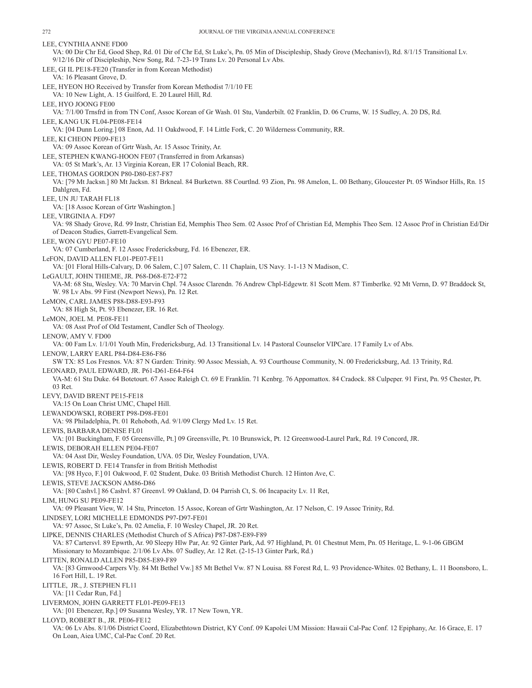LEE, CYNTHIA ANNE FD00 VA: 00 Dir Chr Ed, Good Shep, Rd. 01 Dir of Chr Ed, St Luke's, Pn. 05 Min of Discipleship, Shady Grove (Mechanisvl), Rd. 8/1/15 Transitional Lv. 9/12/16 Dir of Discipleship, New Song, Rd. 7-23-19 Trans Lv. 20 Personal Lv Abs. LEE, GI IL PE18-FE20 (Transfer in from Korean Methodist) VA: 16 Pleasant Grove, D. LEE, HYEON HO Received by Transfer from Korean Methodist 7/1/10 FE VA: 10 New Light, A. 15 Guilford, E. 20 Laurel Hill, Rd. LEE, HYO JOONG FE00 VA: 7/1/00 Trnsfrd in from TN Conf, Assoc Korean of Gr Wash. 01 Stu, Vanderbilt. 02 Franklin, D. 06 Crums, W. 15 Sudley, A. 20 DS, Rd. LEE, KANG UK FL04-PE08-FE14 VA: [04 Dunn Loring.] 08 Enon, Ad. 11 Oakdwood, F. 14 Little Fork, C. 20 Wilderness Community, RR. LEE, KI CHEON PE09-FE13 VA: 09 Assoc Korean of Grtr Wash, Ar. 15 Assoc Trinity, Ar. LEE, STEPHEN KWANG-HOON FE07 (Transferred in from Arkansas) VA: 05 St Mark's, Ar. 13 Virginia Korean, ER 17 Colonial Beach, RR. LEE, THOMAS GORDON P80-D80-E87-F87 VA: [79 Mt Jacksn.] 80 Mt Jacksn. 81 Brkneal. 84 Burketwn. 88 Courtlnd. 93 Zion, Pn. 98 Amelon, L. 00 Bethany, Gloucester Pt. 05 Windsor Hills, Rn. 15 Dahlgren, Fd. LEE, UN JU TARAH FL18 VA: [18 Assoc Korean of Grtr Washington.] LEE, VIRGINIA A. FD97 VA: 98 Shady Grove, Rd. 99 Instr, Christian Ed, Memphis Theo Sem. 02 Assoc Prof of Christian Ed, Memphis Theo Sem. 12 Assoc Prof in Christian Ed/Dir of Deacon Studies, Garrett-Evangelical Sem. LEE, WON GYU PE07-FE10 VA: 07 Cumberland, F. 12 Assoc Fredericksburg, Fd. 16 Ebenezer, ER. LeFON, DAVID ALLEN FL01-PE07-FE11 VA: [01 Floral Hills-Calvary, D. 06 Salem, C.] 07 Salem, C. 11 Chaplain, US Navy. 1-1-13 N Madison, C. LeGAULT, JOHN THIEME, JR. P68-D68-E72-F72 VA-M: 68 Stu, Wesley. VA: 70 Marvin Chpl. 74 Assoc Clarendn. 76 Andrew Chpl-Edgewtr. 81 Scott Mem. 87 Timberlke. 92 Mt Vernn, D. 97 Braddock St, W. 98 Lv Abs. 99 First (Newport News), Pn. 12 Ret. LeMON, CARL JAMES P88-D88-E93-F93 VA: 88 High St, Pt. 93 Ebenezer, ER. 16 Ret. LeMON, JOEL M. PE08-FE11 VA: 08 Asst Prof of Old Testament, Candler Sch of Theology. LENOW, AMY V. FD00 VA: 00 Fam Lv. 1/1/01 Youth Min, Fredericksburg, Ad. 13 Transitional Lv. 14 Pastoral Counselor VIPCare. 17 Family Lv of Abs. LENOW, LARRY EARL P84-D84-E86-F86 SW TX: 85 Los Fresnos. VA: 87 N Garden: Trinity. 90 Assoc Messiah, A. 93 Courthouse Community, N. 00 Fredericksburg, Ad. 13 Trinity, Rd. LEONARD, PAUL EDWARD, JR. P61-D61-E64-F64 VA-M: 61 Stu Duke. 64 Botetourt. 67 Assoc Raleigh Ct. 69 E Franklin. 71 Kenbrg. 76 Appomattox. 84 Cradock. 88 Culpeper. 91 First, Pn. 95 Chester, Pt. 03 Ret. LEVY, DAVID BRENT PE15-FE18 VA:15 On Loan Christ UMC, Chapel Hill. LEWANDOWSKI, ROBERT P98-D98-FE01 VA: 98 Philadelphia, Pt. 01 Rehoboth, Ad. 9/1/09 Clergy Med Lv. 15 Ret. LEWIS, BARBARA DENISE FL01 VA: [01 Buckingham, F. 05 Greensville, Pt.] 09 Greensville, Pt. 10 Brunswick, Pt. 12 Greenwood-Laurel Park, Rd. 19 Concord, JR. LEWIS, DEBORAH ELLEN PE04-FE07 VA: 04 Asst Dir, Wesley Foundation, UVA. 05 Dir, Wesley Foundation, UVA. LEWIS, ROBERT D. FE14 Transfer in from British Methodist VA: [98 Hyco, F.] 01 Oakwood, F. 02 Student, Duke. 03 British Methodist Church. 12 Hinton Ave, C. LEWIS, STEVE JACKSON AM86-D86 VA: [80 Cashvl.] 86 Cashvl. 87 Greenvl. 99 Oakland, D. 04 Parrish Ct, S. 06 Incapacity Lv. 11 Ret, LIM, HUNG SU PE09-FE12 VA: 09 Pleasant View, W. 14 Stu, Princeton. 15 Assoc, Korean of Grtr Washington, Ar. 17 Nelson, C. 19 Assoc Trinity, Rd. LINDSEY, LORI MICHELLE EDMONDS P97-D97-FE01 VA: 97 Assoc, St Luke's, Pn. 02 Amelia, F. 10 Wesley Chapel, JR. 20 Ret. LIPKE, DENNIS CHARLES (Methodist Church of S Africa) P87-D87-E89-F89 VA: 87 Cartersvl. 89 Epwrth, Ar. 90 Sleepy Hlw Par, Ar. 92 Ginter Park, Ad. 97 Highland, Pt. 01 Chestnut Mem, Pn. 05 Heritage, L. 9-1-06 GBGM Missionary to Mozambique. 2/1/06 Lv Abs. 07 Sudley, Ar. 12 Ret. (2-15-13 Ginter Park, Rd.) LITTEN, RONALD ALLEN P85-D85-E89-F89 VA: [83 Grnwood-Carpers Vly. 84 Mt Bethel Vw.] 85 Mt Bethel Vw. 87 N Louisa. 88 Forest Rd, L. 93 Providence-Whites. 02 Bethany, L. 11 Boonsboro, L. 16 Fort Hill, L. 19 Ret. LITTLE, JR., J. STEPHEN FL11 VA: [11 Cedar Run, Fd.] LIVERMON, JOHN GARRETT FL01-PE09-FE13 VA: [01 Ebenezer, Rp.] 09 Susanna Wesley, YR. 17 New Town, YR. LLOYD, ROBERT B., JR. PE06-FE12 VA: 06 Lv Abs. 8/1/06 District Coord, Elizabethtown District, KY Conf. 09 Kapolei UM Mission: Hawaii Cal-Pac Conf. 12 Epiphany, Ar. 16 Grace, E. 17 On Loan, Aiea UMC, Cal-Pac Conf. 20 Ret.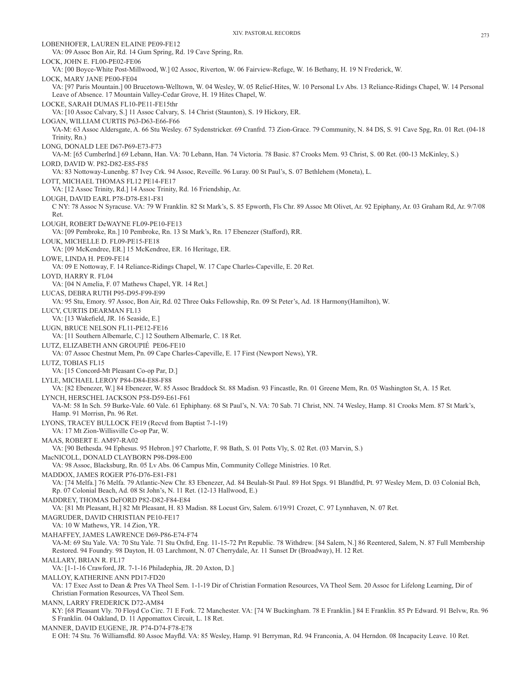LOBENHOFER, LAUREN ELAINE PE09-FE12 VA: 09 Assoc Bon Air, Rd. 14 Gum Spring, Rd. 19 Cave Spring, Rn. LOCK, JOHN E. FL00-PE02-FE06 VA: [00 Boyce-White Post-Millwood, W.] 02 Assoc, Riverton, W. 06 Fairview-Refuge, W. 16 Bethany, H. 19 N Frederick, W. LOCK, MARY JANE PE00-FE04 VA: [97 Paris Mountain.] 00 Brucetown-Welltown, W. 04 Wesley, W. 05 Relief-Hites, W. 10 Personal Lv Abs. 13 Reliance-Ridings Chapel, W. 14 Personal Leave of Absence. 17 Mountain Valley-Cedar Grove, H. 19 Hites Chapel, W. LOCKE, SARAH DUMAS FL10-PE11-FE15thr VA: [10 Assoc Calvary, S.] 11 Assoc Calvary, S. 14 Christ (Staunton), S. 19 Hickory, ER. LOGAN, WILLIAM CURTIS P63-D63-E66-F66 VA-M: 63 Assoc Aldersgate, A. 66 Stu Wesley. 67 Sydenstricker. 69 Cranfrd. 73 Zion-Grace. 79 Community, N. 84 DS, S. 91 Cave Spg, Rn. 01 Ret. (04-18 Trinity, Rn.) LONG, DONALD LEE D67-P69-E73-F73 VA-M: [65 Cumberlnd.] 69 Lebann, Han. VA: 70 Lebann, Han. 74 Victoria. 78 Basic. 87 Crooks Mem. 93 Christ, S. 00 Ret. (00-13 McKinley, S.) LORD, DAVID W. P82-D82-E85-F85 VA: 83 Nottoway-Lunenbg. 87 Ivey Crk. 94 Assoc, Reveille. 96 Luray. 00 St Paul's, S. 07 Bethlehem (Moneta), L. LOTT, MICHAEL THOMAS FL12 PE14-FE17 VA: [12 Assoc Trinity, Rd.] 14 Assoc Trinity, Rd. 16 Friendship, Ar. LOUGH, DAVID EARL P78-D78-E81-F81 C NY: 78 Assoc N Syracuse. VA: 79 W Franklin. 82 St Mark's, S. 85 Epworth, Fls Chr. 89 Assoc Mt Olivet, Ar. 92 Epiphany, Ar. 03 Graham Rd, Ar. 9/7/08 Ret. LOUGH, ROBERT DeWAYNE FL09-PE10-FE13 VA: [09 Pembroke, Rn.] 10 Pembroke, Rn. 13 St Mark's, Rn. 17 Ebenezer (Stafford), RR. LOUK, MICHELLE D. FL09-PE15-FE18 VA: [09 McKendree, ER.] 15 McKendree, ER. 16 Heritage, ER. LOWE, LINDA H. PE09-FE14 VA: 09 E Nottoway, F. 14 Reliance-Ridings Chapel, W. 17 Cape Charles-Capeville, E. 20 Ret. LOYD HARRY R FL04 VA: [04 N Amelia, F. 07 Mathews Chapel, YR. 14 Ret.] LUCAS, DEBRA RUTH P95-D95-F99-E99 VA: 95 Stu, Emory. 97 Assoc, Bon Air, Rd. 02 Three Oaks Fellowship, Rn. 09 St Peter's, Ad. 18 Harmony(Hamilton), W. LUCY, CURTIS DEARMAN FL13 VA: [13 Wakefield, JR. 16 Seaside, E.] LUGN, BRUCE NELSON FL11-PE12-FE16 VA: [11 Southern Albemarle, C.] 12 Southern Albemarle, C. 18 Ret. LUTZ, ELIZABETH ANN GROUPIÉ PE06-FE10 VA: 07 Assoc Chestnut Mem, Pn. 09 Cape Charles-Capeville, E. 17 First (Newport News), YR. LUTZ, TOBIAS FL15 VA: [15 Concord-Mt Pleasant Co-op Par, D.] LYLE, MICHAEL LEROY P84-D84-E88-F88 VA: [82 Ebenezer, W.] 84 Ebenezer, W. 85 Assoc Braddock St. 88 Madisn. 93 Fincastle, Rn. 01 Greene Mem, Rn. 05 Washington St, A. 15 Ret. LYNCH, HERSCHEL JACKSON P58-D59-E61-F61 VA-M: 58 In Sch. 59 Burke-Vale. 60 Vale. 61 Ephiphany. 68 St Paul's, N. VA: 70 Sab. 71 Christ, NN. 74 Wesley, Hamp. 81 Crooks Mem. 87 St Mark's, Hamp. 91 Morrisn, Pn. 96 Ret. LYONS, TRACEY BULLOCK FE19 (Recvd from Baptist 7-1-19) VA: 17 Mt Zion-Willisville Co-op Par, W. MAAS, ROBERT E. AM97-RA02 VA: [90 Bethesda. 94 Ephesus. 95 Hebron.] 97 Charlotte, F. 98 Bath, S. 01 Potts Vly, S. 02 Ret. (03 Marvin, S.) MacNICOLL, DONALD CLAYBORN P98-D98-E00 VA: 98 Assoc, Blacksburg, Rn. 05 Lv Abs. 06 Campus Min, Community College Ministries. 10 Ret. MADDOX, JAMES ROGER P76-D76-E81-F81 VA: [74 Melfa.] 76 Melfa. 79 Atlantic-New Chr. 83 Ebenezer, Ad. 84 Beulah-St Paul. 89 Hot Spgs. 91 Blandfrd, Pt. 97 Wesley Mem, D. 03 Colonial Bch, Rp. 07 Colonial Beach, Ad. 08 St John's, N. 11 Ret. (12-13 Hallwood, E.) MADDREY, THOMAS DeFORD P82-D82-F84-E84 VA: [81 Mt Pleasant, H.] 82 Mt Pleasant, H. 83 Madisn. 88 Locust Grv, Salem. 6/19/91 Crozet, C. 97 Lynnhaven, N. 07 Ret. MAGRUDER, DAVID CHRISTIAN PE10-FE17 VA: 10 W Mathews, YR. 14 Zion, YR. MAHAFFEY, JAMES LAWRENCE D69-P86-E74-F74 VA-M: 69 Stu Yale. VA: 70 Stu Yale. 71 Stu Oxfrd, Eng. 11-15-72 Prt Republic. 78 Withdrew. [84 Salem, N.] 86 Reentered, Salem, N. 87 Full Membership Restored. 94 Foundry. 98 Dayton, H. 03 Larchmont, N. 07 Cherrydale, Ar. 11 Sunset Dr (Broadway), H. 12 Ret. MALLARY, BRIAN R. FL17 VA: [1-1-16 Crawford, JR. 7-1-16 Philadephia, JR. 20 Axton, D.] MALLOY, KATHERINE ANN PD17-FD20 VA: 17 Exec Asst to Dean & Pres VA Theol Sem. 1-1-19 Dir of Christian Formation Resources, VA Theol Sem. 20 Assoc for Lifelong Learning, Dir of Christian Formation Resources, VA Theol Sem. MANN, LARRY FREDERICK D72-AM84 KY: [68 Pleasant Vly. 70 Floyd Co Circ. 71 E Fork. 72 Manchester. VA: [74 W Buckingham. 78 E Franklin.] 84 E Franklin. 85 Pr Edward. 91 Belvw, Rn. 96 S Franklin. 04 Oakland, D. 11 Appomattox Circuit, L. 18 Ret. MANNER, DAVID EUGENE, JR. P74-D74-F78-E78 E OH: 74 Stu. 76 Williamsfld. 80 Assoc Mayfld. VA: 85 Wesley, Hamp. 91 Berryman, Rd. 94 Franconia, A. 04 Herndon. 08 Incapacity Leave. 10 Ret.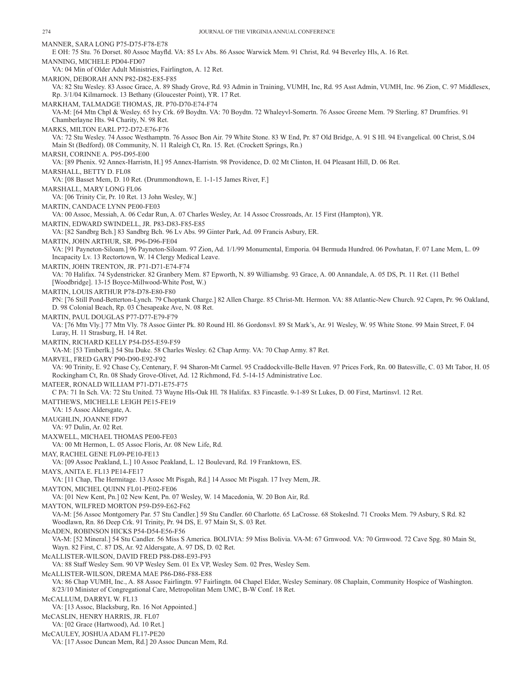MANNER, SARA LONG P75-D75-F78-E78 E OH: 75 Stu. 76 Dorset. 80 Assoc Mayfld. VA: 85 Lv Abs. 86 Assoc Warwick Mem. 91 Christ, Rd. 94 Beverley Hls, A. 16 Ret. MANNING, MICHELE PD04-FD07 VA: 04 Min of Older Adult Ministries, Fairlington, A. 12 Ret. MARION, DEBORAH ANN P82-D82-E85-F85 VA: 82 Stu Wesley. 83 Assoc Grace, A. 89 Shady Grove, Rd. 93 Admin in Training, VUMH, Inc, Rd. 95 Asst Admin, VUMH, Inc. 96 Zion, C. 97 Middlesex, Rp. 3/1/04 Kilmarnock. 13 Bethany (Gloucester Point), YR. 17 Ret. MARKHAM, TALMADGE THOMAS, JR. P70-D70-E74-F74 VA-M: [64 Mtn Chpl & Wesley. 65 Ivy Crk. 69 Boydtn. VA: 70 Boydtn. 72 Whaleyvl-Somertn. 76 Assoc Greene Mem. 79 Sterling. 87 Drumfries. 91 Chamberlayne Hts. 94 Charity, N. 98 Ret. MARKS, MILTON EARL P72-D72-E76-F76 VA: 72 Stu Wesley. 74 Assoc Westhamptn. 76 Assoc Bon Air. 79 White Stone. 83 W End, Pr. 87 Old Bridge, A. 91 S Hl. 94 Evangelical. 00 Christ, S.04 Main St (Bedford). 08 Community, N. 11 Raleigh Ct, Rn. 15. Ret. (Crockett Springs, Rn.) MARSH, CORINNE A. P95-D95-E00 VA: [89 Phenix. 92 Annex-Harristn, H.] 95 Annex-Harristn. 98 Providence, D. 02 Mt Clinton, H. 04 Pleasant Hill, D. 06 Ret. MARSHALL, BETTY D. FL08 VA: [08 Basset Mem, D. 10 Ret. (Drummondtown, E. 1-1-15 James River, F.] MARSHALL, MARY LONG FL06 VA: [06 Trinity Cir, Pr. 10 Ret. 13 John Wesley, W.] MARTIN, CANDACE LYNN PE00-FE03 VA: 00 Assoc, Messiah, A. 06 Cedar Run, A. 07 Charles Wesley, Ar. 14 Assoc Crossroads, Ar. 15 First (Hampton), YR. MARTIN, EDWARD SWINDELL, JR. P83-D83-F85-E85 VA: [82 Sandbrg Bch.] 83 Sandbrg Bch. 96 Lv Abs. 99 Ginter Park, Ad. 09 Francis Asbury, ER. MARTIN, JOHN ARTHUR, SR. P96-D96-FE04 VA: [91 Payneton-Siloam.] 96 Payneton-Siloam. 97 Zion, Ad. 1/1/99 Monumental, Emporia. 04 Bermuda Hundred. 06 Powhatan, F. 07 Lane Mem, L. 09 Incapacity Lv. 13 Rectortown, W. 14 Clergy Medical Leave. MARTIN, JOHN TRENTON, JR. P71-D71-E74-F74 VA: 70 Halifax. 74 Sydenstricker. 82 Granbery Mem. 87 Epworth, N. 89 Williamsbg. 93 Grace, A. 00 Annandale, A. 05 DS, Pt. 11 Ret. (11 Bethel [Woodbridge]. 13-15 Boyce-Millwood-White Post, W.) MARTIN, LOUIS ARTHUR P78-D78-E80-F80 PN: [76 Still Pond-Betterton-Lynch. 79 Choptank Charge.] 82 Allen Charge. 85 Christ-Mt. Hermon. VA: 88 Atlantic-New Church. 92 Caprn, Pr. 96 Oakland, D. 98 Colonial Beach, Rp. 03 Chesapeake Ave, N. 08 Ret. MARTIN, PAUL DOUGLAS P77-D77-E79-F79 VA: [76 Mtn Vly.] 77 Mtn Vly. 78 Assoc Ginter Pk. 80 Round Hl. 86 Gordonsvl. 89 St Mark's, Ar. 91 Wesley, W. 95 White Stone. 99 Main Street, F. 04 Luray, H. 11 Strasburg, H. 14 Ret. MARTIN, RICHARD KELLY P54-D55-E59-F59 VA-M: [53 Timberlk.] 54 Stu Duke. 58 Charles Wesley. 62 Chap Army. VA: 70 Chap Army. 87 Ret. MARVEL, FRED GARY P90-D90-E92-F92 VA: 90 Trinity, E. 92 Chase Cy, Centenary, F. 94 Sharon-Mt Carmel. 95 Craddockville-Belle Haven. 97 Prices Fork, Rn. 00 Batesville, C. 03 Mt Tabor, H. 05 Rockingham Ct, Rn. 08 Shady Grove-Olivet, Ad. 12 Richmond, Fd. 5-14-15 Administrative Loc. MATEER, RONALD WILLIAM P71-D71-E75-F75 C PA: 71 In Sch. VA: 72 Stu United. 73 Wayne Hls-Oak Hl. 78 Halifax. 83 Fincastle. 9-1-89 St Lukes, D. 00 First, Martinsvl. 12 Ret. MATTHEWS, MICHELLE LEIGH PE15-FE19 VA: 15 Assoc Aldersgate, A. MAUGHLIN, JOANNE FD97 VA: 97 Dulin, Ar. 02 Ret. MAXWELL, MICHAEL THOMAS PE00-FE03 VA: 00 Mt Hermon, L. 05 Assoc Floris, Ar. 08 New Life, Rd. MAY, RACHEL GENE FL09-PE10-FE13 VA: [09 Assoc Peakland, L.] 10 Assoc Peakland, L. 12 Boulevard, Rd. 19 Franktown, ES. MAYS, ANITA E. FL13 PE14-FE17 VA: [11 Chap, The Hermitage. 13 Assoc Mt Pisgah, Rd.] 14 Assoc Mt Pisgah. 17 Ivey Mem, JR. MAYTON, MICHEL QUINN FL01-PE02-FE06 VA: [01 New Kent, Pn.] 02 New Kent, Pn. 07 Wesley, W. 14 Macedonia, W. 20 Bon Air, Rd. MAYTON, WILFRED MORTON P59-D59-E62-F62 VA-M: [56 Assoc Montgomery Par. 57 Stu Candler.] 59 Stu Candler. 60 Charlotte. 65 LaCrosse. 68 Stokeslnd. 71 Crooks Mem. 79 Asbury, S Rd. 82 Woodlawn, Rn. 86 Deep Crk. 91 Trinity, Pr. 94 DS, E. 97 Main St, S. 03 Ret. McADEN, ROBINSON HICKS P54-D54-E56-F56 VA-M: [52 Mineral.] 54 Stu Candler. 56 Miss S America. BOLIVIA: 59 Miss Bolivia. VA-M: 67 Grnwood. VA: 70 Grnwood. 72 Cave Spg. 80 Main St, Wayn. 82 First, C. 87 DS, Ar. 92 Aldersgate, A. 97 DS, D. 02 Ret. McALLISTER-WILSON, DAVID FRED P88-D88-E93-F93 VA: 88 Staff Wesley Sem. 90 VP Wesley Sem. 01 Ex VP, Wesley Sem. 02 Pres, Wesley Sem. McALLISTER-WILSON, DREMA MAE P86-D86-F88-E88 VA: 86 Chap VUMH, Inc., A. 88 Assoc Fairlingtn. 97 Fairlingtn. 04 Chapel Elder, Wesley Seminary. 08 Chaplain, Community Hospice of Washington. 8/23/10 Minister of Congregational Care, Metropolitan Mem UMC, B-W Conf. 18 Ret. McCALLUM, DARRYL W. FL13 VA: [13 Assoc, Blacksburg, Rn. 16 Not Appointed.] McCASLIN, HENRY HARRIS, JR. FL07 VA: [02 Grace (Hartwood), Ad. 10 Ret.] McCAULEY, JOSHUA ADAM FL17-PE20

VA: [17 Assoc Duncan Mem, Rd.] 20 Assoc Duncan Mem, Rd.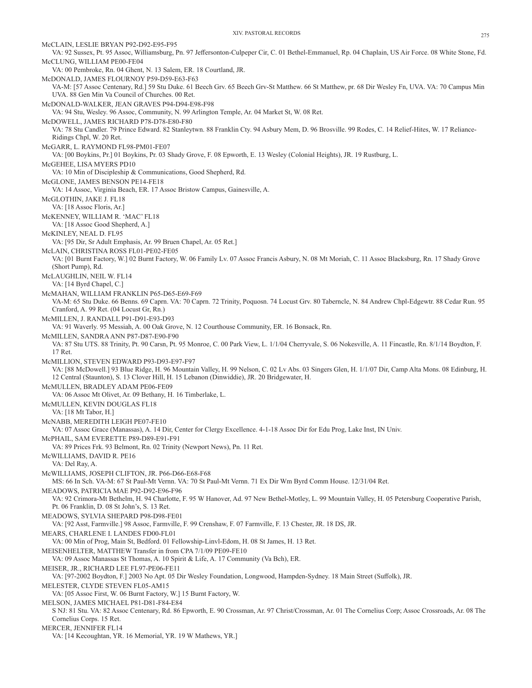McCLAIN, LESLIE BRYAN P92-D92-E95-F95

VA: 92 Sussex, Pt. 95 Assoc, Williamsburg, Pn. 97 Jeffersonton-Culpeper Cir, C. 01 Bethel-Emmanuel, Rp. 04 Chaplain, US Air Force. 08 White Stone, Fd. McCLUNG, WILLIAM PE00-FE04 VA: 00 Pembroke, Rn. 04 Ghent, N. 13 Salem, ER. 18 Courtland, JR. McDONALD, JAMES FLOURNOY P59-D59-E63-F63 VA-M: [57 Assoc Centenary, Rd.] 59 Stu Duke. 61 Beech Grv. 65 Beech Grv-St Matthew. 66 St Matthew, pr. 68 Dir Wesley Fn, UVA. VA: 70 Campus Min UVA. 88 Gen Min Va Council of Churches. 00 Ret. McDONALD-WALKER, JEAN GRAVES P94-D94-E98-F98 VA: 94 Stu, Wesley. 96 Assoc, Community, N. 99 Arlington Temple, Ar. 04 Market St, W. 08 Ret. McDOWELL, JAMES RICHARD P78-D78-E80-F80 VA: 78 Stu Candler. 79 Prince Edward. 82 Stanleytwn. 88 Franklin Cty. 94 Asbury Mem, D. 96 Brosville. 99 Rodes, C. 14 Relief-Hites, W. 17 Reliance-Ridings Chpl, W. 20 Ret. McGARR, L. RAYMOND FL98-PM01-FE07 VA: [00 Boykins, Pr.] 01 Boykins, Pr. 03 Shady Grove, F. 08 Epworth, E. 13 Wesley (Colonial Heights), JR. 19 Rustburg, L. McGEHEE, LISA MYERS PD10 VA: 10 Min of Discipleship & Communications, Good Shepherd, Rd. McGLONE, JAMES BENSON PE14-FE18 VA: 14 Assoc, Virginia Beach, ER. 17 Assoc Bristow Campus, Gainesville, A. McGLOTHIN, JAKE J. FL18 VA: [18 Assoc Floris, Ar.] McKENNEY, WILLIAM R. 'MAC' FL18 VA: [18 Assoc Good Shepherd, A.] McKINLEY, NEAL D. FL95 VA: [95 Dir, Sr Adult Emphasis, Ar. 99 Bruen Chapel, Ar. 05 Ret.] McLAIN, CHRISTINA ROSS FL01-PE02-FE05 VA: [01 Burnt Factory, W.] 02 Burnt Factory, W. 06 Family Lv. 07 Assoc Francis Asbury, N. 08 Mt Moriah, C. 11 Assoc Blacksburg, Rn. 17 Shady Grove (Short Pump), Rd. McLAUGHLIN, NEIL W. FL14 VA: [14 Byrd Chapel, C.] McMAHAN, WILLIAM FRANKLIN P65-D65-E69-F69 VA-M: 65 Stu Duke. 66 Benns. 69 Caprn. VA: 70 Caprn. 72 Trinity, Poquosn. 74 Locust Grv. 80 Taberncle, N. 84 Andrew Chpl-Edgewtr. 88 Cedar Run. 95 Cranford, A. 99 Ret. (04 Locust Gr, Rn.) McMILLEN, J. RANDALL P91-D91-E93-D93 VA: 91 Waverly. 95 Messiah, A. 00 Oak Grove, N. 12 Courthouse Community, ER. 16 Bonsack, Rn. McMILLEN, SANDRA ANN P87-D87-E90-F90 VA: 87 Stu UTS. 88 Trinity, Pt. 90 Carsn, Pt. 95 Monroe, C. 00 Park View, L. 1/1/04 Cherryvale, S. 06 Nokesville, A. 11 Fincastle, Rn. 8/1/14 Boydton, F. 17 Ret. McMILLION, STEVEN EDWARD P93-D93-E97-F97 VA: [88 McDowell.] 93 Blue Ridge, H. 96 Mountain Valley, H. 99 Nelson, C. 02 Lv Abs. 03 Singers Glen, H. 1/1/07 Dir, Camp Alta Mons. 08 Edinburg, H. 12 Central (Staunton), S. 13 Clover Hill, H. 15 Lebanon (Dinwiddie), JR. 20 Bridgewater, H. McMULLEN, BRADLEY ADAM PE06-FE09 VA: 06 Assoc Mt Olivet, Ar. 09 Bethany, H. 16 Timberlake, L. McMULLEN, KEVIN DOUGLAS FL18 VA: [18 Mt Tabor, H.] McNABB, MEREDITH LEIGH PE07-FE10 VA: 07 Assoc Grace (Manassas), A. 14 Dir, Center for Clergy Excellence. 4-1-18 Assoc Dir for Edu Prog, Lake Inst, IN Univ. McPHAIL, SAM EVERETTE P89-D89-E91-F91 VA: 89 Prices Frk. 93 Belmont, Rn. 02 Trinity (Newport News), Pn. 11 Ret. McWILLIAMS, DAVID R. PE16 VA: Del Ray, A. McWILLIAMS, JOSEPH CLIFTON, JR. P66-D66-E68-F68 MS: 66 In Sch. VA-M: 67 St Paul-Mt Vernn. VA: 70 St Paul-Mt Vernn. 71 Ex Dir Wm Byrd Comm House. 12/31/04 Ret. MEADOWS, PATRICIA MAE P92-D92-E96-F96 VA: 92 Crimora-Mt Bethelm, H. 94 Charlotte, F. 95 W Hanover, Ad. 97 New Bethel-Motley, L. 99 Mountain Valley, H. 05 Petersburg Cooperative Parish, Pt. 06 Franklin, D. 08 St John's, S. 13 Ret. MEADOWS, SYLVIA SHEPARD P98-D98-FE01 VA: [92 Asst, Farmville.] 98 Assoc, Farmville, F. 99 Crenshaw, F. 07 Farmville, F. 13 Chester, JR. 18 DS, JR. MEARS, CHARLENE I. LANDES FD00-FL01 VA: 00 Min of Prog, Main St, Bedford. 01 Fellowship-Linvl-Edom, H. 08 St James, H. 13 Ret. MEISENHELTER, MATTHEW Transfer in from CPA 7/1/09 PE09-FE10 VA: 09 Assoc Manassas St Thomas, A. 10 Spirit & Life, A. 17 Community (Va Bch), ER. MEISER, JR., RICHARD LEE FL97-PE06-FE11 VA: [97-2002 Boydton, F.] 2003 No Apt. 05 Dir Wesley Foundation, Longwood, Hampden-Sydney. 18 Main Street (Suffolk), JR. MELESTER, CLYDE STEVEN FL05-AM15 VA: [05 Assoc First, W. 06 Burnt Factory, W.] 15 Burnt Factory, W. MELSON, JAMES MICHAEL P81-D81-F84-E84 S NJ: 81 Stu. VA: 82 Assoc Centenary, Rd. 86 Epworth, E. 90 Crossman, Ar. 97 Christ/Crossman, Ar. 01 The Cornelius Corp; Assoc Crossroads, Ar. 08 The Cornelius Corps. 15 Ret. MERCER, JENNIFER FL14 VA: [14 Kecoughtan, YR. 16 Memorial, YR. 19 W Mathews, YR.]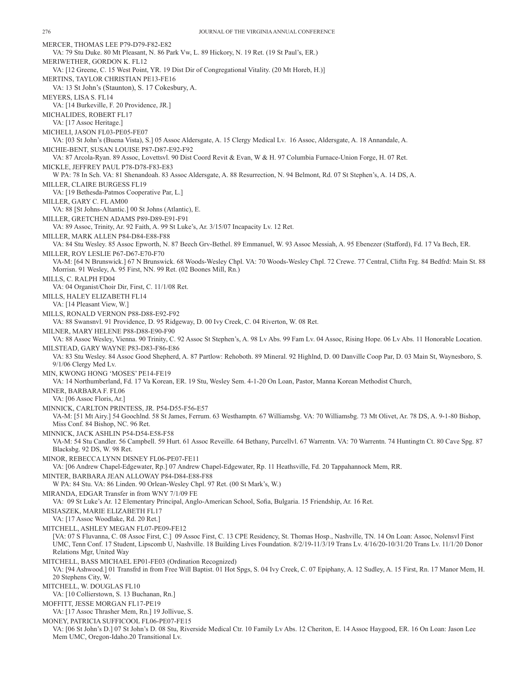MERCER, THOMAS LEE P79-D79-F82-E82 VA: 79 Stu Duke. 80 Mt Pleasant, N. 86 Park Vw, L. 89 Hickory, N. 19 Ret. (19 St Paul's, ER.) MERIWETHER, GORDON K. FL12 VA: [12 Greene, C. 15 West Point, YR. 19 Dist Dir of Congregational Vitality. (20 Mt Horeb, H.)] MERTINS, TAYLOR CHRISTIAN PE13-FE16 VA: 13 St John's (Staunton), S. 17 Cokesbury, A. MEYERS, LISA S. FL14 VA: [14 Burkeville, F. 20 Providence, JR.] MICHALIDES, ROBERT FL17 VA: [17 Assoc Heritage.] MICHELI, JASON FL03-PE05-FE07 VA: [03 St John's (Buena Vista), S.] 05 Assoc Aldersgate, A. 15 Clergy Medical Lv. 16 Assoc, Aldersgate, A. 18 Annandale, A. MICHIE-BENT, SUSAN LOUISE P87-D87-E92-F92 VA: 87 Arcola-Ryan. 89 Assoc, Lovettsvl. 90 Dist Coord Revit & Evan, W & H. 97 Columbia Furnace-Union Forge, H. 07 Ret. MICKLE, JEFFREY PAUL P78-D78-F83-E83 W PA: 78 In Sch. VA: 81 Shenandoah. 83 Assoc Aldersgate, A. 88 Resurrection, N. 94 Belmont, Rd. 07 St Stephen's, A. 14 DS, A. MILLER, CLAIRE BURGESS FL19 VA: [19 Bethesda-Patmos Cooperative Par, L.] MILLER, GARY C. FL AM00 VA: 88 [St Johns-Altantic.] 00 St Johns (Atlantic), E. MILLER, GRETCHEN ADAMS P89-D89-E91-F91 VA: 89 Assoc, Trinity, Ar. 92 Faith, A. 99 St Luke's, Ar. 3/15/07 Incapacity Lv. 12 Ret. MILLER, MARK ALLEN P84-D84-E88-F88 VA: 84 Stu Wesley. 85 Assoc Epworth, N. 87 Beech Grv-Bethel. 89 Emmanuel, W. 93 Assoc Messiah, A. 95 Ebenezer (Stafford), Fd. 17 Va Bech, ER. MILLER, ROY LESLIE P67-D67-E70-F70 VA-M: [64 N Brunswick.] 67 N Brunswick. 68 Woods-Wesley Chpl. VA: 70 Woods-Wesley Chpl. 72 Crewe. 77 Central, Cliftn Frg. 84 Bedfrd: Main St. 88 Morrisn. 91 Wesley, A. 95 First, NN. 99 Ret. (02 Boones Mill, Rn.) MILLS, C. RALPH FD04 VA: 04 Organist/Choir Dir, First, C. 11/1/08 Ret. MILLS, HALEY ELIZABETH FL14 VA: [14 Pleasant View, W.] MILLS, RONALD VERNON P88-D88-E92-F92 VA: 88 Swansnvl. 91 Providence, D. 95 Ridgeway, D. 00 Ivy Creek, C. 04 Riverton, W. 08 Ret. MILNER, MARY HELENE P88-D88-E90-F90 VA: 88 Assoc Wesley, Vienna. 90 Trinity, C. 92 Assoc St Stephen's, A. 98 Lv Abs. 99 Fam Lv. 04 Assoc, Rising Hope. 06 Lv Abs. 11 Honorable Location. MILSTEAD, GARY WAYNE P83-D83-F86-E86 VA: 83 Stu Wesley. 84 Assoc Good Shepherd, A. 87 Partlow: Rehoboth. 89 Mineral. 92 Highlnd, D. 00 Danville Coop Par, D. 03 Main St, Waynesboro, S. 9/1/06 Clergy Med Lv. MIN, KWONG HONG 'MOSES' PE14-FE19 VA: 14 Northumberland, Fd. 17 Va Korean, ER. 19 Stu, Wesley Sem. 4-1-20 On Loan, Pastor, Manna Korean Methodist Church, MINER, BARBARA F. FL06 VA: [06 Assoc Floris, Ar.] MINNICK, CARLTON PRINTESS, JR. P54-D55-F56-E57 VA-M: [51 Mt Airy.] 54 Goochlnd. 58 St James, Ferrum. 63 Westhamptn. 67 Williamsbg. VA: 70 Williamsbg. 73 Mt Olivet, Ar. 78 DS, A. 9-1-80 Bishop, Miss Conf. 84 Bishop, NC. 96 Ret. MINNICK, JACK ASHLIN P54-D54-E58-F58 VA-M: 54 Stu Candler. 56 Campbell. 59 Hurt. 61 Assoc Reveille. 64 Bethany, Purcellvl. 67 Warrentn. VA: 70 Warrentn. 74 Huntingtn Ct. 80 Cave Spg. 87 Blacksbg. 92 DS, W. 98 Ret. MINOR, REBECCA LYNN DISNEY FL06-PE07-FE11 VA: [06 Andrew Chapel-Edgewater, Rp.] 07 Andrew Chapel-Edgewater, Rp. 11 Heathsville, Fd. 20 Tappahannock Mem, RR. MINTER, BARBARA JEAN ALLOWAY P84-D84-E88-F88 W PA: 84 Stu. VA: 86 Linden. 90 Orlean-Wesley Chpl. 97 Ret. (00 St Mark's, W.) MIRANDA, EDGAR Transfer in from WNY 7/1/09 FE VA: 09 St Luke's Ar. 12 Elementary Principal, Anglo-American School, Sofia, Bulgaria. 15 Friendship, Ar. 16 Ret. MISIASZEK, MARIE ELIZABETH FL17 VA: [17 Assoc Woodlake, Rd. 20 Ret.] MITCHELL, ASHLEY MEGAN FL07-PE09-FE12 [VA: 07 S Fluvanna, C. 08 Assoc First, C.] 09 Assoc First, C. 13 CPE Residency, St. Thomas Hosp., Nashville, TN. 14 On Loan: Assoc, Nolensvl First UMC, Tenn Conf. 17 Student, Lipscomb U, Nashville. 18 Building Lives Foundation. 8/2/19-11/3/19 Trans Lv. 4/16/20-10/31/20 Trans Lv. 11/1/20 Donor Relations Mgr, United Way MITCHELL, BASS MICHAEL EP01-FE03 (Ordination Recognized) VA: [94 Ashwood.] 01 Transfrd in from Free Will Baptist. 01 Hot Spgs, S. 04 Ivy Creek, C. 07 Epiphany, A. 12 Sudley, A. 15 First, Rn. 17 Manor Mem, H. 20 Stephens City, W. MITCHELL, W. DOUGLAS FL10 VA: [10 Collierstown, S. 13 Buchanan, Rn.] MOFFITT, JESSE MORGAN FL17-PE19 VA: [17 Assoc Thrasher Mem, Rn.] 19 Jollivue, S. MONEY, PATRICIA SUFFICOOL FL06-PE07-FE15 VA: [06 St John's D.] 07 St John's D. 08 Stu, Riverside Medical Ctr. 10 Family Lv Abs. 12 Cheriton, E. 14 Assoc Haygood, ER. 16 On Loan: Jason Lee Mem UMC, Oregon-Idaho.20 Transitional Lv.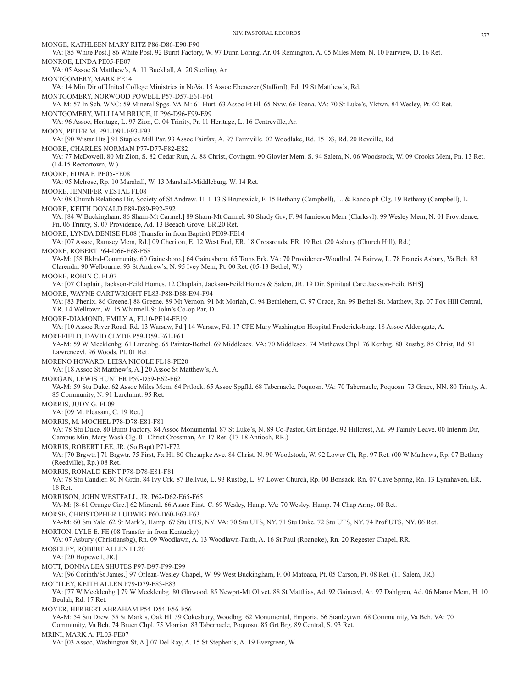MONGE, KATHLEEN MARY RITZ P86-D86-E90-F90 VA: [85 White Post.] 86 White Post. 92 Burnt Factory, W. 97 Dunn Loring, Ar. 04 Remington, A. 05 Miles Mem, N. 10 Fairview, D. 16 Ret. MONROE, LINDA PE05-FE07 VA: 05 Assoc St Matthew's, A. 11 Buckhall, A. 20 Sterling, Ar. MONTGOMERY, MARK FE14 VA: 14 Min Dir of United College Ministries in NoVa. 15 Assoc Ebenezer (Stafford), Fd. 19 St Matthew's, Rd. MONTGOMERY, NORWOOD POWELL P57-D57-E61-F61 VA-M: 57 In Sch. WNC: 59 Mineral Spgs. VA-M: 61 Hurt. 63 Assoc Ft Hl. 65 Nvw. 66 Toana. VA: 70 St Luke's, Yktwn. 84 Wesley, Pt. 02 Ret. MONTGOMERY, WILLIAM BRUCE, II P96-D96-F99-E99 VA: 96 Assoc, Heritage, L. 97 Zion, C. 04 Trinity, Pr. 11 Heritage, L. 16 Centreville, Ar. MOON, PETER M. P91-D91-E93-F93 VA: [90 Wistar Hts.] 91 Staples Mill Par. 93 Assoc Fairfax, A. 97 Farmville. 02 Woodlake, Rd. 15 DS, Rd. 20 Reveille, Rd. MOORE, CHARLES NORMAN P77-D77-F82-E82 VA: 77 McDowell. 80 Mt Zion, S. 82 Cedar Run, A. 88 Christ, Covingtn. 90 Glovier Mem, S. 94 Salem, N. 06 Woodstock, W. 09 Crooks Mem, Pn. 13 Ret. (14-15 Rectortown, W.) MOORE, EDNA F. PE05-FE08 VA: 05 Melrose, Rp. 10 Marshall, W. 13 Marshall-Middleburg, W. 14 Ret. MOORE, JENNIFER VESTAL FL08 VA: 08 Church Relations Dir, Society of St Andrew. 11-1-13 S Brunswick, F. 15 Bethany (Campbell), L. & Randolph Clg. 19 Bethany (Campbell), L. MOORE, KEITH DONALD P89-D89-E92-F92 VA: [84 W Buckingham. 86 Sharn-Mt Carmel.] 89 Sharn-Mt Carmel. 90 Shady Grv, F. 94 Jamieson Mem (Clarksvl). 99 Wesley Mem, N. 01 Providence, Pn. 06 Trinity, S. 07 Providence, Ad. 13 Beeach Grove, ER.20 Ret. MOORE, LYNDA DENISE FL08 (Transfer in from Baptist) PE09-FE14 VA: [07 Assoc, Ramsey Mem, Rd.] 09 Cheriton, E. 12 West End, ER. 18 Crossroads, ER. 19 Ret. (20 Asbury (Church Hill), Rd.) MOORE, ROBERT P64-D66-E68-F68 VA-M: [58 Rklnd-Community. 60 Gainesboro.] 64 Gainesboro. 65 Toms Brk. VA: 70 Providence-Woodlnd. 74 Fairvw, L. 78 Francis Asbury, Va Bch. 83 Clarendn. 90 Welbourne. 93 St Andrew's, N. 95 Ivey Mem, Pt. 00 Ret. (05-13 Bethel, W.) MOORE, ROBIN C. FL07 VA: [07 Chaplain, Jackson-Feild Homes. 12 Chaplain, Jackson-Feild Homes & Salem, JR. 19 Dir. Spiritual Care Jackson-Feild BHS] MOORE, WAYNE CARTWRIGHT FL83-P88-D88-E94-F94 VA: [83 Phenix. 86 Greene.] 88 Greene. 89 Mt Vernon. 91 Mt Moriah, C. 94 Bethlehem, C. 97 Grace, Rn. 99 Bethel-St. Matthew, Rp. 07 Fox Hill Central, YR. 14 Welltown, W. 15 Whitmell-St John's Co-op Par, D. MOORE-DIAMOND, EMILY A, FL10-PE14-FE19 VA: [10 Assoc River Road, Rd. 13 Warsaw, Fd.] 14 Warsaw, Fd. 17 CPE Mary Washington Hospital Fredericksburg. 18 Assoc Aldersgate, A. MOREFIELD, DAVID CLYDE P59-D59-E61-F61 VA-M: 59 W Mecklenbg. 61 Lunenbg. 65 Painter-Bethel. 69 Middlesex. VA: 70 Middlesex. 74 Mathews Chpl. 76 Kenbrg. 80 Rustbg. 85 Christ, Rd. 91 Lawrencevl. 96 Woods, Pt. 01 Ret. MORENO HOWARD, LEISA NICOLE FL18-PE20 VA: [18 Assoc St Matthew's, A.] 20 Assoc St Matthew's, A. MORGAN, LEWIS HUNTER P59-D59-E62-F62 VA-M: 59 Stu Duke. 62 Assoc Miles Mem. 64 Prtlock. 65 Assoc Spgfld. 68 Tabernacle, Poquosn. VA: 70 Tabernacle, Poquosn. 73 Grace, NN. 80 Trinity, A. 85 Community, N. 91 Larchmnt. 95 Ret. MORRIS, JUDY G. FL09 VA: [09 Mt Pleasant, C. 19 Ret.] MORRIS, M. MOCHEL P78-D78-E81-F81 VA: 78 Stu Duke. 80 Burnt Factory. 84 Assoc Monumental. 87 St Luke's, N. 89 Co-Pastor, Grt Bridge. 92 Hillcrest, Ad. 99 Family Leave. 00 Interim Dir, Campus Min, Mary Wash Clg. 01 Christ Crossman, Ar. 17 Ret. (17-18 Antioch, RR.) MORRIS, ROBERT LEE, JR. (So Bapt) P71-F72 VA: [70 Brgwtr.] 71 Brgwtr. 75 First, Fx Hl. 80 Chesapke Ave. 84 Christ, N. 90 Woodstock, W. 92 Lower Ch, Rp. 97 Ret. (00 W Mathews, Rp. 07 Bethany (Reedville), Rp.) 08 Ret. MORRIS, RONALD KENT P78-D78-E81-F81 VA: 78 Stu Candler. 80 N Grdn. 84 Ivy Crk. 87 Bellvue, L. 93 Rustbg, L. 97 Lower Church, Rp. 00 Bonsack, Rn. 07 Cave Spring, Rn. 13 Lynnhaven, ER. 18 Ret. MORRISON, JOHN WESTFALL, JR. P62-D62-E65-F65 VA-M: [8-61 Orange Circ.] 62 Mineral. 66 Assoc First, C. 69 Wesley, Hamp. VA: 70 Wesley, Hamp. 74 Chap Army. 00 Ret. MORSE, CHRISTOPHER LUDWIG P60-D60-E63-F63 VA-M: 60 Stu Yale. 62 St Mark's, Hamp. 67 Stu UTS, NY. VA: 70 Stu UTS, NY. 71 Stu Duke. 72 Stu UTS, NY. 74 Prof UTS, NY. 06 Ret. MORTON, LYLE E. FE (08 Transfer in from Kentucky) VA: 07 Asbury (Christiansbg), Rn. 09 Woodlawn, A. 13 Woodlawn-Faith, A. 16 St Paul (Roanoke), Rn. 20 Regester Chapel, RR. MOSELEY, ROBERT ALLEN FL20 VA: [20 Hopewell, JR.] MOTT, DONNA LEA SHUTES P97-D97-F99-E99 VA: [96 Corinth/St James.] 97 Orlean-Wesley Chapel, W. 99 West Buckingham, F. 00 Matoaca, Pt. 05 Carson, Pt. 08 Ret. (11 Salem, JR.) MOTTLEY, KEITH ALLEN P79-D79-F83-E83 VA: [77 W Mecklenbg.] 79 W Mecklenbg. 80 Glnwood. 85 Newprt-Mt Olivet. 88 St Matthias, Ad. 92 Gainesvl, Ar. 97 Dahlgren, Ad. 06 Manor Mem, H. 10 Beulah, Rd. 17 Ret. MOYER, HERBERT ABRAHAM P54-D54-E56-F56 VA-M: 54 Stu Drew. 55 St Mark's, Oak Hl. 59 Cokesbury, Woodbrg. 62 Monumental, Emporia. 66 Stanleytwn. 68 Commu nity, Va Bch. VA: 70 Community, Va Bch. 74 Bruen Chpl. 75 Morrisn. 83 Tabernacle, Poquosn. 85 Grt Brg. 89 Central, S. 93 Ret. MRINI, MARK A. FL03-FE07

VA: [03 Assoc, Washington St, A.] 07 Del Ray, A. 15 St Stephen's, A. 19 Evergreen, W.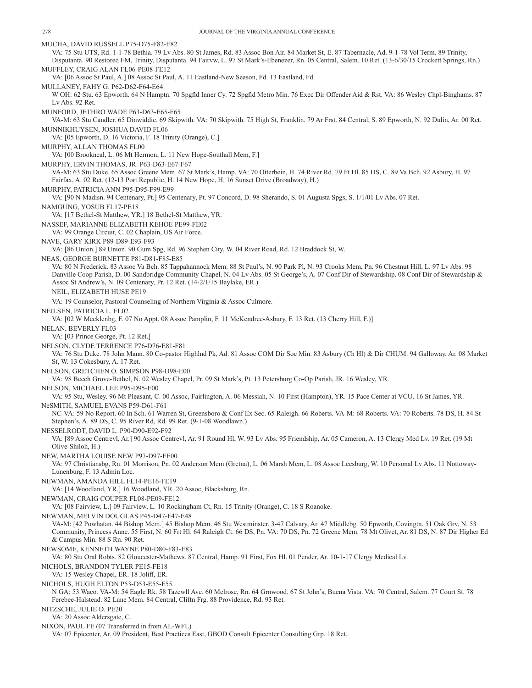MUCHA, DAVID RUSSELL P75-D75-F82-E82 VA: 75 Stu UTS, Rd. 1-1-78 Bethia. 79 Lv Abs. 80 St James, Rd. 83 Assoc Bon Air. 84 Market St, E. 87 Tabernacle, Ad. 9-1-78 Vol Term. 89 Trinity, Disputanta. 90 Restored FM, Trinity, Disputanta. 94 Fairvw, L. 97 St Mark's-Ebenezer, Rn. 05 Central, Salem. 10 Ret. (13-6/30/15 Crockett Springs, Rn.) MUFFLEY, CRAIG ALAN FL06-PE08-FE12 VA: [06 Assoc St Paul, A.] 08 Assoc St Paul, A. 11 Eastland-New Season, Fd. 13 Eastland, Fd. MULLANEY, FAHY G. P62-D62-F64-E64 W OH: 62 Stu. 63 Epworth. 64 N Hamptn. 70 Spgfld Inner Cy. 72 Spgfld Metro Min. 76 Exec Dir Offender Aid & Rst. VA: 86 Wesley Chpl-Binghams. 87 Lv Abs. 92 Ret. MUNFORD, JETHRO WADE P63-D63-E65-F65 VA-M: 63 Stu Candler. 65 Dinwiddie. 69 Skipwith. VA: 70 Skipwith. 75 High St, Franklin. 79 Ar Frst. 84 Central, S. 89 Epworth, N. 92 Dulin, Ar. 00 Ret. MUNNIKHUYSEN, JOSHUA DAVID FL06 VA: [05 Epworth, D. 16 Victoria, F. 18 Trinity (Orange), C.] MURPHY, ALLAN THOMAS FL00 VA: [00 Brookneal, L. 06 Mt Hermon, L. 11 New Hope-Southall Mem, F.] MURPHY, ERVIN THOMAS, JR. P63-D63-E67-F67 VA-M: 63 Stu Duke. 65 Assoc Greene Mem. 67 St Mark's, Hamp. VA: 70 Otterbein, H. 74 River Rd. 79 Ft Hl. 85 DS, C. 89 Va Bch. 92 Asbury, H. 97 Fairfax, A. 02 Ret. (12-13 Port Republic, H. 14 New Hope, H. 16 Sunset Drive (Broadway), H.) MURPHY, PATRICIA ANN P95-D95-F99-E99 VA: [90 N Madisn. 94 Centenary, Pt.] 95 Centenary, Pt. 97 Concord, D. 98 Sherando, S. 01 Augusta Spgs, S. 1/1/01 Lv Abs. 07 Ret. NAMGUNG, YOSUB FL17-PE18 VA: [17 Bethel-St Matthew, YR.] 18 Bethel-St Matthew, YR. NASSEF, MARIANNE ELIZABETH KEHOE PE99-FE02 VA: 99 Orange Circuit, C. 02 Chaplain, US Air Force. NAVE, GARY KIRK P89-D89-E93-F93 VA: [86 Union.] 89 Union. 90 Gum Spg, Rd. 96 Stephen City, W. 04 River Road, Rd. 12 Braddock St, W. NEAS, GEORGE BURNETTE P81-D81-F85-E85 VA: 80 N Frederick. 83 Assoc Va Bch. 85 Tappahannock Mem. 88 St Paul's, N. 90 Park Pl, N. 93 Crooks Mem, Pn. 96 Chestnut Hill, L. 97 Lv Abs. 98 Danville Coop Parish, D. 00 Sandbridge Community Chapel, N. 04 Lv Abs. 05 St George's, A. 07 Conf Dir of Stewardship. 08 Conf Dir of Stewardship & Assoc St Andrew's, N. 09 Centenary, Pr. 12 Ret. (14-2/1/15 Baylake, ER.) NEIL, ELIZABETH HUSE PE19 VA: 19 Counselor, Pastoral Counseling of Northern Virginia & Assoc Culmore. NEILSEN, PATRICIA L. FL02 VA: [02 W Mecklenbg, F. 07 No Appt. 08 Assoc Pamplin, F. 11 McKendree-Asbury, F. 13 Ret. (13 Cherry Hill, F.)] NELAN, BEVERLY FL03 VA: [03 Prince George, Pt. 12 Ret.] NELSON, CLYDE TERRENCE P76-D76-E81-F81 VA: 76 Stu Duke. 78 John Mann. 80 Co-pastor Highlnd Pk, Ad. 81 Assoc COM Dir Soc Min. 83 Asbury (Ch Hl) & Dir CHUM. 94 Galloway, Ar. 08 Market St, W. 13 Cokesbury, A. 17 Ret. NELSON, GRETCHEN O. SIMPSON P98-D98-E00 VA: 98 Beech Grove-Bethel, N. 02 Wesley Chapel, Pr. 09 St Mark's, Pt. 13 Petersburg Co-Op Parish, JR. 16 Wesley, YR. NELSON, MICHAEL LEE P95-D95-E00 VA: 95 Stu, Wesley. 96 Mt Pleasant, C. 00 Assoc, Fairlington, A. 06 Messiah, N. 10 First (Hampton), YR. 15 Pace Center at VCU. 16 St James, YR. NeSMITH, SAMUEL EVANS P59-D61-F61 NC-VA: 59 No Report. 60 In Sch. 61 Warren St, Greensboro & Conf Ex Sec. 65 Raleigh. 66 Roberts. VA-M: 68 Roberts. VA: 70 Roberts. 78 DS, H. 84 St Stephen's, A. 89 DS, C. 95 River Rd, Rd. 99 Ret. (9-1-08 Woodlawn.) NESSELRODT, DAVID L. P90-D90-E92-F92 VA: [89 Assoc Centrevl, Ar.] 90 Assoc Centrevl, Ar. 91 Round Hl, W. 93 Lv Abs. 95 Friendship, Ar. 05 Cameron, A. 13 Clergy Med Lv. 19 Ret. (19 Mt Olive-Shiloh, H.) NEW, MARTHA LOUISE NEW P97-D97-FE00 VA: 97 Christiansbg, Rn. 01 Morrison, Pn. 02 Anderson Mem (Gretna), L. 06 Marsh Mem, L. 08 Assoc Leesburg, W. 10 Personal Lv Abs. 11 Nottoway-Lunenburg, F. 13 Admin Loc. NEWMAN, AMANDA HILL FL14-PE16-FE19 VA: [14 Woodland, YR.] 16 Woodland, YR. 20 Assoc, Blacksburg, Rn. NEWMAN, CRAIG COUPER FL08-PE09-FE12 VA: [08 Fairview, L.] 09 Fairview, L. 10 Rockingham Ct, Rn. 15 Trinity (Orange), C. 18 S Roanoke. NEWMAN, MELVIN DOUGLAS P45-D47-F47-E48 VA-M: [42 Powhatan. 44 Bishop Mem.] 45 Bishop Mem. 46 Stu Westminster. 3-47 Calvary, Ar. 47 Middlebg. 50 Epworth, Covingtn. 51 Oak Grv, N. 53 Community, Princess Anne. 55 First, N. 60 Frt Hl. 64 Raleigh Ct. 66 DS, Pn. VA: 70 DS, Pn. 72 Greene Mem. 78 Mt Olivet, Ar. 81 DS, N. 87 Dir Higher Ed & Campus Min. 88 S Rn. 90 Ret. NEWSOME, KENNETH WAYNE P80-D80-F83-E83 VA: 80 Stu Oral Robts. 82 Gloucester-Mathews. 87 Central, Hamp. 91 First, Fox Hl. 01 Pender, Ar. 10-1-17 Clergy Medical Lv. NICHOLS, BRANDON TYLER PE15-FE18 VA: 15 Wesley Chapel, ER. 18 Joliff, ER. NICHOLS, HUGH ELTON P53-D53-E55-F55 N GA: 53 Waco. VA-M: 54 Eagle Rk. 58 Tazewll Ave. 60 Melrose, Rn. 64 Grnwood. 67 St John's, Buena Vista. VA: 70 Central, Salem. 77 Court St. 78 Ferebee-Halstead. 82 Lane Mem. 84 Central, Cliftn Frg. 88 Providence, Rd. 93 Ret. NITZSCHE, JULIE D. PE20 VA: 20 Assoc Aldersgate, C. NIXON, PAUL FE (07 Transferred in from AL-WFL) VA: 07 Epicenter, Ar. 09 President, Best Practices East, GBOD Consult Epicenter Consulting Grp. 18 Ret.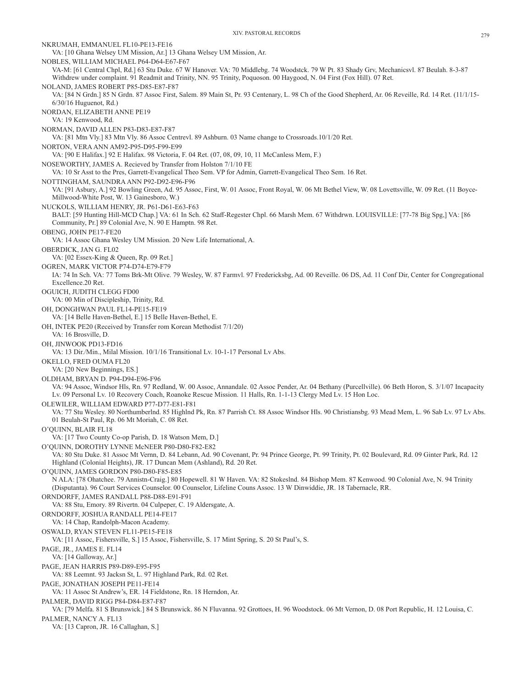NKRUMAH, EMMANUEL FL10-PE13-FE16 VA: [10 Ghana Welsey UM Mission, Ar.] 13 Ghana Welsey UM Mission, Ar. NOBLES, WILLIAM MICHAEL P64-D64-E67-F67 VA-M: [61 Central Chpl, Rd.] 63 Stu Duke. 67 W Hanover. VA: 70 Middlebg. 74 Woodstck. 79 W Pt. 83 Shady Grv, Mechanicsvl. 87 Beulah. 8-3-87 Withdrew under complaint. 91 Readmit and Trinity, NN. 95 Trinity, Poquoson. 00 Haygood, N. 04 First (Fox Hill). 07 Ret. NOLAND, JAMES ROBERT P85-D85-E87-F87 VA: [84 N Grdn.] 85 N Grdn. 87 Assoc First, Salem. 89 Main St, Pr. 93 Centenary, L. 98 Ch of the Good Shepherd, Ar. 06 Reveille, Rd. 14 Ret. (11/1/15- 6/30/16 Huguenot, Rd.) NORDAN, ELIZABETH ANNE PE19 VA: 19 Kenwood, Rd. NORMAN, DAVID ALLEN P83-D83-E87-F87 VA: [81 Mtn Vly.] 83 Mtn Vly. 86 Assoc Centrevl. 89 Ashburn. 03 Name change to Crossroads.10/1/20 Ret. NORTON, VERA ANN AM92-P95-D95-F99-E99 VA: [90 E Halifax.] 92 E Halifax. 98 Victoria, F. 04 Ret. (07, 08, 09, 10, 11 McCanless Mem, F.) NOSEWORTHY, JAMES A. Recieved by Transfer from Holston 7/1/10 FE VA: 10 Sr Asst to the Pres, Garrett-Evangelical Theo Sem. VP for Admin, Garrett-Evangelical Theo Sem. 16 Ret. NOTTINGHAM, SAUNDRA ANN P92-D92-E96-F96 VA: [91 Asbury, A.] 92 Bowling Green, Ad. 95 Assoc, First, W. 01 Assoc, Front Royal, W. 06 Mt Bethel View, W. 08 Lovettsville, W. 09 Ret. (11 Boyce-Millwood-White Post, W. 13 Gainesboro, W.) NUCKOLS, WILLIAM HENRY, JR. P61-D61-E63-F63 BALT: [59 Hunting Hill-MCD Chap.] VA: 61 In Sch. 62 Staff-Regester Chpl. 66 Marsh Mem. 67 Withdrwn. LOUISVILLE: [77-78 Big Spg,] VA: [86 Community, Pr.] 89 Colonial Ave, N. 90 E Hamptn. 98 Ret. OBENG, JOHN PE17-FE20 VA: 14 Assoc Ghana Wesley UM Mission. 20 New Life International, A. OBERDICK, JAN G. FL02 VA: [02 Essex-King & Queen, Rp. 09 Ret.] OGREN, MARK VICTOR P74-D74-E79-F79 IA: 74 In Sch. VA: 77 Toms Brk-Mt Olive. 79 Wesley, W. 87 Farmvl. 97 Fredericksbg, Ad. 00 Reveille. 06 DS, Ad. 11 Conf Dir, Center for Congregational Excellence.20 Ret. OGUICH, JUDITH CLEGG FD00 VA: 00 Min of Discipleship, Trinity, Rd. OH, DONGHWAN PAUL FL14-PE15-FE19 VA: [14 Belle Haven-Bethel, E.] 15 Belle Haven-Bethel, E. OH, INTEK PE20 (Received by Transfer rom Korean Methodist 7/1/20) VA: 16 Brosville, D. OH, JINWOOK PD13-FD16 VA: 13 Dir./Min., Milal Mission. 10/1/16 Transitional Lv. 10-1-17 Personal Lv Abs. OKELLO, FRED OUMA FL20 VA: [20 New Beginnings, ES.] OLDHAM, BRYAN D. P94-D94-E96-F96 VA: 94 Assoc, Windsor Hls, Rn. 97 Redland, W. 00 Assoc, Annandale. 02 Assoc Pender, Ar. 04 Bethany (Purcellville). 06 Beth Horon, S. 3/1/07 Incapacity Lv. 09 Personal Lv. 10 Recovery Coach, Roanoke Rescue Mission. 11 Halls, Rn. 1-1-13 Clergy Med Lv. 15 Hon Loc. OLEWILER, WILLIAM EDWARD P77-D77-E81-F81 VA: 77 Stu Wesley. 80 Northumberlnd. 85 Highlnd Pk, Rn. 87 Parrish Ct. 88 Assoc Windsor Hls. 90 Christiansbg. 93 Mead Mem, L. 96 Sab Lv. 97 Lv Abs. 01 Beulah-St Paul, Rp. 06 Mt Moriah, C. 08 Ret. O'QUINN, BLAIR FL18 VA: [17 Two County Co-op Parish, D. 18 Watson Mem, D.] O'QUINN, DOROTHY LYNNE McNEER P80-D80-F82-E82 VA: 80 Stu Duke. 81 Assoc Mt Vernn, D. 84 Lebann, Ad. 90 Covenant, Pr. 94 Prince George, Pt. 99 Trinity, Pt. 02 Boulevard, Rd. 09 Ginter Park, Rd. 12 Highland (Colonial Heights), JR. 17 Duncan Mem (Ashland), Rd. 20 Ret. O'QUINN, JAMES GORDON P80-D80-F85-E85 N ALA: [78 Ohatchee. 79 Annistn-Craig.] 80 Hopewell. 81 W Haven. VA: 82 Stokeslnd. 84 Bishop Mem. 87 Kenwood. 90 Colonial Ave, N. 94 Trinity (Disputanta). 96 Court Services Counselor. 00 Counselor, Lifeline Couns Assoc. 13 W Dinwiddie, JR. 18 Tabernacle, RR. ORNDORFF, JAMES RANDALL P88-D88-E91-F91 VA: 88 Stu, Emory. 89 Rivertn. 04 Culpeper, C. 19 Aldersgate, A. ORNDORFF, JOSHUA RANDALL PE14-FE17 VA: 14 Chap, Randolph-Macon Academy. OSWALD, RYAN STEVEN FL11-PE15-FE18 VA: [11 Assoc, Fishersville, S.] 15 Assoc, Fishersville, S. 17 Mint Spring, S. 20 St Paul's, S. PAGE, JR., JAMES E. FL14 VA: [14 Galloway, Ar.] PAGE, JEAN HARRIS P89-D89-E95-F95 VA: 88 Leemnt. 93 Jacksn St, L. 97 Highland Park, Rd. 02 Ret. PAGE, JONATHAN JOSEPH PE11-FE14 VA: 11 Assoc St Andrew's, ER. 14 Fieldstone, Rn. 18 Herndon, Ar. PALMER, DAVID RIGG P84-D84-E87-F87 VA: [79 Melfa. 81 S Brunswick.] 84 S Brunswick. 86 N Fluvanna. 92 Grottoes, H. 96 Woodstock. 06 Mt Vernon, D. 08 Port Republic, H. 12 Louisa, C. PALMER, NANCY A. FL13 VA: [13 Capron, JR. 16 Callaghan, S.]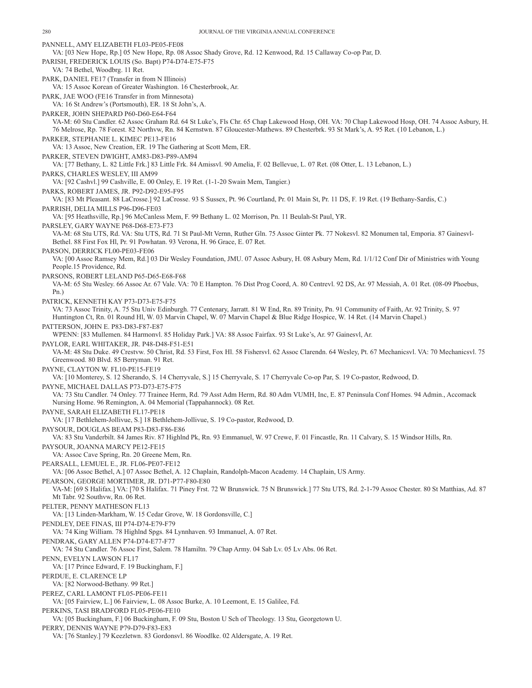PANNELL, AMY ELIZABETH FL03-PE05-FE08 VA: [03 New Hope, Rp.] 05 New Hope, Rp. 08 Assoc Shady Grove, Rd. 12 Kenwood, Rd. 15 Callaway Co-op Par, D. PARISH, FREDERICK LOUIS (So. Bapt) P74-D74-E75-F75 VA: 74 Bethel, Woodbrg. 11 Ret. PARK, DANIEL FE17 (Transfer in from N Illinois) VA: 15 Assoc Korean of Greater Washington. 16 Chesterbrook, Ar. PARK, JAE WOO (FE16 Transfer in from Minnesota) VA: 16 St Andrew's (Portsmouth), ER. 18 St John's, A. PARKER, JOHN SHEPARD P60-D60-E64-F64 VA-M: 60 Stu Candler. 62 Assoc Graham Rd. 64 St Luke's, Fls Chr. 65 Chap Lakewood Hosp, OH. VA: 70 Chap Lakewood Hosp, OH. 74 Assoc Asbury, H. 76 Melrose, Rp. 78 Forest. 82 Northvw, Rn. 84 Kernstwn. 87 Gloucester-Mathews. 89 Chesterbrk. 93 St Mark's, A. 95 Ret. (10 Lebanon, L.) PARKER, STEPHANIE L. KIMEC PE13-FE16 VA: 13 Assoc, New Creation, ER. 19 The Gathering at Scott Mem, ER. PARKER, STEVEN DWIGHT, AM83-D83-P89-AM94 VA: [77 Bethany, L. 82 Little Frk.] 83 Little Frk. 84 Amissvl. 90 Amelia, F. 02 Bellevue, L. 07 Ret. (08 Otter, L. 13 Lebanon, L.) PARKS, CHARLES WESLEY, III AM99 VA: [92 Cashvl.] 99 Cashville, E. 00 Onley, E. 19 Ret. (1-1-20 Swain Mem, Tangier.) PARKS, ROBERT JAMES, JR. P92-D92-E95-F95 VA: [83 Mt Pleasant. 88 LaCrosse.] 92 LaCrosse. 93 S Sussex, Pt. 96 Courtland, Pr. 01 Main St, Pr. 11 DS, F. 19 Ret. (19 Bethany-Sardis, C.) PARRISH, DELIA MILLS P96-D96-FE03 VA: [95 Heathsville, Rp.] 96 McCanless Mem, F. 99 Bethany L. 02 Morrison, Pn. 11 Beulah-St Paul, YR. PARSLEY, GARY WAYNE P68-D68-E73-F73 VA-M: 68 Stu UTS, Rd. VA: Stu UTS, Rd. 71 St Paul-Mt Vernn, Ruther Gln. 75 Assoc Ginter Pk. 77 Nokesvl. 82 Monumen tal, Emporia. 87 Gainesvl-Bethel. 88 First Fox Hl, Pr. 91 Powhatan. 93 Verona, H. 96 Grace, E. 07 Ret. PARSON, DERRICK FL00-PE03-FE06 VA: [00 Assoc Ramsey Mem, Rd.] 03 Dir Wesley Foundation, JMU. 07 Assoc Asbury, H. 08 Asbury Mem, Rd. 1/1/12 Conf Dir of Ministries with Young People.15 Providence, Rd. PARSONS, ROBERT LELAND P65-D65-E68-F68 VA-M: 65 Stu Wesley. 66 Assoc Ar. 67 Vale. VA: 70 E Hampton. 76 Dist Prog Coord, A. 80 Centrevl. 92 DS, Ar. 97 Messiah, A. 01 Ret. (08-09 Phoebus, Pn.) PATRICK, KENNETH KAY P73-D73-E75-F75 VA: 73 Assoc Trinity, A. 75 Stu Univ Edinburgh. 77 Centenary, Jarratt. 81 W End, Rn. 89 Trinity, Pn. 91 Community of Faith, Ar. 92 Trinity, S. 97 Huntington Ct, Rn. 01 Round Hl, W. 03 Marvin Chapel, W. 07 Marvin Chapel & Blue Ridge Hospice, W. 14 Ret. (14 Marvin Chapel.) PATTERSON, JOHN E. P83-D83-F87-E87 WPENN: [83 Mullemen. 84 Harmonvl. 85 Holiday Park.] VA: 88 Assoc Fairfax. 93 St Luke's, Ar. 97 Gainesvl, Ar. PAYLOR, EARL WHITAKER, JR. P48-D48-F51-E51 VA-M: 48 Stu Duke. 49 Crestvw. 50 Christ, Rd. 53 First, Fox Hl. 58 Fishersvl. 62 Assoc Clarendn. 64 Wesley, Pt. 67 Mechanicsvl. VA: 70 Mechanicsvl. 75 Greenwood. 80 Blvd. 85 Berryman. 91 Ret. PAYNE, CLAYTON W. FL10-PE15-FE19 VA: [10 Monterey, S. 12 Sherando, S. 14 Cherryvale, S.] 15 Cherryvale, S. 17 Cherryvale Co-op Par, S. 19 Co-pastor, Redwood, D. PAYNE, MICHAEL DALLAS P73-D73-E75-F75 VA: 73 Stu Candler. 74 Onley. 77 Trainee Herm, Rd. 79 Asst Adm Herm, Rd. 80 Adm VUMH, Inc, E. 87 Peninsula Conf Homes. 94 Admin., Accomack Nursing Home. 96 Remington, A. 04 Memorial (Tappahannock). 08 Ret. PAYNE, SARAH ELIZABETH FL17-PE18 VA: [17 Bethlehem-Jollivue, S.] 18 Bethlehem-Jollivue, S. 19 Co-pastor, Redwood, D. PAYSOUR, DOUGLAS BEAM P83-D83-F86-E86 VA: 83 Stu Vanderbilt. 84 James Riv. 87 Highlnd Pk, Rn. 93 Emmanuel, W. 97 Crewe, F. 01 Fincastle, Rn. 11 Calvary, S. 15 Windsor Hills, Rn. PAYSOUR, JOANNA MARCY PE12-FE15 VA: Assoc Cave Spring, Rn. 20 Greene Mem, Rn. PEARSALL, LEMUEL E., JR. FL06-PE07-FE12 VA: [06 Assoc Bethel, A.] 07 Assoc Bethel, A. 12 Chaplain, Randolph-Macon Academy. 14 Chaplain, US Army. PEARSON, GEORGE MORTIMER, JR. D71-P77-F80-E80 VA-M: [69 S Halifax.] VA: [70 S Halifax. 71 Piney Frst. 72 W Brunswick. 75 N Brunswick.] 77 Stu UTS, Rd. 2-1-79 Assoc Chester. 80 St Matthias, Ad. 87 Mt Tabr. 92 Southvw, Rn. 06 Ret. PELTER, PENNY MATHESON FL13 VA: [13 Linden-Markham, W. 15 Cedar Grove, W. 18 Gordonsville, C.] PENDLEY, DEE FINAS, III P74-D74-E79-F79 VA: 74 King William. 78 Highlnd Spgs. 84 Lynnhaven. 93 Immanuel, A. 07 Ret. PENDRAK, GARY ALLEN P74-D74-E77-F77 VA: 74 Stu Candler. 76 Assoc First, Salem. 78 Hamiltn. 79 Chap Army. 04 Sab Lv. 05 Lv Abs. 06 Ret. PENN, EVELYN LAWSON FL17 VA: [17 Prince Edward, F. 19 Buckingham, F.] PERDUE, E. CLARENCE LP VA: [82 Norwood-Bethany. 99 Ret.] PEREZ, CARL LAMONT FL05-PE06-FE11 VA: [05 Fairview, L.] 06 Fairview, L. 08 Assoc Burke, A. 10 Leemont, E. 15 Galilee, Fd. PERKINS, TASI BRADFORD FL05-PE06-FE10 VA: [05 Buckingham, F.] 06 Buckingham, F. 09 Stu, Boston U Sch of Theology. 13 Stu, Georgetown U.

PERRY, DENNIS WAYNE P79-D79-F83-E83 VA: [76 Stanley.] 79 Keezletwn. 83 Gordonsvl. 86 Woodlke. 02 Aldersgate, A. 19 Ret.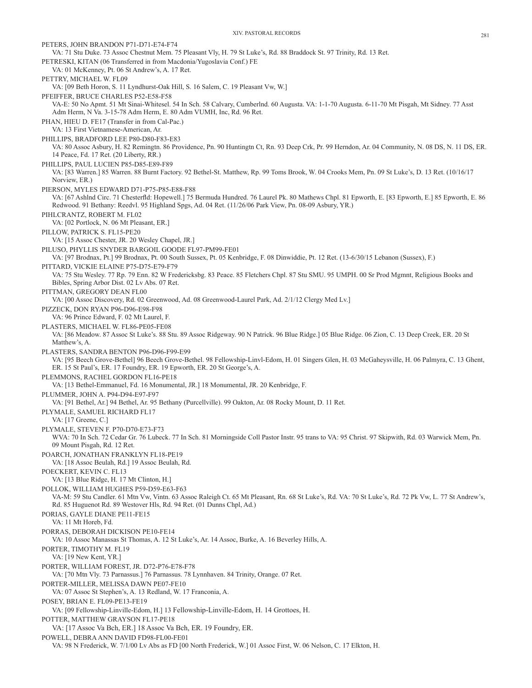PETERS, JOHN BRANDON P71-D71-E74-F74 VA: 71 Stu Duke. 73 Assoc Chestnut Mem. 75 Pleasant Vly, H. 79 St Luke's, Rd. 88 Braddock St. 97 Trinity, Rd. 13 Ret. PETRESKI, KITAN (06 Transferred in from Macdonia/Yugoslavia Conf.) FE VA: 01 McKenney, Pt. 06 St Andrew's, A. 17 Ret. PETTRY, MICHAEL W. FL09 VA: [09 Beth Horon, S. 11 Lyndhurst-Oak Hill, S. 16 Salem, C. 19 Pleasant Vw, W.] PFEIFFER, BRUCE CHARLES P52-E58-F58 VA-E: 50 No Apmt. 51 Mt Sinai-Whitesel. 54 In Sch. 58 Calvary, Cumberlnd. 60 Augusta. VA: 1-1-70 Augusta. 6-11-70 Mt Pisgah, Mt Sidney. 77 Asst Adm Herm, N Va. 3-15-78 Adm Herm, E. 80 Adm VUMH, Inc, Rd. 96 Ret. PHAN, HIEU D. FE17 (Transfer in from Cal-Pac.) VA: 13 First Vietnamese-American, Ar. PHILLIPS, BRADFORD LEE P80-D80-F83-E83 VA: 80 Assoc Asbury, H. 82 Remingtn. 86 Providence, Pn. 90 Huntingtn Ct, Rn. 93 Deep Crk, Pr. 99 Herndon, Ar. 04 Community, N. 08 DS, N. 11 DS, ER. 14 Peace, Fd. 17 Ret. (20 Liberty, RR.) PHILLIPS, PAUL LUCIEN P85-D85-E89-F89 VA: [83 Warren.] 85 Warren. 88 Burnt Factory. 92 Bethel-St. Matthew, Rp. 99 Toms Brook, W. 04 Crooks Mem, Pn. 09 St Luke's, D. 13 Ret. (10/16/17 Norview, ER.) PIERSON, MYLES EDWARD D71-P75-P85-E88-F88 VA: [67 Ashlnd Circ. 71 Chesterfld: Hopewell.] 75 Bermuda Hundred. 76 Laurel Pk. 80 Mathews Chpl. 81 Epworth, E. [83 Epworth, E.] 85 Epworth, E. 86 Redwood. 91 Bethany: Reedvl. 95 Highland Spgs, Ad. 04 Ret. (11/26/06 Park View, Pn. 08-09 Asbury, YR.) PIHLCRANTZ, ROBERT M. FL02 VA: [02 Portlock, N. 06 Mt Pleasant, ER.] PILLOW, PATRICK S. FL15-PE20 VA: [15 Assoc Chester, JR. 20 Wesley Chapel, JR.] PILUSO, PHYLLIS SNYDER BARGOIL GOODE FL97-PM99-FE01 VA: [97 Brodnax, Pt.] 99 Brodnax, Pt. 00 South Sussex, Pt. 05 Kenbridge, F. 08 Dinwiddie, Pt. 12 Ret. (13-6/30/15 Lebanon (Sussex), F.) PITTARD, VICKIE ELAINE P75-D75-E79-F79 VA: 75 Stu Wesley. 77 Rp. 79 Enn. 82 W Fredericksbg. 83 Peace. 85 Fletchers Chpl. 87 Stu SMU. 95 UMPH. 00 Sr Prod Mgmnt, Religious Books and Bibles, Spring Arbor Dist. 02 Lv Abs. 07 Ret. PITTMAN, GREGORY DEAN FL00 VA: [00 Assoc Discovery, Rd. 02 Greenwood, Ad. 08 Greenwood-Laurel Park, Ad. 2/1/12 Clergy Med Lv.] PIZZECK, DON RYAN P96-D96-E98-F98 VA: 96 Prince Edward, F. 02 Mt Laurel, F. PLASTERS, MICHAEL W. FL86-PE05-FE08 VA: [86 Meadow. 87 Assoc St Luke's. 88 Stu. 89 Assoc Ridgeway. 90 N Patrick. 96 Blue Ridge.] 05 Blue Ridge. 06 Zion, C. 13 Deep Creek, ER. 20 St Matthew's, A. PLASTERS, SANDRA BENTON P96-D96-F99-E99 VA: [95 Beech Grove-Bethel] 96 Beech Grove-Bethel. 98 Fellowship-Linvl-Edom, H. 01 Singers Glen, H. 03 McGaheysville, H. 06 Palmyra, C. 13 Ghent, ER. 15 St Paul's, ER. 17 Foundry, ER. 19 Epworth, ER. 20 St George's, A. PLEMMONS, RACHEL GORDON FL16-PE18 VA: [13 Bethel-Emmanuel, Fd. 16 Monumental, JR.] 18 Monumental, JR. 20 Kenbridge, F. PLUMMER, JOHN A. P94-D94-E97-F97 VA: [91 Bethel, Ar.] 94 Bethel, Ar. 95 Bethany (Purcellville). 99 Oakton, Ar. 08 Rocky Mount, D. 11 Ret. PLYMALE, SAMUEL RICHARD FL17 VA: [17 Greene, C.] PLYMALE, STEVEN F. P70-D70-E73-F73 WVA: 70 In Sch. 72 Cedar Gr. 76 Lubeck. 77 In Sch. 81 Morningside Coll Pastor Instr. 95 trans to VA: 95 Christ. 97 Skipwith, Rd. 03 Warwick Mem, Pn. 09 Mount Pisgah, Rd. 12 Ret. POARCH, JONATHAN FRANKLYN FL18-PE19 VA: [18 Assoc Beulah, Rd.] 19 Assoc Beulah, Rd. POECKERT, KEVIN C. FL13 VA: [13 Blue Ridge, H. 17 Mt Clinton, H.] POLLOK, WILLIAM HUGHES P59-D59-E63-F63 VA-M: 59 Stu Candler. 61 Mtn Vw, Vintn. 63 Assoc Raleigh Ct. 65 Mt Pleasant, Rn. 68 St Luke's, Rd. VA: 70 St Luke's, Rd. 72 Pk Vw, L. 77 St Andrew's, Rd. 85 Huguenot Rd. 89 Westover Hls, Rd. 94 Ret. (01 Dunns Chpl, Ad.) PORIAS, GAYLE DIANE PE11-FE15 VA: 11 Mt Horeb, Fd. PORRAS, DEBORAH DICKISON PE10-FE14 VA: 10 Assoc Manassas St Thomas, A. 12 St Luke's, Ar. 14 Assoc, Burke, A. 16 Beverley Hills, A. PORTER, TIMOTHY M. FL19 VA: [19 New Kent, YR.] PORTER, WILLIAM FOREST, JR. D72-P76-E78-F78 VA: [70 Mtn Vly. 73 Parnassus.] 76 Parnassus. 78 Lynnhaven. 84 Trinity, Orange. 07 Ret. PORTER-MILLER, MELISSA DAWN PE07-FE10 VA: 07 Assoc St Stephen's, A. 13 Redland, W. 17 Franconia, A. POSEY, BRIAN E. FL09-PE13-FE19 VA: [09 Fellowship-Linville-Edom, H.] 13 Fellowship-Linville-Edom, H. 14 Grottoes, H. POTTER, MATTHEW GRAYSON FL17-PE18 VA: [17 Assoc Va Bch, ER.] 18 Assoc Va Bch, ER. 19 Foundry, ER. POWELL, DEBRA ANN DAVID FD98-FL00-FE01 VA: 98 N Frederick, W. 7/1/00 Lv Abs as FD [00 North Frederick, W.] 01 Assoc First, W. 06 Nelson, C. 17 Elkton, H.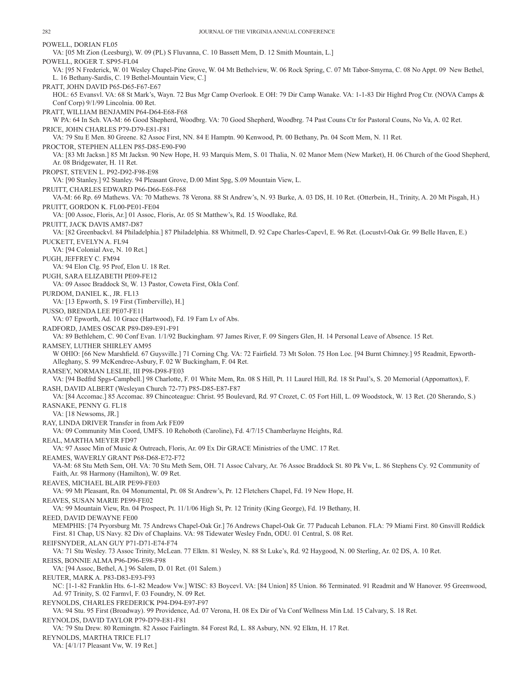POWELL, DORIAN FL05 VA: [05 Mt Zion (Leesburg), W. 09 (PL) S Fluvanna, C. 10 Bassett Mem, D. 12 Smith Mountain, L.] POWELL, ROGER T. SP95-FL04 VA: [95 N Frederick, W. 01 Wesley Chapel-Pine Grove, W. 04 Mt Bethelview, W. 06 Rock Spring, C. 07 Mt Tabor-Smyrna, C. 08 No Appt. 09 New Bethel, L. 16 Bethany-Sardis, C. 19 Bethel-Mountain View, C.] PRATT, JOHN DAVID P65-D65-F67-E67 HOL: 65 Evansvl. VA: 68 St Mark's, Wayn. 72 Bus Mgr Camp Overlook. E OH: 79 Dir Camp Wanake. VA: 1-1-83 Dir Highrd Prog Ctr. (NOVA Camps & Conf Corp) 9/1/99 Lincolnia. 00 Ret. PRATT, WILLIAM BENJAMIN P64-D64-E68-F68 W PA: 64 In Sch. VA-M: 66 Good Shepherd, Woodbrg. VA: 70 Good Shepherd, Woodbrg. 74 Past Couns Ctr for Pastoral Couns, No Va, A. 02 Ret. PRICE, JOHN CHARLES P79-D79-E81-F81 VA: 79 Stu E Men. 80 Greene. 82 Assoc First, NN. 84 E Hamptn. 90 Kenwood, Pt. 00 Bethany, Pn. 04 Scott Mem, N. 11 Ret. PROCTOR, STEPHEN ALLEN P85-D85-E90-F90 VA: [83 Mt Jacksn.] 85 Mt Jacksn. 90 New Hope, H. 93 Marquis Mem, S. 01 Thalia, N. 02 Manor Mem (New Market), H. 06 Church of the Good Shepherd, Ar. 08 Bridgewater, H. 11 Ret. PROPST, STEVEN L. P92-D92-F98-E98 VA: [90 Stanley.] 92 Stanley. 94 Pleasant Grove, D.00 Mint Spg, S.09 Mountain View, L. PRUITT, CHARLES EDWARD P66-D66-E68-F68 VA-M: 66 Rp. 69 Mathews. VA: 70 Mathews. 78 Verona. 88 St Andrew's, N. 93 Burke, A. 03 DS, H. 10 Ret. (Otterbein, H., Trinity, A. 20 Mt Pisgah, H.) PRUITT, GORDON K. FL00-PE01-FE04 VA: [00 Assoc, Floris, Ar.] 01 Assoc, Floris, Ar. 05 St Matthew's, Rd. 15 Woodlake, Rd. PRUITT, JACK DAVIS AM87-D87 VA: [82 Greenbackvl. 84 Philadelphia.] 87 Philadelphia. 88 Whitmell, D. 92 Cape Charles-Capevl, E. 96 Ret. (Locustvl-Oak Gr. 99 Belle Haven, E.) PUCKETT, EVELYN A. FL94 VA: [94 Colonial Ave, N. 10 Ret.] PUGH, JEFFREY C. FM94 VA: 94 Elon Clg. 95 Prof, Elon U. 18 Ret. PUGH, SARA ELIZABETH PE09-FE12 VA: 09 Assoc Braddock St, W. 13 Pastor, Coweta First, Okla Conf. PURDOM, DANIEL K., JR. FL13 VA: [13 Epworth, S. 19 First (Timberville), H.] PUSSO, BRENDA LEE PE07-FE11 VA: 07 Epworth, Ad. 10 Grace (Hartwood), Fd. 19 Fam Lv of Abs. RADFORD, JAMES OSCAR P89-D89-E91-F91 VA: 89 Bethlehem, C. 90 Conf Evan. 1/1/92 Buckingham. 97 James River, F. 09 Singers Glen, H. 14 Personal Leave of Absence. 15 Ret. RAMSEY, LUTHER SHIRLEY AM95 W OHIO: [66 New Marshfield. 67 Guysville.] 71 Corning Chg. VA: 72 Fairfield. 73 Mt Solon. 75 Hon Loc. [94 Burnt Chimney.] 95 Readmit, Epworth-Alleghany, S. 99 McKendree-Asbury, F. 02 W Buckingham, F. 04 Ret. RAMSEY, NORMAN LESLIE, III P98-D98-FE03 VA: [94 Bedfrd Spgs-Campbell.] 98 Charlotte, F. 01 White Mem, Rn. 08 S Hill, Pt. 11 Laurel Hill, Rd. 18 St Paul's, S. 20 Memorial (Appomattox), F. RASH, DAVID ALBERT (Wesleyan Church 72-77) P85-D85-E87-F87 VA: [84 Accomac.] 85 Accomac. 89 Chincoteague: Christ. 95 Boulevard, Rd. 97 Crozet, C. 05 Fort Hill, L. 09 Woodstock, W. 13 Ret. (20 Sherando, S.) RASNAKE, PENNY G. FL18 VA: [18 Newsoms, JR.] RAY, LINDA DRIVER Transfer in from Ark FE09 VA: 09 Community Min Coord, UMFS. 10 Rehoboth (Caroline), Fd. 4/7/15 Chamberlayne Heights, Rd. REAL, MARTHA MEYER FD97 VA: 97 Assoc Min of Music & Outreach, Floris, Ar. 09 Ex Dir GRACE Ministries of the UMC. 17 Ret. REAMES, WAVERLY GRANT P68-D68-E72-F72 VA-M: 68 Stu Meth Sem, OH. VA: 70 Stu Meth Sem, OH. 71 Assoc Calvary, Ar. 76 Assoc Braddock St. 80 Pk Vw, L. 86 Stephens Cy. 92 Community of Faith, Ar. 98 Harmony (Hamilton), W. 09 Ret. REAVES, MICHAEL BLAIR PE99-FE03 VA: 99 Mt Pleasant, Rn. 04 Monumental, Pt. 08 St Andrew's, Pr. 12 Fletchers Chapel, Fd. 19 New Hope, H. REAVES, SUSAN MARIE PE99-FE02 VA: 99 Mountain View, Rn. 04 Prospect, Pt. 11/1/06 High St, Pr. 12 Trinity (King George), Fd. 19 Bethany, H. REED, DAVID DEWAYNE FE00 MEMPHIS: [74 Pryorsburg Mt. 75 Andrews Chapel-Oak Gr.] 76 Andrews Chapel-Oak Gr. 77 Paducah Lebanon. FLA: 79 Miami First. 80 Gnsvill Reddick First. 81 Chap, US Navy. 82 Div of Chaplains. VA: 98 Tidewater Wesley Fndn, ODU. 01 Central, S. 08 Ret. REIFSNYDER, ALAN GUY P71-D71-E74-F74 VA: 71 Stu Wesley. 73 Assoc Trinity, McLean. 77 Elktn. 81 Wesley, N. 88 St Luke's, Rd. 92 Haygood, N. 00 Sterling, Ar. 02 DS, A. 10 Ret. REISS, BONNIE ALMA P96-D96-E98-F98 VA: [94 Assoc, Bethel, A.] 96 Salem, D. 01 Ret. (01 Salem.) REUTER, MARK A. P83-D83-E93-F93 NC: [1-1-82 Franklin Hts. 6-1-82 Meadow Vw.] WISC: 83 Boycevl. VA: [84 Union] 85 Union. 86 Terminated. 91 Readmit and W Hanover. 95 Greenwood, Ad. 97 Trinity, S. 02 Farmvl, F. 03 Foundry, N. 09 Ret. REYNOLDS, CHARLES FREDERICK P94-D94-E97-F97 VA: 94 Stu. 95 First (Broadway). 99 Providence, Ad. 07 Verona, H. 08 Ex Dir of Va Conf Wellness Min Ltd. 15 Calvary, S. 18 Ret. REYNOLDS, DAVID TAYLOR P79-D79-E81-F81 VA: 79 Stu Drew. 80 Remingtn. 82 Assoc Fairlingtn. 84 Forest Rd, L. 88 Asbury, NN. 92 Elktn, H. 17 Ret. REYNOLDS, MARTHA TRICE FL17

VA: [4/1/17 Pleasant Vw, W. 19 Ret.]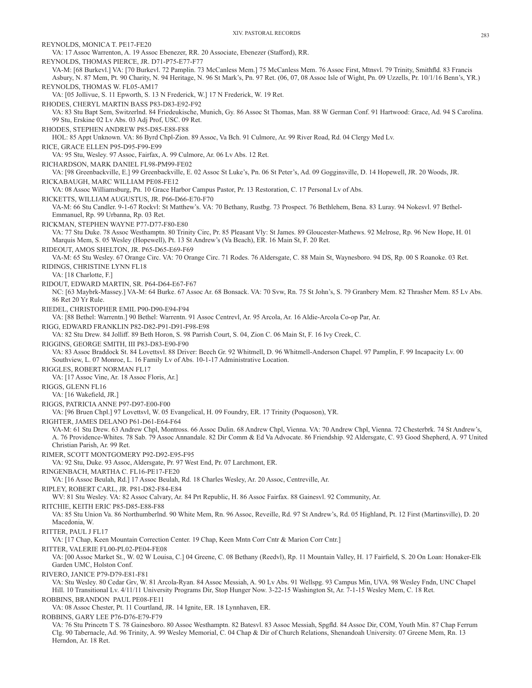| XIV. PASTORAL RECORDS                                                                                                                                                                                                                                                                                                                          | 283 |
|------------------------------------------------------------------------------------------------------------------------------------------------------------------------------------------------------------------------------------------------------------------------------------------------------------------------------------------------|-----|
| REYNOLDS, MONICA T. PE17-FE20<br>VA: 17 Assoc Warrenton, A. 19 Assoc Ebenezer, RR. 20 Associate, Ebenezer (Stafford), RR.                                                                                                                                                                                                                      |     |
| REYNOLDS, THOMAS PIERCE, JR. D71-P75-E77-F77<br>VA-M: [68 Burkevl.] VA: [70 Burkevl. 72 Pamplin. 73 McCanless Mem.] 75 McCanless Mem. 76 Assoc First, Mtnsvl. 79 Trinity, Smithfld. 83 Francis                                                                                                                                                 |     |
| Asbury, N. 87 Mem, Pt. 90 Charity, N. 94 Heritage, N. 96 St Mark's, Pn. 97 Ret. (06, 07, 08 Assoc Isle of Wight, Pn. 09 Uzzells, Pr. 10/1/16 Benn's, YR.)<br>REYNOLDS, THOMAS W. FL05-AM17<br>VA: [05 Jollivue, S. 11 Epworth, S. 13 N Frederick, W.] 17 N Frederick, W. 19 Ret.                                                               |     |
| RHODES, CHERYL MARTIN BASS P83-D83-E92-F92                                                                                                                                                                                                                                                                                                     |     |
| VA: 83 Stu Bapt Sem, Switzerlnd. 84 Friedeukische, Munich, Gy. 86 Assoc St Thomas, Man. 88 W German Conf. 91 Hartwood: Grace, Ad. 94 S Carolina.<br>99 Stu, Erskine 02 Lv Abs. 03 Adj Prof, USC. 09 Ret.<br>RHODES, STEPHEN ANDREW P85-D85-E88-F88                                                                                             |     |
| HOL: 85 Appt Unknown. VA: 86 Byrd Chpl-Zion. 89 Assoc, Va Bch. 91 Culmore, Ar. 99 River Road, Rd. 04 Clergy Med Lv.                                                                                                                                                                                                                            |     |
| RICE, GRACE ELLEN P95-D95-F99-E99<br>VA: 95 Stu, Wesley. 97 Assoc, Fairfax, A. 99 Culmore, Ar. 06 Lv Abs. 12 Ret.                                                                                                                                                                                                                              |     |
| RICHARDSON, MARK DANIEL FL98-PM99-FE02<br>VA: [98 Greenbackville, E.] 99 Greenbackville, E. 02 Assoc St Luke's, Pn. 06 St Peter's, Ad. 09 Gogginsville, D. 14 Hopewell, JR. 20 Woods, JR.                                                                                                                                                      |     |
| RICKABAUGH, MARC WILLIAM PE08-FE12<br>VA: 08 Assoc Williamsburg, Pn. 10 Grace Harbor Campus Pastor, Pr. 13 Restoration, C. 17 Personal Lv of Abs.                                                                                                                                                                                              |     |
| RICKETTS, WILLIAM AUGUSTUS, JR. P66-D66-E70-F70<br>VA-M: 66 Stu Candler. 9-1-67 Rockvl: St Matthew's. VA: 70 Bethany, Rustbg. 73 Prospect. 76 Bethlehem, Bena. 83 Luray. 94 Nokesvl. 97 Bethel-<br>Emmanuel, Rp. 99 Urbanna, Rp. 03 Ret.                                                                                                       |     |
| RICKMAN, STEPHEN WAYNE P77-D77-F80-E80                                                                                                                                                                                                                                                                                                         |     |
| VA: 77 Stu Duke. 78 Assoc Westhamptn. 80 Trinity Circ, Pr. 85 Pleasant Vly: St James. 89 Gloucester-Mathews. 92 Melrose, Rp. 96 New Hope, H. 01<br>Marquis Mem, S. 05 Wesley (Hopewell), Pt. 13 St Andrew's (Va Beach), ER. 16 Main St, F. 20 Ret.                                                                                             |     |
| RIDEOUT, AMOS SHELTON, JR. P65-D65-E69-F69<br>VA-M: 65 Stu Wesley. 67 Orange Circ. VA: 70 Orange Circ. 71 Rodes. 76 Aldersgate, C. 88 Main St, Waynesboro. 94 DS, Rp. 00 S Roanoke. 03 Ret.                                                                                                                                                    |     |
| RIDINGS, CHRISTINE LYNN FL18<br>VA: [18 Charlotte, F.]                                                                                                                                                                                                                                                                                         |     |
| RIDOUT, EDWARD MARTIN, SR. P64-D64-E67-F67<br>NC: [63 Maybrk-Massey.] VA-M: 64 Burke. 67 Assoc Ar. 68 Bonsack. VA: 70 Svw, Rn. 75 St John's, S. 79 Granbery Mem. 82 Thrasher Mem. 85 Lv Abs.<br>86 Ret 20 Yr Rule.                                                                                                                             |     |
| RIEDEL, CHRISTOPHER EMIL P90-D90-E94-F94<br>VA: [88 Bethel: Warrentn.] 90 Bethel: Warrentn. 91 Assoc Centrevl, Ar. 95 Arcola, Ar. 16 Aldie-Arcola Co-op Par, Ar.                                                                                                                                                                               |     |
| RIGG, EDWARD FRANKLIN P82-D82-P91-D91-F98-E98<br>VA: 82 Stu Drew. 84 Jolliff. 89 Beth Horon, S. 98 Parrish Court, S. 04, Zion C. 06 Main St, F. 16 Ivy Creek, C.                                                                                                                                                                               |     |
| RIGGINS, GEORGE SMITH, III P83-D83-E90-F90<br>VA: 83 Assoc Braddock St. 84 Lovettsvl. 88 Driver: Beech Gr. 92 Whitmell, D. 96 Whitmell-Anderson Chapel. 97 Pamplin, F. 99 Incapacity Lv. 00<br>Southview, L. 07 Monroe, L. 16 Family Lv of Abs. 10-1-17 Administrative Location.                                                               |     |
| RIGGLES, ROBERT NORMAN FL17<br>VA: [17 Assoc Vine, Ar. 18 Assoc Floris, Ar.]                                                                                                                                                                                                                                                                   |     |
| RIGGS, GLENN FL16<br>VA: [16 Wakefield, JR.]                                                                                                                                                                                                                                                                                                   |     |
| RIGGS, PATRICIA ANNE P97-D97-E00-F00<br>VA: [96 Bruen Chpl.] 97 Lovettsvl, W. 05 Evangelical, H. 09 Foundry, ER. 17 Trinity (Poquoson), YR.                                                                                                                                                                                                    |     |
| RIGHTER, JAMES DELANO P61-D61-E64-F64<br>VA-M: 61 Stu Drew. 63 Andrew Chpl, Montross. 66 Assoc Dulin. 68 Andrew Chpl, Vienna. VA: 70 Andrew Chpl, Vienna. 72 Chesterbrk. 74 St Andrew's,<br>A. 76 Providence-Whites. 78 Sab. 79 Assoc Annandale. 82 Dir Comm & Ed Va Advocate. 86 Friendship. 92 Aldersgate, C. 93 Good Shepherd, A. 97 United |     |
| Christian Parish, Ar. 99 Ret.<br>RIMER, SCOTT MONTGOMERY P92-D92-E95-F95<br>VA: 92 Stu, Duke. 93 Assoc, Aldersgate, Pr. 97 West End, Pr. 07 Larchmont, ER.                                                                                                                                                                                     |     |
| RINGENBACH, MARTHA C. FL16-PE17-FE20<br>VA: [16 Assoc Beulah, Rd.] 17 Assoc Beulah, Rd. 18 Charles Wesley, Ar. 20 Assoc, Centreville, Ar.                                                                                                                                                                                                      |     |
| RIPLEY, ROBERT CARL, JR. P81-D82-F84-E84<br>WV: 81 Stu Wesley. VA: 82 Assoc Calvary, Ar. 84 Prt Republic, H. 86 Assoc Fairfax. 88 Gainesvl. 92 Community, Ar.                                                                                                                                                                                  |     |
| RITCHIE, KEITH ERIC P85-D85-E88-F88<br>VA: 85 Stu Union Va. 86 Northumberlnd. 90 White Mem, Rn. 96 Assoc, Reveille, Rd. 97 St Andrew's, Rd. 05 Highland, Pt. 12 First (Martinsville), D. 20<br>Macedonia, W.                                                                                                                                   |     |
| RITTER, PAUL J FL17<br>VA: [17 Chap, Keen Mountain Correction Center. 19 Chap, Keen Mntn Corr Cntr & Marion Corr Cntr.]                                                                                                                                                                                                                        |     |
| RITTER, VALERIE FL00-PL02-PE04-FE08<br>VA: [00 Assoc Market St., W. 02 W Louisa, C.] 04 Greene, C. 08 Bethany (Reedvl), Rp. 11 Mountain Valley, H. 17 Fairfield, S. 20 On Loan: Honaker-Elk                                                                                                                                                    |     |
| Garden UMC, Holston Conf.                                                                                                                                                                                                                                                                                                                      |     |
| RIVERO, JANICE P79-D79-E81-F81<br>VA: Stu Wesley. 80 Cedar Grv, W. 81 Arcola-Ryan. 84 Assoc Messiah, A. 90 Lv Abs. 91 Wellspg. 93 Campus Min, UVA. 98 Wesley Fndn, UNC Chapel<br>Hill. 10 Transitional Lv. 4/11/11 University Programs Dir, Stop Hunger Now. 3-22-15 Washington St, Ar. 7-1-15 Wesley Mem, C. 18 Ret.                          |     |
| ROBBINS, BRANDON PAUL PE08-FE11<br>VA: 08 Assoc Chester, Pt. 11 Courtland, JR. 14 Ignite, ER. 18 Lynnhaven, ER.                                                                                                                                                                                                                                |     |
| ROBBINS, GARY LEE P76-D76-E79-F79                                                                                                                                                                                                                                                                                                              |     |
| VA: 76 Stu Princetn T S. 78 Gainesboro. 80 Assoc Westhamptn. 82 Batesvl. 83 Assoc Messiah, Spgfld. 84 Assoc Dir, COM, Youth Min. 87 Chap Ferrum<br>Clg. 90 Tabernacle, Ad. 96 Trinity, A. 99 Wesley Memorial, C. 04 Chap & Dir of Church Relations, Shenandoah University. 07 Greene Mem, Rn. 13                                               |     |

Herndon, Ar. 18 Ret.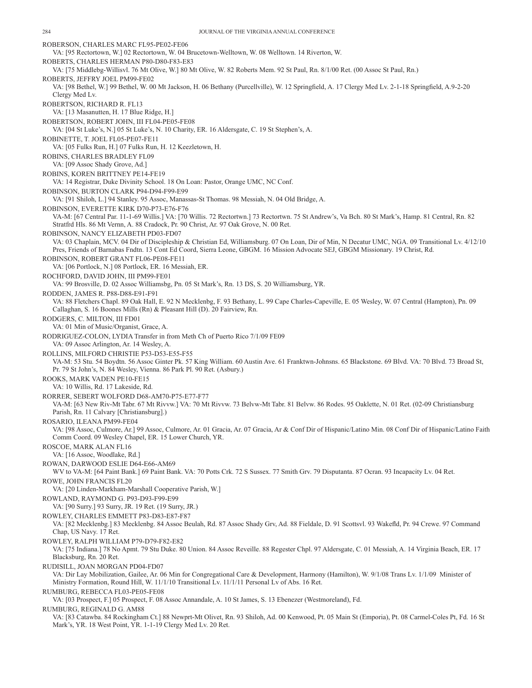ROBERSON, CHARLES MARC FL95-PE02-FE06 VA: [95 Rectortown, W.] 02 Rectortown, W. 04 Brucetown-Welltown, W. 08 Welltown. 14 Riverton, W. ROBERTS, CHARLES HERMAN P80-D80-F83-E83 VA: [75 Middlebg-Willisvl. 76 Mt Olive, W.] 80 Mt Olive, W. 82 Roberts Mem. 92 St Paul, Rn. 8/1/00 Ret. (00 Assoc St Paul, Rn.) ROBERTS, JEFFRY JOEL PM99-FE02 VA: [98 Bethel, W.] 99 Bethel, W. 00 Mt Jackson, H. 06 Bethany (Purcellville), W. 12 Springfield, A. 17 Clergy Med Lv. 2-1-18 Springfield, A.9-2-20 Clergy Med Lv. ROBERTSON, RICHARD R. FL13 VA: [13 Masanutten, H. 17 Blue Ridge, H.] ROBERTSON, ROBERT JOHN, III FL04-PE05-FE08 VA: [04 St Luke's, N.] 05 St Luke's, N. 10 Charity, ER. 16 Aldersgate, C. 19 St Stephen's, A. ROBINETTE, T. JOEL FL05-PE07-FE11 VA: [05 Fulks Run, H.] 07 Fulks Run, H. 12 Keezletown, H. ROBINS, CHARLES BRADLEY FL09 VA: [09 Assoc Shady Grove, Ad.] ROBINS, KOREN BRITTNEY PE14-FE19 VA: 14 Registrar, Duke Divinity School. 18 On Loan: Pastor, Orange UMC, NC Conf. ROBINSON, BURTON CLARK P94-D94-F99-E99 VA: [91 Shiloh, L.] 94 Stanley. 95 Assoc, Manassas-St Thomas. 98 Messiah, N. 04 Old Bridge, A. ROBINSON, EVERETTE KIRK D70-P73-E76-F76 VA-M: [67 Central Par. 11-1-69 Willis.] VA: [70 Willis. 72 Rectortwn.] 73 Rectortwn. 75 St Andrew's, Va Bch. 80 St Mark's, Hamp. 81 Central, Rn. 82 Stratfrd Hls. 86 Mt Vernn, A. 88 Cradock, Pr. 90 Christ, Ar. 97 Oak Grove, N. 00 Ret. ROBINSON, NANCY ELIZABETH PD03-FD07 VA: 03 Chaplain, MCV. 04 Dir of Discipleship & Christian Ed, Williamsburg. 07 On Loan, Dir of Min, N Decatur UMC, NGA. 09 Transitional Lv. 4/12/10 Pres, Friends of Barnabas Fndtn. 13 Cont Ed Coord, Sierra Leone, GBGM. 16 Mission Advocate SEJ, GBGM Missionary. 19 Christ, Rd. ROBINSON, ROBERT GRANT FL06-PE08-FE11 VA: [06 Portlock, N.] 08 Portlock, ER. 16 Messiah, ER. ROCHFORD, DAVID JOHN, III PM99-FE01 VA: 99 Brosville, D. 02 Assoc Williamsbg, Pn. 05 St Mark's, Rn. 13 DS, S. 20 Williamsburg, YR. RODDEN, JAMES R. P88-D88-E91-F91 VA: 88 Fletchers Chapl. 89 Oak Hall, E. 92 N Mecklenbg, F. 93 Bethany, L. 99 Cape Charles-Capeville, E. 05 Wesley, W. 07 Central (Hampton), Pn. 09 Callaghan, S. 16 Boones Mills (Rn) & Pleasant Hill (D). 20 Fairview, Rn. RODGERS, C. MILTON, III FD01 VA: 01 Min of Music/Organist, Grace, A. RODRIGUEZ-COLON, LYDIA Transfer in from Meth Ch of Puerto Rico 7/1/09 FE09 VA: 09 Assoc Arlington, Ar. 14 Wesley, A. ROLLINS, MILFORD CHRISTIE P53-D53-E55-F55 VA-M: 53 Stu. 54 Boydtn. 56 Assoc Ginter Pk. 57 King William. 60 Austin Ave. 61 Franktwn-Johnsns. 65 Blackstone. 69 Blvd. VA: 70 Blvd. 73 Broad St, Pr. 79 St John's, N. 84 Wesley, Vienna. 86 Park Pl. 90 Ret. (Asbury.) ROOKS, MARK VADEN PE10-FE15 VA: 10 Willis, Rd. 17 Lakeside, Rd. RORRER, SEBERT WOLFORD D68-AM70-P75-E77-F77 VA-M: [63 New Riv-Mt Tabr. 67 Mt Rivvw.] VA: 70 Mt Rivvw. 73 Belvw-Mt Tabr. 81 Belvw. 86 Rodes. 95 Oaklette, N. 01 Ret. (02-09 Christiansburg Parish, Rn. 11 Calvary [Christiansburg].) ROSARIO, ILEANA PM99-FE04 VA: [98 Assoc, Culmore, Ar.] 99 Assoc, Culmore, Ar. 01 Gracia, Ar. 07 Gracia, Ar & Conf Dir of Hispanic/Latino Min. 08 Conf Dir of Hispanic/Latino Faith Comm Coord. 09 Wesley Chapel, ER. 15 Lower Church, YR. ROSCOE, MARK ALAN FL16 VA: [16 Assoc, Woodlake, Rd.] ROWAN, DARWOOD ESLIE D64-E66-AM69 WV to VA-M: [64 Paint Bank.] 69 Paint Bank. VA: 70 Potts Crk. 72 S Sussex. 77 Smith Grv. 79 Disputanta. 87 Ocran. 93 Incapacity Lv. 04 Ret. ROWE, JOHN FRANCIS FL20 VA: [20 Linden-Markham-Marshall Cooperative Parish, W.] ROWLAND, RAYMOND G. P93-D93-F99-E99 VA: [90 Surry.] 93 Surry, JR. 19 Ret. (19 Surry, JR.) ROWLEY, CHARLES EMMETT P83-D83-E87-F87 VA: [82 Mecklenbg.] 83 Mecklenbg. 84 Assoc Beulah, Rd. 87 Assoc Shady Grv, Ad. 88 Fieldale, D. 91 Scottsvl. 93 Wakefld, Pr. 94 Crewe. 97 Command Chap, US Navy. 17 Ret. ROWLEY, RALPH WILLIAM P79-D79-F82-E82 VA: [75 Indiana.] 78 No Apmt. 79 Stu Duke. 80 Union. 84 Assoc Reveille. 88 Regester Chpl. 97 Aldersgate, C. 01 Messiah, A. 14 Virginia Beach, ER. 17 Blacksburg, Rn. 20 Ret. RUDISILL, JOAN MORGAN PD04-FD07 VA: Dir Lay Mobilization, Gailee, Ar. 06 Min for Congregational Care & Development, Harmony (Hamilton), W. 9/1/08 Trans Lv. 1/1/09 Minister of Ministry Formation, Round Hill, W. 11/1/10 Transitional Lv. 11/1/11 Personal Lv of Abs. 16 Ret. RUMBURG, REBECCA FL03-PE05-FE08 VA: [03 Prospect, F.] 05 Prospect, F. 08 Assoc Annandale, A. 10 St James, S. 13 Ebenezer (Westmoreland), Fd. RUMBURG, REGINALD G. AM88 VA: [83 Catawba. 84 Rockingham Ct.] 88 Newprt-Mt Olivet, Rn. 93 Shiloh, Ad. 00 Kenwood, Pt. 05 Main St (Emporia), Pt. 08 Carmel-Coles Pt, Fd. 16 St Mark's, YR. 18 West Point, YR. 1-1-19 Clergy Med Lv. 20 Ret.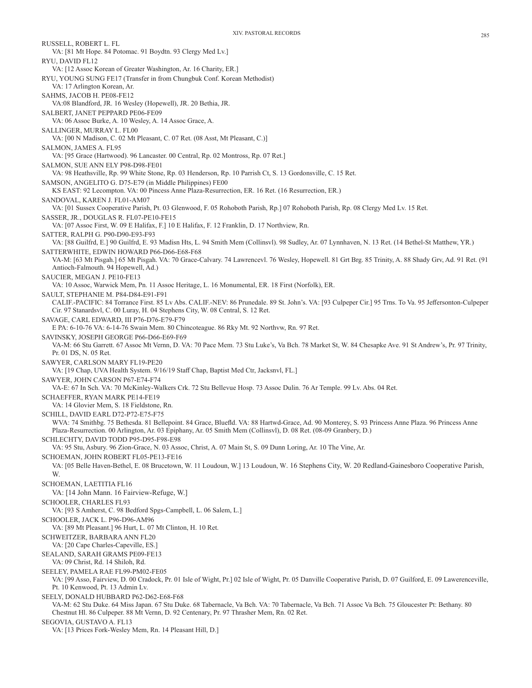RUSSELL, ROBERT L. FL VA: [81 Mt Hope. 84 Potomac. 91 Boydtn. 93 Clergy Med Lv.] RYU, DAVID FL12 VA: [12 Assoc Korean of Greater Washington, Ar. 16 Charity, ER.] RYU, YOUNG SUNG FE17 (Transfer in from Chungbuk Conf. Korean Methodist) VA: 17 Arlington Korean, Ar. SAHMS, JACOB H. PE08-FE12 VA:08 Blandford, JR. 16 Wesley (Hopewell), JR. 20 Bethia, JR. SALBERT, JANET PEPPARD PE06-FE09 VA: 06 Assoc Burke, A. 10 Wesley, A. 14 Assoc Grace, A. SALLINGER, MURRAY L. FL00 VA: [00 N Madison, C. 02 Mt Pleasant, C. 07 Ret. (08 Asst, Mt Pleasant, C.)] SALMON, JAMES A. FL95 VA: [95 Grace (Hartwood). 96 Lancaster. 00 Central, Rp. 02 Montross, Rp. 07 Ret.] SALMON, SUE ANN ELY P98-D98-FE01 VA: 98 Heathsville, Rp. 99 White Stone, Rp. 03 Henderson, Rp. 10 Parrish Ct, S. 13 Gordonsville, C. 15 Ret. SAMSON, ANGELITO G. D75-E79 (in Middle Philippines) FE00 KS EAST: 92 Lecompton. VA: 00 Pincess Anne Plaza-Resurrection, ER. 16 Ret. (16 Resurrection, ER.) SANDOVAL, KAREN J. FL01-AM07 VA: [01 Sussex Cooperative Parish, Pt. 03 Glenwood, F. 05 Rohoboth Parish, Rp.] 07 Rohoboth Parish, Rp. 08 Clergy Med Lv. 15 Ret. SASSER, JR., DOUGLAS R. FL07-PE10-FE15 VA: [07 Assoc First, W. 09 E Halifax, F.] 10 E Halifax, F. 12 Franklin, D. 17 Northview, Rn. SATTER, RALPH G. P90-D90-E93-F93 VA: [88 Guilfrd, E.] 90 Guilfrd, E. 93 Madisn Hts, L. 94 Smith Mem (Collinsvl). 98 Sudley, Ar. 07 Lynnhaven, N. 13 Ret. (14 Bethel-St Matthew, YR.) SATTERWHITE, EDWIN HOWARD P66-D66-E68-F68 VA-M: [63 Mt Pisgah.] 65 Mt Pisgah. VA: 70 Grace-Calvary. 74 Lawrencevl. 76 Wesley, Hopewell. 81 Grt Brg. 85 Trinity, A. 88 Shady Grv, Ad. 91 Ret. (91 Antioch-Falmouth. 94 Hopewell, Ad.) SAUCIER, MEGAN J. PE10-FE13 VA: 10 Assoc, Warwick Mem, Pn. 11 Assoc Heritage, L. 16 Monumental, ER. 18 First (Norfolk), ER. SAULT, STEPHANIE M. P84-D84-E91-F91 CALIF.-PACIFIC: 84 Torrance First. 85 Lv Abs. CALIF.-NEV: 86 Prunedale. 89 St. John's. VA: [93 Culpeper Cir.] 95 Trns. To Va. 95 Jeffersonton-Culpeper Cir. 97 Stanardsvl, C. 00 Luray, H. 04 Stephens City, W. 08 Central, S. 12 Ret. SAVAGE, CARL EDWARD, III P76-D76-E79-F79 E PA: 6-10-76 VA: 6-14-76 Swain Mem. 80 Chincoteague. 86 Rky Mt. 92 Northvw, Rn. 97 Ret. SAVINSKY, JOSEPH GEORGE P66-D66-E69-F69 VA-M: 66 Stu Garrett. 67 Assoc Mt Vernn, D. VA: 70 Pace Mem. 73 Stu Luke's, Va Bch. 78 Market St, W. 84 Chesapke Ave. 91 St Andrew's, Pr. 97 Trinity, Pr. 01 DS, N. 05 Ret. SAWYER, CARLSON MARY FL19-PE20 VA: [19 Chap, UVA Health System. 9/16/19 Staff Chap, Baptist Med Ctr, Jacksnvl, FL.] SAWYER, JOHN CARSON P67-E74-F74 VA-E: 67 In Sch. VA: 70 McKinley-Walkers Crk. 72 Stu Bellevue Hosp. 73 Assoc Dulin. 76 Ar Temple. 99 Lv. Abs. 04 Ret. SCHAEFFER, RYAN MARK PE14-FE19 VA: 14 Glovier Mem, S. 18 Fieldstone, Rn. SCHILL, DAVID EARL D72-P72-E75-F75 WVA: 74 Smithbg. 75 Bethesda. 81 Bellepoint. 84 Grace, Bluefld. VA: 88 Hartwd-Grace, Ad. 90 Monterey, S. 93 Princess Anne Plaza. 96 Princess Anne Plaza-Resurrection. 00 Arlington, Ar. 03 Epiphany, Ar. 05 Smith Mem (Collinsvl), D. 08 Ret. (08-09 Granbery, D.) SCHLECHTY, DAVID TODD P95-D95-F98-E98 VA: 95 Stu, Asbury. 96 Zion-Grace, N. 03 Assoc, Christ, A. 07 Main St, S. 09 Dunn Loring, Ar. 10 The Vine, Ar. SCHOEMAN, JOHN ROBERT FL05-PE13-FE16 VA: [05 Belle Haven-Bethel, E. 08 Brucetown, W. 11 Loudoun, W.] 13 Loudoun, W. 16 Stephens City, W. 20 Redland-Gainesboro Cooperative Parish, W. SCHOEMAN, LAETITIA FL16 VA: [14 John Mann. 16 Fairview-Refuge, W.] SCHOOLER, CHARLES FL93 VA: [93 S Amherst, C. 98 Bedford Spgs-Campbell, L. 06 Salem, L.] SCHOOLER, JACK L. P96-D96-AM96 VA: [89 Mt Pleasant.] 96 Hurt, L. 07 Mt Clinton, H. 10 Ret. SCHWEITZER, BARBARA ANN FL20 VA: [20 Cape Charles-Capeville, ES.] SEALAND, SARAH GRAMS PE09-FE13 VA: 09 Christ, Rd. 14 Shiloh, Rd. SEELEY, PAMEL A RAE FL99-PM02-FE05 VA: [99 Asso, Fairview, D. 00 Cradock, Pr. 01 Isle of Wight, Pr.] 02 Isle of Wight, Pr. 05 Danville Cooperative Parish, D. 07 Guilford, E. 09 Lawerenceville, Pt. 10 Kenwood, Pt. 13 Admin Lv. SEELY, DONALD HUBBARD P62-D62-E68-F68 VA-M: 62 Stu Duke. 64 Miss Japan. 67 Stu Duke. 68 Tabernacle, Va Bch. VA: 70 Tabernacle, Va Bch. 71 Assoc Va Bch. 75 Gloucester Pt: Bethany. 80 Chestnut Hl. 86 Culpeper. 88 Mt Vernn, D. 92 Centenary, Pr. 97 Thrasher Mem, Rn. 02 Ret. SEGOVIA, GUSTAVO A. FL13

VA: [13 Prices Fork-Wesley Mem, Rn. 14 Pleasant Hill, D.]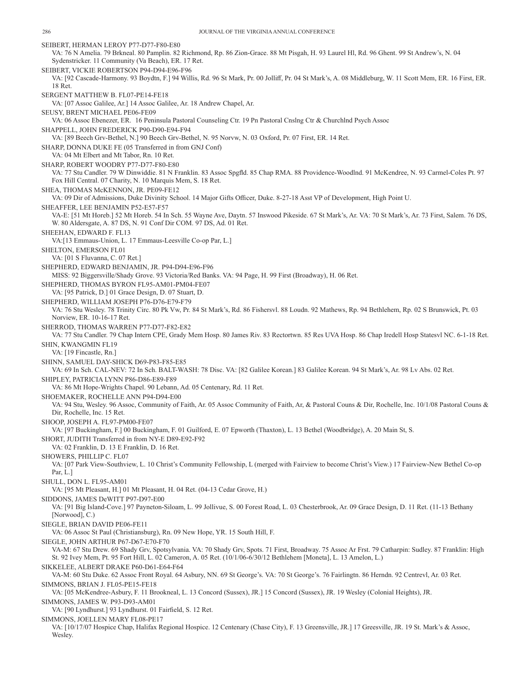SEIBERT, HERMAN LEROY P77-D77-F80-E80 VA: 76 N Amelia. 79 Brkneal. 80 Pamplin. 82 Richmond, Rp. 86 Zion-Grace. 88 Mt Pisgah, H. 93 Laurel Hl, Rd. 96 Ghent. 99 St Andrew's, N. 04 Sydenstricker. 11 Community (Va Beach), ER. 17 Ret. SEIBERT, VICKIE ROBERTSON P94-D94-E96-F96 VA: [92 Cascade-Harmony. 93 Boydtn, F.] 94 Willis, Rd. 96 St Mark, Pr. 00 Jolliff, Pr. 04 St Mark's, A. 08 Middleburg, W. 11 Scott Mem, ER. 16 First, ER. 18 Ret. SERGENT MATTHEW B. FL07-PE14-FE18 VA: [07 Assoc Galilee, Ar.] 14 Assoc Galilee, Ar. 18 Andrew Chapel, Ar. SEUSY, BRENT MICHAEL PE06-FE09 VA: 06 Assoc Ebenezer, ER. 16 Peninsula Pastoral Counseling Ctr. 19 Pn Pastoral Cnslng Ctr & Churchlnd Psych Assoc SHAPPELL, JOHN FREDERICK P90-D90-E94-F94 VA: [89 Beech Grv-Bethel, N.] 90 Beech Grv-Bethel, N. 95 Norvw, N. 03 Oxford, Pr. 07 First, ER. 14 Ret. SHARP, DONNA DUKE FE (05 Transferred in from GNJ Conf) VA: 04 Mt Elbert and Mt Tabor, Rn. 10 Ret. SHARP, ROBERT WOODRY P77-D77-F80-E80 VA: 77 Stu Candler. 79 W Dinwiddie. 81 N Franklin. 83 Assoc Spgfld. 85 Chap RMA. 88 Providence-Woodlnd. 91 McKendree, N. 93 Carmel-Coles Pt. 97 Fox Hill Central. 07 Charity, N. 10 Marquis Mem, S. 18 Ret. SHEA, THOMAS McKENNON, JR. PE09-FE12 VA: 09 Dir of Admissions, Duke Divinity School. 14 Major Gifts Officer, Duke. 8-27-18 Asst VP of Development, High Point U. SHEAFFER, LEE BENJAMIN P52-E57-F57 VA-E: [51 Mt Horeb.] 52 Mt Horeb. 54 In Sch. 55 Wayne Ave, Daytn. 57 Inswood Pikeside. 67 St Mark's, Ar. VA: 70 St Mark's, Ar. 73 First, Salem. 76 DS, W. 80 Aldersgate, A. 87 DS, N. 91 Conf Dir COM. 97 DS, Ad. 01 Ret. SHEEHAN, EDWARD F. FL13 VA:[13 Emmaus-Union, L. 17 Emmaus-Leesville Co-op Par, L.] SHELTON, EMERSON FL01 VA: [01 S Fluvanna, C. 07 Ret.] SHEPHERD, EDWARD BENJAMIN, JR. P94-D94-E96-F96 MISS: 92 Biggersville/Shady Grove. 93 Victoria/Red Banks. VA: 94 Page, H. 99 First (Broadway), H. 06 Ret. SHEPHERD, THOMAS BYRON FL95-AM01-PM04-FE07 VA: [95 Patrick, D.] 01 Grace Design, D. 07 Stuart, D. SHEPHERD, WILLIAM JOSEPH P76-D76-E79-F79 VA: 76 Stu Wesley. 78 Trinity Circ. 80 Pk Vw, Pr. 84 St Mark's, Rd. 86 Fishersvl. 88 Loudn. 92 Mathews, Rp. 94 Bethlehem, Rp. 02 S Brunswick, Pt. 03 Norview, ER. 10-16-17 Ret. SHERROD, THOMAS WARREN P77-D77-F82-E82 VA: 77 Stu Candler. 79 Chap Intern CPE, Grady Mem Hosp. 80 James Riv. 83 Rectortwn. 85 Res UVA Hosp. 86 Chap Iredell Hosp Statesvl NC. 6-1-18 Ret. SHIN, KWANGMIN FL19 VA: [19 Fincastle, Rn.] SHINN, SAMUEL DAY-SHICK D69-P83-F85-E85 VA: 69 In Sch. CAL-NEV: 72 In Sch. BALT-WASH: 78 Disc. VA: [82 Galilee Korean.] 83 Galilee Korean. 94 St Mark's, Ar. 98 Lv Abs. 02 Ret. SHIPLEY, PATRICIA LYNN P86-D86-E89-F89 VA: 86 Mt Hope-Wrights Chapel. 90 Lebann, Ad. 05 Centenary, Rd. 11 Ret. SHOEMAKER, ROCHELLE ANN P94-D94-E00 VA: 94 Stu, Wesley. 96 Assoc, Community of Faith, Ar. 05 Assoc Community of Faith, Ar, & Pastoral Couns & Dir, Rochelle, Inc. 10/1/08 Pastoral Couns & Dir, Rochelle, Inc. 15 Ret. SHOOP, JOSEPH A. FL97-PM00-FE07 VA: [97 Buckingham, F.] 00 Buckingham, F. 01 Guilford, E. 07 Epworth (Thaxton), L. 13 Bethel (Woodbridge), A. 20 Main St, S. SHORT, JUDITH Transferred in from NY-E D89-E92-F92 VA: 02 Franklin, D. 13 E Franklin, D. 16 Ret. SHOWERS, PHILLIP C. FL07 VA: [07 Park View-Southview, L. 10 Christ's Community Fellowship, L (merged with Fairview to become Christ's View.) 17 Fairview-New Bethel Co-op Par, L.] SHULL, DON L. FL95-AM01 VA: [95 Mt Pleasant, H.] 01 Mt Pleasant, H. 04 Ret. (04-13 Cedar Grove, H.) SIDDONS, JAMES DeWITT P97-D97-E00 VA: [91 Big Island-Cove.] 97 Payneton-Siloam, L. 99 Jollivue, S. 00 Forest Road, L. 03 Chesterbrook, Ar. 09 Grace Design, D. 11 Ret. (11-13 Bethany [Norwood], C.) SIEGLE, BRIAN DAVID PE06-FE11 VA: 06 Assoc St Paul (Christiansburg), Rn. 09 New Hope, YR. 15 South Hill, F. SIEGLE, JOHN ARTHUR P67-D67-E70-F70 VA-M: 67 Stu Drew. 69 Shady Grv, Spotsylvania. VA: 70 Shady Grv, Spots. 71 First, Broadway. 75 Assoc Ar Frst. 79 Catharpin: Sudley. 87 Franklin: High St. 92 Ivey Mem, Pt. 95 Fort Hill, L. 02 Cameron, A. 05 Ret. (10/1/06-6/30/12 Bethlehem [Moneta], L. 13 Amelon, L.) SIKKELEE, ALBERT DRAKE P60-D61-E64-F64 VA-M: 60 Stu Duke. 62 Assoc Front Royal. 64 Asbury, NN. 69 St George's. VA: 70 St George's. 76 Fairlingtn. 86 Herndn. 92 Centrevl, Ar. 03 Ret. SIMMONS, BRIAN J. FL05-PE15-FE18 VA: [05 McKendree-Asbury, F. 11 Brookneal, L. 13 Concord (Sussex), JR.] 15 Concord (Sussex), JR. 19 Wesley (Colonial Heights), JR. SIMMONS, JAMES W. P93-D93-AM01 VA: [90 Lyndhurst.] 93 Lyndhurst. 01 Fairfield, S. 12 Ret. SIMMONS, JOELLEN MARY FL08-PE17 VA: [10/17/07 Hospice Chap, Halifax Regional Hospice. 12 Centenary (Chase City), F. 13 Greensville, JR.] 17 Greesville, JR. 19 St. Mark's & Assoc, Wesley.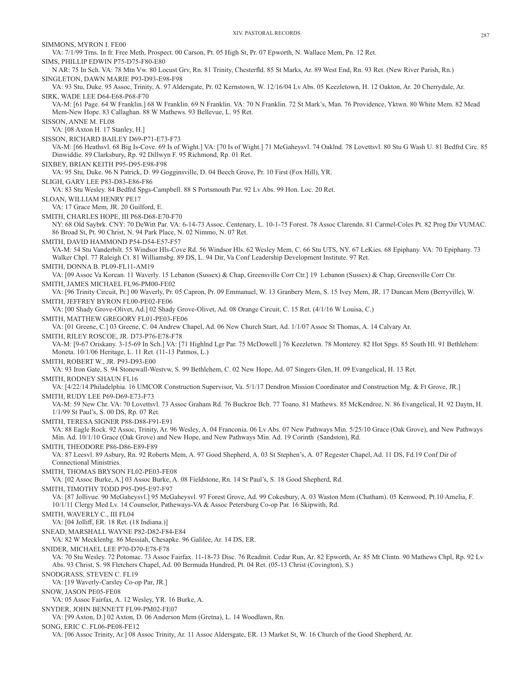VA: 7/1/99 Trns. In fr. Free Meth, Prospect. 00 Carson, Pt. 05 High St, Pr. 07 Epworth, N. Wallace Mem, Pn. 12 Ret. SIMS, PHILLIP EDWIN P75-D75-F80-E80 N AR: 75 In Sch. VA: 78 Mtn Vw. 80 Locust Grv, Rn. 81 Trinity, Chesterfld. 85 St Marks, Ar. 89 West End, Rn. 93 Ret. (New River Parish, Rn.) SINGLETON, DAWN MARIE P93-D93-E98-F98 VA: 93 Stu, Duke. 95 Assoc, Trinity, A. 97 Aldersgate, Pr. 02 Kernstown, W. 12/16/04 Lv Abs. 05 Keezletown, H. 12 Oakton, Ar. 20 Cherrydale, Ar. SIRK, WADE LEE D64-E68-P68-F70 VA-M: [61 Page. 64 W Franklin.] 68 W Franklin. 69 N Franklin. VA: 70 N Franklin. 72 St Mark's, Man. 76 Providence, Yktwn. 80 White Mem. 82 Mead Mem-New Hope. 83 Callaghan. 88 W Mathews. 93 Bellevue, L. 95 Ret. VA: [08 Axton H. 17 Stanley, H.] SISSON, RICHARD BAILEY D69-P71-E73-F73 VA-M: [66 Heathsvl. 68 Big Is-Cove. 69 Is of Wight.] VA: [70 Is of Wight.] 71 McGaheysvl. 74 Oaklnd. 78 Lovettsvl. 80 Stu G Wash U. 81 Bedfrd Circ. 85 Dinwiddie. 89 Clarksbury, Rp. 92 Dillwyn F. 95 Richmond, Rp. 01 Ret. SIXBEY, BRIAN KEITH P95-D95-E98-F98 VA: 95 Stu, Duke. 96 N Patrick, D. 99 Gogginsville, D. 04 Beech Grove, Pr. 10 First (Fox Hill), YR. SLIGH, GARY LEE P83-D83-E86-F86 VA: 83 Stu Wesley. 84 Bedfrd Spgs-Campbell. 88 S Portsmouth Par. 92 Lv Abs. 99 Hon. Loc. 20 Ret. SLOAN, WILLIAM HENRY PE17 VA: 17 Grace Mem, JR. 20 Guilford, E. SMITH, CHARLES HOPE, III P68-D68-E70-F70 NY: 68 Old Saybrk. CNY: 70 DeWitt Par. VA: 6-14-73 Assoc. Centenary, L. 10-1-75 Forest. 78 Assoc Clarendn. 81 Carmel-Coles Pt. 82 Prog Dir VUMAC. 86 Broad St, Pt. 90 Christ, N. 94 Park Place, N. 02 Nimmo, N. 07 Ret. SMITH, DAVID HAMMOND P54-D54-E57-F57 VA-M: 54 Stu Vanderbilt. 55 Windsor Hls-Cove Rd. 56 Windsor Hls. 62 Wesley Mem, C. 66 Stu UTS, NY. 67 LeKies. 68 Epiphany. VA: 70 Epiphany. 73 Walker Chpl. 77 Raleigh Ct. 81 Williamsbg. 89 DS, L. 94 Dir, Va Conf Leadership Development Institute. 97 Ret. SMITH, DONNA B. PL09-FL11-AM19 VA: [09 Assoc Va Korean. 11 Waverly. 15 Lebanon (Sussex) & Chap, Greensville Corr Ctr.] 19 Lebanon (Sussex) & Chap, Greensville Corr Ctr. SMITH, JAMES MICHAEL FL96-PM00-FE02 VA: [96 Trinity Circuit, Pr.] 00 Waverly, Pr. 05 Capron, Pr. 09 Emmanuel, W. 13 Granbery Mem, S. 15 Ivey Mem, JR. 17 Duncan Mem (Berryville), W. SMITH, JEFFREY BYRON FL00-PE02-FE06 VA: [00 Shady Grove-Olivet, Ad.] 02 Shady Grove-Olivet, Ad. 08 Orange Circuit, C. 15 Ret. (4/1/16 W Louisa, C.) SMITH, MATTHEW GREGORY FL01-PE03-FE06 VA: [01 Greene, C.] 03 Greene, C. 04 Andrew Chapel, Ad. 06 New Church Start, Ad. 1/1/07 Assoc St Thomas, A. 14 Calvary Ar. SMITH, RILEY ROSCOE, JR. D73-P76-E78-F78 VA-M: [9-67 Oriskany. 3-15-69 In Sch.] VA: [71 Highlnd Lgr Par. 75 McDowell.] 76 Keezletwn. 78 Monterey. 82 Hot Spgs. 85 South Hl. 91 Bethlehem: Moneta. 10/1/06 Heritage, L. 11 Ret. (11-13 Patmos, L.) SMITH, ROBERT W., JR. P93-D93-E00 VA: 93 Iron Gate, S. 94 Stonewall-Westvw, S. 99 Bethlehem, C. 02 New Hope, Ad. 07 Singers Glen, H. 09 Evangelical, H. 13 Ret. SMITH, RODNEY SHAUN FL16 VA: [4/22/14 Philadelphia. 16 UMCOR Construction Supervisor, Va. 5/1/17 Dendron Mission Coordinator and Construction Mg. & Ft Grove, JR.] SMITH, RUDY LEE P69-D69-E73-F73 VA-M: 59 New Chr. VA: 70 Lovettsvl. 73 Assoc Graham Rd. 76 Buckroe Bch. 77 Toano. 81 Mathews. 85 McKendree, N. 86 Evangelical, H. 92 Daytn, H. 1/1/99 St Paul's, S. 00 DS, Rp. 07 Ret. SMITH, TERESA SIGNER P88-D88-F91-E91 VA: 88 Eagle Rock. 92 Assoc, Trinity, Ar. 96 Wesley, A. 04 Franconia. 06 Lv Abs. 07 New Pathways Min. 5/25/10 Grace (Oak Grove), and New Pathways Min. Ad. 10/1/10 Grace (Oak Grove) and New Hope, and New Pathways Min. Ad. 19 Corinth (Sandston), Rd. SMITH, THEODORE P86-D86-E89-F89 VA: 87 Leesvl. 89 Asbury, Rn. 92 Roberts Mem, A. 97 Good Shepherd, A. 03 St Stephen's, A. 07 Regester Chapel, Ad. 11 DS, Fd.19 Conf Dir of SMITH, THOMAS BRYSON FL02-PE03-FE08 VA: [02 Assoc Burke, A.] 03 Assoc Burke, A. 08 Fieldstone, Rn. 14 St Paul's, S. 18 Good Shepherd, Rd. SMITH, TIMOTHY TODD P95-D95-E97-F97 VA: [87 Jollivue. 90 McGaheysvl.] 95 McGaheysvl. 97 Forest Grove, Ad. 99 Cokesbury, A. 03 Waston Mem (Chatham). 05 Kenwood, Pt.10 Amelia, F. 10/1/11 Clergy Med Lv. 14 Counselor, Patheways-VA & Assoc Petersburg Co-op Par. 16 Skipwith, Rd. SMITH, WAVERLY C., III FL04 VA: [04 Jolliff, ER. 18 Ret. (18 Indiana.)] SNEAD, MARSHALL WAYNE P82-D82-F84-E84

VA: 82 W Mecklenbg. 86 Messiah, Chesapke. 96 Galilee, Ar. 14 DS, ER.

SNIDER, MICHAEL LEE P70-D70-E78-F78

VA: 70 Stu Wesley. 72 Potomac. 73 Assoc Fairfax. 11-18-73 Disc. 76 Readmit. Cedar Run, Ar. 82 Epworth, Ar. 85 Mt Clintn. 90 Mathews Chpl, Rp. 92 Lv Abs. 93 Christ, S. 98 Fletchers Chapel, Ad. 00 Bermuda Hundred, Pt. 04 Ret. (05-13 Christ (Covington), S.)

SNODGRASS, STEVEN C. FL19

Connectional Ministries.

VA: [19 Waverly-Carsley Co-op Par, JR.]

SNOW, JASON PE05-FE08

SIMMONS, MYRON I. FE00

SISSON, ANNE M. FL08

VA: 05 Assoc Fairfax, A. 12 Wesley, YR. 16 Burke, A.

SNYDER, JOHN BENNETT FL99-PM02-FE07

VA: [99 Axton, D.] 02 Axton, D. 06 Anderson Mem (Gretna), L. 14 Woodlawn, Rn.

SONG, ERIC C. FL06-PE08-FE12

VA: [06 Assoc Trinity, Ar.] 08 Assoc Trinity, Ar. 11 Assoc Aldersgate, ER. 13 Market St, W. 16 Church of the Good Shepherd, Ar.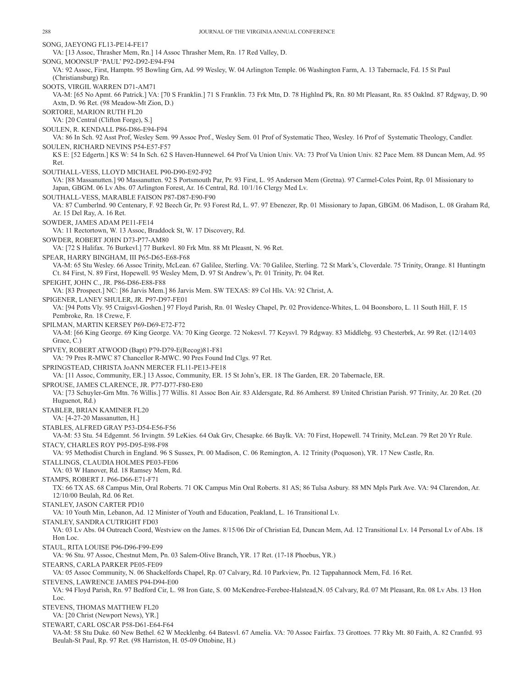SONG, JAEYONG FL13-PE14-FE17 VA: [13 Assoc, Thrasher Mem, Rn.] 14 Assoc Thrasher Mem, Rn. 17 Red Valley, D. SONG, MOONSUP 'PAUL' P92-D92-E94-F94 VA: 92 Assoc, First, Hamptn. 95 Bowling Grn, Ad. 99 Wesley, W. 04 Arlington Temple. 06 Washington Farm, A. 13 Tabernacle, Fd. 15 St Paul (Christiansburg) Rn. SOOTS, VIRGIL WARREN D71-AM71 VA-M: [65 No Apmt. 66 Patrick.] VA: [70 S Franklin.] 71 S Franklin. 73 Frk Mtn, D. 78 Highlnd Pk, Rn. 80 Mt Pleasant, Rn. 85 Oaklnd. 87 Rdgway, D. 90 Axtn, D. 96 Ret. (98 Meadow-Mt Zion, D.) SORTORE, MARION RUTH FL20 VA: [20 Central (Clifton Forge), S.] SOULEN, R. KENDALL P86-D86-E94-F94 VA: 86 In Sch. 92 Asst Prof, Wesley Sem. 99 Assoc Prof., Wesley Sem. 01 Prof of Systematic Theo, Wesley. 16 Prof of Systematic Theology, Candler. SOULEN, RICHARD NEVINS P54-E57-F57 KS E: [52 Edgertn.] KS W: 54 In Sch. 62 S Haven-Hunnewel. 64 Prof Va Union Univ. VA: 73 Prof Va Union Univ. 82 Pace Mem. 88 Duncan Mem, Ad. 95 Ret. SOUTHALL-VESS, LLOYD MICHAEL P90-D90-E92-F92 VA: [88 Massanutten.] 90 Massanutten. 92 S Portsmouth Par, Pr. 93 First, L. 95 Anderson Mem (Gretna). 97 Carmel-Coles Point, Rp. 01 Missionary to Japan, GBGM. 06 Lv Abs. 07 Arlington Forest, Ar. 16 Central, Rd. 10/1/16 Clergy Med Lv. SOUTHALL-VESS, MARABLE FAISON P87-D87-E90-F90 VA: 87 Cumberlnd. 90 Centenary, F. 92 Beech Gr, Pr. 93 Forest Rd, L. 97. 97 Ebenezer, Rp. 01 Missionary to Japan, GBGM. 06 Madison, L. 08 Graham Rd, Ar. 15 Del Ray, A. 16 Ret. SOWDER, JAMES ADAM PE11-FE14 VA: 11 Rectortown, W. 13 Assoc, Braddock St, W. 17 Discovery, Rd. SOWDER, ROBERT JOHN D73-P77-AM80 VA: [72 S Halifax. 76 Burkevl.] 77 Burkevl. 80 Frk Mtn. 88 Mt Pleasnt, N. 96 Ret. SPEAR, HARRY BINGHAM, III P65-D65-E68-F68 VA-M: 65 Stu Wesley. 66 Assoc Trinity, McLean. 67 Galilee, Sterling. VA: 70 Galilee, Sterling. 72 St Mark's, Cloverdale. 75 Trinity, Orange. 81 Huntingtn Ct. 84 First, N. 89 First, Hopewell. 95 Wesley Mem, D. 97 St Andrew's, Pr. 01 Trinity, Pr. 04 Ret. SPEIGHT, JOHN C., JR. P86-D86-E88-F88 VA: [83 Prospect.] NC: [86 Jarvis Mem.] 86 Jarvis Mem. SW TEXAS: 89 Col Hls. VA: 92 Christ, A. SPIGENER, LANEY SHULER, JR. P97-D97-FE01 VA: [94 Potts Vly. 95 Craigsvl-Goshen.] 97 Floyd Parish, Rn. 01 Wesley Chapel, Pr. 02 Providence-Whites, L. 04 Boonsboro, L. 11 South Hill, F. 15 Pembroke, Rn. 18 Crewe, F. SPILMAN, MARTIN KERSEY P69-D69-E72-F72 VA-M: [66 King George. 69 King George. VA: 70 King George. 72 Nokesvl. 77 Keysvl. 79 Rdgway. 83 Middlebg. 93 Chesterbrk, Ar. 99 Ret. (12/14/03 Grace, C.) SPIVEY, ROBERT ATWOOD (Bapt) P79-D79-E(Recog)81-F81 VA: 79 Pres R-MWC 87 Chancellor R-MWC. 90 Pres Found Ind Clgs. 97 Ret. SPRINGSTEAD, CHRISTA JoANN MERCER FL11-PE13-FE18 VA: [11 Assoc, Community, ER.] 13 Assoc, Community, ER. 15 St John's, ER. 18 The Garden, ER. 20 Tabernacle, ER. SPROUSE, JAMES CLARENCE, JR. P77-D77-F80-E80 VA: [73 Schuyler-Grn Mtn. 76 Willis.] 77 Willis. 81 Assoc Bon Air. 83 Aldersgate, Rd. 86 Amherst. 89 United Christian Parish. 97 Trinity, Ar. 20 Ret. (20 Huguenot, Rd.) STABLER, BRIAN KAMINER FL20 VA: [4-27-20 Massanutten, H.] STABLES, ALFRED GRAY P53-D54-E56-F56 VA-M: 53 Stu. 54 Edgemnt. 56 Irvingtn. 59 LeKies. 64 Oak Grv, Chesapke. 66 Baylk. VA: 70 First, Hopewell. 74 Trinity, McLean. 79 Ret 20 Yr Rule. STACY, CHARLES ROY P95-D95-E98-F98 VA: 95 Methodist Church in England. 96 S Sussex, Pt. 00 Madison, C. 06 Remington, A. 12 Trinity (Poquoson), YR. 17 New Castle, Rn. STALLINGS, CLAUDIA HOLMES PE03-FE06 VA: 03 W Hanover, Rd. 18 Ramsey Mem, Rd. STAMPS, ROBERT J. P66-D66-E71-F71 TX: 66 TX AS. 68 Campus Min, Oral Roberts. 71 OK Campus Min Oral Roberts. 81 AS; 86 Tulsa Asbury. 88 MN Mpls Park Ave. VA: 94 Clarendon, Ar. 12/10/00 Beulah, Rd. 06 Ret. STANLEY, JASON CARTER PD10 VA: 10 Youth Min, Lebanon, Ad. 12 Minister of Youth and Education, Peakland, L. 16 Transitional Lv. STANLEY, SANDRA CUTRIGHT FD03 VA: 03 Lv Abs. 04 Outreach Coord, Westview on the James. 8/15/06 Dir of Christian Ed, Duncan Mem, Ad. 12 Transitional Lv. 14 Personal Lv of Abs. 18 Hon Loc. STAUL, RITA LOUISE P96-D96-F99-E99 VA: 96 Stu. 97 Assoc, Chestnut Mem, Pn. 03 Salem-Olive Branch, YR. 17 Ret. (17-18 Phoebus, YR.) STEARNS, CARLA PARKER PE05-FE09 VA: 05 Assoc Community, N. 06 Shackelfords Chapel, Rp. 07 Calvary, Rd. 10 Parkview, Pn. 12 Tappahannock Mem, Fd. 16 Ret. STEVENS, LAWRENCE JAMES P94-D94-E00 VA: 94 Floyd Parish, Rn. 97 Bedford Cir, L. 98 Iron Gate, S. 00 McKendree-Ferebee-Halstead,N. 05 Calvary, Rd. 07 Mt Pleasant, Rn. 08 Lv Abs. 13 Hon Loc. STEVENS, THOMAS MATTHEW FL20 VA: [20 Christ (Newport News), YR.] STEWART, CARL OSCAR P58-D61-E64-F64 VA-M: 58 Stu Duke. 60 New Bethel. 62 W Mecklenbg. 64 Batesvl. 67 Amelia. VA: 70 Assoc Fairfax. 73 Grottoes. 77 Rky Mt. 80 Faith, A. 82 Cranfrd. 93 Beulah-St Paul, Rp. 97 Ret. (98 Harriston, H. 05-09 Ottobine, H.)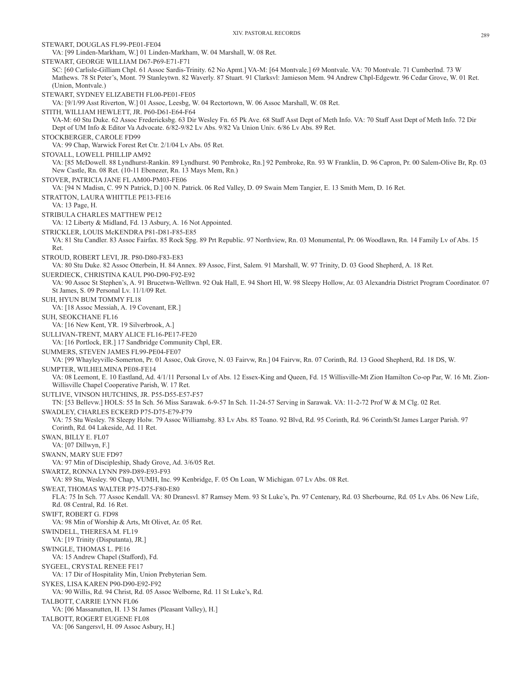STEWART, DOUGLAS FL99-PE01-FE04 VA: [99 Linden-Markham, W.] 01 Linden-Markham, W. 04 Marshall, W. 08 Ret. STEWART, GEORGE WILLIAM D67-P69-E71-F71 SC: [60 Carlisle-Gilliam Chpl. 61 Assoc Sardis-Trinity. 62 No Apmt.] VA-M: [64 Montvale.] 69 Montvale. VA: 70 Montvale. 71 Cumberlnd. 73 W Mathews. 78 St Peter's, Mont. 79 Stanleytwn. 82 Waverly. 87 Stuart. 91 Clarksvl: Jamieson Mem. 94 Andrew Chpl-Edgewtr. 96 Cedar Grove, W. 01 Ret. (Union, Montvale.) STEWART, SYDNEY ELIZABETH FL00-PE01-FE05 VA: [9/1/99 Asst Riverton, W.] 01 Assoc, Leesbg, W. 04 Rectortown, W. 06 Assoc Marshall, W. 08 Ret. STITH, WILLIAM HEWLETT, JR. P60-D61-E64-F64 VA-M: 60 Stu Duke. 62 Assoc Fredericksbg. 63 Dir Wesley Fn. 65 Pk Ave. 68 Staff Asst Dept of Meth Info. VA: 70 Staff Asst Dept of Meth Info. 72 Dir Dept of UM Info & Editor Va Advocate. 6/82-9/82 Lv Abs. 9/82 Va Union Univ. 6/86 Lv Abs. 89 Ret. STOCKBERGER, CAROLE FD99 VA: 99 Chap, Warwick Forest Ret Ctr. 2/1/04 Lv Abs. 05 Ret. STOVALL, LOWELL PHILLIP AM92 VA: [85 McDowell. 88 Lyndhurst-Rankin. 89 Lyndhurst. 90 Pembroke, Rn.] 92 Pembroke, Rn. 93 W Franklin, D. 96 Capron, Pr. 00 Salem-Olive Br, Rp. 03 New Castle, Rn. 08 Ret. (10-11 Ebenezer, Rn. 13 Mays Mem, Rn.) STOVER, PATRICIA JANE FL AM00-PM03-FE06 VA: [94 N Madisn, C. 99 N Patrick, D.] 00 N. Patrick. 06 Red Valley, D. 09 Swain Mem Tangier, E. 13 Smith Mem, D. 16 Ret. STRATTON, LAURA WHITTLE PE13-FE16 VA: 13 Page, H. STRIBULA CHARLES MATTHEW PE12 VA: 12 Liberty & Midland, Fd. 13 Asbury, A. 16 Not Appointed. STRICKLER, LOUIS McKENDRA P81-D81-F85-E85 VA: 81 Stu Candler. 83 Assoc Fairfax. 85 Rock Spg. 89 Prt Republic. 97 Northview, Rn. 03 Monumental, Pr. 06 Woodlawn, Rn. 14 Family Lv of Abs. 15 Ret. STROUD, ROBERT LEVI, JR. P80-D80-F83-E83 VA: 80 Stu Duke. 82 Assoc Otterbein, H. 84 Annex. 89 Assoc, First, Salem. 91 Marshall, W. 97 Trinity, D. 03 Good Shepherd, A. 18 Ret. SUERDIECK, CHRISTINA KAUL P90-D90-F92-E92 VA: 90 Assoc St Stephen's, A. 91 Brucetwn-Welltwn. 92 Oak Hall, E. 94 Short Hl, W. 98 Sleepy Hollow, Ar. 03 Alexandria District Program Coordinator. 07 St James, S. 09 Personal Lv. 11/1/09 Ret. SUH, HYUN BUM TOMMY FL18 VA: [18 Assoc Messiah, A. 19 Covenant, ER.] SUH, SEOKCHANE FL16 VA: [16 New Kent, YR. 19 Silverbrook, A.] SULLIVAN-TRENT, MARY ALICE FL16-PE17-FE20 VA: [16 Portlock, ER.] 17 Sandbridge Community Chpl, ER. SUMMERS, STEVEN JAMES FL99-PE04-FE07 VA: [99 Whayleyville-Somerton, Pr. 01 Assoc, Oak Grove, N. 03 Fairvw, Rn.] 04 Fairvw, Rn. 07 Corinth, Rd. 13 Good Shepherd, Rd. 18 DS, W. SUMPTER, WILHELMINA PE08-FE14 VA: 08 Leemont, E. 10 Eastland, Ad. 4/1/11 Personal Lv of Abs. 12 Essex-King and Queen, Fd. 15 Willisville-Mt Zion Hamilton Co-op Par, W. 16 Mt. Zion-Willisville Chapel Cooperative Parish, W. 17 Ret. SUTLIVE, VINSON HUTCHINS, JR. P55-D55-E57-F57 TN: [53 Bellevw.] HOLS: 55 In Sch. 56 Miss Sarawak. 6-9-57 In Sch. 11-24-57 Serving in Sarawak. VA: 11-2-72 Prof W & M Clg. 02 Ret. SWADLEY, CHARLES ECKERD P75-D75-E79-F79 VA: 75 Stu Wesley. 78 Sleepy Holw. 79 Assoc Williamsbg. 83 Lv Abs. 85 Toano. 92 Blvd, Rd. 95 Corinth, Rd. 96 Corinth/St James Larger Parish. 97 Corinth, Rd. 04 Lakeside, Ad. 11 Ret. SWAN, BILLY E. FL07 VA: [07 Dillwyn, F.] SWANN, MARY SUE FD97 VA: 97 Min of Discipleship, Shady Grove, Ad. 3/6/05 Ret. SWARTZ, RONNA LYNN P89-D89-E93-F93 VA: 89 Stu, Wesley. 90 Chap, VUMH, Inc. 99 Kenbridge, F. 05 On Loan, W Michigan. 07 Lv Abs. 08 Ret. SWEAT, THOMAS WALTER P75-D75-F80-E80 FLA: 75 In Sch. 77 Assoc Kendall. VA: 80 Dranesvl. 87 Ramsey Mem. 93 St Luke's, Pn. 97 Centenary, Rd. 03 Sherbourne, Rd. 05 Lv Abs. 06 New Life, Rd. 08 Central, Rd. 16 Ret. SWIFT, ROBERT G. FD98 VA: 98 Min of Worship & Arts, Mt Olivet, Ar. 05 Ret. SWINDELL, THERESA M. FL19 VA: [19 Trinity (Disputanta), JR.] SWINGLE, THOMAS L. PE16 VA: 15 Andrew Chapel (Stafford), Fd. SYGEEL, CRYSTAL RENEE FE17 VA: 17 Dir of Hospitality Min, Union Prebyterian Sem. SYKES, LISA KAREN P90-D90-E92-F92 VA: 90 Willis, Rd. 94 Christ, Rd. 05 Assoc Welborne, Rd. 11 St Luke's, Rd. TALBOTT, CARRIE LYNN FL06 VA: [06 Massanutten, H. 13 St James (Pleasant Valley), H.] TALBOTT, ROGERT EUGENE FL08 VA: [06 Sangersvl, H. 09 Assoc Asbury, H.]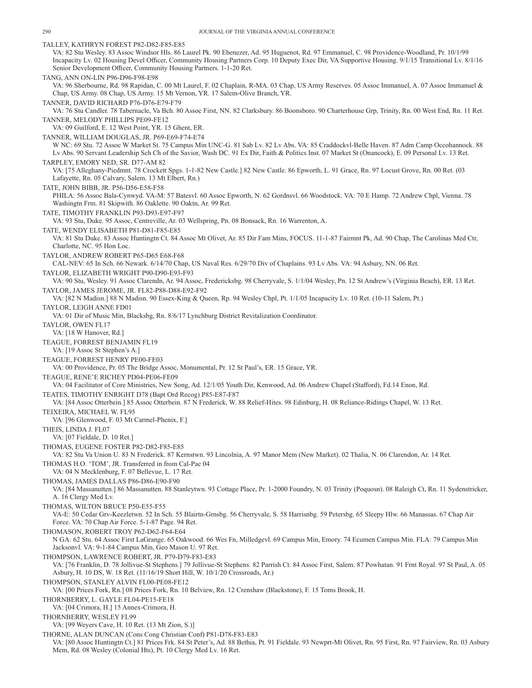TALLEY, KATHRYN FOREST P82-D82-F85-E85 VA: 82 Stu Wesley. 83 Assoc Windsor Hls. 86 Laurel Pk. 90 Ebenezer, Ad. 95 Huguenot, Rd. 97 Emmanuel, C. 98 Providence-Woodland, Pr. 10/1/99 Incapacity Lv. 02 Housing Devel Officer, Community Housing Partners Corp. 10 Deputy Exec Dir, VA Supportive Housing. 9/1/15 Transitional Lv. 8/1/16 Senior Development Officer, Community Housing Partners. 1-1-20 Ret. TANG, ANN ON-LIN P96-D96-F98-E98 VA: 96 Sherbourne, Rd. 98 Rapidan, C. 00 Mt Laurel, F. 02 Chaplain, R-MA. 03 Chap, US Army Reserves. 05 Assoc Immanuel, A. 07 Assoc Immanuel & Chap, US Army. 08 Chap, US Army. 15 Mt Vernon, YR. 17 Salem-Olive Branch, YR. TANNER, DAVID RICHARD P76-D76-E79-F79 VA: 76 Stu Candler. 78 Tabernacle, Va Bch. 80 Assoc First, NN. 82 Clarksbury. 86 Boonsboro. 90 Charterhouse Grp, Trinity, Rn. 00 West End, Rn. 11 Ret. TANNER, MELODY PHILLIPS PE09-FE12 VA: 09 Guilford, E. 12 West Point, YR. 15 Ghent, ER. TANNER, WILLIAM DOUGLAS, JR. P69-E69-F74-E74 W NC: 69 Stu. 72 Assoc W Market St. 75 Campus Min UNC-G. 81 Sab Lv. 82 Lv Abs. VA: 85 Craddockvl-Belle Haven. 87 Adm Camp Occohannock. 88 Lv Abs. 90 Servant Leadership Sch Ch of the Savior, Wash DC. 91 Ex Dir, Faith & Politics Inst. 07 Market St (Onancock), E. 09 Personal Lv. 13 Ret. TARPLEY, EMORY NED, SR. D77-AM 82 VA: [75 Alleghany-Piedmnt. 78 Crockett Spgs. 1-1-82 New Castle.] 82 New Castle. 86 Epworth, L. 91 Grace, Rn. 97 Locust Grove, Rn. 00 Ret. (03 Lafayette, Rn. 05 Calvary, Salem. 13 Mt Elbert, Rn.) TATE, JOHN BIBB, JR. P56-D56-E58-F58 PHILA: 56 Assoc Bala-Cynwyd. VA-M: 57 Batesvl. 60 Assoc Epworth, N. 62 Gordnsvl. 66 Woodstock. VA: 70 E Hamp. 72 Andrew Chpl, Vienna. 78 Washingtn Frm. 81 Skipwith. 86 Oaklette. 90 Oaktn, Ar. 99 Ret. TATE, TIMOTHY FRANKLIN P93-D93-E97-F97 VA: 93 Stu, Duke. 95 Assoc, Centreville, Ar. 03 Wellspring, Pn. 08 Bonsack, Rn. 16 Warrenton, A. TATE, WENDY ELISABETH P81-D81-F85-E85 VA: 81 Stu Duke. 83 Assoc Huntingtn Ct. 84 Assoc Mt Olivet, Ar. 85 Dir Fam Mins, FOCUS. 11-1-87 Fairmnt Pk, Ad. 90 Chap, The Carolinas Med Ctr, Charlotte, NC. 95 Hon Loc. TAYLOR, ANDREW ROBERT P65-D65 E68-F68 CAL-NEV: 65 In Sch. 66 Newark. 6/14/70 Chap, US Naval Res. 6/29/70 Div of Chaplains. 93 Lv Abs. VA: 94 Asbury, NN. 06 Ret. TAYLOR, ELIZABETH WRIGHT P90-D90-E93-F93 VA: 90 Stu, Wesley. 91 Assoc Clarendn, Ar. 94 Assoc, Fredericksbg. 98 Cherryvale, S. 1/1/04 Wesley, Pn. 12 St Andrew's (Virginia Beach), ER. 13 Ret. TAYLOR, JAMES JEROME, JR. FL82-P88-D88-E92-F92 VA: [82 N Madisn.] 88 N Madisn. 90 Essex-King & Queen, Rp. 94 Wesley Chpl, Pt. 1/1/05 Incapacity Lv. 10 Ret. (10-11 Salem, Pt.) TAYLOR, LEIGH ANNE FD01 VA: 01 Dir of Music Min, Blacksbg, Rn. 8/6/17 Lynchburg District Revitalization Coordinator. TAYLOR, OWEN FL17 VA: [18 W Hanover, Rd.] TEAGUE, FORREST BENJAMIN FL19 VA: [19 Assoc St Stephen's A.] TEAGUE, FORREST HENRY PE00-FE03 VA: 00 Providence, Pr. 05 The Bridge Assoc, Monumental, Pr. 12 St Paul's, ER. 15 Grace, YR. TEAGUE, RENE'E RICHEY PD04-PE06-FE09 VA: 04 Facilitator of Core Ministries, New Song, Ad. 12/1/05 Youth Dir, Kenwood, Ad. 06 Andrew Chapel (Stafford), Fd.14 Enon, Rd. TEATES, TIMOTHY ENRIGHT D78 (Bapt Ord Recog) P85-E87-F87 VA: [84 Assoc Otterbein.] 85 Assoc Otterbein. 87 N Frederick, W. 88 Relief-Hites. 98 Edinburg, H. 08 Reliance-Ridings Chapel, W. 13 Ret. TEIXEIRA, MICHAEL W. FL95 VA: [96 Glenwood, F. 03 Mt Carmel-Phenix, F.] THEIS, LINDA J. FL07 VA: [07 Fieldale, D. 10 Ret.] THOMAS, EUGENE FOSTER P82-D82-F85-E85 VA: 82 Stu Va Union U. 83 N Frederick. 87 Kernstwn. 93 Lincolnia, A. 97 Manor Mem (New Market). 02 Thalia, N. 06 Clarendon, Ar. 14 Ret. THOMAS H.O. 'TOM', JR. Transferred in from Cal-Pac 04 VA: 04 N Mecklenburg, F. 07 Bellevue, L. 17 Ret. THOMAS, JAMES DALLAS P86-D86-E90-F90 VA: [84 Massanutten.] 86 Massanutten. 88 Stanleytwn. 93 Cottage Place, Pr. 1-2000 Foundry, N. 03 Trinity (Poquosn). 08 Raleigh Ct, Rn. 11 Sydenstricker, A. 16 Clergy Med Lv. THOMAS, WILTON BRUCE P50-E55-F55 VA-E: 50 Cedar Grv-Keezletwn. 52 In Sch. 55 Blairtn-Grnsbg. 56 Cherryvale, S. 58 Harrisnbg. 59 Petersbg. 65 Sleepy Hlw. 66 Manassas. 67 Chap Air Force. VA: 70 Chap Air Force. 5-1-87 Page. 94 Ret. THOMASON, ROBERT TROY P62-D62-F64-E64 N GA: 62 Stu. 64 Assoc First LaGrange. 65 Oakwood. 66 Wes Fn, Milledgevl. 69 Campus Min, Emory. 74 Ecumen Campus Min. FLA: 79 Campus Min Jacksonvl. VA: 9-1-84 Campus Min, Geo Mason U. 97 Ret. THOMPSON, LAWRENCE ROBERT, JR. P79-D79-F83-E83 VA: [76 Franklin, D. 78 Jollivue-St Stephens.] 79 Jollivue-St Stephens. 82 Parrish Ct. 84 Assoc First, Salem. 87 Powhatan. 91 Frnt Royal. 97 St Paul, A. 05 Asbury, H. 10 DS, W. 18 Ret. (11/16/19 Short Hill, W. 10/1/20 Crossroads, Ar.) THOMPSON, STANLEY ALVIN FL00-PE08-FE12 VA: [00 Prices Fork, Rn.] 08 Prices Fork, Rn. 10 Belview, Rn. 12 Crenshaw (Blackstone), F. 15 Toms Brook, H. THORNBERRY, L. GAYLE FL04-PE15-FE18 VA: [04 Crimora, H.] 15 Annex-Crimora, H. THORNBERRY, WESLEY FL99 VA: [99 Weyers Cave, H. 10 Ret. (13 Mt Zion, S.)] THORNE, ALAN DUNCAN (Cons Cong Christian Conf) P81-D78-F83-E83 VA: [80 Assoc Huntingtn Ct.] 81 Prices Frk. 84 St Peter's, Ad. 88 Bethia, Pt. 91 Fieldale. 93 Newprt-Mt Olivet, Rn. 95 First, Rn. 97 Fairview, Rn. 03 Asbury

Mem, Rd. 08 Wesley (Colonial Hts), Pt. 10 Clergy Med Lv. 16 Ret.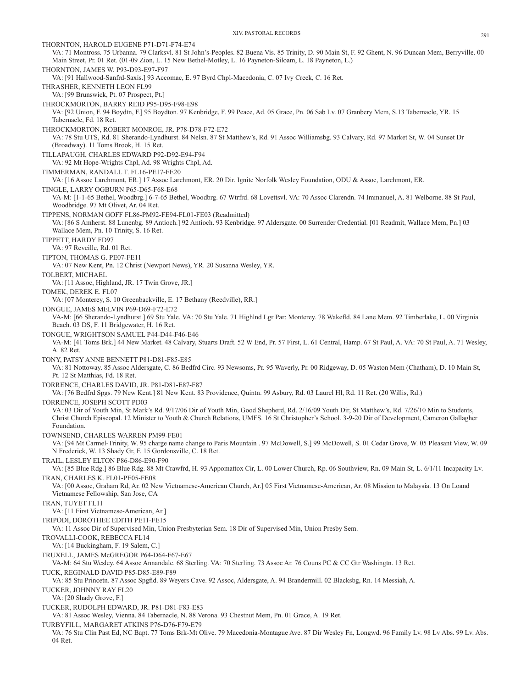THORNTON, HAROLD EUGENE P71-D71-F74-E74 VA: 71 Montross. 75 Urbanna. 79 Clarksvl. 81 St John's-Peoples. 82 Buena Vis. 85 Trinity, D. 90 Main St, F. 92 Ghent, N. 96 Duncan Mem, Berryville. 00 Main Street, Pr. 01 Ret. (01-09 Zion, L. 15 New Bethel-Motley, L. 16 Payneton-Siloam, L. 18 Payneton, L.) THORNTON, JAMES W. P93-D93-E97-F97 VA: [91 Hallwood-Sanfrd-Saxis.] 93 Accomac, E. 97 Byrd Chpl-Macedonia, C. 07 Ivy Creek, C. 16 Ret. THRASHER, KENNETH LEON FL99 VA: [99 Brunswick, Pt. 07 Prospect, Pt.] THROCKMORTON, BARRY REID P95-D95-F98-E98 VA: [92 Union, F. 94 Boydtn, F.] 95 Boydton. 97 Kenbridge, F. 99 Peace, Ad. 05 Grace, Pn. 06 Sab Lv. 07 Granbery Mem, S.13 Tabernacle, YR. 15 Tabernacle, Fd. 18 Ret. THROCKMORTON, ROBERT MONROE, JR. P78-D78-F72-E72 VA: 78 Stu UTS, Rd. 81 Sherando-Lyndhurst. 84 Nelsn. 87 St Matthew's, Rd. 91 Assoc Williamsbg. 93 Calvary, Rd. 97 Market St, W. 04 Sunset Dr (Broadway). 11 Toms Brook, H. 15 Ret. TILLAPAUGH, CHARLES EDWARD P92-D92-E94-F94 VA: 92 Mt Hope-Wrights Chpl, Ad. 98 Wrights Chpl, Ad. TIMMERMAN, RANDALL T. FL16-PE17-FE20 VA: [16 Assoc Larchmont, ER.] 17 Assoc Larchmont, ER. 20 Dir. Ignite Norfolk Wesley Foundation, ODU & Assoc, Larchmont, ER. TINGLE, LARRY OGBURN P65-D65-F68-E68 VA-M: [1-1-65 Bethel, Woodbrg.] 6-7-65 Bethel, Woodbrg. 67 Wtrfrd. 68 Lovettsvl. VA: 70 Assoc Clarendn. 74 Immanuel, A. 81 Welborne. 88 St Paul, Woodbridge. 97 Mt Olivet, Ar. 04 Ret. TIPPENS, NORMAN GOFF FL86-PM92-FE94-FL01-FE03 (Readmitted) VA: [86 S Amherst. 88 Lunenbg. 89 Antioch.] 92 Antioch. 93 Kenbridge. 97 Aldersgate. 00 Surrender Credential. [01 Readmit, Wallace Mem, Pn.] 03 Wallace Mem, Pn. 10 Trinity, S. 16 Ret. TIPPETT, HARDY FD97 VA: 97 Reveille, Rd. 01 Ret. TIPTON, THOMAS G. PE07-FE11 VA: 07 New Kent, Pn. 12 Christ (Newport News), YR. 20 Susanna Wesley, YR. TOLBERT, MICHAEL VA: [11 Assoc, Highland, JR. 17 Twin Grove, JR.] TOMEK, DEREK E. FL07 VA: [07 Monterey, S. 10 Greenbackville, E. 17 Bethany (Reedville), RR.] TONGUE, JAMES MELVIN P69-D69-F72-E72 VA-M: [66 Sherando-Lyndhurst.] 69 Stu Yale. VA: 70 Stu Yale. 71 Highlnd Lgr Par: Monterey. 78 Wakefld. 84 Lane Mem. 92 Timberlake, L. 00 Virginia Beach. 03 DS, F. 11 Bridgewater, H. 16 Ret. TONGUE, WRIGHTSON SAMUEL P44-D44-F46-E46 VA-M: [41 Toms Brk.] 44 New Market. 48 Calvary, Stuarts Draft. 52 W End, Pr. 57 First, L. 61 Central, Hamp. 67 St Paul, A. VA: 70 St Paul, A. 71 Wesley, A. 82 Ret. TONY, PATSY ANNE BENNETT P81-D81-F85-E85 VA: 81 Nottoway. 85 Assoc Aldersgate, C. 86 Bedfrd Circ. 93 Newsoms, Pr. 95 Waverly, Pr. 00 Ridgeway, D. 05 Waston Mem (Chatham), D. 10 Main St, Pt. 12 St Matthias, Fd. 18 Ret. TORRENCE, CHARLES DAVID, JR. P81-D81-E87-F87 VA: [76 Bedfrd Spgs. 79 New Kent.] 81 New Kent. 83 Providence, Quintn. 99 Asbury, Rd. 03 Laurel Hl, Rd. 11 Ret. (20 Willis, Rd.) TORRENCE, JOSEPH SCOTT PD03 VA: 03 Dir of Youth Min, St Mark's Rd. 9/17/06 Dir of Youth Min, Good Shepherd, Rd. 2/16/09 Youth Dir, St Matthew's, Rd. 7/26/10 Min to Students, Christ Church Episcopal. 12 Minister to Youth & Church Relations, UMFS. 16 St Christopher's School. 3-9-20 Dir of Development, Cameron Gallagher Foundation. TOWNSEND, CHARLES WARREN PM99-FE01 VA: [94 Mt Carmel-Trinity, W. 95 charge name change to Paris Mountain . 97 McDowell, S.] 99 McDowell, S. 01 Cedar Grove, W. 05 Pleasant View, W. 09 N Frederick, W. 13 Shady Gr, F. 15 Gordonsville, C. 18 Ret. TRAIL, LESLEY ELTON P86-D86-E90-F90 VA: [85 Blue Rdg.] 86 Blue Rdg. 88 Mt Crawfrd, H. 93 Appomattox Cir, L. 00 Lower Church, Rp. 06 Southview, Rn. 09 Main St, L. 6/1/11 Incapacity Lv. TRAN, CHARLES K. FL01-PE05-FE08 VA: [00 Assoc, Graham Rd, Ar. 02 New Vietnamese-American Church, Ar.] 05 First Vietnamese-American, Ar. 08 Mission to Malaysia. 13 On Loand Vietnamese Fellowship, San Jose, CA TRAN, TUYET FL11 VA: [11 First Vietnamese-American, Ar.] TRIPODI, DOROTHEE EDITH PE11-FE15 VA: 11 Assoc Dir of Supervised Min, Union Presbyterian Sem. 18 Dir of Supervised Min, Union Presby Sem. TROVALLI-COOK, REBECCA FL14 VA: [14 Buckingham, F. 19 Salem, C.] TRUXELL, JAMES McGREGOR P64-D64-F67-E67 VA-M: 64 Stu Wesley. 64 Assoc Annandale. 68 Sterling. VA: 70 Sterling. 73 Assoc Ar. 76 Couns PC & CC Gtr Washingtn. 13 Ret. TUCK, REGINALD DAVID P85-D85-E89-F89 VA: 85 Stu Princetn. 87 Assoc Spgfld. 89 Weyers Cave. 92 Assoc, Aldersgate, A. 94 Brandermill. 02 Blacksbg, Rn. 14 Messiah, A. TUCKER, JOHNNY RAY FL20 VA: [20 Shady Grove, F.] TUCKER, RUDOLPH EDWARD, JR. P81-D81-F83-E83 VA: 81 Assoc Wesley, Vienna. 84 Tabernacle, N. 88 Verona. 93 Chestnut Mem, Pn. 01 Grace, A. 19 Ret. TURBYFILL, MARGARET ATKINS P76-D76-F79-E79 VA: 76 Stu Clin Past Ed, NC Bapt. 77 Toms Brk-Mt Olive. 79 Macedonia-Montague Ave. 87 Dir Wesley Fn, Longwd. 96 Family Lv. 98 Lv Abs. 99 Lv. Abs. 04 Ret.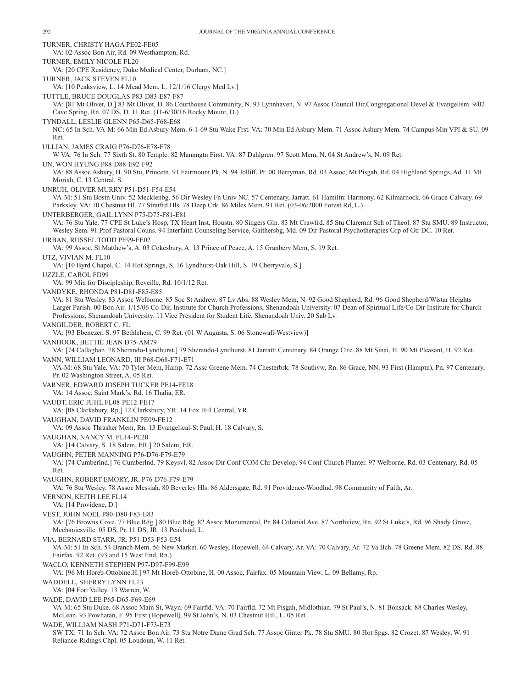TURNER, CHRISTY HAGA PE02-FE05 VA: 02 Assoc Bon Air, Rd. 09 Westhampton, Rd. TURNER, EMILY NICOLE FL20 VA: [20 CPE Residency, Duke Medical Center, Durham, NC.] TURNER, JACK STEVEN FL10 VA: [10 Peaksview, L. 14 Mead Mem, L. 12/1/16 Clergy Med Lv.] TUTTLE, BRUCE DOUGLAS P83-D83-E87-F87 VA: [81 Mt Olivet, D.] 83 Mt Olivet, D. 86 Courthouse Community, N. 93 Lynnhaven, N. 97 Assoc Council Dir,Congregational Devel & Evangelism. 9/02 Cave Spring, Rn. 07 DS, D. 11 Ret. (11-6/30/16 Rocky Mount, D.) TYNDALL, LESLIE GLENN P65-D65-F68-E68 NC: 65 In Sch. VA-M: 66 Min Ed Asbury Mem. 6-1-69 Stu Wake Frst. VA: 70 Min Ed Asbury Mem. 71 Assoc Asbury Mem. 74 Campus Min VPI & SU. 09 Ret. ULLIAN, JAMES CRAIG P76-D76-E78-F78 W VA: 76 In Sch. 77 Sixth St. 80 Temple. 82 Mannngtn First. VA: 87 Dahlgren. 97 Scott Mem, N. 04 St Andrew's, N. 09 Ret. UN, WON HYUNG P88-D88-E92-F92 VA: 88 Assoc Asbury, H. 90 Stu, Princetn. 91 Fairmount Pk, N. 94 Jolliff, Pr. 00 Berryman, Rd. 03 Assoc, Mt Pisgah, Rd. 04 Highland Springs, Ad. 11 Mt Moriah, C. 13 Central, S. UNRUH, OLIVER MURRY P51-D51-F54-E54 VA-M: 51 Stu Bostn Univ. 52 Mecklenbg. 56 Dir Wesley Fn Univ NC. 57 Centenary, Jarratt. 61 Hamiltn: Harmony. 62 Kilmarnock. 66 Grace-Calvary. 69 Parksley. VA: 70 Chestnut Hl. 77 Stratfrd Hls. 78 Deep Crk. 86 Miles Mem. 91 Ret. (03-06/2000 Forest Rd, L.) UNTERBERGER, GAIL LYNN P75-D75-F81-E81 VA: 76 Stu Yale. 77 CPE St Luke's Hosp, TX Heart Inst, Houstn. 80 Singers Gln. 83 Mt Crawfrd. 85 Stu Claremnt Sch of Theol. 87 Stu SMU. 89 Instructor, Wesley Sem. 91 Prof Pastoral Couns. 94 Interfaith Counseling Service, Gaithersbg, Md. 09 Dir Pastoral Psychotherapies Grp of Gtr DC. 10 Ret. URBAN, RUSSEL TODD PE99-FE02 VA: 99 Assoc, St Matthew's, A. 03 Cokesbury, A. 13 Prince of Peace, A. 15 Granbery Mem, S. 19 Ret. UTZ, VIVIAN M. FL10 VA: [10 Byrd Chapel, C. 14 Hot Springs, S. 16 Lyndhurst-Oak Hill, S. 19 Cherryvale, S.] UZZLE, CAROL FD99 VA: 99 Min for Discipleship, Reveille, Rd. 10/1/12 Ret. VANDYKE, RHONDA P81-D81-F85-E85 VA: 81 Stu Wesley. 83 Assoc Welborne. 85 Soc St Andrew. 87 Lv Abs. 88 Wesley Mem, N. 92 Good Shepherd, Rd. 96 Good Shepherd/Wistar Heights Larger Parish. 00 Bon Air. 1/15/06 Co-Dir, Institute for Church Professions, Shenandoah University. 07 Dean of Spiritual Life/Co-Dir Institute for Church Professions, Shenandoah University. 11 Vice President for Student Life, Shenandoah Univ. 20 Sab Lv. VANGILDER, ROBERT C. FL VA: [93 Ebenezer, S. 97 Bethlehem, C. 99 Ret. (01 W Augusta, S. 06 Stonewall-Westview)] VANHOOK, BETTIE JEAN D75-AM79 VA: [74 Callaghan. 78 Sherando-Lyndhurst.] 79 Sherando-Lyndhurst. 81 Jarratt: Centenary. 84 Orange Circ. 88 Mt Sinai, H. 90 Mt Pleasant, H. 92 Ret. VANN, WILLIAM LEONARD, III P68-D68-F71-E71 VA-M: 68 Stu Yale. VA: 70 Tyler Mem, Hamp. 72 Assc Greene Mem. 74 Chesterbrk. 78 Southvw, Rn. 86 Grace, NN. 93 First (Hamptn), Pn. 97 Centenary, Pr. 02 Washington Street, A. 05 Ret. VARNER, EDWARD JOSEPH TUCKER PE14-FE18 VA: 14 Assoc, Saint Mark's, Rd. 16 Thalia, ER. VAUDT, ERIC JUHL FL08-PE12-FE17 VA: [08 Clarksbury, Rp.] 12 Clarksbury, YR. 14 Fox Hill Central, YR. VAUGHAN, DAVID FRANKLIN PE09-FE12 VA: 09 Assoc Thrasher Mem, Rn. 13 Evangelical-St Paul, H. 18 Calvary, S. VAUGHAN, NANCY M. FL14-PE20 VA: [14 Calvary, S. 18 Salem, ER.] 20 Salem, ER. VAUGHN, PETER MANNING P76-D76-F79-E79 VA: [74 Cumberlnd.] 76 Cumberlnd. 79 Keysvl. 82 Assoc Dir Conf COM Chr Develop. 94 Conf Church Planter. 97 Welborne, Rd. 03 Centenary, Rd. 05 Ret. VAUGHN, ROBERT EMORY, JR. P76-D76-F79-E79 VA: 76 Stu Wesley. 78 Assoc Messiah. 80 Beverley Hls. 86 Aldersgate, Rd. 91 Providence-Woodlnd. 98 Community of Faith, Ar. VERNON, KEITH LEE FL14 VA: [14 Providene, D.] VEST, JOHN NOEL P80-D80-F83-E83 VA: [76 Browns Cove. 77 Blue Rdg.] 80 Blue Rdg. 82 Assoc Monumental, Pr. 84 Colonial Ave. 87 Northview, Rn. 92 St Luke's, Rd. 96 Shady Grove, Mechanicsville. 05 DS, Pr. 11 DS, JR. 13 Peakland, L. VIA, BERNARD STARR, JR. P51-D53-F53-E54 VA-M: 51 In Sch. 54 Branch Mem. 56 New Market. 60 Wesley, Hopewell. 64 Calvary, Ar. VA: 70 Calvary, Ar. 72 Va Bch. 78 Greene Mem. 82 DS, Rd. 88 Fairfax. 92 Ret. (93 and 15 West End, Rn.) WACLO, KENNETH STEPHEN P97-D97-F99-E99 VA: [96 Mt Horeb-Ottobine.H.] 97 Mt Horeb-Ottobine, H. 00 Assoc, Fairfax. 05 Mountain View, L. 09 Bellamy, Rp. WADDELL, SHERRY LYNN FL13 VA: [04 Fort Valley. 13 Warren, W. WADE, DAVID LEE P65-D65-F69-E69 VA-M: 65 Stu Duke. 68 Assoc Main St, Wayn. 69 Fairfld. VA: 70 Fairfld. 72 Mt Pisgah, Midlothian. 79 St Paul's, N. 81 Bonsack. 88 Charles Wesley, McLean. 93 Powhatan, F. 95 First (Hopewell). 99 St John's, N. 03 Chestnut Hill, L. 05 Ret. WADE, WILLIAM NASH P71-D71-F73-E73 SW TX: 71 In Sch. VA: 72 Assoc Bon Air. 73 Stu Notre Dame Grad Sch. 77 Assoc Ginter Pk. 78 Stu SMU. 80 Hot Spgs. 82 Crozet. 87 Wesley, W. 91 Reliance-Ridings Chpl. 05 Loudoun, W. 11 Ret.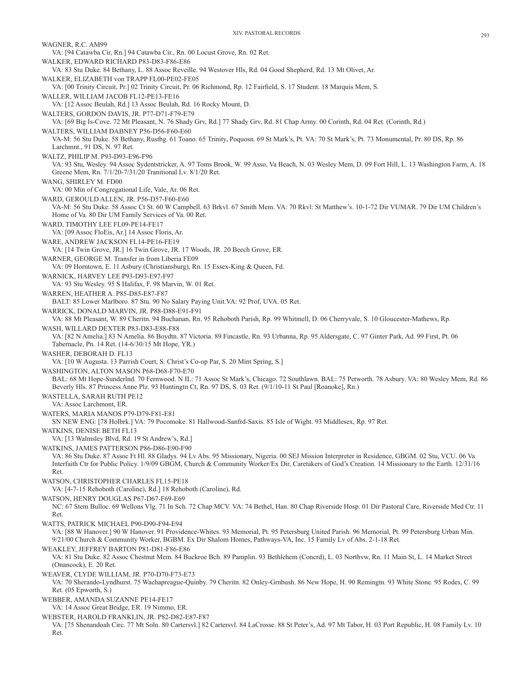WAGNER, R.C. AM99 VA: [94 Catawba Cir, Rn.] 94 Catawba Cir., Rn. 00 Locust Grove, Rn. 02 Ret. WALKER, EDWARD RICHARD P83-D83-F86-E86 VA: 83 Stu Duke. 84 Bethany, L. 88 Assoc Reveille. 94 Westover Hls, Rd. 04 Good Shepherd, Rd. 13 Mt Olivet, Ar. WALKER, ELIZABETH von TRAPP FL00-PE02-FE05 VA: [00 Trinity Circuit, Pr.] 02 Trinity Circuit, Pr. 06 Richmond, Rp. 12 Fairfield, S. 17 Student. 18 Marquis Mem, S. WALLER, WILLIAM JACOB FL12-PE13-FE16 VA: [12 Assoc Beulah, Rd.] 13 Assoc Beulah, Rd. 16 Rocky Mount, D. WALTERS, GORDON DAVIS, JR. P77-D71-F79-E79 VA: [69 Big Is-Cove. 72 Mt Pleasant, N. 76 Shady Grv, Rd.] 77 Shady Grv, Rd. 81 Chap Army. 00 Corinth, Rd. 04 Ret. (Corinth, Rd.) WALTERS, WILLIAM DABNEY P56-D56-F60-E60 VA-M: 56 Stu Duke. 58 Bethany, Rustbg. 61 Toano. 65 Trinity, Poquosn. 69 St Mark's, Pt. VA: 70 St Mark's, Pt. 73 Monumental, Pr. 80 DS, Rp. 86 Larchmnt., 91 DS, N. 97 Ret. WALTZ, PHILIP M. P93-D93-E96-F96 VA: 93 Stu, Wesley. 94 Assoc Sydentstricker, A. 97 Toms Brook, W. 99 Asso, Va Beach, N. 03 Wesley Mem, D. 09 Fort Hill, L. 13 Washington Farm, A. 18 Greene Mem, Rn. 7/1/20-7/31/20 Tranitional Lv. 8/1/20 Ret. WANG, SHIRLEY M. FD00 VA: 00 Min of Congregational Life, Vale, Ar. 06 Ret. WARD, GEROULD ALLEN, JR. P56-D57-F60-E60 VA-M: 56 Stu Duke. 58 Assoc Ct St. 60 W Campbell. 63 Brkvl. 67 Smith Mem. VA: 70 Rkvl: St Matthew's. 10-1-72 Dir VUMAR. 79 Dir UM Children's Home of Va. 80 Dir UM Family Services of Va. 00 Ret. WARD, TIMOTHY LEE FL09-PE14-FE17 VA: [09 Assoc FloEis, Ar.] 14 Assoc Floris, Ar. WARE, ANDREW JACKSON FL14-PE16-FE19 VA: [14 Twin Grove, JR.] 16 Twin Grove, JR. 17 Woods, JR. 20 Beech Grove, ER. WARNER, GEORGE M. Transfer in from Liberia FE09 VA: 09 Horntown, E. 11 Asbury (Christiansburg), Rn. 15 Essex-King & Queen, Fd. WARNICK, HARVEY LEE P93-D93-E97-F97 VA: 93 Stu Wesley. 95 S Halifax, F. 98 Marvin, W. 01 Ret. WARREN, HEATHER A. P85-D85-E87-F87 BALT: 85 Lower Marlboro. 87 Stu. 90 No Salary Paying Unit.VA: 92 Prof, UVA. 05 Ret. WARRICK, DONALD MARVIN, JR. P88-D88-E91-F91 VA: 88 Mt Pleasant, W. 89 Cheritn. 94 Buchanan, Rn. 95 Rehoboth Parish, Rp. 99 Whitmell, D. 06 Cherryvale, S. 10 Gloucester-Mathews, Rp. WASH, WILLARD DEXTER P83-D83-E88-F88 VA: [82 N Amelia.] 83 N Amelia. 86 Boydtn. 87 Victoria. 89 Fincastle, Rn. 93 Urbanna, Rp. 95 Aldersgate, C. 97 Ginter Park, Ad. 99 First, Pt. 06 Tabernacle, Pn. 14 Ret. (14-6/30/15 Mt Hope, YR.) WASHER, DEBORAH D. FL13 VA: [10 W Augusta. 13 Parrish Court, S. Christ's Co-op Par, S. 20 Mint Spring, S.] WASHINGTON, ALTON MASON P68-D68-F70-E70 BAL: 68 Mt Hope-Sunderlnd. 70 Fernwood. N IL: 71 Assoc St Mark's, Chicago. 72 Southlawn. BAL: 75 Petworth. 78 Asbury. VA: 80 Wesley Mem, Rd. 86 Beverly Hls. 87 Princess Anne Plz. 93 Huntingtn Ct, Rn. 97 DS, S. 03 Ret. (9/1/10-11 St Paul [Roanoke], Rn.) WASTELLA, SARAH RUTH PE12 VA: Assoc Larchmont, ER. WATERS, MARIA MANOS P79-D79-F81-E81 SN NEW ENG: [78 Holbrk.] VA: 79 Pocomoke. 81 Hallwood-Sanfrd-Saxis. 85 Isle of Wight. 93 Middlesex, Rp. 97 Ret. WATKINS, DENISE BETH FL13 VA: [13 Walmsley Blvd, Rd. 19 St Andrew's, Rd.] WATKINS, JAMES PATTERSON P86-D86-E90-F90 VA: 86 Stu Duke. 87 Assoc Ft Hl. 88 Gladys. 94 Lv Abs. 95 Missionary, Nigeria. 00 SEJ Mission Interpreter in Residence, GBGM. 02 Stu, VCU. 06 Va Interfaith Ctr for Public Policy. 1/9/09 GBGM, Church & Community Worker/Ex Dir, Caretakers of God's Creation. 14 Missionary to the Earth. 12/31/16 Ret. WATSON, CHRISTOPHER CHARLES FL15-PE18 VA: [4-7-15 Rehoboth (Caroline), Rd.] 18 Rehoboth (Caroline), Rd. WATSON, HENRY DOUGLAS P67-D67-F69-E69 NC: 67 Stem Bulloc. 69 Wellons Vlg. 71 In Sch. 72 Chap MCV. VA: 74 Bethel, Han. 80 Chap Riverside Hosp. 01 Dir Pastoral Care, Riverside Med Ctr. 11 Ret. WATTS, PATRICK MICHAEL P90-D90-F94-E94 VA: [88 W Hanover.] 90 W Hanover. 91 Providence-Whites. 93 Memorial, Pt. 95 Petersburg United Parish. 96 Memorial, Pt. 99 Petersburg Urban Min. 9/21/00 Church & Community Worker, BGBM. Ex Dir Shalom Homes, Pathways-VA, Inc. 15 Family Lv of Abs. 2-1-18 Ret. WEAKLEY, JEFFREY BARTON P81-D81-F86-E86 VA: 81 Stu Duke. 82 Assoc Chestnut Mem. 84 Buckroe Bch. 89 Pamplin. 93 Bethlehem (Concrd), L. 03 Northvw, Rn. 11 Main St, L. 14 Market Street (Onancock), E. 20 Ret. WEAVER, CLYDE WILLIAM, JR. P70-D70-F73-E73 VA: 70 Sherando-Lyndhurst. 75 Wachapreague-Quinby. 79 Cheritn. 82 Onley-Grnbush. 86 New Hope, H. 90 Remingtn. 93 White Stone. 95 Rodes, C. 99 Ret. (05 Epworth, S.) WEBBER, AMANDA SUZANNE PE14-FE17 VA: 14 Assoc Great Bridge, ER. 19 Nimmo, ER. WEBSTER, HAROLD FRANKLIN, JR. P82-D82-E87-F87 VA: [75 Shenandoah Circ. 77 Mt Soln. 80 Cartersvl.] 82 Cartersvl. 84 LaCrosse. 88 St Peter's, Ad. 97 Mt Tabor, H. 03 Port Republic, H. 08 Family Lv. 10 Ret.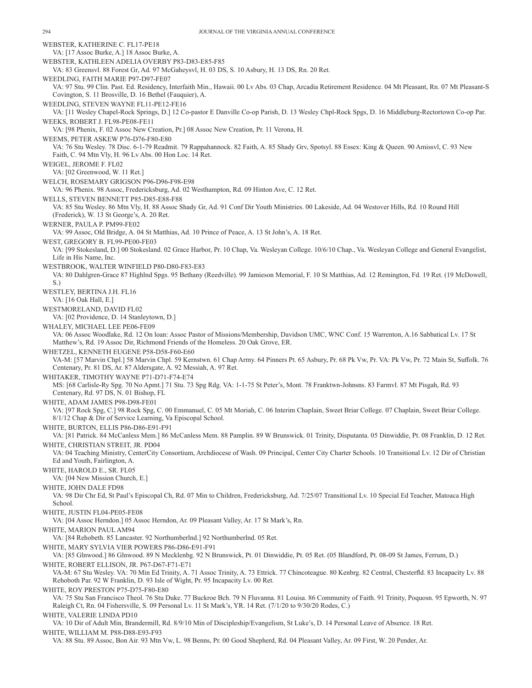WEBSTER, KATHERINE C. FL17-PE18 VA: [17 Assoc Burke, A.] 18 Assoc Burke, A. WEBSTER, KATHLEEN ADELIA OVERBY P83-D83-E85-F85 VA: 83 Greensvl. 88 Forest Gr, Ad. 97 McGaheysvl, H. 03 DS, S. 10 Asbury, H. 13 DS, Rn. 20 Ret. WEEDLING, FAITH MARIE P97-D97-FE07 VA: 97 Stu. 99 Clin. Past. Ed. Residency, Interfaith Min., Hawaii. 00 Lv Abs. 03 Chap, Arcadia Retirement Residence. 04 Mt Pleasant, Rn. 07 Mt Pleasant-S Covington, S. 11 Brosville, D. 16 Bethel (Fauquier), A. WEEDLING, STEVEN WAYNE FL11-PE12-FE16 VA: [11 Wesley Chapel-Rock Springs, D.] 12 Co-pastor E Danville Co-op Parish, D. 13 Wesley Chpl-Rock Spgs, D. 16 Middleburg-Rectortown Co-op Par. WEEKS, ROBERT J. FL98-PE08-FE11 VA: [98 Phenix, F. 02 Assoc New Creation, Pr.] 08 Assoc New Creation, Pr. 11 Verona, H. WEEMS, PETER ASKEW P76-D76-F80-E80 VA: 76 Stu Wesley. 78 Disc. 6-1-79 Readmit. 79 Rappahannock. 82 Faith, A. 85 Shady Grv, Spotsyl. 88 Essex: King & Queen. 90 Amissvl, C. 93 New Faith, C. 94 Mtn Vly, H. 96 Lv Abs. 00 Hon Loc. 14 Ret. WEIGEL, JEROME F. FL02 VA: [02 Greenwood, W. 11 Ret.] WELCH, ROSEMARY GRIGSON P96-D96-F98-E98 VA: 96 Phenix. 98 Assoc, Fredericksburg, Ad. 02 Westhampton, Rd. 09 Hinton Ave, C. 12 Ret. WELLS, STEVEN BENNETT P85-D85-E88-F88 VA: 85 Stu Wesley. 86 Mtn Vly, H. 88 Assoc Shady Gr, Ad. 91 Conf Dir Youth Ministries. 00 Lakeside, Ad. 04 Westover Hills, Rd. 10 Round Hill (Frederick), W. 13 St George's, A. 20 Ret. WERNER, PAULA P. PM99-FE02 VA: 99 Assoc, Old Bridge, A. 04 St Matthias, Ad. 10 Prince of Peace, A. 13 St John's, A. 18 Ret. WEST, GREGORY B. FL99-PE00-FE03 VA: [99 Stokesland, D.] 00 Stokesland. 02 Grace Harbor, Pr. 10 Chap, Va. Wesleyan College. 10/6/10 Chap., Va. Wesleyan College and General Evangelist, Life in His Name, Inc. WESTBROOK, WALTER WINFIELD P80-D80-F83-E83 VA: 80 Dahlgren-Grace 87 Highlnd Spgs. 95 Bethany (Reedville). 99 Jamieson Memorial, F. 10 St Matthias, Ad. 12 Remington, Fd. 19 Ret. (19 McDowell, S.) WESTLEY, BERTINA J.H. FL16 VA: [16 Oak Hall, E.] WESTMORELAND, DAVID FL02 VA: [02 Providence, D. 14 Stanleytown, D.] WHALEY, MICHAEL LEE PE06-FE09 VA: 06 Assoc Woodlake, Rd. 12 On loan: Assoc Pastor of Missions/Membership, Davidson UMC, WNC Conf. 15 Warrenton, A.16 Sabbatical Lv. 17 St Matthew's, Rd. 19 Assoc Dir, Richmond Friends of the Homeless. 20 Oak Grove, ER. WHETZEL, KENNETH EUGENE P58-D58-F60-E60 VA-M: [57 Marvin Chpl.] 58 Marvin Chpl. 59 Kernstwn. 61 Chap Army. 64 Pinners Pt. 65 Asbury, Pr. 68 Pk Vw, Pr. VA: Pk Vw, Pr. 72 Main St, Suffolk. 76 Centenary, Pr. 81 DS, Ar. 87 Aldersgate, A. 92 Messiah, A. 97 Ret. WHITAKER, TIMOTHY WAYNE P71-D71-F74-E74 MS: [68 Carlisle-Ry Spg. 70 No Apmt.] 71 Stu. 73 Spg Rdg. VA: 1-1-75 St Peter's, Mont. 78 Franktwn-Johnsns. 83 Farmvl. 87 Mt Pisgah, Rd. 93 Centenary, Rd. 97 DS, N. 01 Bishop, FL WHITE, ADAM JAMES P98-D98-FE01 VA: [97 Rock Spg, C.] 98 Rock Spg, C. 00 Emmanuel, C. 05 Mt Moriah, C. 06 Interim Chaplain, Sweet Briar College. 07 Chaplain, Sweet Briar College. 8/1/12 Chap & Dir of Service Learning, Va Episcopal School. WHITE, BURTON, ELLIS P86-D86-E91-F91 VA: [81 Patrick. 84 McCanless Mem.] 86 McCanless Mem. 88 Pamplin. 89 W Brunswick. 01 Trinity, Disputanta. 05 Dinwiddie, Pt. 08 Franklin, D. 12 Ret. WHITE, CHRISTIAN STREIT, JR. PD04 VA: 04 Teaching Ministry, CenterCity Consortium, Archdiocese of Wash. 09 Principal, Center City Charter Schools. 10 Transitional Lv. 12 Dir of Christian Ed and Youth, Fairlington, A. WHITE, HAROLD E., SR. FL05 VA: [04 New Mission Church, E.] WHITE, JOHN DALE FD98 VA: 98 Dir Chr Ed, St Paul's Episcopal Ch, Rd. 07 Min to Children, Fredericksburg, Ad. 7/25/07 Transitional Lv. 10 Special Ed Teacher, Matoaca High School. WHITE, JUSTIN FL04-PE05-FE08 VA: [04 Assoc Herndon.] 05 Assoc Herndon, Ar. 09 Pleasant Valley, Ar. 17 St Mark's, Rn. WHITE, MARION PAUL AM94 VA: [84 Rehobeth. 85 Lancaster. 92 Northumberlnd.] 92 Northumberlnd. 05 Ret. WHITE, MARY SYLVIA VIER POWERS P86-D86-E91-F91 VA: [85 Glnwood.] 86 Glnwood. 89 N Mecklenbg. 92 N Brunswick, Pt. 01 Dinwiddie, Pt. 05 Ret. (05 Blandford, Pt. 08-09 St James, Ferrum, D.) WHITE, ROBERT ELLISON, JR. P67-D67-F71-E71 VA-M: 67 Stu Wesley. VA: 70 Min Ed Trinity, A. 71 Assoc Trinity, A. 73 Ettrick. 77 Chincoteague. 80 Kenbrg. 82 Central, Chesterfld. 83 Incapacity Lv. 88 Rehoboth Par. 92 W Franklin, D. 93 Isle of Wight, Pr. 95 Incapacity Lv. 00 Ret. WHITE, ROY PRESTON P75-D75-F80-E80 VA: 75 Stu San Francisco Theol. 76 Stu Duke. 77 Buckroe Bch. 79 N Fluvanna. 81 Louisa. 86 Community of Faith. 91 Trinity, Poquosn. 95 Epworth, N. 97 Raleigh Ct, Rn. 04 Fishersville, S. 09 Personal Lv. 11 St Mark's, YR. 14 Ret. (7/1/20 to 9/30/20 Rodes, C.) WHITE, VALERIE LINDA PD10 VA: 10 Dir of Adult Min, Brandermill, Rd. 8/9/10 Min of Discipleship/Evangelism, St Luke's, D. 14 Personal Leave of Absence. 18 Ret. WHITE, WILLIAM M. P88-D88-E93-F93

VA: 88 Stu. 89 Assoc, Bon Air. 93 Mtn Vw, L. 98 Benns, Pr. 00 Good Shepherd, Rd. 04 Pleasant Valley, Ar. 09 First, W. 20 Pender, Ar.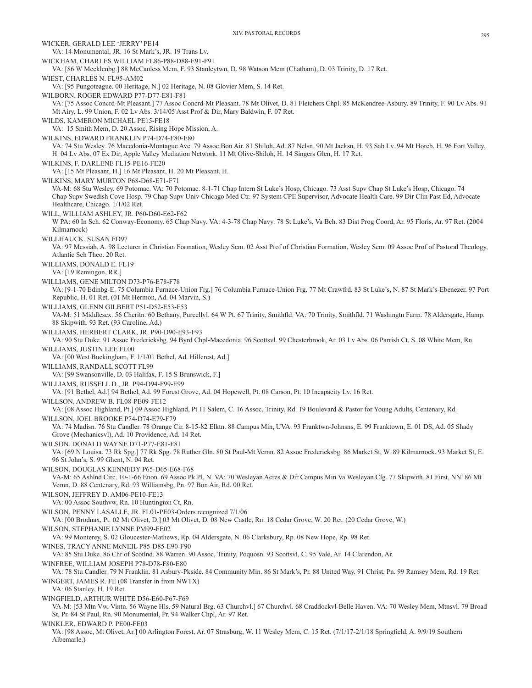XIV. PASTORAL RECORDS 295 WICKER, GERALD LEE 'JERRY' PE14 VA: 14 Monumental, JR. 16 St Mark's, JR. 19 Trans Lv. WICKHAM, CHARLES WILLIAM FL86-P88-D88-E91-F91 VA: [86 W Mecklenbg.] 88 McCanless Mem, F. 93 Stanleytwn, D. 98 Watson Mem (Chatham), D. 03 Trinity, D. 17 Ret. WIEST, CHARLES N. FL95-AM02 VA: [95 Pungoteague. 00 Heritage, N.] 02 Heritage, N. 08 Glovier Mem, S. 14 Ret. WILBORN, ROGER EDWARD P77-D77-E81-F81 VA: [75 Assoc Concrd-Mt Pleasant.] 77 Assoc Concrd-Mt Pleasant. 78 Mt Olivet, D. 81 Fletchers Chpl. 85 McKendree-Asbury. 89 Trinity, F. 90 Lv Abs. 91 Mt Airy, L. 99 Union, F. 02 Lv Abs. 3/14/05 Asst Prof & Dir, Mary Baldwin, F. 07 Ret. WILDS, KAMERON MICHAEL PE15-FE18 VA: 15 Smith Mem, D. 20 Assoc, Rising Hope Mission, A. WILKINS, EDWARD FRANKLIN P74-D74-F80-E80 VA: 74 Stu Wesley. 76 Macedonia-Montague Ave. 79 Assoc Bon Air. 81 Shiloh, Ad. 87 Nelsn. 90 Mt Jacksn, H. 93 Sab Lv. 94 Mt Horeb, H. 96 Fort Valley, H. 04 Lv Abs. 07 Ex Dir, Apple Valley Mediation Network. 11 Mt Olive-Shiloh, H. 14 Singers Glen, H. 17 Ret. WILKINS, F. DARLENE FL15-PE16-FE20 VA: [15 Mt Pleasant, H.] 16 Mt Pleasant, H. 20 Mt Pleasant, H. WILKINS, MARY MURTON P68-D68-E71-F71 VA-M: 68 Stu Wesley. 69 Potomac. VA: 70 Potomac. 8-1-71 Chap Intern St Luke's Hosp, Chicago. 73 Asst Supv Chap St Luke's Hosp, Chicago. 74 Chap Supv Swedish Cove Hosp. 79 Chap Supv Univ Chicago Med Ctr. 97 System CPE Supervisor, Advocate Health Care. 99 Dir Clin Past Ed, Advocate Healthcare, Chicago. 1/1/02 Ret. WILL, WILLIAM ASHLEY, JR. P60-D60-E62-F62 W PA: 60 In Sch. 62 Conway-Economy. 65 Chap Navy. VA: 4-3-78 Chap Navy. 78 St Luke's, Va Bch. 83 Dist Prog Coord, Ar. 95 Floris, Ar. 97 Ret. (2004 Kilmarnock) WILLHAUCK, SUSAN FD97 VA: 97 Messiah, A. 98 Lecturer in Christian Formation, Wesley Sem. 02 Asst Prof of Christian Formation, Wesley Sem. 09 Assoc Prof of Pastoral Theology, Atlantic Sch Theo. 20 Ret. WILLIAMS, DONALD E. FL19 VA: [19 Remingon, RR.] WILLIAMS, GENE MILTON D73-P76-E78-F78 VA: [9-1-70 Edinbg-E. 75 Columbia Furnace-Union Frg.] 76 Columbia Furnace-Union Frg. 77 Mt Crawfrd. 83 St Luke's, N. 87 St Mark's-Ebenezer. 97 Port Republic, H. 01 Ret. (01 Mt Hermon, Ad. 04 Marvin, S.) WILLIAMS, GLENN GILBERT P51-D52-E53-F53 VA-M: 51 Middlesex. 56 Cheritn. 60 Bethany, Purcellvl. 64 W Pt. 67 Trinity, Smithfld. VA: 70 Trinity, Smithfld. 71 Washingtn Farm. 78 Aldersgate, Hamp. 88 Skipwith. 93 Ret. (93 Caroline, Ad.) WILLIAMS, HERBERT CLARK, JR. P90-D90-E93-F93 VA: 90 Stu Duke. 91 Assoc Fredericksbg. 94 Byrd Chpl-Macedonia. 96 Scottsvl. 99 Chesterbrook, Ar. 03 Lv Abs. 06 Parrish Ct, S. 08 White Mem, Rn. WILLIAMS, JUSTIN LEE FL00 VA: [00 West Buckingham, F. 1/1/01 Bethel, Ad. Hillcrest, Ad.] WILLIAMS, RANDALL SCOTT FL99 VA: [99 Swansonville, D. 03 Halifax, F. 15 S Brunswick, F.] WILLIAMS, RUSSELL D., JR. P94-D94-F99-E99 VA: [91 Bethel, Ad.] 94 Bethel, Ad. 99 Forest Grove, Ad. 04 Hopewell, Pt. 08 Carson, Pt. 10 Incapacity Lv. 16 Ret. WILLSON, ANDREW B. FL08-PE09-FE12 VA: [08 Assoc Highland, Pt.] 09 Assoc Highland, Pt 11 Salem, C. 16 Assoc, Trinity, Rd. 19 Boulevard & Pastor for Young Adults, Centenary, Rd. WILLSON, JOEL BROOKE P74-D74-E79-F79 VA: 74 Madisn. 76 Stu Candler. 78 Orange Cir. 8-15-82 Elktn. 88 Campus Min, UVA. 93 Franktwn-Johnsns, E. 99 Franktown, E. 01 DS, Ad. 05 Shady Grove (Mechanicsvl), Ad. 10 Providence, Ad. 14 Ret. WILSON, DONALD WAYNE D71-P77-E81-F81 VA: [69 N Louisa. 73 Rk Spg.] 77 Rk Spg. 78 Ruther Gln. 80 St Paul-Mt Vernn. 82 Assoc Fredericksbg. 86 Market St, W. 89 Kilmarnock. 93 Market St, E. 96 St John's, S. 99 Ghent, N. 04 Ret. WILSON, DOUGLAS KENNEDY P65-D65-E68-F68 VA-M: 65 Ashlnd Circ. 10-1-66 Enon. 69 Assoc Pk Pl, N. VA: 70 Wesleyan Acres & Dir Campus Min Va Wesleyan Clg. 77 Skipwith. 81 First, NN. 86 Mt Vernn, D. 88 Centenary, Rd. 93 Williamsbg, Pn. 97 Bon Air, Rd. 00 Ret. WILSON, JEFFREY D. AM06-PE10-FE13 VA: 00 Assoc Southvw, Rn. 10 Huntington Ct, Rn. WILSON, PENNY LASALLE, JR. FL01-PE03-Orders recognized 7/1/06 VA: [00 Brodnax, Pt. 02 Mt Olivet, D.] 03 Mt Olivet, D. 08 New Castle, Rn. 18 Cedar Grove, W. 20 Ret. (20 Cedar Grove, W.) WILSON, STEPHANIE LYNNE PM99-FE02 VA: 99 Monterey, S. 02 Gloucester-Mathews, Rp. 04 Aldersgate, N. 06 Clarksbury, Rp. 08 New Hope, Rp. 98 Ret. WINES, TRACY ANNE McNEIL P85-D85-E90-F90 VA: 85 Stu Duke. 86 Chr of Scotlnd. 88 Warren. 90 Assoc, Trinity, Poquosn. 93 Scottsvl, C. 95 Vale, Ar. 14 Clarendon, Ar. WINFREE, WILLIAM JOSEPH P78-D78-F80-E80 VA: 78 Stu Candler. 79 N Franklin. 81 Asbury-Pkside. 84 Community Min. 86 St Mark's, Pr. 88 United Way. 91 Christ, Pn. 99 Ramsey Mem, Rd. 19 Ret. WINGERT, JAMES R. FE (08 Transfer in from NWTX) VA: 06 Stanley, H. 19 Ret. WINGFIELD, ARTHUR WHITE D56-E60-P67-F69 VA-M: [53 Mtn Vw, Vintn. 56 Wayne Hls. 59 Natural Brg. 63 Churchvl.] 67 Churchvl. 68 Craddockvl-Belle Haven. VA: 70 Wesley Mem, Mtnsvl. 79 Broad St, Pr. 84 St Paul, Rn. 90 Monumental, Pr. 94 Walker Chpl, Ar. 97 Ret. WINKLER, EDWARD P. PE00-FE03 VA: [98 Assoc, Mt Olivet, Ar.] 00 Arlington Forest, Ar. 07 Strasburg, W. 11 Wesley Mem, C. 15 Ret. (7/1/17-2/1/18 Springfield, A. 9/9/19 Southern Albemarle.)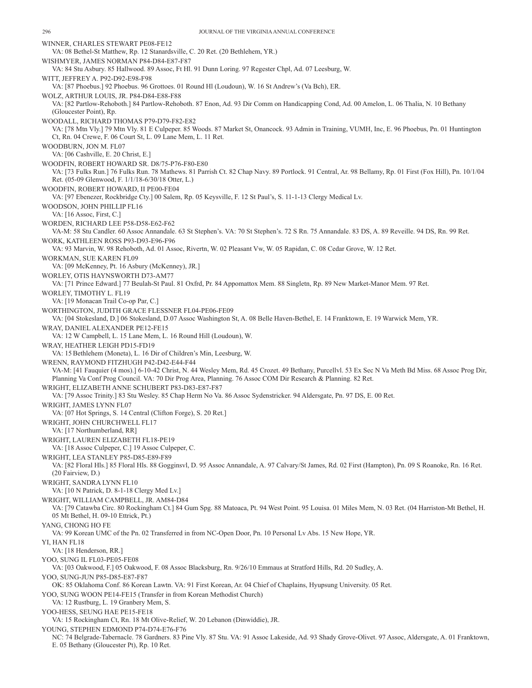E. 05 Bethany (Gloucester Pt), Rp. 10 Ret.

WINNER, CHARLES STEWART PE08-FE12 VA: 08 Bethel-St Matthew, Rp. 12 Stanardsville, C. 20 Ret. (20 Bethlehem, YR.) WISHMYER, JAMES NORMAN P84-D84-E87-F87 VA: 84 Stu Asbury. 85 Hallwood. 89 Assoc, Ft Hl. 91 Dunn Loring. 97 Regester Chpl, Ad. 07 Leesburg, W. WITT, JEFFREY A. P92-D92-E98-F98 VA: [87 Phoebus.] 92 Phoebus. 96 Grottoes. 01 Round Hl (Loudoun), W. 16 St Andrew's (Va Bch), ER. WOLZ, ARTHUR LOUIS, JR. P84-D84-E88-F88 VA: [82 Partlow-Rehoboth.] 84 Partlow-Rehoboth. 87 Enon, Ad. 93 Dir Comm on Handicapping Cond, Ad. 00 Amelon, L. 06 Thalia, N. 10 Bethany (Gloucester Point), Rp. WOODALL, RICHARD THOMAS P79-D79-F82-E82 VA: [78 Mtn Vly.] 79 Mtn Vly. 81 E Culpeper. 85 Woods. 87 Market St, Onancock. 93 Admin in Training, VUMH, Inc, E. 96 Phoebus, Pn. 01 Huntington Ct, Rn. 04 Crewe, F. 06 Court St, L. 09 Lane Mem, L. 11 Ret. WOODBURN, JON M. FL07 VA: [06 Cashville, E. 20 Christ, E.] WOODFIN, ROBERT HOWARD SR. D8/75-P76-F80-E80 VA: [73 Fulks Run.] 76 Fulks Run. 78 Mathews. 81 Parrish Ct. 82 Chap Navy. 89 Portlock. 91 Central, Ar. 98 Bellamy, Rp. 01 First (Fox Hill), Pn. 10/1/04 Ret. (05-09 Glenwood, F. 1/1/18-6/30/18 Otter, L.) WOODFIN, ROBERT HOWARD, II PE00-FE04 VA: [97 Ebenezer, Rockbridge Cty.] 00 Salem, Rp. 05 Keysville, F. 12 St Paul's, S. 11-1-13 Clergy Medical Lv. WOODSON, JOHN PHILLIP FL16 VA: [16 Assoc, First, C.] WORDEN, RICHARD LEE P58-D58-E62-F62 VA-M: 58 Stu Candler. 60 Assoc Annandale. 63 St Stephen's. VA: 70 St Stephen's. 72 S Rn. 75 Annandale. 83 DS, A. 89 Reveille. 94 DS, Rn. 99 Ret. WORK, KATHLEEN ROSS P93-D93-E96-F96 VA: 93 Marvin, W. 98 Rehoboth, Ad. 01 Assoc, Rivertn, W. 02 Pleasant Vw, W. 05 Rapidan, C. 08 Cedar Grove, W. 12 Ret. WORKMAN, SUE KAREN FL09 VA: [09 McKenney, Pt. 16 Asbury (McKenney), JR.] WORLEY, OTIS HAYNSWORTH D73-AM77 VA: [71 Prince Edward.] 77 Beulah-St Paul. 81 Oxfrd, Pr. 84 Appomattox Mem. 88 Singletn, Rp. 89 New Market-Manor Mem. 97 Ret. WORLEY, TIMOTHY L. FL19 VA: [19 Monacan Trail Co-op Par, C.] WORTHINGTON, JUDITH GRACE FLESSNER FL04-PE06-FE09 VA: [04 Stokesland, D.] 06 Stokesland, D.07 Assoc Washington St, A. 08 Belle Haven-Bethel, E. 14 Franktown, E. 19 Warwick Mem, YR. WRAY, DANIEL ALEXANDER PE12-FE15 VA: 12 W Campbell, L. 15 Lane Mem, L. 16 Round Hill (Loudoun), W. WRAY, HEATHER LEIGH PD15-FD19 VA: 15Bethlehem (Moneta), L. 16 Dir of Children's Min, Leesburg, W. WRENN, RAYMOND FITZHUGH P42-D42-E44-F44 VA-M: [41 Fauquier (4 mos).] 6-10-42 Christ, N. 44 Wesley Mem, Rd. 45 Crozet. 49 Bethany, Purcellvl. 53 Ex Sec N Va Meth Bd Miss. 68 Assoc Prog Dir, Planning Va Conf Prog Council. VA: 70 Dir Prog Area, Planning. 76 Assoc COM Dir Research & Planning. 82 Ret. WRIGHT, ELIZABETH ANNE SCHUBERT P83-D83-E87-F87 VA: [79 Assoc Trinity.] 83 Stu Wesley. 85 Chap Herm No Va. 86 Assoc Sydenstricker. 94 Aldersgate, Pn. 97 DS, E. 00 Ret. WRIGHT, JAMES LYNN FL07 VA: [07 Hot Springs, S. 14 Central (Clifton Forge), S. 20 Ret.] WRIGHT, JOHN CHURCHWELL FL17 VA: [17 Northumberland, RR] WRIGHT, LAUREN ELIZABETH FL18-PE19 VA: [18 Assoc Culpeper, C.] 19 Assoc Culpeper, C. WRIGHT, LEA STANLEY P85-D85-E89-F89 VA: [82 Floral Hls.] 85 Floral Hls. 88 Gogginsvl, D. 95 Assoc Annandale, A. 97 Calvary/St James, Rd. 02 First (Hampton), Pn. 09 S Roanoke, Rn. 16 Ret. (20 Fairview, D.) WRIGHT, SANDRA LYNN FL10 VA: [10 N Patrick, D. 8-1-18 Clergy Med Lv.] WRIGHT, WILLIAM CAMPBELL, JR. AM84-D84 VA: [79 Catawba Circ. 80 Rockingham Ct.] 84 Gum Spg. 88 Matoaca, Pt. 94 West Point. 95 Louisa. 01 Miles Mem, N. 03 Ret. (04 Harriston-Mt Bethel, H. 05 Mt Bethel, H. 09-10 Ettrick, Pt.) YANG, CHONG HO FE VA: 99 Korean UMC of the Pn. 02 Transferred in from NC-Open Door, Pn. 10 Personal Lv Abs. 15 New Hope, YR. YI, HAN FL18 VA: [18 Henderson, RR.] YOO, SUNG IL FL03-PE05-FE08 VA: [03 Oakwood, F.] 05 Oakwood, F. 08 Assoc Blacksburg, Rn. 9/26/10 Emmaus at Stratford Hills, Rd. 20 Sudley, A. YOO, SUNG-JUN P85-D85-E87-F87 OK: 85 Oklahoma Conf. 86 Korean Lawtn. VA: 91 First Korean, Ar. 04 Chief of Chaplains, Hyupsung University. 05 Ret. YOO, SUNG WOON PE14-FE15 (Transfer in from Korean Methodist Church) VA: 12 Rustburg, L. 19 Granbery Mem, S. YOO-HESS, SEUNG HAE PE15-FE18 VA: 15 Rockingham Ct, Rn. 18 Mt Olive-Relief, W. 20 Lebanon (Dinwiddie), JR. YOUNG, STEPHEN EDMOND P74-D74-E76-F76 NC: 74 Belgrade-Tabernacle. 78 Gardners. 83 Pine Vly. 87 Stu. VA: 91 Assoc Lakeside, Ad. 93 Shady Grove-Olivet. 97 Assoc, Aldersgate, A. 01 Franktown,